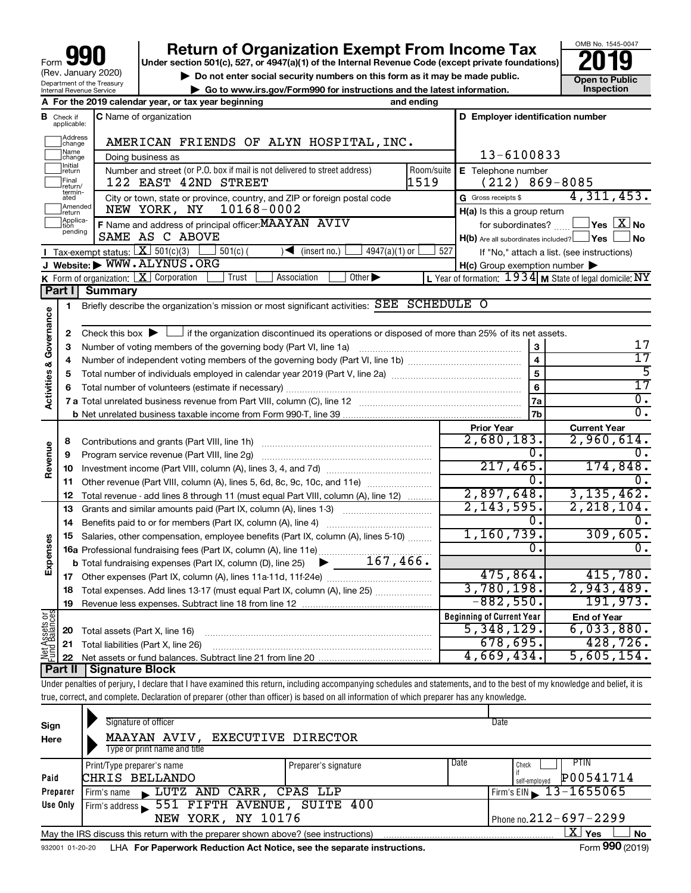| 990<br>Form                                                   |
|---------------------------------------------------------------|
| (Rev. January 2020)                                           |
| Department of the Treasury<br><b>Internal Revenue Service</b> |

# **your Section 501(c), 527, or 4947(a)(1) of the Internal Revenue Code (except private foundations) 2019**

▶ Do not enter social security numbers on this form as it may be made public. <br>
inspection and the latest information. **Dependent in the latest information** and the latest information. **| Go to www.irs.gov/Form990 for instructions and the latest information. Inspection**



|                         |                             | A For the 2019 calendar year, or tax year beginning                                                                                         | and ending |                                                     |                                                                 |
|-------------------------|-----------------------------|---------------------------------------------------------------------------------------------------------------------------------------------|------------|-----------------------------------------------------|-----------------------------------------------------------------|
| в                       | Check if<br>applicable:     | <b>C</b> Name of organization                                                                                                               |            | D Employer identification number                    |                                                                 |
|                         | Address<br>change           | AMERICAN FRIENDS OF ALYN HOSPITAL, INC.                                                                                                     |            |                                                     |                                                                 |
|                         | Name<br>change              | Doing business as                                                                                                                           |            | 13-6100833                                          |                                                                 |
|                         | Initial<br> return          | Number and street (or P.O. box if mail is not delivered to street address)                                                                  | Room/suite | E Telephone number                                  |                                                                 |
|                         | Final<br>return/            | 122 EAST 42ND STREET                                                                                                                        | 1519       | (212)                                               | 869-8085                                                        |
|                         | termin-<br>ated             | City or town, state or province, country, and ZIP or foreign postal code                                                                    |            | G Gross receipts \$                                 | 4,311,453.                                                      |
|                         | Amended<br>return           | 10168-0002<br>NEW YORK, NY                                                                                                                  |            | $H(a)$ is this a group return                       |                                                                 |
|                         | Applica-<br>tion<br>pending | F Name and address of principal officer: MAAYAN AVIV                                                                                        |            | for subordinates?                                   | $ {\mathsf Y}{\mathsf e}{\mathsf s} \mathrel{ } {\mathsf X}$ No |
|                         |                             | SAME AS C ABOVE                                                                                                                             |            | $H(b)$ Are all subordinates included? $\Box$ Yes    | l No                                                            |
|                         |                             | Tax-exempt status: $X \over 301(c)(3)$<br>$\sqrt{\frac{1}{1}}$ (insert no.)<br>$4947(a)(1)$ or<br>$501(c)$ (                                | 527        |                                                     | If "No," attach a list. (see instructions)                      |
|                         |                             | J Website: WWW.ALYNUS.ORG                                                                                                                   |            | $H(c)$ Group exemption number $\blacktriangleright$ |                                                                 |
|                         |                             | <b>K</b> Form of organization: $\boxed{\mathbf{X}}$ Corporation<br>Association<br>Other $\blacktriangleright$<br>Trust                      |            |                                                     | L Year of formation: $1934$ M State of legal domicile: NY       |
|                         | Part II                     | <b>Summary</b>                                                                                                                              |            |                                                     |                                                                 |
|                         | 1                           | Briefly describe the organization's mission or most significant activities: SEE SCHEDULE O                                                  |            |                                                     |                                                                 |
|                         |                             |                                                                                                                                             |            |                                                     |                                                                 |
| Activities & Governance | $\mathbf{2}$                | Check this box $\blacktriangleright$ $\Box$ if the organization discontinued its operations or disposed of more than 25% of its net assets. |            |                                                     | 17                                                              |
|                         | з                           | Number of voting members of the governing body (Part VI, line 1a)                                                                           |            | 3<br>$\overline{\mathbf{4}}$                        | 17                                                              |
|                         | 4                           |                                                                                                                                             |            | $\overline{5}$                                      | 5                                                               |
|                         | 5                           |                                                                                                                                             |            | 6                                                   | $\overline{17}$                                                 |
|                         | 6                           |                                                                                                                                             |            | 7a                                                  | $\overline{0}$ .                                                |
|                         |                             |                                                                                                                                             |            | 7 <sub>b</sub>                                      | σ.                                                              |
|                         |                             |                                                                                                                                             |            | <b>Prior Year</b>                                   | <b>Current Year</b>                                             |
|                         | 8                           | Contributions and grants (Part VIII, line 1h)                                                                                               |            | 2,680,183.                                          | 2,960,614.                                                      |
|                         | 9                           | Program service revenue (Part VIII, line 2g)                                                                                                |            | 0.                                                  | 0.                                                              |
| Revenue                 | 10                          |                                                                                                                                             |            | 217,465.                                            | 174,848.                                                        |
|                         | 11                          | Other revenue (Part VIII, column (A), lines 5, 6d, 8c, 9c, 10c, and 11e)                                                                    |            | 0.                                                  | Ο.                                                              |
|                         | 12                          | Total revenue - add lines 8 through 11 (must equal Part VIII, column (A), line 12)                                                          |            | 2,897,648.                                          | 3, 135, 462.                                                    |
|                         | 13                          | Grants and similar amounts paid (Part IX, column (A), lines 1-3)                                                                            |            | 2, 143, 595.                                        | 2, 218, 104.                                                    |
|                         | 14                          |                                                                                                                                             |            | Ω.                                                  | Ο.                                                              |
|                         | 15                          | Salaries, other compensation, employee benefits (Part IX, column (A), lines 5-10)                                                           |            | 1,160,739.                                          | 309,605.                                                        |
| Expenses                |                             | 16a Professional fundraising fees (Part IX, column (A), line 11e)                                                                           |            | 0.                                                  | $\overline{0}$ .                                                |
|                         |                             | 167,466.<br><b>b</b> Total fundraising expenses (Part IX, column (D), line 25)<br>▶                                                         |            |                                                     |                                                                 |
|                         |                             |                                                                                                                                             |            | 475,864.                                            | 415,780.                                                        |
|                         | 18                          |                                                                                                                                             |            | 3,780,198.                                          | 2,943,489.                                                      |
|                         | 19                          |                                                                                                                                             |            | $-882,550.$                                         | 191,973.                                                        |
| 5g                      |                             |                                                                                                                                             |            | <b>Beginning of Current Year</b>                    | <b>End of Year</b>                                              |
| Assets                  | 20                          | Total assets (Part X, line 16)                                                                                                              |            | 5,348,129.                                          | 6,033,880.                                                      |
| Net<br>Fund             | 21                          | Total liabilities (Part X, line 26)                                                                                                         |            | 678,695.                                            | 428, 726.                                                       |
|                         | 22                          |                                                                                                                                             |            | 4,669,434.                                          | 5,605,154.                                                      |
|                         | Part II                     | Signature Block                                                                                                                             |            |                                                     |                                                                 |

Under penalties of perjury, I declare that I have examined this return, including accompanying schedules and statements, and to the best of my knowledge and belief, it is true, correct, and complete. Declaration of preparer (other than officer) is based on all information of which preparer has any knowledge.

| Sign<br>Here    | Signature of officer<br>Type or print name and title | Date<br>MAAYAN AVIV, EXECUTIVE DIRECTOR<br>Date<br><b>PTIN</b><br>Check<br>Preparer's signature<br>P00541714<br>self-emploved<br>Firm's EIN $\sqrt{13-1655065}$<br>Firm's address 551 FIFTH AVENUE, SUITE 400<br>Phone no. $212 - 697 - 2299$<br>NEW YORK, NY 10176<br>$\mathbf{X}$ Yes<br><b>No</b><br>May the IRS discuss this return with the preparer shown above? (see instructions)<br>LHA For Paperwork Reduction Act Notice, see the separate instructions. |                 |
|-----------------|------------------------------------------------------|---------------------------------------------------------------------------------------------------------------------------------------------------------------------------------------------------------------------------------------------------------------------------------------------------------------------------------------------------------------------------------------------------------------------------------------------------------------------|-----------------|
| Paid            | Print/Type preparer's name<br>CHRIS BELLANDO         |                                                                                                                                                                                                                                                                                                                                                                                                                                                                     |                 |
| Preparer        | Firm's name LUTZ AND CARR, CPAS LLP                  |                                                                                                                                                                                                                                                                                                                                                                                                                                                                     |                 |
| Use Only        |                                                      |                                                                                                                                                                                                                                                                                                                                                                                                                                                                     |                 |
|                 |                                                      |                                                                                                                                                                                                                                                                                                                                                                                                                                                                     |                 |
|                 |                                                      |                                                                                                                                                                                                                                                                                                                                                                                                                                                                     |                 |
| 932001 01-20-20 |                                                      |                                                                                                                                                                                                                                                                                                                                                                                                                                                                     | Form 990 (2019) |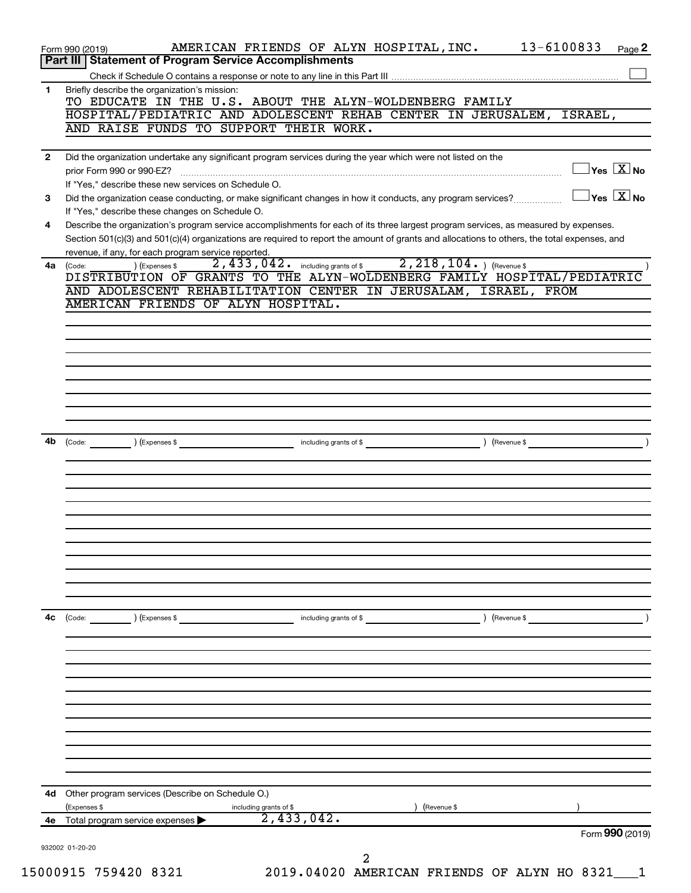|                                          | 13-6100833<br>AMERICAN FRIENDS OF ALYN HOSPITAL, INC.<br>Page 2<br>Form 990 (2019)<br>Part III   Statement of Program Service Accomplishments                                                                                            |
|------------------------------------------|------------------------------------------------------------------------------------------------------------------------------------------------------------------------------------------------------------------------------------------|
|                                          |                                                                                                                                                                                                                                          |
|                                          | Briefly describe the organization's mission:<br>TO EDUCATE IN THE U.S. ABOUT THE ALYN-WOLDENBERG FAMILY<br>HOSPITAL/PEDIATRIC AND ADOLESCENT REHAB CENTER IN JERUSALEM,<br>ISRAEL,                                                       |
|                                          | AND RAISE FUNDS TO SUPPORT THEIR WORK.                                                                                                                                                                                                   |
|                                          | Did the organization undertake any significant program services during the year which were not listed on the                                                                                                                             |
|                                          | $\exists$ Yes $\boxed{\text{X}}$ No<br>prior Form 990 or 990-EZ?<br>If "Yes," describe these new services on Schedule O.                                                                                                                 |
|                                          | $\exists$ Yes $\boxed{\text{X}}$ No<br>Did the organization cease conducting, or make significant changes in how it conducts, any program services?                                                                                      |
|                                          | If "Yes," describe these changes on Schedule O.<br>Describe the organization's program service accomplishments for each of its three largest program services, as measured by expenses.                                                  |
|                                          | Section 501(c)(3) and 501(c)(4) organizations are required to report the amount of grants and allocations to others, the total expenses, and<br>revenue, if any, for each program service reported.                                      |
|                                          | including grants of \$2, 218, 104. ) (Revenue \$<br>2,433,042.<br>(Code:<br>) (Expenses \$<br>DISTRIBUTION OF GRANTS TO THE ALYN-WOLDENBERG FAMILY HOSPITAL/PEDIATRIC<br>AND ADOLESCENT REHABILITATION CENTER IN JERUSALAM, ISRAEL, FROM |
| 1<br>2<br>3<br>4<br>4a<br>4b<br>4с<br>4d | AMERICAN FRIENDS OF ALYN HOSPITAL.                                                                                                                                                                                                       |
|                                          |                                                                                                                                                                                                                                          |
|                                          |                                                                                                                                                                                                                                          |
|                                          |                                                                                                                                                                                                                                          |
|                                          |                                                                                                                                                                                                                                          |
|                                          |                                                                                                                                                                                                                                          |
|                                          |                                                                                                                                                                                                                                          |
|                                          | (Expenses \$<br>(Code:<br>including grants of \$<br>(Revenue \$                                                                                                                                                                          |
|                                          |                                                                                                                                                                                                                                          |
|                                          |                                                                                                                                                                                                                                          |
|                                          |                                                                                                                                                                                                                                          |
|                                          |                                                                                                                                                                                                                                          |
|                                          |                                                                                                                                                                                                                                          |
|                                          |                                                                                                                                                                                                                                          |
| 15000915 759420 8321                     |                                                                                                                                                                                                                                          |
|                                          |                                                                                                                                                                                                                                          |
|                                          |                                                                                                                                                                                                                                          |
|                                          | (Code:<br>(Expenses \$<br>including grants of \$<br>(Revenue \$                                                                                                                                                                          |
|                                          |                                                                                                                                                                                                                                          |
|                                          |                                                                                                                                                                                                                                          |
| 4е<br>932002 01-20-20                    |                                                                                                                                                                                                                                          |
|                                          |                                                                                                                                                                                                                                          |
|                                          |                                                                                                                                                                                                                                          |
|                                          |                                                                                                                                                                                                                                          |
|                                          |                                                                                                                                                                                                                                          |
|                                          |                                                                                                                                                                                                                                          |
|                                          |                                                                                                                                                                                                                                          |
|                                          |                                                                                                                                                                                                                                          |
|                                          | Other program services (Describe on Schedule O.)<br>(Expenses \$<br>(Revenue \$                                                                                                                                                          |
|                                          | including grants of \$<br>2,433,042.<br>Total program service expenses<br>Form 990 (2019)                                                                                                                                                |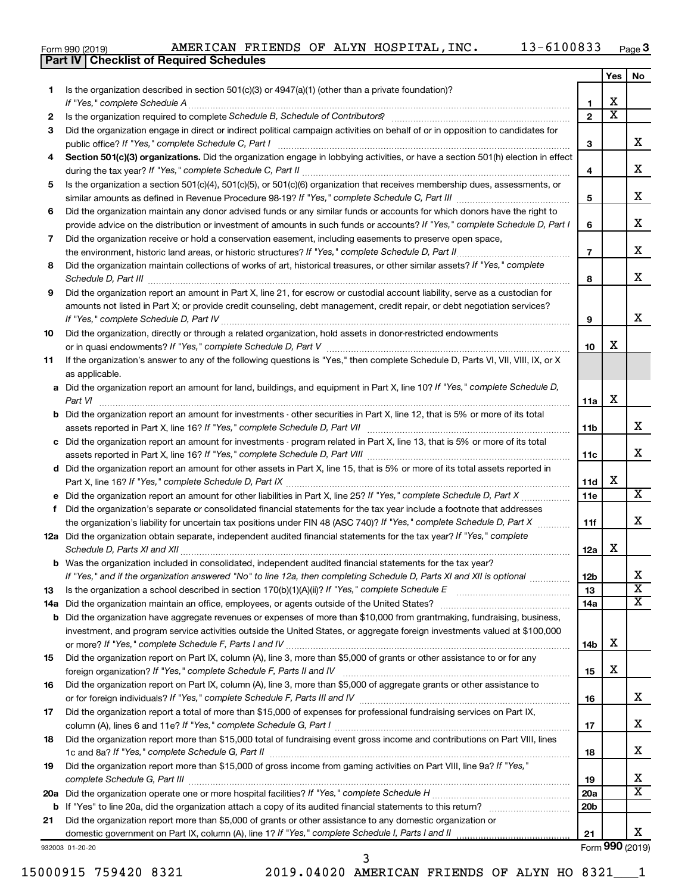|  | Form 990 (2019) |
|--|-----------------|
|  |                 |

**Part IV Checklist of Required Schedules**

|    |                                                                                                                                       |                 | Yes                     | No                         |
|----|---------------------------------------------------------------------------------------------------------------------------------------|-----------------|-------------------------|----------------------------|
| 1  | Is the organization described in section 501(c)(3) or $4947(a)(1)$ (other than a private foundation)?                                 |                 |                         |                            |
|    | If "Yes," complete Schedule A                                                                                                         | 1               | х                       |                            |
| 2  |                                                                                                                                       | $\overline{2}$  | $\overline{\textbf{x}}$ |                            |
| З  | Did the organization engage in direct or indirect political campaign activities on behalf of or in opposition to candidates for       |                 |                         |                            |
|    |                                                                                                                                       | 3               |                         | x                          |
| 4  | Section 501(c)(3) organizations. Did the organization engage in lobbying activities, or have a section 501(h) election in effect      |                 |                         |                            |
|    |                                                                                                                                       | 4               |                         | х                          |
| 5  | Is the organization a section 501(c)(4), 501(c)(5), or 501(c)(6) organization that receives membership dues, assessments, or          |                 |                         |                            |
|    |                                                                                                                                       | 5               |                         | х                          |
| 6  | Did the organization maintain any donor advised funds or any similar funds or accounts for which donors have the right to             |                 |                         |                            |
|    | provide advice on the distribution or investment of amounts in such funds or accounts? If "Yes," complete Schedule D, Part I          | 6               |                         | x                          |
| 7  | Did the organization receive or hold a conservation easement, including easements to preserve open space,                             |                 |                         |                            |
|    | the environment, historic land areas, or historic structures? If "Yes," complete Schedule D, Part II                                  | $\overline{7}$  |                         | x                          |
| 8  | Did the organization maintain collections of works of art, historical treasures, or other similar assets? If "Yes," complete          |                 |                         |                            |
|    |                                                                                                                                       | 8               |                         | x                          |
| 9  | Did the organization report an amount in Part X, line 21, for escrow or custodial account liability, serve as a custodian for         |                 |                         |                            |
|    | amounts not listed in Part X; or provide credit counseling, debt management, credit repair, or debt negotiation services?             |                 |                         |                            |
|    |                                                                                                                                       | 9               |                         | x                          |
| 10 | Did the organization, directly or through a related organization, hold assets in donor-restricted endowments                          |                 |                         |                            |
|    |                                                                                                                                       | 10              | х                       |                            |
| 11 | If the organization's answer to any of the following questions is "Yes," then complete Schedule D, Parts VI, VII, VIII, IX, or X      |                 |                         |                            |
|    | as applicable.                                                                                                                        |                 |                         |                            |
|    | a Did the organization report an amount for land, buildings, and equipment in Part X, line 10? If "Yes," complete Schedule D,         |                 |                         |                            |
|    | Part VI                                                                                                                               | 11a             | х                       |                            |
|    | <b>b</b> Did the organization report an amount for investments - other securities in Part X, line 12, that is 5% or more of its total |                 |                         |                            |
|    |                                                                                                                                       | 11b             |                         | х                          |
|    | c Did the organization report an amount for investments - program related in Part X, line 13, that is 5% or more of its total         |                 |                         |                            |
|    |                                                                                                                                       | 11c             |                         | x                          |
|    | d Did the organization report an amount for other assets in Part X, line 15, that is 5% or more of its total assets reported in       |                 |                         |                            |
|    |                                                                                                                                       | 11d             | х                       |                            |
|    | e Did the organization report an amount for other liabilities in Part X, line 25? If "Yes," complete Schedule D, Part X               | 11e             |                         | x                          |
| f  | Did the organization's separate or consolidated financial statements for the tax year include a footnote that addresses               |                 |                         |                            |
|    | the organization's liability for uncertain tax positions under FIN 48 (ASC 740)? If "Yes," complete Schedule D, Part X                | 11f             |                         | x                          |
|    | 12a Did the organization obtain separate, independent audited financial statements for the tax year? If "Yes," complete               |                 |                         |                            |
|    | Schedule D, Parts XI and XII                                                                                                          | 12a             | x                       |                            |
|    | <b>b</b> Was the organization included in consolidated, independent audited financial statements for the tax year?                    |                 |                         |                            |
|    | If "Yes," and if the organization answered "No" to line 12a, then completing Schedule D, Parts XI and XII is optional                 | 12 <sub>b</sub> |                         | ▵                          |
| 13 |                                                                                                                                       | 13              |                         | $\overline{\mathbf{X}}$    |
|    | 14a Did the organization maintain an office, employees, or agents outside of the United States?                                       | 14a             |                         | х                          |
|    | <b>b</b> Did the organization have aggregate revenues or expenses of more than \$10,000 from grantmaking, fundraising, business,      |                 |                         |                            |
|    | investment, and program service activities outside the United States, or aggregate foreign investments valued at \$100,000            |                 |                         |                            |
|    |                                                                                                                                       | 14b             | х                       |                            |
| 15 | Did the organization report on Part IX, column (A), line 3, more than \$5,000 of grants or other assistance to or for any             |                 |                         |                            |
|    |                                                                                                                                       | 15              | х                       |                            |
| 16 | Did the organization report on Part IX, column (A), line 3, more than \$5,000 of aggregate grants or other assistance to              |                 |                         |                            |
|    |                                                                                                                                       | 16              |                         | x                          |
| 17 | Did the organization report a total of more than \$15,000 of expenses for professional fundraising services on Part IX,               |                 |                         |                            |
|    |                                                                                                                                       | 17              |                         | x                          |
| 18 | Did the organization report more than \$15,000 total of fundraising event gross income and contributions on Part VIII, lines          |                 |                         |                            |
|    |                                                                                                                                       | 18              |                         | x                          |
| 19 | Did the organization report more than \$15,000 of gross income from gaming activities on Part VIII, line 9a? If "Yes,"                |                 |                         |                            |
|    | complete Schedule G, Part III                                                                                                         | 19              |                         | х<br>$\overline{\text{X}}$ |
|    |                                                                                                                                       | 20a             |                         |                            |
|    |                                                                                                                                       | 20 <sub>b</sub> |                         |                            |
| 21 | Did the organization report more than \$5,000 of grants or other assistance to any domestic organization or                           |                 |                         | x                          |
|    |                                                                                                                                       | 21              |                         | Form 990 (2019)            |
|    | 932003 01-20-20                                                                                                                       |                 |                         |                            |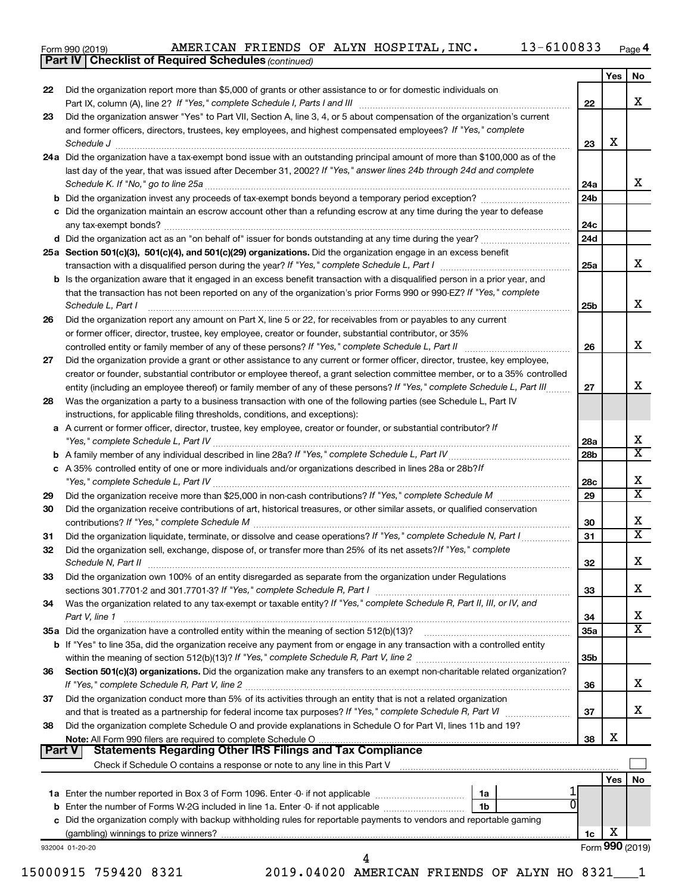|  | Form 990 (2019) |
|--|-----------------|
|  |                 |

*(continued)* **Part IV Checklist of Required Schedules**

|          | <b>Part IV   Checklist of Required Schedules (continued)</b>                                                                                                                                                                                                                                                                                                                                                                                                                                                                                                                                                                                                                                                                                                                                                                                                                                                                                                                                                                                                                                                                                                                                                                                                                                                                                                                                                                                                                                                                                                                                                                                                                                                                                                                                                                                                                                                                                                                                                                                                                                                                                                                                                                                                                                                                                                                                                                                                                                                                                                                                                                                                                                                                                                                                                                                                                                                                                                                                                                                                                                                                                                                                                                                                                                                                                                                                                                                                                                                                                                                                                                                                                                                          |                 |     |    |
|----------|-----------------------------------------------------------------------------------------------------------------------------------------------------------------------------------------------------------------------------------------------------------------------------------------------------------------------------------------------------------------------------------------------------------------------------------------------------------------------------------------------------------------------------------------------------------------------------------------------------------------------------------------------------------------------------------------------------------------------------------------------------------------------------------------------------------------------------------------------------------------------------------------------------------------------------------------------------------------------------------------------------------------------------------------------------------------------------------------------------------------------------------------------------------------------------------------------------------------------------------------------------------------------------------------------------------------------------------------------------------------------------------------------------------------------------------------------------------------------------------------------------------------------------------------------------------------------------------------------------------------------------------------------------------------------------------------------------------------------------------------------------------------------------------------------------------------------------------------------------------------------------------------------------------------------------------------------------------------------------------------------------------------------------------------------------------------------------------------------------------------------------------------------------------------------------------------------------------------------------------------------------------------------------------------------------------------------------------------------------------------------------------------------------------------------------------------------------------------------------------------------------------------------------------------------------------------------------------------------------------------------------------------------------------------------------------------------------------------------------------------------------------------------------------------------------------------------------------------------------------------------------------------------------------------------------------------------------------------------------------------------------------------------------------------------------------------------------------------------------------------------------------------------------------------------------------------------------------------------------------------------------------------------------------------------------------------------------------------------------------------------------------------------------------------------------------------------------------------------------------------------------------------------------------------------------------------------------------------------------------------------------------------------------------------------------------------------------------------------|-----------------|-----|----|
|          |                                                                                                                                                                                                                                                                                                                                                                                                                                                                                                                                                                                                                                                                                                                                                                                                                                                                                                                                                                                                                                                                                                                                                                                                                                                                                                                                                                                                                                                                                                                                                                                                                                                                                                                                                                                                                                                                                                                                                                                                                                                                                                                                                                                                                                                                                                                                                                                                                                                                                                                                                                                                                                                                                                                                                                                                                                                                                                                                                                                                                                                                                                                                                                                                                                                                                                                                                                                                                                                                                                                                                                                                                                                                                                                       |                 | Yes | No |
| 22       |                                                                                                                                                                                                                                                                                                                                                                                                                                                                                                                                                                                                                                                                                                                                                                                                                                                                                                                                                                                                                                                                                                                                                                                                                                                                                                                                                                                                                                                                                                                                                                                                                                                                                                                                                                                                                                                                                                                                                                                                                                                                                                                                                                                                                                                                                                                                                                                                                                                                                                                                                                                                                                                                                                                                                                                                                                                                                                                                                                                                                                                                                                                                                                                                                                                                                                                                                                                                                                                                                                                                                                                                                                                                                                                       |                 |     |    |
|          |                                                                                                                                                                                                                                                                                                                                                                                                                                                                                                                                                                                                                                                                                                                                                                                                                                                                                                                                                                                                                                                                                                                                                                                                                                                                                                                                                                                                                                                                                                                                                                                                                                                                                                                                                                                                                                                                                                                                                                                                                                                                                                                                                                                                                                                                                                                                                                                                                                                                                                                                                                                                                                                                                                                                                                                                                                                                                                                                                                                                                                                                                                                                                                                                                                                                                                                                                                                                                                                                                                                                                                                                                                                                                                                       | 22              |     |    |
| 23       |                                                                                                                                                                                                                                                                                                                                                                                                                                                                                                                                                                                                                                                                                                                                                                                                                                                                                                                                                                                                                                                                                                                                                                                                                                                                                                                                                                                                                                                                                                                                                                                                                                                                                                                                                                                                                                                                                                                                                                                                                                                                                                                                                                                                                                                                                                                                                                                                                                                                                                                                                                                                                                                                                                                                                                                                                                                                                                                                                                                                                                                                                                                                                                                                                                                                                                                                                                                                                                                                                                                                                                                                                                                                                                                       |                 |     |    |
|          |                                                                                                                                                                                                                                                                                                                                                                                                                                                                                                                                                                                                                                                                                                                                                                                                                                                                                                                                                                                                                                                                                                                                                                                                                                                                                                                                                                                                                                                                                                                                                                                                                                                                                                                                                                                                                                                                                                                                                                                                                                                                                                                                                                                                                                                                                                                                                                                                                                                                                                                                                                                                                                                                                                                                                                                                                                                                                                                                                                                                                                                                                                                                                                                                                                                                                                                                                                                                                                                                                                                                                                                                                                                                                                                       |                 |     |    |
|          |                                                                                                                                                                                                                                                                                                                                                                                                                                                                                                                                                                                                                                                                                                                                                                                                                                                                                                                                                                                                                                                                                                                                                                                                                                                                                                                                                                                                                                                                                                                                                                                                                                                                                                                                                                                                                                                                                                                                                                                                                                                                                                                                                                                                                                                                                                                                                                                                                                                                                                                                                                                                                                                                                                                                                                                                                                                                                                                                                                                                                                                                                                                                                                                                                                                                                                                                                                                                                                                                                                                                                                                                                                                                                                                       |                 |     |    |
|          |                                                                                                                                                                                                                                                                                                                                                                                                                                                                                                                                                                                                                                                                                                                                                                                                                                                                                                                                                                                                                                                                                                                                                                                                                                                                                                                                                                                                                                                                                                                                                                                                                                                                                                                                                                                                                                                                                                                                                                                                                                                                                                                                                                                                                                                                                                                                                                                                                                                                                                                                                                                                                                                                                                                                                                                                                                                                                                                                                                                                                                                                                                                                                                                                                                                                                                                                                                                                                                                                                                                                                                                                                                                                                                                       |                 |     |    |
|          |                                                                                                                                                                                                                                                                                                                                                                                                                                                                                                                                                                                                                                                                                                                                                                                                                                                                                                                                                                                                                                                                                                                                                                                                                                                                                                                                                                                                                                                                                                                                                                                                                                                                                                                                                                                                                                                                                                                                                                                                                                                                                                                                                                                                                                                                                                                                                                                                                                                                                                                                                                                                                                                                                                                                                                                                                                                                                                                                                                                                                                                                                                                                                                                                                                                                                                                                                                                                                                                                                                                                                                                                                                                                                                                       |                 |     |    |
|          |                                                                                                                                                                                                                                                                                                                                                                                                                                                                                                                                                                                                                                                                                                                                                                                                                                                                                                                                                                                                                                                                                                                                                                                                                                                                                                                                                                                                                                                                                                                                                                                                                                                                                                                                                                                                                                                                                                                                                                                                                                                                                                                                                                                                                                                                                                                                                                                                                                                                                                                                                                                                                                                                                                                                                                                                                                                                                                                                                                                                                                                                                                                                                                                                                                                                                                                                                                                                                                                                                                                                                                                                                                                                                                                       |                 |     |    |
|          |                                                                                                                                                                                                                                                                                                                                                                                                                                                                                                                                                                                                                                                                                                                                                                                                                                                                                                                                                                                                                                                                                                                                                                                                                                                                                                                                                                                                                                                                                                                                                                                                                                                                                                                                                                                                                                                                                                                                                                                                                                                                                                                                                                                                                                                                                                                                                                                                                                                                                                                                                                                                                                                                                                                                                                                                                                                                                                                                                                                                                                                                                                                                                                                                                                                                                                                                                                                                                                                                                                                                                                                                                                                                                                                       |                 |     |    |
|          |                                                                                                                                                                                                                                                                                                                                                                                                                                                                                                                                                                                                                                                                                                                                                                                                                                                                                                                                                                                                                                                                                                                                                                                                                                                                                                                                                                                                                                                                                                                                                                                                                                                                                                                                                                                                                                                                                                                                                                                                                                                                                                                                                                                                                                                                                                                                                                                                                                                                                                                                                                                                                                                                                                                                                                                                                                                                                                                                                                                                                                                                                                                                                                                                                                                                                                                                                                                                                                                                                                                                                                                                                                                                                                                       |                 |     |    |
|          |                                                                                                                                                                                                                                                                                                                                                                                                                                                                                                                                                                                                                                                                                                                                                                                                                                                                                                                                                                                                                                                                                                                                                                                                                                                                                                                                                                                                                                                                                                                                                                                                                                                                                                                                                                                                                                                                                                                                                                                                                                                                                                                                                                                                                                                                                                                                                                                                                                                                                                                                                                                                                                                                                                                                                                                                                                                                                                                                                                                                                                                                                                                                                                                                                                                                                                                                                                                                                                                                                                                                                                                                                                                                                                                       | 24d             |     |    |
|          |                                                                                                                                                                                                                                                                                                                                                                                                                                                                                                                                                                                                                                                                                                                                                                                                                                                                                                                                                                                                                                                                                                                                                                                                                                                                                                                                                                                                                                                                                                                                                                                                                                                                                                                                                                                                                                                                                                                                                                                                                                                                                                                                                                                                                                                                                                                                                                                                                                                                                                                                                                                                                                                                                                                                                                                                                                                                                                                                                                                                                                                                                                                                                                                                                                                                                                                                                                                                                                                                                                                                                                                                                                                                                                                       |                 |     |    |
|          |                                                                                                                                                                                                                                                                                                                                                                                                                                                                                                                                                                                                                                                                                                                                                                                                                                                                                                                                                                                                                                                                                                                                                                                                                                                                                                                                                                                                                                                                                                                                                                                                                                                                                                                                                                                                                                                                                                                                                                                                                                                                                                                                                                                                                                                                                                                                                                                                                                                                                                                                                                                                                                                                                                                                                                                                                                                                                                                                                                                                                                                                                                                                                                                                                                                                                                                                                                                                                                                                                                                                                                                                                                                                                                                       | 25a             |     | х  |
|          |                                                                                                                                                                                                                                                                                                                                                                                                                                                                                                                                                                                                                                                                                                                                                                                                                                                                                                                                                                                                                                                                                                                                                                                                                                                                                                                                                                                                                                                                                                                                                                                                                                                                                                                                                                                                                                                                                                                                                                                                                                                                                                                                                                                                                                                                                                                                                                                                                                                                                                                                                                                                                                                                                                                                                                                                                                                                                                                                                                                                                                                                                                                                                                                                                                                                                                                                                                                                                                                                                                                                                                                                                                                                                                                       |                 |     |    |
|          | that the transaction has not been reported on any of the organization's prior Forms 990 or 990-EZ? If "Yes," complete                                                                                                                                                                                                                                                                                                                                                                                                                                                                                                                                                                                                                                                                                                                                                                                                                                                                                                                                                                                                                                                                                                                                                                                                                                                                                                                                                                                                                                                                                                                                                                                                                                                                                                                                                                                                                                                                                                                                                                                                                                                                                                                                                                                                                                                                                                                                                                                                                                                                                                                                                                                                                                                                                                                                                                                                                                                                                                                                                                                                                                                                                                                                                                                                                                                                                                                                                                                                                                                                                                                                                                                                 |                 |     |    |
|          | Schedule L, Part I                                                                                                                                                                                                                                                                                                                                                                                                                                                                                                                                                                                                                                                                                                                                                                                                                                                                                                                                                                                                                                                                                                                                                                                                                                                                                                                                                                                                                                                                                                                                                                                                                                                                                                                                                                                                                                                                                                                                                                                                                                                                                                                                                                                                                                                                                                                                                                                                                                                                                                                                                                                                                                                                                                                                                                                                                                                                                                                                                                                                                                                                                                                                                                                                                                                                                                                                                                                                                                                                                                                                                                                                                                                                                                    | 25 <sub>b</sub> |     | x  |
| 26       | Did the organization report any amount on Part X, line 5 or 22, for receivables from or payables to any current                                                                                                                                                                                                                                                                                                                                                                                                                                                                                                                                                                                                                                                                                                                                                                                                                                                                                                                                                                                                                                                                                                                                                                                                                                                                                                                                                                                                                                                                                                                                                                                                                                                                                                                                                                                                                                                                                                                                                                                                                                                                                                                                                                                                                                                                                                                                                                                                                                                                                                                                                                                                                                                                                                                                                                                                                                                                                                                                                                                                                                                                                                                                                                                                                                                                                                                                                                                                                                                                                                                                                                                                       |                 |     |    |
|          | or former officer, director, trustee, key employee, creator or founder, substantial contributor, or 35%                                                                                                                                                                                                                                                                                                                                                                                                                                                                                                                                                                                                                                                                                                                                                                                                                                                                                                                                                                                                                                                                                                                                                                                                                                                                                                                                                                                                                                                                                                                                                                                                                                                                                                                                                                                                                                                                                                                                                                                                                                                                                                                                                                                                                                                                                                                                                                                                                                                                                                                                                                                                                                                                                                                                                                                                                                                                                                                                                                                                                                                                                                                                                                                                                                                                                                                                                                                                                                                                                                                                                                                                               |                 |     |    |
|          |                                                                                                                                                                                                                                                                                                                                                                                                                                                                                                                                                                                                                                                                                                                                                                                                                                                                                                                                                                                                                                                                                                                                                                                                                                                                                                                                                                                                                                                                                                                                                                                                                                                                                                                                                                                                                                                                                                                                                                                                                                                                                                                                                                                                                                                                                                                                                                                                                                                                                                                                                                                                                                                                                                                                                                                                                                                                                                                                                                                                                                                                                                                                                                                                                                                                                                                                                                                                                                                                                                                                                                                                                                                                                                                       | 26              |     |    |
| 27       |                                                                                                                                                                                                                                                                                                                                                                                                                                                                                                                                                                                                                                                                                                                                                                                                                                                                                                                                                                                                                                                                                                                                                                                                                                                                                                                                                                                                                                                                                                                                                                                                                                                                                                                                                                                                                                                                                                                                                                                                                                                                                                                                                                                                                                                                                                                                                                                                                                                                                                                                                                                                                                                                                                                                                                                                                                                                                                                                                                                                                                                                                                                                                                                                                                                                                                                                                                                                                                                                                                                                                                                                                                                                                                                       |                 |     |    |
|          |                                                                                                                                                                                                                                                                                                                                                                                                                                                                                                                                                                                                                                                                                                                                                                                                                                                                                                                                                                                                                                                                                                                                                                                                                                                                                                                                                                                                                                                                                                                                                                                                                                                                                                                                                                                                                                                                                                                                                                                                                                                                                                                                                                                                                                                                                                                                                                                                                                                                                                                                                                                                                                                                                                                                                                                                                                                                                                                                                                                                                                                                                                                                                                                                                                                                                                                                                                                                                                                                                                                                                                                                                                                                                                                       |                 |     |    |
|          |                                                                                                                                                                                                                                                                                                                                                                                                                                                                                                                                                                                                                                                                                                                                                                                                                                                                                                                                                                                                                                                                                                                                                                                                                                                                                                                                                                                                                                                                                                                                                                                                                                                                                                                                                                                                                                                                                                                                                                                                                                                                                                                                                                                                                                                                                                                                                                                                                                                                                                                                                                                                                                                                                                                                                                                                                                                                                                                                                                                                                                                                                                                                                                                                                                                                                                                                                                                                                                                                                                                                                                                                                                                                                                                       |                 |     |    |
| 28       |                                                                                                                                                                                                                                                                                                                                                                                                                                                                                                                                                                                                                                                                                                                                                                                                                                                                                                                                                                                                                                                                                                                                                                                                                                                                                                                                                                                                                                                                                                                                                                                                                                                                                                                                                                                                                                                                                                                                                                                                                                                                                                                                                                                                                                                                                                                                                                                                                                                                                                                                                                                                                                                                                                                                                                                                                                                                                                                                                                                                                                                                                                                                                                                                                                                                                                                                                                                                                                                                                                                                                                                                                                                                                                                       |                 |     |    |
|          |                                                                                                                                                                                                                                                                                                                                                                                                                                                                                                                                                                                                                                                                                                                                                                                                                                                                                                                                                                                                                                                                                                                                                                                                                                                                                                                                                                                                                                                                                                                                                                                                                                                                                                                                                                                                                                                                                                                                                                                                                                                                                                                                                                                                                                                                                                                                                                                                                                                                                                                                                                                                                                                                                                                                                                                                                                                                                                                                                                                                                                                                                                                                                                                                                                                                                                                                                                                                                                                                                                                                                                                                                                                                                                                       |                 |     |    |
|          |                                                                                                                                                                                                                                                                                                                                                                                                                                                                                                                                                                                                                                                                                                                                                                                                                                                                                                                                                                                                                                                                                                                                                                                                                                                                                                                                                                                                                                                                                                                                                                                                                                                                                                                                                                                                                                                                                                                                                                                                                                                                                                                                                                                                                                                                                                                                                                                                                                                                                                                                                                                                                                                                                                                                                                                                                                                                                                                                                                                                                                                                                                                                                                                                                                                                                                                                                                                                                                                                                                                                                                                                                                                                                                                       |                 |     |    |
|          |                                                                                                                                                                                                                                                                                                                                                                                                                                                                                                                                                                                                                                                                                                                                                                                                                                                                                                                                                                                                                                                                                                                                                                                                                                                                                                                                                                                                                                                                                                                                                                                                                                                                                                                                                                                                                                                                                                                                                                                                                                                                                                                                                                                                                                                                                                                                                                                                                                                                                                                                                                                                                                                                                                                                                                                                                                                                                                                                                                                                                                                                                                                                                                                                                                                                                                                                                                                                                                                                                                                                                                                                                                                                                                                       |                 |     |    |
|          |                                                                                                                                                                                                                                                                                                                                                                                                                                                                                                                                                                                                                                                                                                                                                                                                                                                                                                                                                                                                                                                                                                                                                                                                                                                                                                                                                                                                                                                                                                                                                                                                                                                                                                                                                                                                                                                                                                                                                                                                                                                                                                                                                                                                                                                                                                                                                                                                                                                                                                                                                                                                                                                                                                                                                                                                                                                                                                                                                                                                                                                                                                                                                                                                                                                                                                                                                                                                                                                                                                                                                                                                                                                                                                                       |                 |     |    |
|          |                                                                                                                                                                                                                                                                                                                                                                                                                                                                                                                                                                                                                                                                                                                                                                                                                                                                                                                                                                                                                                                                                                                                                                                                                                                                                                                                                                                                                                                                                                                                                                                                                                                                                                                                                                                                                                                                                                                                                                                                                                                                                                                                                                                                                                                                                                                                                                                                                                                                                                                                                                                                                                                                                                                                                                                                                                                                                                                                                                                                                                                                                                                                                                                                                                                                                                                                                                                                                                                                                                                                                                                                                                                                                                                       |                 |     |    |
|          |                                                                                                                                                                                                                                                                                                                                                                                                                                                                                                                                                                                                                                                                                                                                                                                                                                                                                                                                                                                                                                                                                                                                                                                                                                                                                                                                                                                                                                                                                                                                                                                                                                                                                                                                                                                                                                                                                                                                                                                                                                                                                                                                                                                                                                                                                                                                                                                                                                                                                                                                                                                                                                                                                                                                                                                                                                                                                                                                                                                                                                                                                                                                                                                                                                                                                                                                                                                                                                                                                                                                                                                                                                                                                                                       |                 |     |    |
| 29<br>30 |                                                                                                                                                                                                                                                                                                                                                                                                                                                                                                                                                                                                                                                                                                                                                                                                                                                                                                                                                                                                                                                                                                                                                                                                                                                                                                                                                                                                                                                                                                                                                                                                                                                                                                                                                                                                                                                                                                                                                                                                                                                                                                                                                                                                                                                                                                                                                                                                                                                                                                                                                                                                                                                                                                                                                                                                                                                                                                                                                                                                                                                                                                                                                                                                                                                                                                                                                                                                                                                                                                                                                                                                                                                                                                                       |                 |     |    |
|          |                                                                                                                                                                                                                                                                                                                                                                                                                                                                                                                                                                                                                                                                                                                                                                                                                                                                                                                                                                                                                                                                                                                                                                                                                                                                                                                                                                                                                                                                                                                                                                                                                                                                                                                                                                                                                                                                                                                                                                                                                                                                                                                                                                                                                                                                                                                                                                                                                                                                                                                                                                                                                                                                                                                                                                                                                                                                                                                                                                                                                                                                                                                                                                                                                                                                                                                                                                                                                                                                                                                                                                                                                                                                                                                       |                 |     |    |
| 31       | Did the organization report more than \$5,000 of grants or other assistance to or for domestic individuals on<br>х<br>Did the organization answer "Yes" to Part VII, Section A, line 3, 4, or 5 about compensation of the organization's current<br>and former officers, directors, trustees, key employees, and highest compensated employees? If "Yes," complete<br>х<br>23<br>24a Did the organization have a tax-exempt bond issue with an outstanding principal amount of more than \$100,000 as of the<br>last day of the year, that was issued after December 31, 2002? If "Yes," answer lines 24b through 24d and complete<br>x<br>Schedule K. If "No," go to line 25a<br>24a<br>24 <sub>b</sub><br>c Did the organization maintain an escrow account other than a refunding escrow at any time during the year to defease<br>24c<br>25a Section 501(c)(3), 501(c)(4), and 501(c)(29) organizations. Did the organization engage in an excess benefit<br>b Is the organization aware that it engaged in an excess benefit transaction with a disqualified person in a prior year, and<br>x<br>Did the organization provide a grant or other assistance to any current or former officer, director, trustee, key employee,<br>creator or founder, substantial contributor or employee thereof, a grant selection committee member, or to a 35% controlled<br>x<br>entity (including an employee thereof) or family member of any of these persons? If "Yes," complete Schedule L, Part III<br>27<br>Was the organization a party to a business transaction with one of the following parties (see Schedule L, Part IV<br>instructions, for applicable filing thresholds, conditions, and exceptions):<br>a A current or former officer, director, trustee, key employee, creator or founder, or substantial contributor? If<br>х<br>28a<br>$\overline{\textbf{X}}$<br>28 <sub>b</sub><br>c A 35% controlled entity of one or more individuals and/or organizations described in lines 28a or 28b?If<br>х<br>28c<br>$\overline{\textbf{X}}$<br>29<br>Did the organization receive contributions of art, historical treasures, or other similar assets, or qualified conservation<br>х<br>30<br>$\overline{\textbf{X}}$<br>Did the organization liquidate, terminate, or dissolve and cease operations? If "Yes," complete Schedule N, Part I<br>31<br>Did the organization sell, exchange, dispose of, or transfer more than 25% of its net assets? If "Yes," complete<br>х<br>32<br>Schedule N, Part II<br>Did the organization own 100% of an entity disregarded as separate from the organization under Regulations<br>х<br>33<br>Was the organization related to any tax-exempt or taxable entity? If "Yes," complete Schedule R, Part II, III, or IV, and<br>х<br>Part V, line 1<br>34<br>х<br>35a<br>b If "Yes" to line 35a, did the organization receive any payment from or engage in any transaction with a controlled entity<br>35b<br>Section 501(c)(3) organizations. Did the organization make any transfers to an exempt non-charitable related organization?<br>х<br>36<br>Did the organization conduct more than 5% of its activities through an entity that is not a related organization<br>х<br>37<br>Did the organization complete Schedule O and provide explanations in Schedule O for Part VI, lines 11b and 19?<br>х<br>38<br>Note: All Form 990 filers are required to complete Schedule O<br><b>Statements Regarding Other IRS Filings and Tax Compliance</b><br><b>Part V</b><br>Yes<br>No<br>1a<br>1b<br>c Did the organization comply with backup withholding rules for reportable payments to vendors and reportable gaming<br>х<br>1c<br>Form 990 (2019)<br>932004 01-20-20<br>4 |                 |     |    |
| 32       |                                                                                                                                                                                                                                                                                                                                                                                                                                                                                                                                                                                                                                                                                                                                                                                                                                                                                                                                                                                                                                                                                                                                                                                                                                                                                                                                                                                                                                                                                                                                                                                                                                                                                                                                                                                                                                                                                                                                                                                                                                                                                                                                                                                                                                                                                                                                                                                                                                                                                                                                                                                                                                                                                                                                                                                                                                                                                                                                                                                                                                                                                                                                                                                                                                                                                                                                                                                                                                                                                                                                                                                                                                                                                                                       |                 |     |    |
|          |                                                                                                                                                                                                                                                                                                                                                                                                                                                                                                                                                                                                                                                                                                                                                                                                                                                                                                                                                                                                                                                                                                                                                                                                                                                                                                                                                                                                                                                                                                                                                                                                                                                                                                                                                                                                                                                                                                                                                                                                                                                                                                                                                                                                                                                                                                                                                                                                                                                                                                                                                                                                                                                                                                                                                                                                                                                                                                                                                                                                                                                                                                                                                                                                                                                                                                                                                                                                                                                                                                                                                                                                                                                                                                                       |                 |     |    |
| 33       |                                                                                                                                                                                                                                                                                                                                                                                                                                                                                                                                                                                                                                                                                                                                                                                                                                                                                                                                                                                                                                                                                                                                                                                                                                                                                                                                                                                                                                                                                                                                                                                                                                                                                                                                                                                                                                                                                                                                                                                                                                                                                                                                                                                                                                                                                                                                                                                                                                                                                                                                                                                                                                                                                                                                                                                                                                                                                                                                                                                                                                                                                                                                                                                                                                                                                                                                                                                                                                                                                                                                                                                                                                                                                                                       |                 |     |    |
|          |                                                                                                                                                                                                                                                                                                                                                                                                                                                                                                                                                                                                                                                                                                                                                                                                                                                                                                                                                                                                                                                                                                                                                                                                                                                                                                                                                                                                                                                                                                                                                                                                                                                                                                                                                                                                                                                                                                                                                                                                                                                                                                                                                                                                                                                                                                                                                                                                                                                                                                                                                                                                                                                                                                                                                                                                                                                                                                                                                                                                                                                                                                                                                                                                                                                                                                                                                                                                                                                                                                                                                                                                                                                                                                                       |                 |     |    |
| 34       |                                                                                                                                                                                                                                                                                                                                                                                                                                                                                                                                                                                                                                                                                                                                                                                                                                                                                                                                                                                                                                                                                                                                                                                                                                                                                                                                                                                                                                                                                                                                                                                                                                                                                                                                                                                                                                                                                                                                                                                                                                                                                                                                                                                                                                                                                                                                                                                                                                                                                                                                                                                                                                                                                                                                                                                                                                                                                                                                                                                                                                                                                                                                                                                                                                                                                                                                                                                                                                                                                                                                                                                                                                                                                                                       |                 |     |    |
|          |                                                                                                                                                                                                                                                                                                                                                                                                                                                                                                                                                                                                                                                                                                                                                                                                                                                                                                                                                                                                                                                                                                                                                                                                                                                                                                                                                                                                                                                                                                                                                                                                                                                                                                                                                                                                                                                                                                                                                                                                                                                                                                                                                                                                                                                                                                                                                                                                                                                                                                                                                                                                                                                                                                                                                                                                                                                                                                                                                                                                                                                                                                                                                                                                                                                                                                                                                                                                                                                                                                                                                                                                                                                                                                                       |                 |     |    |
|          |                                                                                                                                                                                                                                                                                                                                                                                                                                                                                                                                                                                                                                                                                                                                                                                                                                                                                                                                                                                                                                                                                                                                                                                                                                                                                                                                                                                                                                                                                                                                                                                                                                                                                                                                                                                                                                                                                                                                                                                                                                                                                                                                                                                                                                                                                                                                                                                                                                                                                                                                                                                                                                                                                                                                                                                                                                                                                                                                                                                                                                                                                                                                                                                                                                                                                                                                                                                                                                                                                                                                                                                                                                                                                                                       |                 |     |    |
|          |                                                                                                                                                                                                                                                                                                                                                                                                                                                                                                                                                                                                                                                                                                                                                                                                                                                                                                                                                                                                                                                                                                                                                                                                                                                                                                                                                                                                                                                                                                                                                                                                                                                                                                                                                                                                                                                                                                                                                                                                                                                                                                                                                                                                                                                                                                                                                                                                                                                                                                                                                                                                                                                                                                                                                                                                                                                                                                                                                                                                                                                                                                                                                                                                                                                                                                                                                                                                                                                                                                                                                                                                                                                                                                                       |                 |     |    |
|          |                                                                                                                                                                                                                                                                                                                                                                                                                                                                                                                                                                                                                                                                                                                                                                                                                                                                                                                                                                                                                                                                                                                                                                                                                                                                                                                                                                                                                                                                                                                                                                                                                                                                                                                                                                                                                                                                                                                                                                                                                                                                                                                                                                                                                                                                                                                                                                                                                                                                                                                                                                                                                                                                                                                                                                                                                                                                                                                                                                                                                                                                                                                                                                                                                                                                                                                                                                                                                                                                                                                                                                                                                                                                                                                       |                 |     |    |
| 36       |                                                                                                                                                                                                                                                                                                                                                                                                                                                                                                                                                                                                                                                                                                                                                                                                                                                                                                                                                                                                                                                                                                                                                                                                                                                                                                                                                                                                                                                                                                                                                                                                                                                                                                                                                                                                                                                                                                                                                                                                                                                                                                                                                                                                                                                                                                                                                                                                                                                                                                                                                                                                                                                                                                                                                                                                                                                                                                                                                                                                                                                                                                                                                                                                                                                                                                                                                                                                                                                                                                                                                                                                                                                                                                                       |                 |     |    |
|          |                                                                                                                                                                                                                                                                                                                                                                                                                                                                                                                                                                                                                                                                                                                                                                                                                                                                                                                                                                                                                                                                                                                                                                                                                                                                                                                                                                                                                                                                                                                                                                                                                                                                                                                                                                                                                                                                                                                                                                                                                                                                                                                                                                                                                                                                                                                                                                                                                                                                                                                                                                                                                                                                                                                                                                                                                                                                                                                                                                                                                                                                                                                                                                                                                                                                                                                                                                                                                                                                                                                                                                                                                                                                                                                       |                 |     |    |
| 37       |                                                                                                                                                                                                                                                                                                                                                                                                                                                                                                                                                                                                                                                                                                                                                                                                                                                                                                                                                                                                                                                                                                                                                                                                                                                                                                                                                                                                                                                                                                                                                                                                                                                                                                                                                                                                                                                                                                                                                                                                                                                                                                                                                                                                                                                                                                                                                                                                                                                                                                                                                                                                                                                                                                                                                                                                                                                                                                                                                                                                                                                                                                                                                                                                                                                                                                                                                                                                                                                                                                                                                                                                                                                                                                                       |                 |     |    |
|          |                                                                                                                                                                                                                                                                                                                                                                                                                                                                                                                                                                                                                                                                                                                                                                                                                                                                                                                                                                                                                                                                                                                                                                                                                                                                                                                                                                                                                                                                                                                                                                                                                                                                                                                                                                                                                                                                                                                                                                                                                                                                                                                                                                                                                                                                                                                                                                                                                                                                                                                                                                                                                                                                                                                                                                                                                                                                                                                                                                                                                                                                                                                                                                                                                                                                                                                                                                                                                                                                                                                                                                                                                                                                                                                       |                 |     |    |
| 38       |                                                                                                                                                                                                                                                                                                                                                                                                                                                                                                                                                                                                                                                                                                                                                                                                                                                                                                                                                                                                                                                                                                                                                                                                                                                                                                                                                                                                                                                                                                                                                                                                                                                                                                                                                                                                                                                                                                                                                                                                                                                                                                                                                                                                                                                                                                                                                                                                                                                                                                                                                                                                                                                                                                                                                                                                                                                                                                                                                                                                                                                                                                                                                                                                                                                                                                                                                                                                                                                                                                                                                                                                                                                                                                                       |                 |     |    |
|          |                                                                                                                                                                                                                                                                                                                                                                                                                                                                                                                                                                                                                                                                                                                                                                                                                                                                                                                                                                                                                                                                                                                                                                                                                                                                                                                                                                                                                                                                                                                                                                                                                                                                                                                                                                                                                                                                                                                                                                                                                                                                                                                                                                                                                                                                                                                                                                                                                                                                                                                                                                                                                                                                                                                                                                                                                                                                                                                                                                                                                                                                                                                                                                                                                                                                                                                                                                                                                                                                                                                                                                                                                                                                                                                       |                 |     |    |
|          |                                                                                                                                                                                                                                                                                                                                                                                                                                                                                                                                                                                                                                                                                                                                                                                                                                                                                                                                                                                                                                                                                                                                                                                                                                                                                                                                                                                                                                                                                                                                                                                                                                                                                                                                                                                                                                                                                                                                                                                                                                                                                                                                                                                                                                                                                                                                                                                                                                                                                                                                                                                                                                                                                                                                                                                                                                                                                                                                                                                                                                                                                                                                                                                                                                                                                                                                                                                                                                                                                                                                                                                                                                                                                                                       |                 |     |    |
|          |                                                                                                                                                                                                                                                                                                                                                                                                                                                                                                                                                                                                                                                                                                                                                                                                                                                                                                                                                                                                                                                                                                                                                                                                                                                                                                                                                                                                                                                                                                                                                                                                                                                                                                                                                                                                                                                                                                                                                                                                                                                                                                                                                                                                                                                                                                                                                                                                                                                                                                                                                                                                                                                                                                                                                                                                                                                                                                                                                                                                                                                                                                                                                                                                                                                                                                                                                                                                                                                                                                                                                                                                                                                                                                                       |                 |     |    |
|          |                                                                                                                                                                                                                                                                                                                                                                                                                                                                                                                                                                                                                                                                                                                                                                                                                                                                                                                                                                                                                                                                                                                                                                                                                                                                                                                                                                                                                                                                                                                                                                                                                                                                                                                                                                                                                                                                                                                                                                                                                                                                                                                                                                                                                                                                                                                                                                                                                                                                                                                                                                                                                                                                                                                                                                                                                                                                                                                                                                                                                                                                                                                                                                                                                                                                                                                                                                                                                                                                                                                                                                                                                                                                                                                       |                 |     |    |
|          |                                                                                                                                                                                                                                                                                                                                                                                                                                                                                                                                                                                                                                                                                                                                                                                                                                                                                                                                                                                                                                                                                                                                                                                                                                                                                                                                                                                                                                                                                                                                                                                                                                                                                                                                                                                                                                                                                                                                                                                                                                                                                                                                                                                                                                                                                                                                                                                                                                                                                                                                                                                                                                                                                                                                                                                                                                                                                                                                                                                                                                                                                                                                                                                                                                                                                                                                                                                                                                                                                                                                                                                                                                                                                                                       |                 |     |    |
|          |                                                                                                                                                                                                                                                                                                                                                                                                                                                                                                                                                                                                                                                                                                                                                                                                                                                                                                                                                                                                                                                                                                                                                                                                                                                                                                                                                                                                                                                                                                                                                                                                                                                                                                                                                                                                                                                                                                                                                                                                                                                                                                                                                                                                                                                                                                                                                                                                                                                                                                                                                                                                                                                                                                                                                                                                                                                                                                                                                                                                                                                                                                                                                                                                                                                                                                                                                                                                                                                                                                                                                                                                                                                                                                                       |                 |     |    |
|          |                                                                                                                                                                                                                                                                                                                                                                                                                                                                                                                                                                                                                                                                                                                                                                                                                                                                                                                                                                                                                                                                                                                                                                                                                                                                                                                                                                                                                                                                                                                                                                                                                                                                                                                                                                                                                                                                                                                                                                                                                                                                                                                                                                                                                                                                                                                                                                                                                                                                                                                                                                                                                                                                                                                                                                                                                                                                                                                                                                                                                                                                                                                                                                                                                                                                                                                                                                                                                                                                                                                                                                                                                                                                                                                       |                 |     |    |
|          |                                                                                                                                                                                                                                                                                                                                                                                                                                                                                                                                                                                                                                                                                                                                                                                                                                                                                                                                                                                                                                                                                                                                                                                                                                                                                                                                                                                                                                                                                                                                                                                                                                                                                                                                                                                                                                                                                                                                                                                                                                                                                                                                                                                                                                                                                                                                                                                                                                                                                                                                                                                                                                                                                                                                                                                                                                                                                                                                                                                                                                                                                                                                                                                                                                                                                                                                                                                                                                                                                                                                                                                                                                                                                                                       |                 |     |    |
|          |                                                                                                                                                                                                                                                                                                                                                                                                                                                                                                                                                                                                                                                                                                                                                                                                                                                                                                                                                                                                                                                                                                                                                                                                                                                                                                                                                                                                                                                                                                                                                                                                                                                                                                                                                                                                                                                                                                                                                                                                                                                                                                                                                                                                                                                                                                                                                                                                                                                                                                                                                                                                                                                                                                                                                                                                                                                                                                                                                                                                                                                                                                                                                                                                                                                                                                                                                                                                                                                                                                                                                                                                                                                                                                                       |                 |     |    |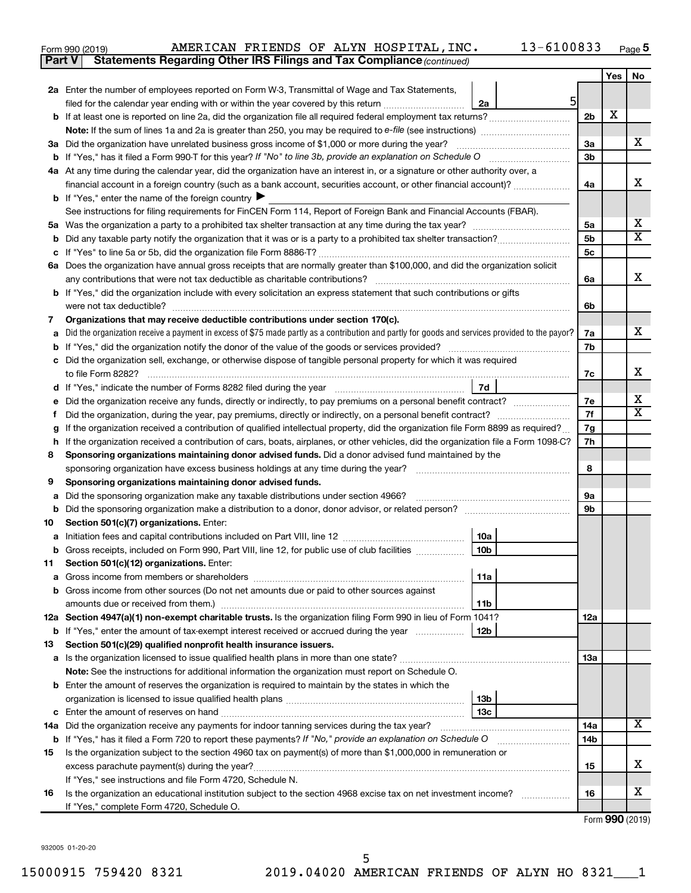| Form 990 (2019) |  |  | AMERICAN FRIENDS OF ALYN HOSPITAL, INC.                                             | $13 - 6100833$ | Page ${\bf 5}$ |
|-----------------|--|--|-------------------------------------------------------------------------------------|----------------|----------------|
|                 |  |  | <b>Part V</b> Statements Regarding Other IRS Filings and Tax Compliance (continued) |                |                |

|         |                                                                                                                                                                                                               |                | Yes | No     |  |  |
|---------|---------------------------------------------------------------------------------------------------------------------------------------------------------------------------------------------------------------|----------------|-----|--------|--|--|
|         | 2a Enter the number of employees reported on Form W-3, Transmittal of Wage and Tax Statements,                                                                                                                |                |     |        |  |  |
|         | 5<br>filed for the calendar year ending with or within the year covered by this return <i>manumumumum</i><br>2a                                                                                               |                |     |        |  |  |
|         |                                                                                                                                                                                                               | 2b             | X   |        |  |  |
|         |                                                                                                                                                                                                               |                |     |        |  |  |
|         | 3a Did the organization have unrelated business gross income of \$1,000 or more during the year?                                                                                                              | За             |     | x      |  |  |
|         |                                                                                                                                                                                                               | 3b             |     |        |  |  |
|         | 4a At any time during the calendar year, did the organization have an interest in, or a signature or other authority over, a                                                                                  |                |     |        |  |  |
|         | financial account in a foreign country (such as a bank account, securities account, or other financial account)?                                                                                              | 4a             |     | х      |  |  |
|         | <b>b</b> If "Yes," enter the name of the foreign country                                                                                                                                                      |                |     |        |  |  |
|         | See instructions for filing requirements for FinCEN Form 114, Report of Foreign Bank and Financial Accounts (FBAR).                                                                                           |                |     |        |  |  |
|         |                                                                                                                                                                                                               | 5a             |     | х<br>х |  |  |
| b       |                                                                                                                                                                                                               | 5b             |     |        |  |  |
| c       |                                                                                                                                                                                                               | 5 <sub>c</sub> |     |        |  |  |
|         | 6a Does the organization have annual gross receipts that are normally greater than \$100,000, and did the organization solicit<br>any contributions that were not tax deductible as charitable contributions? | 6a             |     | x      |  |  |
|         | b If "Yes," did the organization include with every solicitation an express statement that such contributions or gifts                                                                                        |                |     |        |  |  |
|         |                                                                                                                                                                                                               | 6b             |     |        |  |  |
| 7       | Organizations that may receive deductible contributions under section 170(c).                                                                                                                                 |                |     |        |  |  |
| а       | Did the organization receive a payment in excess of \$75 made partly as a contribution and partly for goods and services provided to the payor?                                                               | 7a             |     | x      |  |  |
| b       |                                                                                                                                                                                                               | 7b             |     |        |  |  |
|         | c Did the organization sell, exchange, or otherwise dispose of tangible personal property for which it was required                                                                                           |                |     |        |  |  |
|         |                                                                                                                                                                                                               | 7c             |     | x      |  |  |
|         | 7d<br>d If "Yes," indicate the number of Forms 8282 filed during the year manufacture intervent contains the New Yes                                                                                          |                |     |        |  |  |
| е       | Did the organization receive any funds, directly or indirectly, to pay premiums on a personal benefit contract?                                                                                               | 7e             |     | х      |  |  |
|         |                                                                                                                                                                                                               |                |     |        |  |  |
| g       | If the organization received a contribution of qualified intellectual property, did the organization file Form 8899 as required?                                                                              |                |     |        |  |  |
| h.      | If the organization received a contribution of cars, boats, airplanes, or other vehicles, did the organization file a Form 1098-C?                                                                            | 7h             |     |        |  |  |
| 8       | Sponsoring organizations maintaining donor advised funds. Did a donor advised fund maintained by the                                                                                                          |                |     |        |  |  |
|         |                                                                                                                                                                                                               | 8              |     |        |  |  |
| 9       | Sponsoring organizations maintaining donor advised funds.                                                                                                                                                     |                |     |        |  |  |
| а       | Did the sponsoring organization make any taxable distributions under section 4966?                                                                                                                            | 9а             |     |        |  |  |
| b       |                                                                                                                                                                                                               | 9b             |     |        |  |  |
| 10      | Section 501(c)(7) organizations. Enter:                                                                                                                                                                       |                |     |        |  |  |
| а       | 10a<br>10 <sub>b</sub>                                                                                                                                                                                        |                |     |        |  |  |
| b<br>11 | Gross receipts, included on Form 990, Part VIII, line 12, for public use of club facilities<br>Section 501(c)(12) organizations. Enter:                                                                       |                |     |        |  |  |
|         | 11a                                                                                                                                                                                                           |                |     |        |  |  |
|         | <b>b</b> Gross income from other sources (Do not net amounts due or paid to other sources against                                                                                                             |                |     |        |  |  |
|         | 11 <sub>b</sub>                                                                                                                                                                                               |                |     |        |  |  |
|         | 12a Section 4947(a)(1) non-exempt charitable trusts. Is the organization filing Form 990 in lieu of Form 1041?                                                                                                | 12a            |     |        |  |  |
|         | 12 <sub>b</sub><br><b>b</b> If "Yes," enter the amount of tax-exempt interest received or accrued during the year                                                                                             |                |     |        |  |  |
| 13      | Section 501(c)(29) qualified nonprofit health insurance issuers.                                                                                                                                              |                |     |        |  |  |
|         |                                                                                                                                                                                                               | 13a            |     |        |  |  |
|         | Note: See the instructions for additional information the organization must report on Schedule O.                                                                                                             |                |     |        |  |  |
|         | <b>b</b> Enter the amount of reserves the organization is required to maintain by the states in which the                                                                                                     |                |     |        |  |  |
|         | 13 <sub>b</sub>                                                                                                                                                                                               |                |     |        |  |  |
|         | 13с                                                                                                                                                                                                           |                |     |        |  |  |
|         | 14a Did the organization receive any payments for indoor tanning services during the tax year?                                                                                                                | 14a            |     | х      |  |  |
|         | b If "Yes," has it filed a Form 720 to report these payments? If "No," provide an explanation on Schedule O                                                                                                   | 14b            |     |        |  |  |
| 15      | Is the organization subject to the section 4960 tax on payment(s) of more than \$1,000,000 in remuneration or                                                                                                 |                |     |        |  |  |
|         |                                                                                                                                                                                                               | 15             |     | x      |  |  |
|         | If "Yes," see instructions and file Form 4720, Schedule N.                                                                                                                                                    |                |     | х      |  |  |
| 16      | Is the organization an educational institution subject to the section 4968 excise tax on net investment income?<br>If "Yes," complete Form 4720, Schedule O.                                                  | 16             |     |        |  |  |
|         |                                                                                                                                                                                                               |                |     |        |  |  |

Form (2019) **990**

932005 01-20-20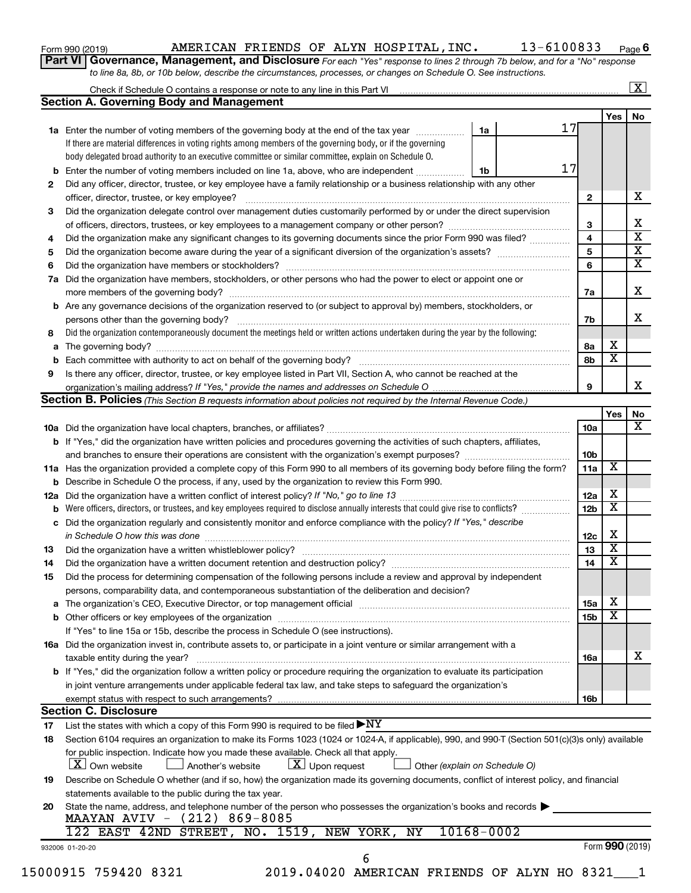| Form 990 (2019) |  |  |
|-----------------|--|--|
|-----------------|--|--|

### Form 990 (2019) Page AMERICAN FRIENDS OF ALYN HOSPITAL,INC. 13-6100833

**Part VI** Governance, Management, and Disclosure For each "Yes" response to lines 2 through 7b below, and for a "No" response *to line 8a, 8b, or 10b below, describe the circumstances, processes, or changes on Schedule O. See instructions.*

|                                                                                                                                                                                                                                                                                                                                                                                                                                                                                                                                                                                                                                                                                                                                                                                                                                                                                                                                                                                                                                                                                                                                                                                                                                                                                                                                                                                                                                                                                                                                                                                                                                                                                                                                                                                                                                                                                                                                                                                                                                                                                                                                                                                                                                                                                                                                                                                                                                                                                                                                                                                                                                                                                                                                                                                                                                                                                                                                                                                                                                                                                                                                                                                                                                                                                                                                                                                                                                                                                                                                                                                                                                                                                                                                                                                                                                                                                                                                                                                                                                                                                                                                                     |                                                                                                                                                                                                                                                                                                                                                                                                                     |  |  |  |              |                         | $\mathbf{X}$ |
|-----------------------------------------------------------------------------------------------------------------------------------------------------------------------------------------------------------------------------------------------------------------------------------------------------------------------------------------------------------------------------------------------------------------------------------------------------------------------------------------------------------------------------------------------------------------------------------------------------------------------------------------------------------------------------------------------------------------------------------------------------------------------------------------------------------------------------------------------------------------------------------------------------------------------------------------------------------------------------------------------------------------------------------------------------------------------------------------------------------------------------------------------------------------------------------------------------------------------------------------------------------------------------------------------------------------------------------------------------------------------------------------------------------------------------------------------------------------------------------------------------------------------------------------------------------------------------------------------------------------------------------------------------------------------------------------------------------------------------------------------------------------------------------------------------------------------------------------------------------------------------------------------------------------------------------------------------------------------------------------------------------------------------------------------------------------------------------------------------------------------------------------------------------------------------------------------------------------------------------------------------------------------------------------------------------------------------------------------------------------------------------------------------------------------------------------------------------------------------------------------------------------------------------------------------------------------------------------------------------------------------------------------------------------------------------------------------------------------------------------------------------------------------------------------------------------------------------------------------------------------------------------------------------------------------------------------------------------------------------------------------------------------------------------------------------------------------------------------------------------------------------------------------------------------------------------------------------------------------------------------------------------------------------------------------------------------------------------------------------------------------------------------------------------------------------------------------------------------------------------------------------------------------------------------------------------------------------------------------------------------------------------------------------------------------------------------------------------------------------------------------------------------------------------------------------------------------------------------------------------------------------------------------------------------------------------------------------------------------------------------------------------------------------------------------------------------------------------------------------------------------------------------------|---------------------------------------------------------------------------------------------------------------------------------------------------------------------------------------------------------------------------------------------------------------------------------------------------------------------------------------------------------------------------------------------------------------------|--|--|--|--------------|-------------------------|--------------|
|                                                                                                                                                                                                                                                                                                                                                                                                                                                                                                                                                                                                                                                                                                                                                                                                                                                                                                                                                                                                                                                                                                                                                                                                                                                                                                                                                                                                                                                                                                                                                                                                                                                                                                                                                                                                                                                                                                                                                                                                                                                                                                                                                                                                                                                                                                                                                                                                                                                                                                                                                                                                                                                                                                                                                                                                                                                                                                                                                                                                                                                                                                                                                                                                                                                                                                                                                                                                                                                                                                                                                                                                                                                                                                                                                                                                                                                                                                                                                                                                                                                                                                                                                     |                                                                                                                                                                                                                                                                                                                                                                                                                     |  |  |  |              |                         |              |
|                                                                                                                                                                                                                                                                                                                                                                                                                                                                                                                                                                                                                                                                                                                                                                                                                                                                                                                                                                                                                                                                                                                                                                                                                                                                                                                                                                                                                                                                                                                                                                                                                                                                                                                                                                                                                                                                                                                                                                                                                                                                                                                                                                                                                                                                                                                                                                                                                                                                                                                                                                                                                                                                                                                                                                                                                                                                                                                                                                                                                                                                                                                                                                                                                                                                                                                                                                                                                                                                                                                                                                                                                                                                                                                                                                                                                                                                                                                                                                                                                                                                                                                                                     |                                                                                                                                                                                                                                                                                                                                                                                                                     |  |  |  |              | Yes                     | No           |
|                                                                                                                                                                                                                                                                                                                                                                                                                                                                                                                                                                                                                                                                                                                                                                                                                                                                                                                                                                                                                                                                                                                                                                                                                                                                                                                                                                                                                                                                                                                                                                                                                                                                                                                                                                                                                                                                                                                                                                                                                                                                                                                                                                                                                                                                                                                                                                                                                                                                                                                                                                                                                                                                                                                                                                                                                                                                                                                                                                                                                                                                                                                                                                                                                                                                                                                                                                                                                                                                                                                                                                                                                                                                                                                                                                                                                                                                                                                                                                                                                                                                                                                                                     |                                                                                                                                                                                                                                                                                                                                                                                                                     |  |  |  |              |                         |              |
|                                                                                                                                                                                                                                                                                                                                                                                                                                                                                                                                                                                                                                                                                                                                                                                                                                                                                                                                                                                                                                                                                                                                                                                                                                                                                                                                                                                                                                                                                                                                                                                                                                                                                                                                                                                                                                                                                                                                                                                                                                                                                                                                                                                                                                                                                                                                                                                                                                                                                                                                                                                                                                                                                                                                                                                                                                                                                                                                                                                                                                                                                                                                                                                                                                                                                                                                                                                                                                                                                                                                                                                                                                                                                                                                                                                                                                                                                                                                                                                                                                                                                                                                                     |                                                                                                                                                                                                                                                                                                                                                                                                                     |  |  |  |              |                         |              |
|                                                                                                                                                                                                                                                                                                                                                                                                                                                                                                                                                                                                                                                                                                                                                                                                                                                                                                                                                                                                                                                                                                                                                                                                                                                                                                                                                                                                                                                                                                                                                                                                                                                                                                                                                                                                                                                                                                                                                                                                                                                                                                                                                                                                                                                                                                                                                                                                                                                                                                                                                                                                                                                                                                                                                                                                                                                                                                                                                                                                                                                                                                                                                                                                                                                                                                                                                                                                                                                                                                                                                                                                                                                                                                                                                                                                                                                                                                                                                                                                                                                                                                                                                     |                                                                                                                                                                                                                                                                                                                                                                                                                     |  |  |  |              |                         |              |
| b                                                                                                                                                                                                                                                                                                                                                                                                                                                                                                                                                                                                                                                                                                                                                                                                                                                                                                                                                                                                                                                                                                                                                                                                                                                                                                                                                                                                                                                                                                                                                                                                                                                                                                                                                                                                                                                                                                                                                                                                                                                                                                                                                                                                                                                                                                                                                                                                                                                                                                                                                                                                                                                                                                                                                                                                                                                                                                                                                                                                                                                                                                                                                                                                                                                                                                                                                                                                                                                                                                                                                                                                                                                                                                                                                                                                                                                                                                                                                                                                                                                                                                                                                   |                                                                                                                                                                                                                                                                                                                                                                                                                     |  |  |  |              |                         |              |
|                                                                                                                                                                                                                                                                                                                                                                                                                                                                                                                                                                                                                                                                                                                                                                                                                                                                                                                                                                                                                                                                                                                                                                                                                                                                                                                                                                                                                                                                                                                                                                                                                                                                                                                                                                                                                                                                                                                                                                                                                                                                                                                                                                                                                                                                                                                                                                                                                                                                                                                                                                                                                                                                                                                                                                                                                                                                                                                                                                                                                                                                                                                                                                                                                                                                                                                                                                                                                                                                                                                                                                                                                                                                                                                                                                                                                                                                                                                                                                                                                                                                                                                                                     |                                                                                                                                                                                                                                                                                                                                                                                                                     |  |  |  |              |                         |              |
|                                                                                                                                                                                                                                                                                                                                                                                                                                                                                                                                                                                                                                                                                                                                                                                                                                                                                                                                                                                                                                                                                                                                                                                                                                                                                                                                                                                                                                                                                                                                                                                                                                                                                                                                                                                                                                                                                                                                                                                                                                                                                                                                                                                                                                                                                                                                                                                                                                                                                                                                                                                                                                                                                                                                                                                                                                                                                                                                                                                                                                                                                                                                                                                                                                                                                                                                                                                                                                                                                                                                                                                                                                                                                                                                                                                                                                                                                                                                                                                                                                                                                                                                                     | officer, director, trustee, or key employee?                                                                                                                                                                                                                                                                                                                                                                        |  |  |  | $\mathbf{2}$ |                         |              |
|                                                                                                                                                                                                                                                                                                                                                                                                                                                                                                                                                                                                                                                                                                                                                                                                                                                                                                                                                                                                                                                                                                                                                                                                                                                                                                                                                                                                                                                                                                                                                                                                                                                                                                                                                                                                                                                                                                                                                                                                                                                                                                                                                                                                                                                                                                                                                                                                                                                                                                                                                                                                                                                                                                                                                                                                                                                                                                                                                                                                                                                                                                                                                                                                                                                                                                                                                                                                                                                                                                                                                                                                                                                                                                                                                                                                                                                                                                                                                                                                                                                                                                                                                     |                                                                                                                                                                                                                                                                                                                                                                                                                     |  |  |  |              |                         |              |
|                                                                                                                                                                                                                                                                                                                                                                                                                                                                                                                                                                                                                                                                                                                                                                                                                                                                                                                                                                                                                                                                                                                                                                                                                                                                                                                                                                                                                                                                                                                                                                                                                                                                                                                                                                                                                                                                                                                                                                                                                                                                                                                                                                                                                                                                                                                                                                                                                                                                                                                                                                                                                                                                                                                                                                                                                                                                                                                                                                                                                                                                                                                                                                                                                                                                                                                                                                                                                                                                                                                                                                                                                                                                                                                                                                                                                                                                                                                                                                                                                                                                                                                                                     |                                                                                                                                                                                                                                                                                                                                                                                                                     |  |  |  | 3            |                         |              |
| 4                                                                                                                                                                                                                                                                                                                                                                                                                                                                                                                                                                                                                                                                                                                                                                                                                                                                                                                                                                                                                                                                                                                                                                                                                                                                                                                                                                                                                                                                                                                                                                                                                                                                                                                                                                                                                                                                                                                                                                                                                                                                                                                                                                                                                                                                                                                                                                                                                                                                                                                                                                                                                                                                                                                                                                                                                                                                                                                                                                                                                                                                                                                                                                                                                                                                                                                                                                                                                                                                                                                                                                                                                                                                                                                                                                                                                                                                                                                                                                                                                                                                                                                                                   |                                                                                                                                                                                                                                                                                                                                                                                                                     |  |  |  | 4            |                         |              |
| 5                                                                                                                                                                                                                                                                                                                                                                                                                                                                                                                                                                                                                                                                                                                                                                                                                                                                                                                                                                                                                                                                                                                                                                                                                                                                                                                                                                                                                                                                                                                                                                                                                                                                                                                                                                                                                                                                                                                                                                                                                                                                                                                                                                                                                                                                                                                                                                                                                                                                                                                                                                                                                                                                                                                                                                                                                                                                                                                                                                                                                                                                                                                                                                                                                                                                                                                                                                                                                                                                                                                                                                                                                                                                                                                                                                                                                                                                                                                                                                                                                                                                                                                                                   |                                                                                                                                                                                                                                                                                                                                                                                                                     |  |  |  | 5            |                         |              |
| 6                                                                                                                                                                                                                                                                                                                                                                                                                                                                                                                                                                                                                                                                                                                                                                                                                                                                                                                                                                                                                                                                                                                                                                                                                                                                                                                                                                                                                                                                                                                                                                                                                                                                                                                                                                                                                                                                                                                                                                                                                                                                                                                                                                                                                                                                                                                                                                                                                                                                                                                                                                                                                                                                                                                                                                                                                                                                                                                                                                                                                                                                                                                                                                                                                                                                                                                                                                                                                                                                                                                                                                                                                                                                                                                                                                                                                                                                                                                                                                                                                                                                                                                                                   |                                                                                                                                                                                                                                                                                                                                                                                                                     |  |  |  | 6            |                         |              |
| 7a                                                                                                                                                                                                                                                                                                                                                                                                                                                                                                                                                                                                                                                                                                                                                                                                                                                                                                                                                                                                                                                                                                                                                                                                                                                                                                                                                                                                                                                                                                                                                                                                                                                                                                                                                                                                                                                                                                                                                                                                                                                                                                                                                                                                                                                                                                                                                                                                                                                                                                                                                                                                                                                                                                                                                                                                                                                                                                                                                                                                                                                                                                                                                                                                                                                                                                                                                                                                                                                                                                                                                                                                                                                                                                                                                                                                                                                                                                                                                                                                                                                                                                                                                  |                                                                                                                                                                                                                                                                                                                                                                                                                     |  |  |  |              |                         |              |
|                                                                                                                                                                                                                                                                                                                                                                                                                                                                                                                                                                                                                                                                                                                                                                                                                                                                                                                                                                                                                                                                                                                                                                                                                                                                                                                                                                                                                                                                                                                                                                                                                                                                                                                                                                                                                                                                                                                                                                                                                                                                                                                                                                                                                                                                                                                                                                                                                                                                                                                                                                                                                                                                                                                                                                                                                                                                                                                                                                                                                                                                                                                                                                                                                                                                                                                                                                                                                                                                                                                                                                                                                                                                                                                                                                                                                                                                                                                                                                                                                                                                                                                                                     |                                                                                                                                                                                                                                                                                                                                                                                                                     |  |  |  | 7a           |                         |              |
| b                                                                                                                                                                                                                                                                                                                                                                                                                                                                                                                                                                                                                                                                                                                                                                                                                                                                                                                                                                                                                                                                                                                                                                                                                                                                                                                                                                                                                                                                                                                                                                                                                                                                                                                                                                                                                                                                                                                                                                                                                                                                                                                                                                                                                                                                                                                                                                                                                                                                                                                                                                                                                                                                                                                                                                                                                                                                                                                                                                                                                                                                                                                                                                                                                                                                                                                                                                                                                                                                                                                                                                                                                                                                                                                                                                                                                                                                                                                                                                                                                                                                                                                                                   |                                                                                                                                                                                                                                                                                                                                                                                                                     |  |  |  |              |                         |              |
|                                                                                                                                                                                                                                                                                                                                                                                                                                                                                                                                                                                                                                                                                                                                                                                                                                                                                                                                                                                                                                                                                                                                                                                                                                                                                                                                                                                                                                                                                                                                                                                                                                                                                                                                                                                                                                                                                                                                                                                                                                                                                                                                                                                                                                                                                                                                                                                                                                                                                                                                                                                                                                                                                                                                                                                                                                                                                                                                                                                                                                                                                                                                                                                                                                                                                                                                                                                                                                                                                                                                                                                                                                                                                                                                                                                                                                                                                                                                                                                                                                                                                                                                                     |                                                                                                                                                                                                                                                                                                                                                                                                                     |  |  |  | 7b           |                         |              |
|                                                                                                                                                                                                                                                                                                                                                                                                                                                                                                                                                                                                                                                                                                                                                                                                                                                                                                                                                                                                                                                                                                                                                                                                                                                                                                                                                                                                                                                                                                                                                                                                                                                                                                                                                                                                                                                                                                                                                                                                                                                                                                                                                                                                                                                                                                                                                                                                                                                                                                                                                                                                                                                                                                                                                                                                                                                                                                                                                                                                                                                                                                                                                                                                                                                                                                                                                                                                                                                                                                                                                                                                                                                                                                                                                                                                                                                                                                                                                                                                                                                                                                                                                     |                                                                                                                                                                                                                                                                                                                                                                                                                     |  |  |  |              |                         |              |
| а                                                                                                                                                                                                                                                                                                                                                                                                                                                                                                                                                                                                                                                                                                                                                                                                                                                                                                                                                                                                                                                                                                                                                                                                                                                                                                                                                                                                                                                                                                                                                                                                                                                                                                                                                                                                                                                                                                                                                                                                                                                                                                                                                                                                                                                                                                                                                                                                                                                                                                                                                                                                                                                                                                                                                                                                                                                                                                                                                                                                                                                                                                                                                                                                                                                                                                                                                                                                                                                                                                                                                                                                                                                                                                                                                                                                                                                                                                                                                                                                                                                                                                                                                   |                                                                                                                                                                                                                                                                                                                                                                                                                     |  |  |  | 8а           | х                       |              |
| b                                                                                                                                                                                                                                                                                                                                                                                                                                                                                                                                                                                                                                                                                                                                                                                                                                                                                                                                                                                                                                                                                                                                                                                                                                                                                                                                                                                                                                                                                                                                                                                                                                                                                                                                                                                                                                                                                                                                                                                                                                                                                                                                                                                                                                                                                                                                                                                                                                                                                                                                                                                                                                                                                                                                                                                                                                                                                                                                                                                                                                                                                                                                                                                                                                                                                                                                                                                                                                                                                                                                                                                                                                                                                                                                                                                                                                                                                                                                                                                                                                                                                                                                                   |                                                                                                                                                                                                                                                                                                                                                                                                                     |  |  |  | 8b           | $\overline{\textbf{x}}$ |              |
|                                                                                                                                                                                                                                                                                                                                                                                                                                                                                                                                                                                                                                                                                                                                                                                                                                                                                                                                                                                                                                                                                                                                                                                                                                                                                                                                                                                                                                                                                                                                                                                                                                                                                                                                                                                                                                                                                                                                                                                                                                                                                                                                                                                                                                                                                                                                                                                                                                                                                                                                                                                                                                                                                                                                                                                                                                                                                                                                                                                                                                                                                                                                                                                                                                                                                                                                                                                                                                                                                                                                                                                                                                                                                                                                                                                                                                                                                                                                                                                                                                                                                                                                                     |                                                                                                                                                                                                                                                                                                                                                                                                                     |  |  |  |              |                         |              |
|                                                                                                                                                                                                                                                                                                                                                                                                                                                                                                                                                                                                                                                                                                                                                                                                                                                                                                                                                                                                                                                                                                                                                                                                                                                                                                                                                                                                                                                                                                                                                                                                                                                                                                                                                                                                                                                                                                                                                                                                                                                                                                                                                                                                                                                                                                                                                                                                                                                                                                                                                                                                                                                                                                                                                                                                                                                                                                                                                                                                                                                                                                                                                                                                                                                                                                                                                                                                                                                                                                                                                                                                                                                                                                                                                                                                                                                                                                                                                                                                                                                                                                                                                     |                                                                                                                                                                                                                                                                                                                                                                                                                     |  |  |  | 9            |                         |              |
|                                                                                                                                                                                                                                                                                                                                                                                                                                                                                                                                                                                                                                                                                                                                                                                                                                                                                                                                                                                                                                                                                                                                                                                                                                                                                                                                                                                                                                                                                                                                                                                                                                                                                                                                                                                                                                                                                                                                                                                                                                                                                                                                                                                                                                                                                                                                                                                                                                                                                                                                                                                                                                                                                                                                                                                                                                                                                                                                                                                                                                                                                                                                                                                                                                                                                                                                                                                                                                                                                                                                                                                                                                                                                                                                                                                                                                                                                                                                                                                                                                                                                                                                                     |                                                                                                                                                                                                                                                                                                                                                                                                                     |  |  |  |              |                         |              |
|                                                                                                                                                                                                                                                                                                                                                                                                                                                                                                                                                                                                                                                                                                                                                                                                                                                                                                                                                                                                                                                                                                                                                                                                                                                                                                                                                                                                                                                                                                                                                                                                                                                                                                                                                                                                                                                                                                                                                                                                                                                                                                                                                                                                                                                                                                                                                                                                                                                                                                                                                                                                                                                                                                                                                                                                                                                                                                                                                                                                                                                                                                                                                                                                                                                                                                                                                                                                                                                                                                                                                                                                                                                                                                                                                                                                                                                                                                                                                                                                                                                                                                                                                     |                                                                                                                                                                                                                                                                                                                                                                                                                     |  |  |  |              | Yes                     |              |
|                                                                                                                                                                                                                                                                                                                                                                                                                                                                                                                                                                                                                                                                                                                                                                                                                                                                                                                                                                                                                                                                                                                                                                                                                                                                                                                                                                                                                                                                                                                                                                                                                                                                                                                                                                                                                                                                                                                                                                                                                                                                                                                                                                                                                                                                                                                                                                                                                                                                                                                                                                                                                                                                                                                                                                                                                                                                                                                                                                                                                                                                                                                                                                                                                                                                                                                                                                                                                                                                                                                                                                                                                                                                                                                                                                                                                                                                                                                                                                                                                                                                                                                                                     |                                                                                                                                                                                                                                                                                                                                                                                                                     |  |  |  | 10a          |                         |              |
|                                                                                                                                                                                                                                                                                                                                                                                                                                                                                                                                                                                                                                                                                                                                                                                                                                                                                                                                                                                                                                                                                                                                                                                                                                                                                                                                                                                                                                                                                                                                                                                                                                                                                                                                                                                                                                                                                                                                                                                                                                                                                                                                                                                                                                                                                                                                                                                                                                                                                                                                                                                                                                                                                                                                                                                                                                                                                                                                                                                                                                                                                                                                                                                                                                                                                                                                                                                                                                                                                                                                                                                                                                                                                                                                                                                                                                                                                                                                                                                                                                                                                                                                                     |                                                                                                                                                                                                                                                                                                                                                                                                                     |  |  |  |              |                         |              |
|                                                                                                                                                                                                                                                                                                                                                                                                                                                                                                                                                                                                                                                                                                                                                                                                                                                                                                                                                                                                                                                                                                                                                                                                                                                                                                                                                                                                                                                                                                                                                                                                                                                                                                                                                                                                                                                                                                                                                                                                                                                                                                                                                                                                                                                                                                                                                                                                                                                                                                                                                                                                                                                                                                                                                                                                                                                                                                                                                                                                                                                                                                                                                                                                                                                                                                                                                                                                                                                                                                                                                                                                                                                                                                                                                                                                                                                                                                                                                                                                                                                                                                                                                     |                                                                                                                                                                                                                                                                                                                                                                                                                     |  |  |  |              |                         |              |
|                                                                                                                                                                                                                                                                                                                                                                                                                                                                                                                                                                                                                                                                                                                                                                                                                                                                                                                                                                                                                                                                                                                                                                                                                                                                                                                                                                                                                                                                                                                                                                                                                                                                                                                                                                                                                                                                                                                                                                                                                                                                                                                                                                                                                                                                                                                                                                                                                                                                                                                                                                                                                                                                                                                                                                                                                                                                                                                                                                                                                                                                                                                                                                                                                                                                                                                                                                                                                                                                                                                                                                                                                                                                                                                                                                                                                                                                                                                                                                                                                                                                                                                                                     |                                                                                                                                                                                                                                                                                                                                                                                                                     |  |  |  |              | X                       |              |
|                                                                                                                                                                                                                                                                                                                                                                                                                                                                                                                                                                                                                                                                                                                                                                                                                                                                                                                                                                                                                                                                                                                                                                                                                                                                                                                                                                                                                                                                                                                                                                                                                                                                                                                                                                                                                                                                                                                                                                                                                                                                                                                                                                                                                                                                                                                                                                                                                                                                                                                                                                                                                                                                                                                                                                                                                                                                                                                                                                                                                                                                                                                                                                                                                                                                                                                                                                                                                                                                                                                                                                                                                                                                                                                                                                                                                                                                                                                                                                                                                                                                                                                                                     |                                                                                                                                                                                                                                                                                                                                                                                                                     |  |  |  |              |                         |              |
|                                                                                                                                                                                                                                                                                                                                                                                                                                                                                                                                                                                                                                                                                                                                                                                                                                                                                                                                                                                                                                                                                                                                                                                                                                                                                                                                                                                                                                                                                                                                                                                                                                                                                                                                                                                                                                                                                                                                                                                                                                                                                                                                                                                                                                                                                                                                                                                                                                                                                                                                                                                                                                                                                                                                                                                                                                                                                                                                                                                                                                                                                                                                                                                                                                                                                                                                                                                                                                                                                                                                                                                                                                                                                                                                                                                                                                                                                                                                                                                                                                                                                                                                                     |                                                                                                                                                                                                                                                                                                                                                                                                                     |  |  |  |              | х                       |              |
|                                                                                                                                                                                                                                                                                                                                                                                                                                                                                                                                                                                                                                                                                                                                                                                                                                                                                                                                                                                                                                                                                                                                                                                                                                                                                                                                                                                                                                                                                                                                                                                                                                                                                                                                                                                                                                                                                                                                                                                                                                                                                                                                                                                                                                                                                                                                                                                                                                                                                                                                                                                                                                                                                                                                                                                                                                                                                                                                                                                                                                                                                                                                                                                                                                                                                                                                                                                                                                                                                                                                                                                                                                                                                                                                                                                                                                                                                                                                                                                                                                                                                                                                                     |                                                                                                                                                                                                                                                                                                                                                                                                                     |  |  |  |              | $\overline{\mathbf{X}}$ |              |
|                                                                                                                                                                                                                                                                                                                                                                                                                                                                                                                                                                                                                                                                                                                                                                                                                                                                                                                                                                                                                                                                                                                                                                                                                                                                                                                                                                                                                                                                                                                                                                                                                                                                                                                                                                                                                                                                                                                                                                                                                                                                                                                                                                                                                                                                                                                                                                                                                                                                                                                                                                                                                                                                                                                                                                                                                                                                                                                                                                                                                                                                                                                                                                                                                                                                                                                                                                                                                                                                                                                                                                                                                                                                                                                                                                                                                                                                                                                                                                                                                                                                                                                                                     |                                                                                                                                                                                                                                                                                                                                                                                                                     |  |  |  |              |                         |              |
|                                                                                                                                                                                                                                                                                                                                                                                                                                                                                                                                                                                                                                                                                                                                                                                                                                                                                                                                                                                                                                                                                                                                                                                                                                                                                                                                                                                                                                                                                                                                                                                                                                                                                                                                                                                                                                                                                                                                                                                                                                                                                                                                                                                                                                                                                                                                                                                                                                                                                                                                                                                                                                                                                                                                                                                                                                                                                                                                                                                                                                                                                                                                                                                                                                                                                                                                                                                                                                                                                                                                                                                                                                                                                                                                                                                                                                                                                                                                                                                                                                                                                                                                                     |                                                                                                                                                                                                                                                                                                                                                                                                                     |  |  |  |              | Х                       |              |
|                                                                                                                                                                                                                                                                                                                                                                                                                                                                                                                                                                                                                                                                                                                                                                                                                                                                                                                                                                                                                                                                                                                                                                                                                                                                                                                                                                                                                                                                                                                                                                                                                                                                                                                                                                                                                                                                                                                                                                                                                                                                                                                                                                                                                                                                                                                                                                                                                                                                                                                                                                                                                                                                                                                                                                                                                                                                                                                                                                                                                                                                                                                                                                                                                                                                                                                                                                                                                                                                                                                                                                                                                                                                                                                                                                                                                                                                                                                                                                                                                                                                                                                                                     |                                                                                                                                                                                                                                                                                                                                                                                                                     |  |  |  |              | $\overline{\mathbf{X}}$ |              |
|                                                                                                                                                                                                                                                                                                                                                                                                                                                                                                                                                                                                                                                                                                                                                                                                                                                                                                                                                                                                                                                                                                                                                                                                                                                                                                                                                                                                                                                                                                                                                                                                                                                                                                                                                                                                                                                                                                                                                                                                                                                                                                                                                                                                                                                                                                                                                                                                                                                                                                                                                                                                                                                                                                                                                                                                                                                                                                                                                                                                                                                                                                                                                                                                                                                                                                                                                                                                                                                                                                                                                                                                                                                                                                                                                                                                                                                                                                                                                                                                                                                                                                                                                     |                                                                                                                                                                                                                                                                                                                                                                                                                     |  |  |  |              | $\overline{\mathbf{X}}$ |              |
|                                                                                                                                                                                                                                                                                                                                                                                                                                                                                                                                                                                                                                                                                                                                                                                                                                                                                                                                                                                                                                                                                                                                                                                                                                                                                                                                                                                                                                                                                                                                                                                                                                                                                                                                                                                                                                                                                                                                                                                                                                                                                                                                                                                                                                                                                                                                                                                                                                                                                                                                                                                                                                                                                                                                                                                                                                                                                                                                                                                                                                                                                                                                                                                                                                                                                                                                                                                                                                                                                                                                                                                                                                                                                                                                                                                                                                                                                                                                                                                                                                                                                                                                                     |                                                                                                                                                                                                                                                                                                                                                                                                                     |  |  |  |              |                         |              |
|                                                                                                                                                                                                                                                                                                                                                                                                                                                                                                                                                                                                                                                                                                                                                                                                                                                                                                                                                                                                                                                                                                                                                                                                                                                                                                                                                                                                                                                                                                                                                                                                                                                                                                                                                                                                                                                                                                                                                                                                                                                                                                                                                                                                                                                                                                                                                                                                                                                                                                                                                                                                                                                                                                                                                                                                                                                                                                                                                                                                                                                                                                                                                                                                                                                                                                                                                                                                                                                                                                                                                                                                                                                                                                                                                                                                                                                                                                                                                                                                                                                                                                                                                     |                                                                                                                                                                                                                                                                                                                                                                                                                     |  |  |  |              |                         |              |
|                                                                                                                                                                                                                                                                                                                                                                                                                                                                                                                                                                                                                                                                                                                                                                                                                                                                                                                                                                                                                                                                                                                                                                                                                                                                                                                                                                                                                                                                                                                                                                                                                                                                                                                                                                                                                                                                                                                                                                                                                                                                                                                                                                                                                                                                                                                                                                                                                                                                                                                                                                                                                                                                                                                                                                                                                                                                                                                                                                                                                                                                                                                                                                                                                                                                                                                                                                                                                                                                                                                                                                                                                                                                                                                                                                                                                                                                                                                                                                                                                                                                                                                                                     |                                                                                                                                                                                                                                                                                                                                                                                                                     |  |  |  |              | х                       |              |
|                                                                                                                                                                                                                                                                                                                                                                                                                                                                                                                                                                                                                                                                                                                                                                                                                                                                                                                                                                                                                                                                                                                                                                                                                                                                                                                                                                                                                                                                                                                                                                                                                                                                                                                                                                                                                                                                                                                                                                                                                                                                                                                                                                                                                                                                                                                                                                                                                                                                                                                                                                                                                                                                                                                                                                                                                                                                                                                                                                                                                                                                                                                                                                                                                                                                                                                                                                                                                                                                                                                                                                                                                                                                                                                                                                                                                                                                                                                                                                                                                                                                                                                                                     |                                                                                                                                                                                                                                                                                                                                                                                                                     |  |  |  |              | $\overline{\textbf{x}}$ |              |
|                                                                                                                                                                                                                                                                                                                                                                                                                                                                                                                                                                                                                                                                                                                                                                                                                                                                                                                                                                                                                                                                                                                                                                                                                                                                                                                                                                                                                                                                                                                                                                                                                                                                                                                                                                                                                                                                                                                                                                                                                                                                                                                                                                                                                                                                                                                                                                                                                                                                                                                                                                                                                                                                                                                                                                                                                                                                                                                                                                                                                                                                                                                                                                                                                                                                                                                                                                                                                                                                                                                                                                                                                                                                                                                                                                                                                                                                                                                                                                                                                                                                                                                                                     |                                                                                                                                                                                                                                                                                                                                                                                                                     |  |  |  |              |                         |              |
|                                                                                                                                                                                                                                                                                                                                                                                                                                                                                                                                                                                                                                                                                                                                                                                                                                                                                                                                                                                                                                                                                                                                                                                                                                                                                                                                                                                                                                                                                                                                                                                                                                                                                                                                                                                                                                                                                                                                                                                                                                                                                                                                                                                                                                                                                                                                                                                                                                                                                                                                                                                                                                                                                                                                                                                                                                                                                                                                                                                                                                                                                                                                                                                                                                                                                                                                                                                                                                                                                                                                                                                                                                                                                                                                                                                                                                                                                                                                                                                                                                                                                                                                                     |                                                                                                                                                                                                                                                                                                                                                                                                                     |  |  |  |              |                         |              |
|                                                                                                                                                                                                                                                                                                                                                                                                                                                                                                                                                                                                                                                                                                                                                                                                                                                                                                                                                                                                                                                                                                                                                                                                                                                                                                                                                                                                                                                                                                                                                                                                                                                                                                                                                                                                                                                                                                                                                                                                                                                                                                                                                                                                                                                                                                                                                                                                                                                                                                                                                                                                                                                                                                                                                                                                                                                                                                                                                                                                                                                                                                                                                                                                                                                                                                                                                                                                                                                                                                                                                                                                                                                                                                                                                                                                                                                                                                                                                                                                                                                                                                                                                     |                                                                                                                                                                                                                                                                                                                                                                                                                     |  |  |  |              |                         |              |
|                                                                                                                                                                                                                                                                                                                                                                                                                                                                                                                                                                                                                                                                                                                                                                                                                                                                                                                                                                                                                                                                                                                                                                                                                                                                                                                                                                                                                                                                                                                                                                                                                                                                                                                                                                                                                                                                                                                                                                                                                                                                                                                                                                                                                                                                                                                                                                                                                                                                                                                                                                                                                                                                                                                                                                                                                                                                                                                                                                                                                                                                                                                                                                                                                                                                                                                                                                                                                                                                                                                                                                                                                                                                                                                                                                                                                                                                                                                                                                                                                                                                                                                                                     |                                                                                                                                                                                                                                                                                                                                                                                                                     |  |  |  |              |                         |              |
|                                                                                                                                                                                                                                                                                                                                                                                                                                                                                                                                                                                                                                                                                                                                                                                                                                                                                                                                                                                                                                                                                                                                                                                                                                                                                                                                                                                                                                                                                                                                                                                                                                                                                                                                                                                                                                                                                                                                                                                                                                                                                                                                                                                                                                                                                                                                                                                                                                                                                                                                                                                                                                                                                                                                                                                                                                                                                                                                                                                                                                                                                                                                                                                                                                                                                                                                                                                                                                                                                                                                                                                                                                                                                                                                                                                                                                                                                                                                                                                                                                                                                                                                                     |                                                                                                                                                                                                                                                                                                                                                                                                                     |  |  |  |              |                         |              |
|                                                                                                                                                                                                                                                                                                                                                                                                                                                                                                                                                                                                                                                                                                                                                                                                                                                                                                                                                                                                                                                                                                                                                                                                                                                                                                                                                                                                                                                                                                                                                                                                                                                                                                                                                                                                                                                                                                                                                                                                                                                                                                                                                                                                                                                                                                                                                                                                                                                                                                                                                                                                                                                                                                                                                                                                                                                                                                                                                                                                                                                                                                                                                                                                                                                                                                                                                                                                                                                                                                                                                                                                                                                                                                                                                                                                                                                                                                                                                                                                                                                                                                                                                     |                                                                                                                                                                                                                                                                                                                                                                                                                     |  |  |  |              |                         |              |
|                                                                                                                                                                                                                                                                                                                                                                                                                                                                                                                                                                                                                                                                                                                                                                                                                                                                                                                                                                                                                                                                                                                                                                                                                                                                                                                                                                                                                                                                                                                                                                                                                                                                                                                                                                                                                                                                                                                                                                                                                                                                                                                                                                                                                                                                                                                                                                                                                                                                                                                                                                                                                                                                                                                                                                                                                                                                                                                                                                                                                                                                                                                                                                                                                                                                                                                                                                                                                                                                                                                                                                                                                                                                                                                                                                                                                                                                                                                                                                                                                                                                                                                                                     |                                                                                                                                                                                                                                                                                                                                                                                                                     |  |  |  |              |                         |              |
|                                                                                                                                                                                                                                                                                                                                                                                                                                                                                                                                                                                                                                                                                                                                                                                                                                                                                                                                                                                                                                                                                                                                                                                                                                                                                                                                                                                                                                                                                                                                                                                                                                                                                                                                                                                                                                                                                                                                                                                                                                                                                                                                                                                                                                                                                                                                                                                                                                                                                                                                                                                                                                                                                                                                                                                                                                                                                                                                                                                                                                                                                                                                                                                                                                                                                                                                                                                                                                                                                                                                                                                                                                                                                                                                                                                                                                                                                                                                                                                                                                                                                                                                                     |                                                                                                                                                                                                                                                                                                                                                                                                                     |  |  |  |              |                         |              |
|                                                                                                                                                                                                                                                                                                                                                                                                                                                                                                                                                                                                                                                                                                                                                                                                                                                                                                                                                                                                                                                                                                                                                                                                                                                                                                                                                                                                                                                                                                                                                                                                                                                                                                                                                                                                                                                                                                                                                                                                                                                                                                                                                                                                                                                                                                                                                                                                                                                                                                                                                                                                                                                                                                                                                                                                                                                                                                                                                                                                                                                                                                                                                                                                                                                                                                                                                                                                                                                                                                                                                                                                                                                                                                                                                                                                                                                                                                                                                                                                                                                                                                                                                     |                                                                                                                                                                                                                                                                                                                                                                                                                     |  |  |  |              |                         |              |
|                                                                                                                                                                                                                                                                                                                                                                                                                                                                                                                                                                                                                                                                                                                                                                                                                                                                                                                                                                                                                                                                                                                                                                                                                                                                                                                                                                                                                                                                                                                                                                                                                                                                                                                                                                                                                                                                                                                                                                                                                                                                                                                                                                                                                                                                                                                                                                                                                                                                                                                                                                                                                                                                                                                                                                                                                                                                                                                                                                                                                                                                                                                                                                                                                                                                                                                                                                                                                                                                                                                                                                                                                                                                                                                                                                                                                                                                                                                                                                                                                                                                                                                                                     |                                                                                                                                                                                                                                                                                                                                                                                                                     |  |  |  |              |                         |              |
|                                                                                                                                                                                                                                                                                                                                                                                                                                                                                                                                                                                                                                                                                                                                                                                                                                                                                                                                                                                                                                                                                                                                                                                                                                                                                                                                                                                                                                                                                                                                                                                                                                                                                                                                                                                                                                                                                                                                                                                                                                                                                                                                                                                                                                                                                                                                                                                                                                                                                                                                                                                                                                                                                                                                                                                                                                                                                                                                                                                                                                                                                                                                                                                                                                                                                                                                                                                                                                                                                                                                                                                                                                                                                                                                                                                                                                                                                                                                                                                                                                                                                                                                                     |                                                                                                                                                                                                                                                                                                                                                                                                                     |  |  |  |              |                         |              |
|                                                                                                                                                                                                                                                                                                                                                                                                                                                                                                                                                                                                                                                                                                                                                                                                                                                                                                                                                                                                                                                                                                                                                                                                                                                                                                                                                                                                                                                                                                                                                                                                                                                                                                                                                                                                                                                                                                                                                                                                                                                                                                                                                                                                                                                                                                                                                                                                                                                                                                                                                                                                                                                                                                                                                                                                                                                                                                                                                                                                                                                                                                                                                                                                                                                                                                                                                                                                                                                                                                                                                                                                                                                                                                                                                                                                                                                                                                                                                                                                                                                                                                                                                     |                                                                                                                                                                                                                                                                                                                                                                                                                     |  |  |  |              |                         |              |
| Check if Schedule O contains a response or note to any line in this Part VI [1] [1] [1] [1] [1] [1] [1] [1] [1<br><b>Section A. Governing Body and Management</b><br>17<br>1a Enter the number of voting members of the governing body at the end of the tax year<br>1a<br>If there are material differences in voting rights among members of the governing body, or if the governing<br>body delegated broad authority to an executive committee or similar committee, explain on Schedule O.<br>17<br>Enter the number of voting members included on line 1a, above, who are independent<br>1b<br>Did any officer, director, trustee, or key employee have a family relationship or a business relationship with any other<br>2<br>Did the organization delegate control over management duties customarily performed by or under the direct supervision<br>3<br>Did the organization make any significant changes to its governing documents since the prior Form 990 was filed?<br>Did the organization have members, stockholders, or other persons who had the power to elect or appoint one or<br>Are any governance decisions of the organization reserved to (or subject to approval by) members, stockholders, or<br>Did the organization contemporaneously document the meetings held or written actions undertaken during the year by the following:<br>8<br>Is there any officer, director, trustee, or key employee listed in Part VII, Section A, who cannot be reached at the<br>9<br><b>Section B. Policies</b> (This Section B requests information about policies not required by the Internal Revenue Code.)<br><b>b</b> If "Yes," did the organization have written policies and procedures governing the activities of such chapters, affiliates,<br>11a Has the organization provided a complete copy of this Form 990 to all members of its governing body before filing the form?<br><b>b</b> Describe in Schedule O the process, if any, used by the organization to review this Form 990.<br>12a<br>Were officers, directors, or trustees, and key employees required to disclose annually interests that could give rise to conflicts?<br>b<br>Did the organization regularly and consistently monitor and enforce compliance with the policy? If "Yes," describe<br>с<br>13<br>Did the organization have a written document retention and destruction policy? [11] manufaction manufaction in<br>14<br>Did the process for determining compensation of the following persons include a review and approval by independent<br>15<br>persons, comparability data, and contemporaneous substantiation of the deliberation and decision?<br>The organization's CEO, Executive Director, or top management official [111] [11] manument content of the organization's CEO, Executive Director, or top management official [11] manument content of the organization of the<br>а<br>If "Yes" to line 15a or 15b, describe the process in Schedule O (see instructions).<br>16a Did the organization invest in, contribute assets to, or participate in a joint venture or similar arrangement with a<br>taxable entity during the year?<br>b If "Yes," did the organization follow a written policy or procedure requiring the organization to evaluate its participation<br>in joint venture arrangements under applicable federal tax law, and take steps to safeguard the organization's<br>exempt status with respect to such arrangements?<br><b>Section C. Disclosure</b><br>List the states with which a copy of this Form 990 is required to be filed $\blacktriangleright\text{NY}$<br>17<br>18<br>for public inspection. Indicate how you made these available. Check all that apply.<br>$\lfloor x \rfloor$ Upon request<br><b>X</b> Own website<br>Another's website<br>Other (explain on Schedule O)<br>19<br>statements available to the public during the tax year.<br>State the name, address, and telephone number of the person who possesses the organization's books and records<br>20<br>MAAYAN AVIV - (212) 869-8085<br>10168-0002<br>122 EAST 42ND STREET, NO. 1519, NEW YORK, NY<br>932006 01-20-20 |                                                                                                                                                                                                                                                                                                                                                                                                                     |  |  |  |              |                         |              |
|                                                                                                                                                                                                                                                                                                                                                                                                                                                                                                                                                                                                                                                                                                                                                                                                                                                                                                                                                                                                                                                                                                                                                                                                                                                                                                                                                                                                                                                                                                                                                                                                                                                                                                                                                                                                                                                                                                                                                                                                                                                                                                                                                                                                                                                                                                                                                                                                                                                                                                                                                                                                                                                                                                                                                                                                                                                                                                                                                                                                                                                                                                                                                                                                                                                                                                                                                                                                                                                                                                                                                                                                                                                                                                                                                                                                                                                                                                                                                                                                                                                                                                                                                     | 10b<br>11a<br>12a<br>12 <sub>b</sub><br>12c<br>13<br>14<br>15a<br>15 <sub>b</sub><br>16a<br>16b<br>Section 6104 requires an organization to make its Forms 1023 (1024 or 1024-A, if applicable), 990, and 990-T (Section 501(c)(3)s only) available<br>Describe on Schedule O whether (and if so, how) the organization made its governing documents, conflict of interest policy, and financial<br>Form 990 (2019) |  |  |  |              |                         |              |
|                                                                                                                                                                                                                                                                                                                                                                                                                                                                                                                                                                                                                                                                                                                                                                                                                                                                                                                                                                                                                                                                                                                                                                                                                                                                                                                                                                                                                                                                                                                                                                                                                                                                                                                                                                                                                                                                                                                                                                                                                                                                                                                                                                                                                                                                                                                                                                                                                                                                                                                                                                                                                                                                                                                                                                                                                                                                                                                                                                                                                                                                                                                                                                                                                                                                                                                                                                                                                                                                                                                                                                                                                                                                                                                                                                                                                                                                                                                                                                                                                                                                                                                                                     |                                                                                                                                                                                                                                                                                                                                                                                                                     |  |  |  |              |                         |              |
|                                                                                                                                                                                                                                                                                                                                                                                                                                                                                                                                                                                                                                                                                                                                                                                                                                                                                                                                                                                                                                                                                                                                                                                                                                                                                                                                                                                                                                                                                                                                                                                                                                                                                                                                                                                                                                                                                                                                                                                                                                                                                                                                                                                                                                                                                                                                                                                                                                                                                                                                                                                                                                                                                                                                                                                                                                                                                                                                                                                                                                                                                                                                                                                                                                                                                                                                                                                                                                                                                                                                                                                                                                                                                                                                                                                                                                                                                                                                                                                                                                                                                                                                                     |                                                                                                                                                                                                                                                                                                                                                                                                                     |  |  |  |              |                         |              |
|                                                                                                                                                                                                                                                                                                                                                                                                                                                                                                                                                                                                                                                                                                                                                                                                                                                                                                                                                                                                                                                                                                                                                                                                                                                                                                                                                                                                                                                                                                                                                                                                                                                                                                                                                                                                                                                                                                                                                                                                                                                                                                                                                                                                                                                                                                                                                                                                                                                                                                                                                                                                                                                                                                                                                                                                                                                                                                                                                                                                                                                                                                                                                                                                                                                                                                                                                                                                                                                                                                                                                                                                                                                                                                                                                                                                                                                                                                                                                                                                                                                                                                                                                     |                                                                                                                                                                                                                                                                                                                                                                                                                     |  |  |  |              |                         |              |
|                                                                                                                                                                                                                                                                                                                                                                                                                                                                                                                                                                                                                                                                                                                                                                                                                                                                                                                                                                                                                                                                                                                                                                                                                                                                                                                                                                                                                                                                                                                                                                                                                                                                                                                                                                                                                                                                                                                                                                                                                                                                                                                                                                                                                                                                                                                                                                                                                                                                                                                                                                                                                                                                                                                                                                                                                                                                                                                                                                                                                                                                                                                                                                                                                                                                                                                                                                                                                                                                                                                                                                                                                                                                                                                                                                                                                                                                                                                                                                                                                                                                                                                                                     |                                                                                                                                                                                                                                                                                                                                                                                                                     |  |  |  |              |                         |              |
|                                                                                                                                                                                                                                                                                                                                                                                                                                                                                                                                                                                                                                                                                                                                                                                                                                                                                                                                                                                                                                                                                                                                                                                                                                                                                                                                                                                                                                                                                                                                                                                                                                                                                                                                                                                                                                                                                                                                                                                                                                                                                                                                                                                                                                                                                                                                                                                                                                                                                                                                                                                                                                                                                                                                                                                                                                                                                                                                                                                                                                                                                                                                                                                                                                                                                                                                                                                                                                                                                                                                                                                                                                                                                                                                                                                                                                                                                                                                                                                                                                                                                                                                                     | 6                                                                                                                                                                                                                                                                                                                                                                                                                   |  |  |  |              |                         |              |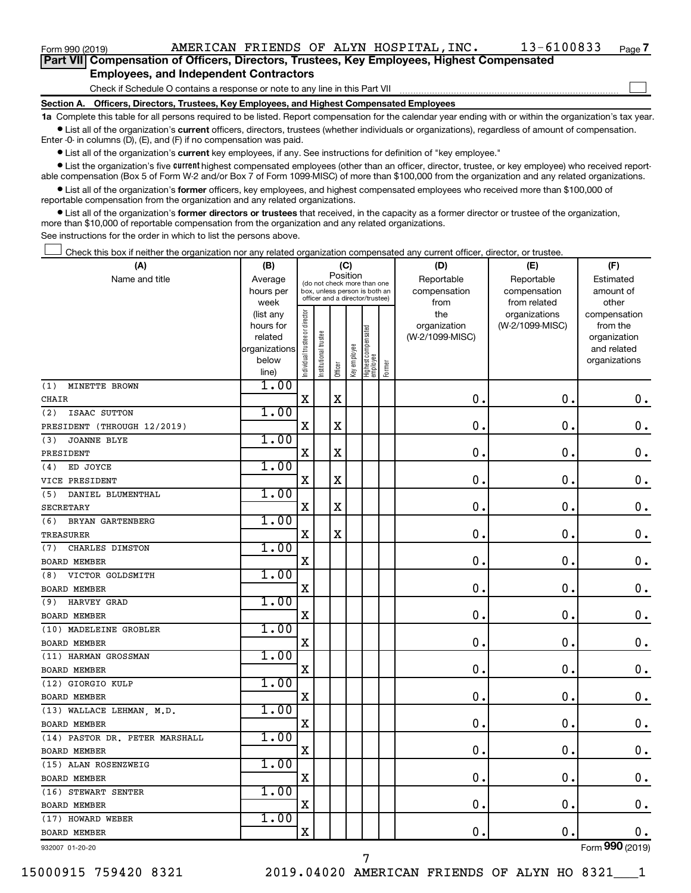$\Box$ 

| Part VII Compensation of Officers, Directors, Trustees, Key Employees, Highest Compensated |
|--------------------------------------------------------------------------------------------|
| <b>Employees, and Independent Contractors</b>                                              |

Check if Schedule O contains a response or note to any line in this Part VII

**Section A. Officers, Directors, Trustees, Key Employees, and Highest Compensated Employees**

**1a**  Complete this table for all persons required to be listed. Report compensation for the calendar year ending with or within the organization's tax year.  $\bullet$  List all of the organization's current officers, directors, trustees (whether individuals or organizations), regardless of amount of compensation.

Enter -0- in columns (D), (E), and (F) if no compensation was paid.

**•** List all of the organization's current key employees, if any. See instructions for definition of "key employee."

• List the organization's five *current* highest compensated employees (other than an officer, director, trustee, or key employee) who received reportable compensation (Box 5 of Form W-2 and/or Box 7 of Form 1099-MISC) of more than \$100,000 from the organization and any related organizations.

 $\bullet$  List all of the organization's former officers, key employees, and highest compensated employees who received more than \$100,000 of reportable compensation from the organization and any related organizations.

**•** List all of the organization's former directors or trustees that received, in the capacity as a former director or trustee of the organization, more than \$10,000 of reportable compensation from the organization and any related organizations.

See instructions for the order in which to list the persons above.

Check this box if neither the organization nor any related organization compensated any current officer, director, or trustee.  $\Box$ 

| (A)                            | (B)                      |                                |                                 | (C)         |              |                                   |        | (D)             | (E)             | (F)                         |
|--------------------------------|--------------------------|--------------------------------|---------------------------------|-------------|--------------|-----------------------------------|--------|-----------------|-----------------|-----------------------------|
| Name and title                 | Average                  |                                | (do not check more than one     |             | Position     |                                   |        | Reportable      | Reportable      | Estimated                   |
|                                | hours per                |                                | box, unless person is both an   |             |              |                                   |        | compensation    | compensation    | amount of                   |
|                                | week                     |                                | officer and a director/trustee) |             |              |                                   |        | from            | from related    | other                       |
|                                | (list any                |                                |                                 |             |              |                                   |        | the             | organizations   | compensation                |
|                                | hours for                |                                |                                 |             |              |                                   |        | organization    | (W-2/1099-MISC) | from the                    |
|                                | related<br>organizations |                                |                                 |             |              |                                   |        | (W-2/1099-MISC) |                 | organization<br>and related |
|                                | below                    |                                |                                 |             |              |                                   |        |                 |                 | organizations               |
|                                | line)                    | Individual trustee or director | nstitutional trustee            | Officer     | Key employee | Highest compensated<br>  employee | Former |                 |                 |                             |
| MINETTE BROWN<br>(1)           | 1.00                     |                                |                                 |             |              |                                   |        |                 |                 |                             |
| <b>CHAIR</b>                   |                          | $\mathbf X$                    |                                 | $\mathbf X$ |              |                                   |        | 0.              | $\mathbf 0$ .   | 0.                          |
| ISAAC SUTTON<br>(2)            | 1.00                     |                                |                                 |             |              |                                   |        |                 |                 |                             |
| PRESIDENT (THROUGH 12/2019)    |                          | $\mathbf X$                    |                                 | $\mathbf X$ |              |                                   |        | $\mathbf 0$ .   | $\mathbf 0$ .   | $\mathbf 0$ .               |
| (3)<br><b>JOANNE BLYE</b>      | 1.00                     |                                |                                 |             |              |                                   |        |                 |                 |                             |
| PRESIDENT                      |                          | X                              |                                 | X           |              |                                   |        | $\mathbf 0$ .   | 0.              | $\mathbf 0$ .               |
| ED JOYCE<br>(4)                | 1.00                     |                                |                                 |             |              |                                   |        |                 |                 |                             |
| VICE PRESIDENT                 |                          | $\mathbf X$                    |                                 | X           |              |                                   |        | $\mathbf 0$ .   | 0.              | $\boldsymbol{0}$ .          |
| (5)<br>DANIEL BLUMENTHAL       | 1.00                     |                                |                                 |             |              |                                   |        |                 |                 |                             |
| <b>SECRETARY</b>               |                          | $\mathbf X$                    |                                 | X           |              |                                   |        | $\mathbf 0$ .   | $\mathbf 0$ .   | $\mathbf 0$ .               |
| BRYAN GARTENBERG<br>(6)        | 1.00                     |                                |                                 |             |              |                                   |        |                 |                 |                             |
| <b>TREASURER</b>               |                          | $\mathbf X$                    |                                 | $\mathbf X$ |              |                                   |        | $\mathbf 0$ .   | 0.              | $\mathbf 0$ .               |
| (7)<br>CHARLES DIMSTON         | 1.00                     |                                |                                 |             |              |                                   |        |                 |                 |                             |
| <b>BOARD MEMBER</b>            |                          | X                              |                                 |             |              |                                   |        | $\mathbf 0$ .   | $\mathbf 0$ .   | $\mathbf 0$ .               |
| VICTOR GOLDSMITH<br>(8)        | 1.00                     |                                |                                 |             |              |                                   |        |                 |                 |                             |
| <b>BOARD MEMBER</b>            |                          | X                              |                                 |             |              |                                   |        | $\mathbf 0$ .   | $\mathbf 0$ .   | $\mathbf 0$ .               |
| HARVEY GRAD<br>(9)             | 1.00                     |                                |                                 |             |              |                                   |        |                 |                 |                             |
| <b>BOARD MEMBER</b>            |                          | $\mathbf X$                    |                                 |             |              |                                   |        | $\mathbf 0$ .   | $\mathbf 0$ .   | $\mathbf 0$ .               |
| (10) MADELEINE GROBLER         | 1.00                     |                                |                                 |             |              |                                   |        |                 |                 |                             |
| <b>BOARD MEMBER</b>            |                          | $\mathbf X$                    |                                 |             |              |                                   |        | $\mathbf 0$ .   | $\mathbf 0$ .   | 0.                          |
| (11) HARMAN GROSSMAN           | 1.00                     |                                |                                 |             |              |                                   |        |                 |                 |                             |
| <b>BOARD MEMBER</b>            |                          | X                              |                                 |             |              |                                   |        | $\mathbf 0$ .   | $\mathbf 0$ .   | $\mathbf 0$ .               |
| (12) GIORGIO KULP              | 1.00                     |                                |                                 |             |              |                                   |        |                 |                 |                             |
| BOARD MEMBER                   |                          | $\mathbf X$                    |                                 |             |              |                                   |        | $\mathbf 0$ .   | $\mathbf 0$ .   | $\mathbf 0$ .               |
| (13) WALLACE LEHMAN, M.D.      | 1.00                     |                                |                                 |             |              |                                   |        |                 |                 |                             |
| <b>BOARD MEMBER</b>            |                          | $\mathbf X$                    |                                 |             |              |                                   |        | $\mathbf 0$ .   | 0.              | $\mathbf 0$ .               |
| (14) PASTOR DR. PETER MARSHALL | 1.00                     |                                |                                 |             |              |                                   |        |                 |                 |                             |
| <b>BOARD MEMBER</b>            |                          | $\overline{\mathbf{X}}$        |                                 |             |              |                                   |        | 0.              | $\mathbf 0$ .   | $\mathbf 0$ .               |
| (15) ALAN ROSENZWEIG           | 1.00                     |                                |                                 |             |              |                                   |        |                 |                 |                             |
| <b>BOARD MEMBER</b>            |                          | X                              |                                 |             |              |                                   |        | $\mathbf 0$     | $\mathbf 0$     | $\mathbf 0$ .               |
| (16) STEWART SENTER            | 1.00                     |                                |                                 |             |              |                                   |        |                 |                 |                             |
| <b>BOARD MEMBER</b>            |                          | $\mathbf X$                    |                                 |             |              |                                   |        | $\mathbf{0}$ .  | $\mathbf 0$ .   | $0$ .                       |
| (17) HOWARD WEBER              | 1.00                     |                                |                                 |             |              |                                   |        |                 |                 |                             |
| <b>BOARD MEMBER</b>            |                          | $\mathbf X$                    |                                 |             |              |                                   |        | 0.              | $\mathbf 0$ .   | 0.                          |
| 932007 01-20-20                |                          |                                |                                 |             |              |                                   |        |                 |                 | Form 990 (2019)             |

7

932007 01-20-20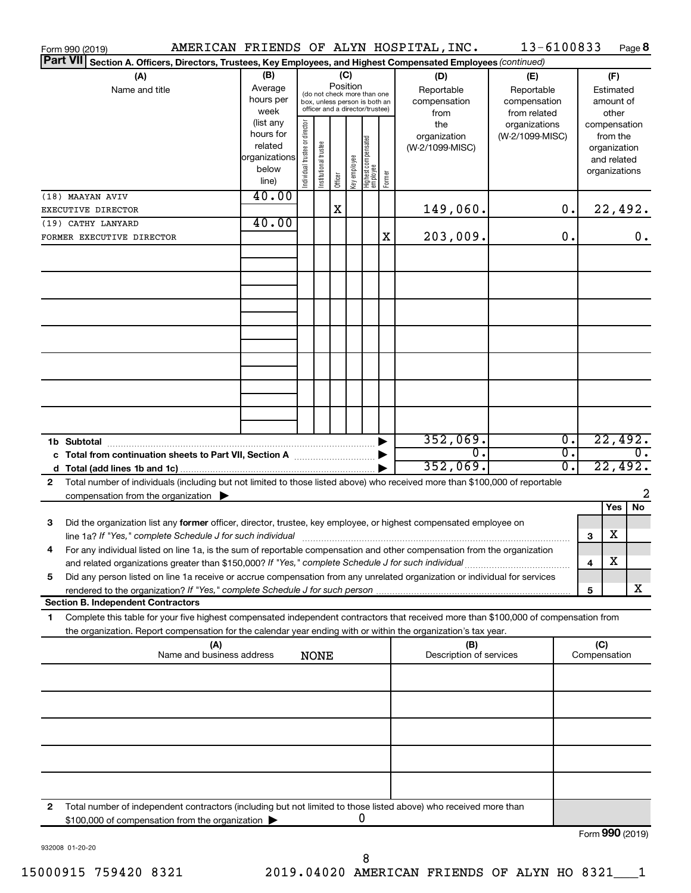|                 | Form 990 (2019)                                                                                                                      |                        |                                |                       |          |              |                                  |        | AMERICAN FRIENDS OF ALYN HOSPITAL, INC. | 13-6100833      |                             |              |                          | Page 8           |
|-----------------|--------------------------------------------------------------------------------------------------------------------------------------|------------------------|--------------------------------|-----------------------|----------|--------------|----------------------------------|--------|-----------------------------------------|-----------------|-----------------------------|--------------|--------------------------|------------------|
| <b>Part VII</b> | Section A. Officers, Directors, Trustees, Key Employees, and Highest Compensated Employees (continued)                               |                        |                                |                       |          |              |                                  |        |                                         |                 |                             |              |                          |                  |
|                 | (A)                                                                                                                                  | (B)                    |                                |                       |          | (C)          |                                  |        | (D)                                     | (E)             |                             |              | (F)                      |                  |
|                 | Name and title                                                                                                                       | Average                |                                |                       | Position |              | (do not check more than one      |        | Reportable                              | Reportable      |                             |              | Estimated                |                  |
|                 |                                                                                                                                      | hours per              |                                |                       |          |              | box, unless person is both an    |        | compensation                            | compensation    |                             |              | amount of                |                  |
|                 |                                                                                                                                      | week                   |                                |                       |          |              | officer and a director/trustee)  |        | from                                    | from related    |                             |              | other                    |                  |
|                 |                                                                                                                                      | (list any<br>hours for |                                |                       |          |              |                                  |        | the                                     | organizations   |                             |              | compensation             |                  |
|                 |                                                                                                                                      | related                |                                |                       |          |              |                                  |        | organization<br>(W-2/1099-MISC)         | (W-2/1099-MISC) |                             |              | from the<br>organization |                  |
|                 |                                                                                                                                      | organizations          |                                |                       |          |              |                                  |        |                                         |                 |                             |              | and related              |                  |
|                 |                                                                                                                                      | below                  | Individual trustee or director | Institutional trustee |          | Key employee |                                  |        |                                         |                 |                             |              | organizations            |                  |
|                 |                                                                                                                                      | line)                  |                                |                       | Officer  |              | Highest compensated<br> employee | Former |                                         |                 |                             |              |                          |                  |
|                 | (18) MAAYAN AVIV                                                                                                                     | 40.00                  |                                |                       |          |              |                                  |        |                                         |                 |                             |              |                          |                  |
|                 | EXECUTIVE DIRECTOR                                                                                                                   |                        |                                |                       | X        |              |                                  |        | 149,060.                                |                 | 0.                          |              |                          | 22,492.          |
|                 | (19) CATHY LANYARD                                                                                                                   | 40.00                  |                                |                       |          |              |                                  |        |                                         |                 |                             |              |                          |                  |
|                 | FORMER EXECUTIVE DIRECTOR                                                                                                            |                        |                                |                       |          |              |                                  | X      | 203,009.                                |                 | 0.                          |              |                          | 0.               |
|                 |                                                                                                                                      |                        |                                |                       |          |              |                                  |        |                                         |                 |                             |              |                          |                  |
|                 |                                                                                                                                      |                        |                                |                       |          |              |                                  |        |                                         |                 |                             |              |                          |                  |
|                 |                                                                                                                                      |                        |                                |                       |          |              |                                  |        |                                         |                 |                             |              |                          |                  |
|                 |                                                                                                                                      |                        |                                |                       |          |              |                                  |        |                                         |                 |                             |              |                          |                  |
|                 |                                                                                                                                      |                        |                                |                       |          |              |                                  |        |                                         |                 |                             |              |                          |                  |
|                 |                                                                                                                                      |                        |                                |                       |          |              |                                  |        |                                         |                 |                             |              |                          |                  |
|                 |                                                                                                                                      |                        |                                |                       |          |              |                                  |        |                                         |                 |                             |              |                          |                  |
|                 |                                                                                                                                      |                        |                                |                       |          |              |                                  |        |                                         |                 |                             |              |                          |                  |
|                 |                                                                                                                                      |                        |                                |                       |          |              |                                  |        |                                         |                 |                             |              |                          |                  |
|                 |                                                                                                                                      |                        |                                |                       |          |              |                                  |        |                                         |                 |                             |              |                          |                  |
|                 |                                                                                                                                      |                        |                                |                       |          |              |                                  |        |                                         |                 |                             |              |                          |                  |
|                 |                                                                                                                                      |                        |                                |                       |          |              |                                  |        |                                         |                 |                             |              |                          |                  |
|                 |                                                                                                                                      |                        |                                |                       |          |              |                                  |        |                                         |                 |                             |              |                          |                  |
|                 |                                                                                                                                      |                        |                                |                       |          |              |                                  |        |                                         |                 |                             |              |                          |                  |
|                 |                                                                                                                                      |                        |                                |                       |          |              |                                  |        | 352,069.                                |                 | $\overline{0}$ .            |              |                          | 22,492.          |
|                 |                                                                                                                                      |                        |                                |                       |          |              |                                  |        | О.                                      |                 | $\overline{\mathfrak{o}}$ . |              |                          | $\overline{0}$ . |
|                 |                                                                                                                                      |                        |                                |                       |          |              |                                  |        | 352,069.                                |                 | σ.                          |              |                          | 22,492.          |
| 2               | Total number of individuals (including but not limited to those listed above) who received more than \$100,000 of reportable         |                        |                                |                       |          |              |                                  |        |                                         |                 |                             |              |                          |                  |
|                 | compensation from the organization $\blacktriangleright$                                                                             |                        |                                |                       |          |              |                                  |        |                                         |                 |                             |              |                          | 2                |
|                 |                                                                                                                                      |                        |                                |                       |          |              |                                  |        |                                         |                 |                             |              | Yes                      | No               |
| 3               | Did the organization list any former officer, director, trustee, key employee, or highest compensated employee on                    |                        |                                |                       |          |              |                                  |        |                                         |                 |                             |              |                          |                  |
|                 |                                                                                                                                      |                        |                                |                       |          |              |                                  |        |                                         |                 |                             | З            | х                        |                  |
|                 | For any individual listed on line 1a, is the sum of reportable compensation and other compensation from the organization             |                        |                                |                       |          |              |                                  |        |                                         |                 |                             |              |                          |                  |
|                 | and related organizations greater than \$150,000? If "Yes," complete Schedule J for such individual                                  |                        |                                |                       |          |              |                                  |        |                                         |                 |                             | 4            | х                        |                  |
| 5               | Did any person listed on line 1a receive or accrue compensation from any unrelated organization or individual for services           |                        |                                |                       |          |              |                                  |        |                                         |                 |                             |              |                          |                  |
|                 | rendered to the organization? If "Yes," complete Schedule J for such person                                                          |                        |                                |                       |          |              |                                  |        |                                         |                 |                             | 5            |                          | x                |
|                 | <b>Section B. Independent Contractors</b>                                                                                            |                        |                                |                       |          |              |                                  |        |                                         |                 |                             |              |                          |                  |
| 1.              | Complete this table for your five highest compensated independent contractors that received more than \$100,000 of compensation from |                        |                                |                       |          |              |                                  |        |                                         |                 |                             |              |                          |                  |
|                 | the organization. Report compensation for the calendar year ending with or within the organization's tax year.                       |                        |                                |                       |          |              |                                  |        |                                         |                 |                             |              |                          |                  |
|                 | (A)                                                                                                                                  |                        |                                |                       |          |              |                                  |        | (B)                                     |                 |                             | (C)          |                          |                  |
|                 | Name and business address                                                                                                            |                        |                                | <b>NONE</b>           |          |              |                                  |        | Description of services                 |                 |                             | Compensation |                          |                  |
|                 |                                                                                                                                      |                        |                                |                       |          |              |                                  |        |                                         |                 |                             |              |                          |                  |
|                 |                                                                                                                                      |                        |                                |                       |          |              |                                  |        |                                         |                 |                             |              |                          |                  |
|                 |                                                                                                                                      |                        |                                |                       |          |              |                                  |        |                                         |                 |                             |              |                          |                  |
|                 |                                                                                                                                      |                        |                                |                       |          |              |                                  |        |                                         |                 |                             |              |                          |                  |
|                 |                                                                                                                                      |                        |                                |                       |          |              |                                  |        |                                         |                 |                             |              |                          |                  |
|                 |                                                                                                                                      |                        |                                |                       |          |              |                                  |        |                                         |                 |                             |              |                          |                  |
|                 |                                                                                                                                      |                        |                                |                       |          |              |                                  |        |                                         |                 |                             |              |                          |                  |
|                 |                                                                                                                                      |                        |                                |                       |          |              |                                  |        |                                         |                 |                             |              |                          |                  |
|                 |                                                                                                                                      |                        |                                |                       |          |              |                                  |        |                                         |                 |                             |              |                          |                  |
|                 |                                                                                                                                      |                        |                                |                       |          |              |                                  |        |                                         |                 |                             |              |                          |                  |
| 2               | Total number of independent contractors (including but not limited to those listed above) who received more than                     |                        |                                |                       |          |              | 0                                |        |                                         |                 |                             |              |                          |                  |
|                 | \$100,000 of compensation from the organization                                                                                      |                        |                                |                       |          |              |                                  |        |                                         |                 |                             |              |                          |                  |
|                 |                                                                                                                                      |                        |                                |                       |          |              |                                  |        |                                         |                 |                             |              |                          | Form 990 (2019)  |

932008 01-20-20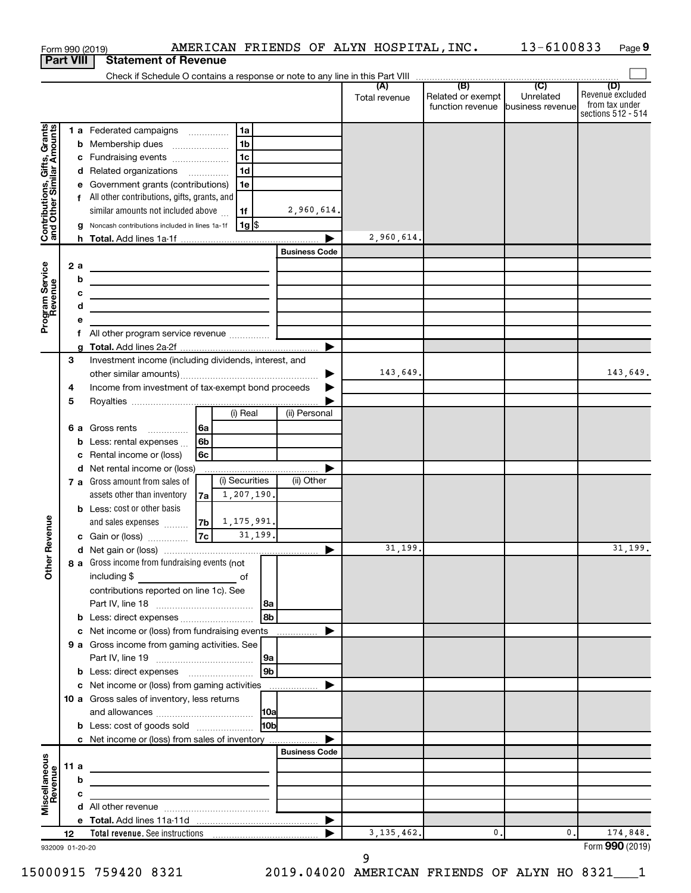|                                                           |      |    | AMERICAN FRIENDS OF ALYN HOSPITAL, INC.<br>Form 990 (2019)                        |                      |               |                                   | 13-6100833 | Page 9                               |
|-----------------------------------------------------------|------|----|-----------------------------------------------------------------------------------|----------------------|---------------|-----------------------------------|------------|--------------------------------------|
| <b>Part VIII</b>                                          |      |    | <b>Statement of Revenue</b>                                                       |                      |               |                                   |            |                                      |
|                                                           |      |    |                                                                                   |                      |               |                                   |            | (D)                                  |
|                                                           |      |    |                                                                                   |                      | Total revenue | Related or exempt                 | Unrelated  | Revenue excluded                     |
|                                                           |      |    |                                                                                   |                      |               | function revenue business revenue |            | from tax under<br>sections 512 - 514 |
|                                                           |      |    | 1a                                                                                |                      |               |                                   |            |                                      |
| Contributions, Gifts, Grants<br>and Other Similar Amounts |      |    | 1 a Federated campaigns<br>1 <sub>b</sub><br><b>b</b> Membership dues             |                      |               |                                   |            |                                      |
|                                                           |      |    | 1 <sub>c</sub><br>c Fundraising events                                            |                      |               |                                   |            |                                      |
|                                                           |      |    | 1 <sub>d</sub><br>d Related organizations                                         |                      |               |                                   |            |                                      |
|                                                           |      |    | e Government grants (contributions)<br>1e                                         |                      |               |                                   |            |                                      |
|                                                           |      |    | f All other contributions, gifts, grants, and                                     |                      |               |                                   |            |                                      |
|                                                           |      |    | similar amounts not included above<br>1f                                          | 2,960,614.           |               |                                   |            |                                      |
|                                                           |      |    | 1g   \$<br>g Noncash contributions included in lines 1a-1f                        |                      |               |                                   |            |                                      |
|                                                           |      |    |                                                                                   |                      | 2,960,614.    |                                   |            |                                      |
|                                                           |      |    |                                                                                   | <b>Business Code</b> |               |                                   |            |                                      |
|                                                           |      | 2a |                                                                                   |                      |               |                                   |            |                                      |
| Program Service<br>Revenue                                |      | b  | <u> 1980 - Johann Barbara, martxa alemaniar arg</u>                               |                      |               |                                   |            |                                      |
|                                                           |      | c  |                                                                                   |                      |               |                                   |            |                                      |
|                                                           |      | d  | the control of the control of the control of the control of the control of        |                      |               |                                   |            |                                      |
|                                                           |      | e  |                                                                                   |                      |               |                                   |            |                                      |
|                                                           |      | f  |                                                                                   |                      |               |                                   |            |                                      |
|                                                           |      | a  |                                                                                   |                      |               |                                   |            |                                      |
|                                                           | 3    |    | Investment income (including dividends, interest, and                             |                      |               |                                   |            |                                      |
|                                                           |      |    |                                                                                   |                      | 143,649.      |                                   |            | 143,649.                             |
|                                                           | 4    |    | Income from investment of tax-exempt bond proceeds                                |                      |               |                                   |            |                                      |
|                                                           | 5    |    | $(i)$ Real                                                                        |                      |               |                                   |            |                                      |
|                                                           |      |    |                                                                                   | (ii) Personal        |               |                                   |            |                                      |
|                                                           |      |    | <b>6 a</b> Gross rents<br>6a                                                      |                      |               |                                   |            |                                      |
|                                                           |      |    | 6b<br><b>b</b> Less: rental expenses $\ldots$<br>Rental income or (loss)<br>6c    |                      |               |                                   |            |                                      |
|                                                           |      | С  | d Net rental income or (loss)                                                     |                      |               |                                   |            |                                      |
|                                                           |      |    | (i) Securities<br>7 a Gross amount from sales of                                  | (ii) Other           |               |                                   |            |                                      |
|                                                           |      |    | $7a \begin{pmatrix} 1 \\ 207 \\ 190 \end{pmatrix}$<br>assets other than inventory |                      |               |                                   |            |                                      |
|                                                           |      |    | <b>b</b> Less: cost or other basis                                                |                      |               |                                   |            |                                      |
|                                                           |      |    | $7b$ 1, 175, 991.<br>and sales expenses                                           |                      |               |                                   |            |                                      |
| evenue                                                    |      |    | 7c <br>31,199.<br>c Gain or (loss)                                                |                      |               |                                   |            |                                      |
|                                                           |      |    |                                                                                   |                      | 31,199.       |                                   |            | 31, 199.                             |
| Other R                                                   |      |    | 8 a Gross income from fundraising events (not                                     |                      |               |                                   |            |                                      |
|                                                           |      |    | including \$                                                                      |                      |               |                                   |            |                                      |
|                                                           |      |    | contributions reported on line 1c). See                                           |                      |               |                                   |            |                                      |
|                                                           |      |    |                                                                                   |                      |               |                                   |            |                                      |
|                                                           |      |    | 8 <sub>b</sub>                                                                    |                      |               |                                   |            |                                      |
|                                                           |      |    | c Net income or (loss) from fundraising events                                    |                      |               |                                   |            |                                      |
|                                                           |      |    | 9 a Gross income from gaming activities. See                                      |                      |               |                                   |            |                                      |
|                                                           |      |    | 9a                                                                                |                      |               |                                   |            |                                      |
|                                                           |      |    | 9 <sub>b</sub>                                                                    |                      |               |                                   |            |                                      |
|                                                           |      |    | c Net income or (loss) from gaming activities                                     | ▶                    |               |                                   |            |                                      |
|                                                           |      |    | 10 a Gross sales of inventory, less returns                                       |                      |               |                                   |            |                                      |
|                                                           |      |    |                                                                                   |                      |               |                                   |            |                                      |
|                                                           |      |    | 10 <sub>b</sub><br><b>b</b> Less: cost of goods sold                              |                      |               |                                   |            |                                      |
|                                                           |      |    | c Net income or (loss) from sales of inventory                                    |                      |               |                                   |            |                                      |
|                                                           |      |    |                                                                                   | <b>Business Code</b> |               |                                   |            |                                      |
| Miscellaneous<br>Revenue                                  | 11 a |    |                                                                                   |                      |               |                                   |            |                                      |
|                                                           |      | b  |                                                                                   |                      |               |                                   |            |                                      |
|                                                           |      | c  |                                                                                   |                      |               |                                   |            |                                      |
|                                                           |      |    |                                                                                   | ▶                    |               |                                   |            |                                      |
|                                                           | 12   |    |                                                                                   |                      | 3, 135, 462.  | 0                                 | 0.         | 174,848.                             |
| 932009 01-20-20                                           |      |    |                                                                                   |                      |               |                                   |            | Form 990 (2019)                      |

932009 01-20-20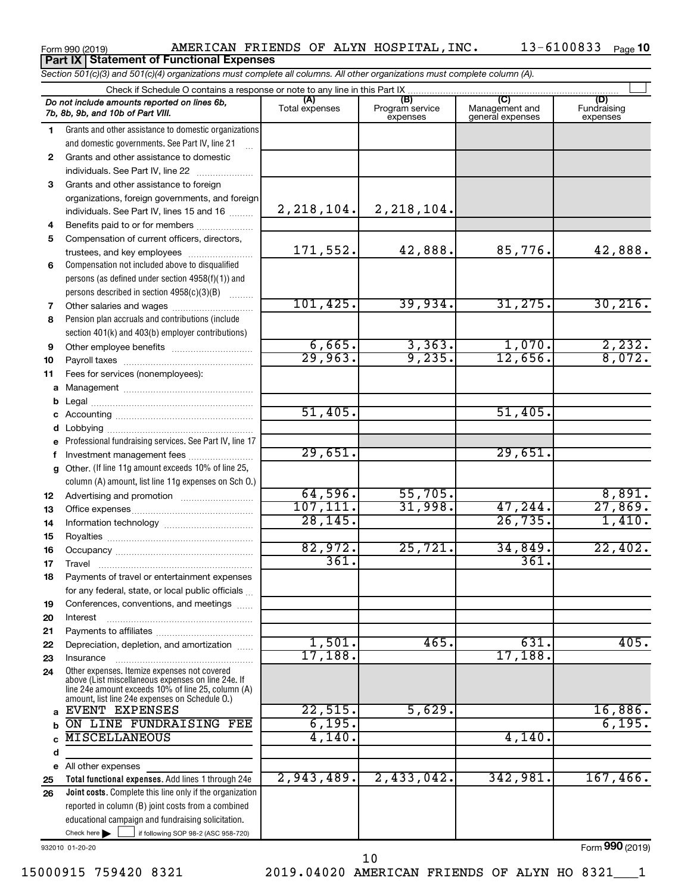#### Form 990 (2019) AMERICAN FRIENDS OF ALYN HOSPITAL,INC. 13-6100833 Page **Part IX Statement of Functional Expenses**

|              | Section 501(c)(3) and 501(c)(4) organizations must complete all columns. All other organizations must complete column (A).                                                                                 |                       |                                    |                                           |                                |
|--------------|------------------------------------------------------------------------------------------------------------------------------------------------------------------------------------------------------------|-----------------------|------------------------------------|-------------------------------------------|--------------------------------|
|              | Check if Schedule O contains a response or note to any line in this Part IX                                                                                                                                |                       |                                    |                                           |                                |
|              | Do not include amounts reported on lines 6b,<br>7b, 8b, 9b, and 10b of Part VIII.                                                                                                                          | (A)<br>Total expenses | (B)<br>Program service<br>expenses | (C)<br>Management and<br>general expenses | (D)<br>Fundraising<br>expenses |
| 1.           | Grants and other assistance to domestic organizations                                                                                                                                                      |                       |                                    |                                           |                                |
|              | and domestic governments. See Part IV, line 21                                                                                                                                                             |                       |                                    |                                           |                                |
| $\mathbf{2}$ | Grants and other assistance to domestic                                                                                                                                                                    |                       |                                    |                                           |                                |
|              | individuals. See Part IV, line 22                                                                                                                                                                          |                       |                                    |                                           |                                |
| 3            | Grants and other assistance to foreign                                                                                                                                                                     |                       |                                    |                                           |                                |
|              | organizations, foreign governments, and foreign                                                                                                                                                            |                       |                                    |                                           |                                |
|              | individuals. See Part IV, lines 15 and 16                                                                                                                                                                  | 2, 218, 104.          | 2, 218, 104.                       |                                           |                                |
| 4            | Benefits paid to or for members                                                                                                                                                                            |                       |                                    |                                           |                                |
| 5            | Compensation of current officers, directors,                                                                                                                                                               |                       |                                    |                                           |                                |
|              | trustees, and key employees                                                                                                                                                                                | 171,552.              | 42,888.                            | 85,776.                                   | 42,888.                        |
| 6            | Compensation not included above to disqualified                                                                                                                                                            |                       |                                    |                                           |                                |
|              | persons (as defined under section 4958(f)(1)) and                                                                                                                                                          |                       |                                    |                                           |                                |
|              | persons described in section 4958(c)(3)(B)                                                                                                                                                                 |                       |                                    |                                           |                                |
| 7            | Other salaries and wages                                                                                                                                                                                   | 101,425.              | 39,934.                            | 31, 275.                                  | 30, 216.                       |
| 8            | Pension plan accruals and contributions (include                                                                                                                                                           |                       |                                    |                                           |                                |
|              | section 401(k) and 403(b) employer contributions)                                                                                                                                                          |                       |                                    |                                           |                                |
| 9            |                                                                                                                                                                                                            | 6,665.                | 3,363.                             | 1,070.                                    | 2,232.                         |
| 10           |                                                                                                                                                                                                            | 29,963.               | 9,235.                             | 12,656.                                   | 8,072.                         |
| 11           | Fees for services (nonemployees):                                                                                                                                                                          |                       |                                    |                                           |                                |
|              |                                                                                                                                                                                                            |                       |                                    |                                           |                                |
| b            |                                                                                                                                                                                                            |                       |                                    |                                           |                                |
|              |                                                                                                                                                                                                            | 51,405.               |                                    | 51,405.                                   |                                |
|              |                                                                                                                                                                                                            |                       |                                    |                                           |                                |
| е            | Professional fundraising services. See Part IV, line 17                                                                                                                                                    |                       |                                    |                                           |                                |
| f            | Investment management fees                                                                                                                                                                                 | 29,651.               |                                    | 29,651.                                   |                                |
|              | g Other. (If line 11g amount exceeds 10% of line 25,                                                                                                                                                       |                       |                                    |                                           |                                |
|              | column (A) amount, list line 11g expenses on Sch O.)                                                                                                                                                       |                       |                                    |                                           |                                |
| 12           |                                                                                                                                                                                                            | 64,596.               | 55,705.                            |                                           | 8,891.                         |
| 13           |                                                                                                                                                                                                            | 107, 111.             | 31,998.                            | 47,244.                                   | 27,869.                        |
| 14           |                                                                                                                                                                                                            | 28, 145.              |                                    | 26, 735.                                  | 1,410.                         |
| 15           |                                                                                                                                                                                                            |                       |                                    |                                           |                                |
| 16           |                                                                                                                                                                                                            | 82,972.               | 25,721.                            | 34,849.                                   | 22,402.                        |
| 17           |                                                                                                                                                                                                            | 361.                  |                                    | 361.                                      |                                |
| 18           | Payments of travel or entertainment expenses                                                                                                                                                               |                       |                                    |                                           |                                |
|              | for any federal, state, or local public officials                                                                                                                                                          |                       |                                    |                                           |                                |
| 19           | Conferences, conventions, and meetings                                                                                                                                                                     |                       |                                    |                                           |                                |
| 20           | Interest                                                                                                                                                                                                   |                       |                                    |                                           |                                |
| 21           |                                                                                                                                                                                                            |                       |                                    |                                           |                                |
| 22           | Depreciation, depletion, and amortization                                                                                                                                                                  | 1,501.                | 465.                               | 631.                                      | 405.                           |
| 23           | Insurance                                                                                                                                                                                                  | 17,188.               |                                    | 17,188.                                   |                                |
| 24           | Other expenses. Itemize expenses not covered<br>above (List miscellaneous expenses on line 24e. If<br>line 24e amount exceeds 10% of line 25, column (A)<br>amount, list line 24e expenses on Schedule O.) |                       |                                    |                                           |                                |
|              | a EVENT EXPENSES                                                                                                                                                                                           | 22,515.               | 5,629.                             |                                           | 16,886.                        |
| b            | ON LINE FUNDRAISING FEE                                                                                                                                                                                    | 6,195.                |                                    |                                           | 6,195.                         |
| c            | <b>MISCELLANEOUS</b>                                                                                                                                                                                       | 4,140.                |                                    | 4,140.                                    |                                |
| d            |                                                                                                                                                                                                            |                       |                                    |                                           |                                |
|              | e All other expenses                                                                                                                                                                                       |                       |                                    |                                           |                                |
| 25           | Total functional expenses. Add lines 1 through 24e                                                                                                                                                         | 2,943,489.            | 2,433,042.                         | 342,981.                                  | 167,466.                       |
| 26           | <b>Joint costs.</b> Complete this line only if the organization                                                                                                                                            |                       |                                    |                                           |                                |
|              | reported in column (B) joint costs from a combined                                                                                                                                                         |                       |                                    |                                           |                                |
|              | educational campaign and fundraising solicitation.                                                                                                                                                         |                       |                                    |                                           |                                |
|              | Check here $\blacktriangleright$<br>if following SOP 98-2 (ASC 958-720)                                                                                                                                    |                       |                                    |                                           |                                |

932010 01-20-20

Form (2019) **990**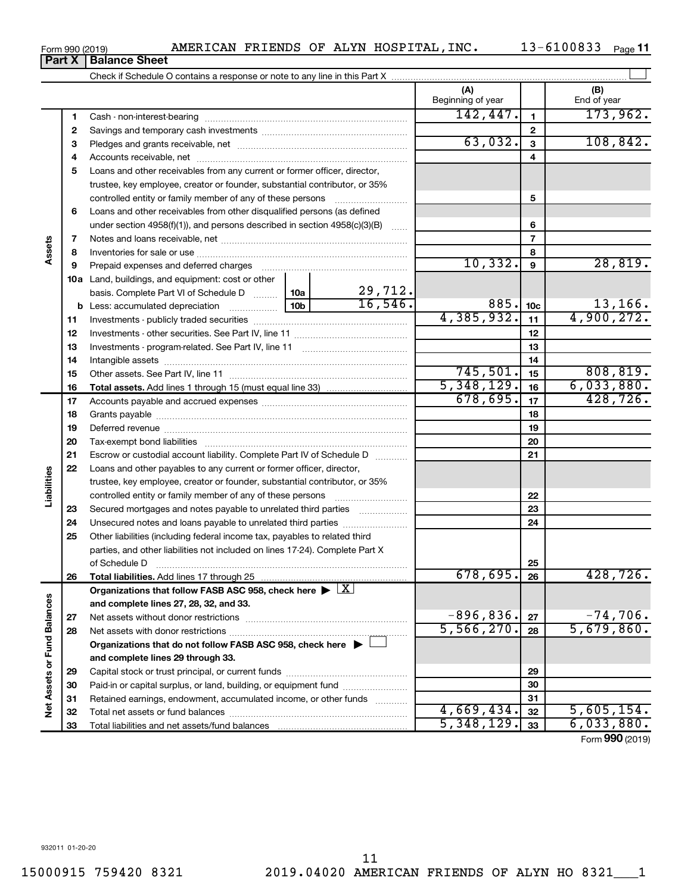**1 2** Savings and temporary cash investments ~~~~~~~~~~~~~~~~~~ Cash - non-interest-bearing ~~~~~~~~~~~~~~~~~~~~~~~~~ Pledges and grants receivable, net

Check if Schedule O contains a response or note to any line in this Part X

| 3   |                                                                                                                 |          | 63,032.    | 3               | 108,842.   |
|-----|-----------------------------------------------------------------------------------------------------------------|----------|------------|-----------------|------------|
| 4   |                                                                                                                 |          |            | 4               |            |
| 5   | Loans and other receivables from any current or former officer, director,                                       |          |            |                 |            |
|     | trustee, key employee, creator or founder, substantial contributor, or 35%                                      |          |            |                 |            |
|     | controlled entity or family member of any of these persons                                                      |          |            | 5               |            |
| 6   | Loans and other receivables from other disqualified persons (as defined                                         |          |            |                 |            |
|     | under section $4958(f)(1)$ , and persons described in section $4958(c)(3)(B)$                                   |          |            | 6               |            |
| 7   |                                                                                                                 |          |            | 7               |            |
| 8   |                                                                                                                 |          |            | 8               |            |
| 9   | Prepaid expenses and deferred charges [11] [11] Prepaid expenses and deferred charges [11] [11] Arman materials |          | 10, 332.   | 9               | 28,819.    |
| 10a | Land, buildings, and equipment: cost or other                                                                   |          |            |                 |            |
|     | basis. Complete Part VI of Schedule D  10a                                                                      | 29, 712. |            |                 |            |
|     |                                                                                                                 | 16, 546. | 885.       | 10 <sub>c</sub> | 13, 166.   |
| 11  |                                                                                                                 |          | 4,385,932. | 11              | 4,900,272. |
| 12  |                                                                                                                 |          |            | 12              |            |
| 13  |                                                                                                                 |          |            | 13              |            |
| 14  |                                                                                                                 |          |            | 14              |            |
| 15  |                                                                                                                 |          | 745,501.   | 15              | 808, 819.  |
| 16  |                                                                                                                 |          | 5,348,129. | 16              | 6,033,880. |
| 17  |                                                                                                                 |          | 678,695.   | 17              | 428,726.   |
| 18  |                                                                                                                 |          |            | 18              |            |
| 19  |                                                                                                                 |          |            | 19              |            |
| 20  |                                                                                                                 |          |            | 20              |            |
| 21  | Escrow or custodial account liability. Complete Part IV of Schedule D                                           | .        |            | 21              |            |

|                             | 19 | Deferred revenue                                                                   |              | 19 |                               |
|-----------------------------|----|------------------------------------------------------------------------------------|--------------|----|-------------------------------|
|                             | 20 | Tax-exempt bond liabilities                                                        |              | 20 |                               |
|                             | 21 | Escrow or custodial account liability. Complete Part IV of Schedule D              |              | 21 |                               |
|                             | 22 | Loans and other payables to any current or former officer, director,               |              |    |                               |
|                             |    | trustee, key employee, creator or founder, substantial contributor, or 35%         |              |    |                               |
| Liabilities                 |    | controlled entity or family member of any of these persons                         |              | 22 |                               |
|                             | 23 | Secured mortgages and notes payable to unrelated third parties                     |              | 23 |                               |
|                             | 24 | Unsecured notes and loans payable to unrelated third parties <i>manumumum</i>      |              | 24 |                               |
|                             | 25 | Other liabilities (including federal income tax, payables to related third         |              |    |                               |
|                             |    | parties, and other liabilities not included on lines 17-24). Complete Part X       |              |    |                               |
|                             |    | of Schedule D                                                                      |              | 25 |                               |
|                             | 26 |                                                                                    | 678,695.     | 26 | 428, 726.                     |
|                             |    | Organizations that follow FASB ASC 958, check here $\blacktriangleright \boxed{X}$ |              |    |                               |
|                             |    | and complete lines 27, 28, 32, and 33.                                             |              |    |                               |
|                             |    |                                                                                    |              |    |                               |
|                             | 27 |                                                                                    | $-896, 836.$ | 27 | $-74,706.$                    |
|                             | 28 |                                                                                    | 5,566,270.   | 28 | 5,679,860.                    |
|                             |    | Organizations that do not follow FASB ASC 958, check here ▶ □                      |              |    |                               |
|                             |    | and complete lines 29 through 33.                                                  |              |    |                               |
|                             | 29 |                                                                                    |              | 29 |                               |
|                             | 30 | Paid-in or capital surplus, or land, building, or equipment fund                   |              | 30 |                               |
|                             | 31 | Retained earnings, endowment, accumulated income, or other funds                   |              | 31 |                               |
| Net Assets or Fund Balances | 32 |                                                                                    | 4,669,434.   | 32 | 5,605,154.                    |
|                             | 33 |                                                                                    | 5,348,129.   | 33 | 6,033,880.<br>Form 990 (2019) |

# Form 990 (2019) Page AMERICAN FRIENDS OF ALYN HOSPITAL,INC. 13-6100833

13-6100833 Page 11

 $\perp$ 

63,032. 108,842.

**(A) (B)**

Beginning of year  $\begin{array}{|c|c|c|c|c|}\n\hline\n\end{array}$  End of year

**1 2**

 $142,447.$  173,962.

**Part X** | Balance Sheet

**Assets**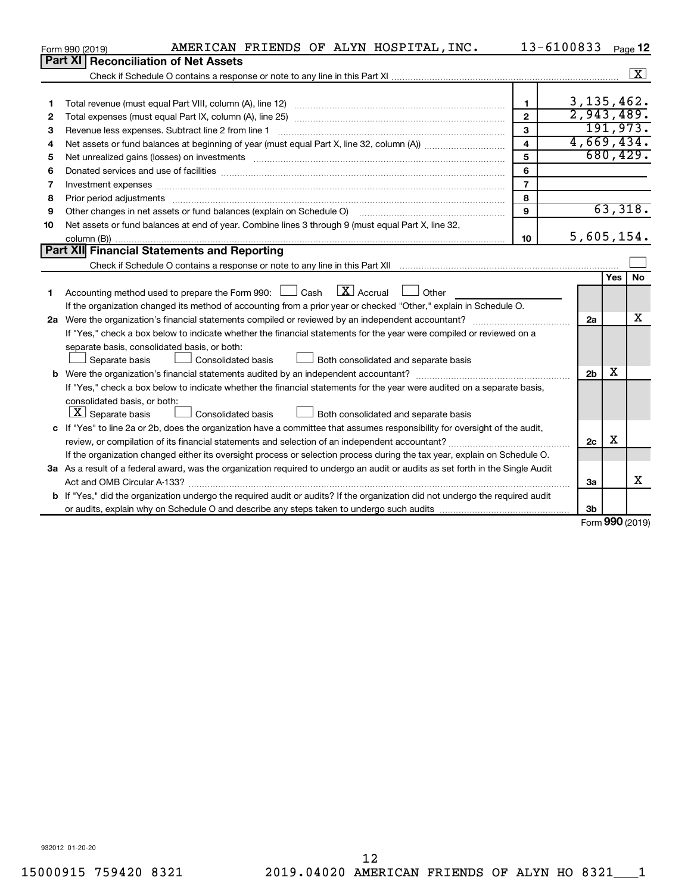|    | AMERICAN FRIENDS OF ALYN HOSPITAL, INC.<br>Form 990 (2019)                                                                      |                         | 13-6100833     |            | Page 12            |
|----|---------------------------------------------------------------------------------------------------------------------------------|-------------------------|----------------|------------|--------------------|
|    | Part XI   Reconciliation of Net Assets                                                                                          |                         |                |            |                    |
|    |                                                                                                                                 |                         |                |            | $\boxed{\text{X}}$ |
|    |                                                                                                                                 |                         |                |            |                    |
| 1  |                                                                                                                                 | $\mathbf{1}$            | 3, 135, 462.   |            |                    |
| 2  |                                                                                                                                 | $\mathbf{2}$            | 2,943,489.     |            |                    |
| З  | Revenue less expenses. Subtract line 2 from line 1                                                                              | 3                       |                |            | 191,973.           |
| 4  |                                                                                                                                 | $\overline{\mathbf{4}}$ | 4,669,434.     |            |                    |
| 5  |                                                                                                                                 | 5                       |                |            | 680, 429.          |
| 6  |                                                                                                                                 | 6                       |                |            |                    |
| 7  | Investment expenses www.communication.com/www.communication.com/www.communication.com/www.com                                   | $\overline{7}$          |                |            |                    |
| 8  | Prior period adjustments www.communication.communication.com/news/communication.com/news/communication.com/new                  | 8                       |                |            |                    |
| 9  |                                                                                                                                 | 9                       |                |            | 63,318.            |
| 10 | Net assets or fund balances at end of year. Combine lines 3 through 9 (must equal Part X, line 32,                              |                         |                |            |                    |
|    |                                                                                                                                 | 10                      | 5,605,154.     |            |                    |
|    | Part XII Financial Statements and Reporting                                                                                     |                         |                |            |                    |
|    |                                                                                                                                 |                         |                |            |                    |
|    |                                                                                                                                 |                         |                | <b>Yes</b> | <b>No</b>          |
| 1  | Accounting method used to prepare the Form 990: $\Box$ Cash $\Box X$ Accrual<br><b>Other</b>                                    |                         |                |            |                    |
|    | If the organization changed its method of accounting from a prior year or checked "Other," explain in Schedule O.               |                         |                |            |                    |
|    |                                                                                                                                 |                         | 2a             |            | x                  |
|    | If "Yes," check a box below to indicate whether the financial statements for the year were compiled or reviewed on a            |                         |                |            |                    |
|    | separate basis, consolidated basis, or both:                                                                                    |                         |                |            |                    |
|    | Both consolidated and separate basis<br>Separate basis<br>Consolidated basis                                                    |                         |                |            |                    |
|    |                                                                                                                                 |                         | 2 <sub>b</sub> | X          |                    |
|    | If "Yes," check a box below to indicate whether the financial statements for the year were audited on a separate basis,         |                         |                |            |                    |
|    | consolidated basis, or both:                                                                                                    |                         |                |            |                    |
|    | $\lfloor x \rfloor$ Separate basis<br>Consolidated basis<br>Both consolidated and separate basis                                |                         |                |            |                    |
|    | c If "Yes" to line 2a or 2b, does the organization have a committee that assumes responsibility for oversight of the audit,     |                         |                |            |                    |
|    |                                                                                                                                 |                         | 2c             | х          |                    |
|    | If the organization changed either its oversight process or selection process during the tax year, explain on Schedule O.       |                         |                |            |                    |
|    | 3a As a result of a federal award, was the organization required to undergo an audit or audits as set forth in the Single Audit |                         |                |            |                    |
|    |                                                                                                                                 |                         | За             |            | X                  |
|    | b If "Yes," did the organization undergo the required audit or audits? If the organization did not undergo the required audit   |                         |                |            |                    |
|    |                                                                                                                                 |                         | 3 <sub>b</sub> |            |                    |

Form (2019) **990**

932012 01-20-20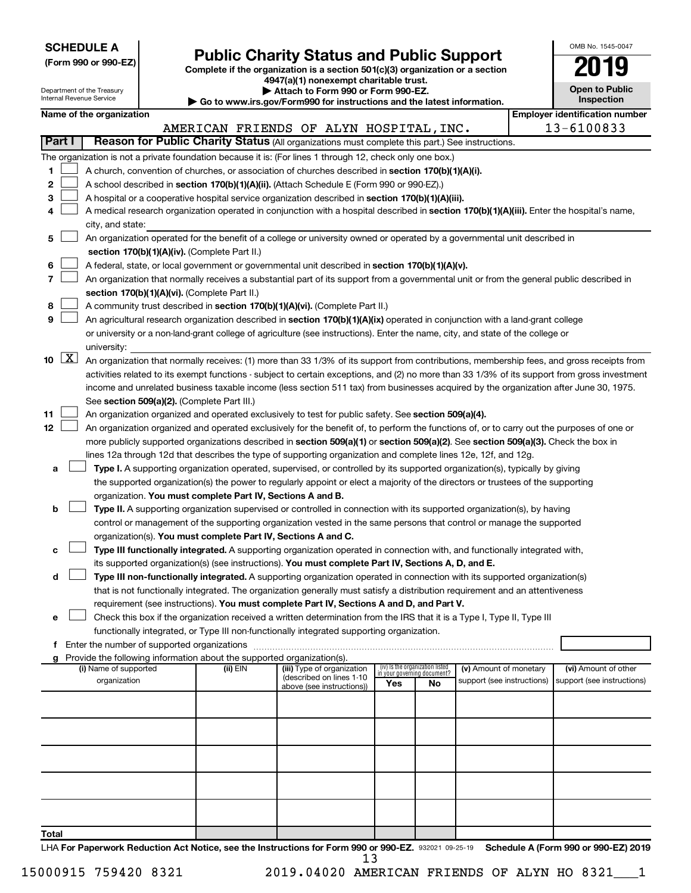| <b>SCHEDULE A</b> |  |
|-------------------|--|
|-------------------|--|

# Form 990 or 990-EZ)<br>
Complete if the organization is a section 501(c)(3) organization or a section<br> **Public Charity Status and Public Support**

**4947(a)(1) nonexempt charitable trust.**

| OMB No 1545-0047                    |
|-------------------------------------|
| 2019                                |
| <b>Open to Public</b><br>Inspection |

|        |                     | Department of the Treasury<br>Internal Revenue Service |                                                                        | Attach to Form 990 or Form 990-EZ.<br>Go to www.irs.gov/Form990 for instructions and the latest information.                                                                                                  |     |                                                                |                                                      | <b>Open to Public</b><br><b>Inspection</b>         |
|--------|---------------------|--------------------------------------------------------|------------------------------------------------------------------------|---------------------------------------------------------------------------------------------------------------------------------------------------------------------------------------------------------------|-----|----------------------------------------------------------------|------------------------------------------------------|----------------------------------------------------|
|        |                     | Name of the organization                               |                                                                        |                                                                                                                                                                                                               |     |                                                                |                                                      | <b>Employer identification number</b>              |
|        |                     |                                                        |                                                                        | AMERICAN FRIENDS OF ALYN HOSPITAL, INC.                                                                                                                                                                       |     |                                                                |                                                      | 13-6100833                                         |
|        | Part I              |                                                        |                                                                        | Reason for Public Charity Status (All organizations must complete this part.) See instructions.                                                                                                               |     |                                                                |                                                      |                                                    |
|        |                     |                                                        |                                                                        | The organization is not a private foundation because it is: (For lines 1 through 12, check only one box.)                                                                                                     |     |                                                                |                                                      |                                                    |
| 1      |                     |                                                        |                                                                        | A church, convention of churches, or association of churches described in section 170(b)(1)(A)(i).                                                                                                            |     |                                                                |                                                      |                                                    |
| 2      |                     |                                                        |                                                                        | A school described in section 170(b)(1)(A)(ii). (Attach Schedule E (Form 990 or 990-EZ).)                                                                                                                     |     |                                                                |                                                      |                                                    |
| з      |                     |                                                        |                                                                        | A hospital or a cooperative hospital service organization described in section 170(b)(1)(A)(iii).                                                                                                             |     |                                                                |                                                      |                                                    |
| 4      |                     |                                                        |                                                                        | A medical research organization operated in conjunction with a hospital described in section 170(b)(1)(A)(iii). Enter the hospital's name,                                                                    |     |                                                                |                                                      |                                                    |
|        |                     | city, and state:                                       |                                                                        |                                                                                                                                                                                                               |     |                                                                |                                                      |                                                    |
| 5      |                     |                                                        |                                                                        | An organization operated for the benefit of a college or university owned or operated by a governmental unit described in                                                                                     |     |                                                                |                                                      |                                                    |
|        |                     |                                                        | section 170(b)(1)(A)(iv). (Complete Part II.)                          |                                                                                                                                                                                                               |     |                                                                |                                                      |                                                    |
| 6      |                     |                                                        |                                                                        | A federal, state, or local government or governmental unit described in section 170(b)(1)(A)(v).                                                                                                              |     |                                                                |                                                      |                                                    |
| 7      |                     |                                                        |                                                                        | An organization that normally receives a substantial part of its support from a governmental unit or from the general public described in                                                                     |     |                                                                |                                                      |                                                    |
|        |                     |                                                        | section 170(b)(1)(A)(vi). (Complete Part II.)                          |                                                                                                                                                                                                               |     |                                                                |                                                      |                                                    |
| 8<br>9 |                     |                                                        |                                                                        | A community trust described in section 170(b)(1)(A)(vi). (Complete Part II.)<br>An agricultural research organization described in section 170(b)(1)(A)(ix) operated in conjunction with a land-grant college |     |                                                                |                                                      |                                                    |
|        |                     |                                                        |                                                                        | or university or a non-land-grant college of agriculture (see instructions). Enter the name, city, and state of the college or                                                                                |     |                                                                |                                                      |                                                    |
|        |                     | university:                                            |                                                                        |                                                                                                                                                                                                               |     |                                                                |                                                      |                                                    |
| 10     | $\lfloor x \rfloor$ |                                                        |                                                                        | An organization that normally receives: (1) more than 33 1/3% of its support from contributions, membership fees, and gross receipts from                                                                     |     |                                                                |                                                      |                                                    |
|        |                     |                                                        |                                                                        | activities related to its exempt functions - subject to certain exceptions, and (2) no more than 33 1/3% of its support from gross investment                                                                 |     |                                                                |                                                      |                                                    |
|        |                     |                                                        |                                                                        | income and unrelated business taxable income (less section 511 tax) from businesses acquired by the organization after June 30, 1975.                                                                         |     |                                                                |                                                      |                                                    |
|        |                     |                                                        | See section 509(a)(2). (Complete Part III.)                            |                                                                                                                                                                                                               |     |                                                                |                                                      |                                                    |
| 11     |                     |                                                        |                                                                        | An organization organized and operated exclusively to test for public safety. See section 509(a)(4).                                                                                                          |     |                                                                |                                                      |                                                    |
| 12     |                     |                                                        |                                                                        | An organization organized and operated exclusively for the benefit of, to perform the functions of, or to carry out the purposes of one or                                                                    |     |                                                                |                                                      |                                                    |
|        |                     |                                                        |                                                                        | more publicly supported organizations described in section 509(a)(1) or section 509(a)(2). See section 509(a)(3). Check the box in                                                                            |     |                                                                |                                                      |                                                    |
|        |                     |                                                        |                                                                        | lines 12a through 12d that describes the type of supporting organization and complete lines 12e, 12f, and 12g.                                                                                                |     |                                                                |                                                      |                                                    |
| а      |                     |                                                        |                                                                        | Type I. A supporting organization operated, supervised, or controlled by its supported organization(s), typically by giving                                                                                   |     |                                                                |                                                      |                                                    |
|        |                     |                                                        |                                                                        | the supported organization(s) the power to regularly appoint or elect a majority of the directors or trustees of the supporting                                                                               |     |                                                                |                                                      |                                                    |
|        |                     |                                                        | organization. You must complete Part IV, Sections A and B.             |                                                                                                                                                                                                               |     |                                                                |                                                      |                                                    |
| b      |                     |                                                        |                                                                        | Type II. A supporting organization supervised or controlled in connection with its supported organization(s), by having                                                                                       |     |                                                                |                                                      |                                                    |
|        |                     |                                                        |                                                                        | control or management of the supporting organization vested in the same persons that control or manage the supported                                                                                          |     |                                                                |                                                      |                                                    |
| с      |                     |                                                        | organization(s). You must complete Part IV, Sections A and C.          | Type III functionally integrated. A supporting organization operated in connection with, and functionally integrated with,                                                                                    |     |                                                                |                                                      |                                                    |
|        |                     |                                                        |                                                                        | its supported organization(s) (see instructions). You must complete Part IV, Sections A, D, and E.                                                                                                            |     |                                                                |                                                      |                                                    |
| d      |                     |                                                        |                                                                        | Type III non-functionally integrated. A supporting organization operated in connection with its supported organization(s)                                                                                     |     |                                                                |                                                      |                                                    |
|        |                     |                                                        |                                                                        | that is not functionally integrated. The organization generally must satisfy a distribution requirement and an attentiveness                                                                                  |     |                                                                |                                                      |                                                    |
|        |                     |                                                        |                                                                        | requirement (see instructions). You must complete Part IV, Sections A and D, and Part V.                                                                                                                      |     |                                                                |                                                      |                                                    |
| е      |                     |                                                        |                                                                        | Check this box if the organization received a written determination from the IRS that it is a Type I, Type II, Type III                                                                                       |     |                                                                |                                                      |                                                    |
|        |                     |                                                        |                                                                        | functionally integrated, or Type III non-functionally integrated supporting organization.                                                                                                                     |     |                                                                |                                                      |                                                    |
|        |                     |                                                        | f Enter the number of supported organizations                          |                                                                                                                                                                                                               |     |                                                                |                                                      |                                                    |
|        |                     |                                                        | Provide the following information about the supported organization(s). |                                                                                                                                                                                                               |     |                                                                |                                                      |                                                    |
|        |                     | (i) Name of supported<br>organization                  | (ii) EIN                                                               | (iii) Type of organization<br>(described on lines 1-10                                                                                                                                                        |     | (iv) Is the organization listed<br>in your governing document? | (v) Amount of monetary<br>support (see instructions) | (vi) Amount of other<br>support (see instructions) |
|        |                     |                                                        |                                                                        | above (see instructions))                                                                                                                                                                                     | Yes | No                                                             |                                                      |                                                    |
|        |                     |                                                        |                                                                        |                                                                                                                                                                                                               |     |                                                                |                                                      |                                                    |
|        |                     |                                                        |                                                                        |                                                                                                                                                                                                               |     |                                                                |                                                      |                                                    |
|        |                     |                                                        |                                                                        |                                                                                                                                                                                                               |     |                                                                |                                                      |                                                    |
|        |                     |                                                        |                                                                        |                                                                                                                                                                                                               |     |                                                                |                                                      |                                                    |
|        |                     |                                                        |                                                                        |                                                                                                                                                                                                               |     |                                                                |                                                      |                                                    |
|        |                     |                                                        |                                                                        |                                                                                                                                                                                                               |     |                                                                |                                                      |                                                    |
|        |                     |                                                        |                                                                        |                                                                                                                                                                                                               |     |                                                                |                                                      |                                                    |
|        |                     |                                                        |                                                                        |                                                                                                                                                                                                               |     |                                                                |                                                      |                                                    |
|        |                     |                                                        |                                                                        |                                                                                                                                                                                                               |     |                                                                |                                                      |                                                    |
| Total  |                     |                                                        |                                                                        |                                                                                                                                                                                                               |     |                                                                |                                                      |                                                    |

LHA For Paperwork Reduction Act Notice, see the Instructions for Form 990 or 990-EZ. 932021 09-25-19 Schedule A (Form 990 or 990-EZ) 2019 13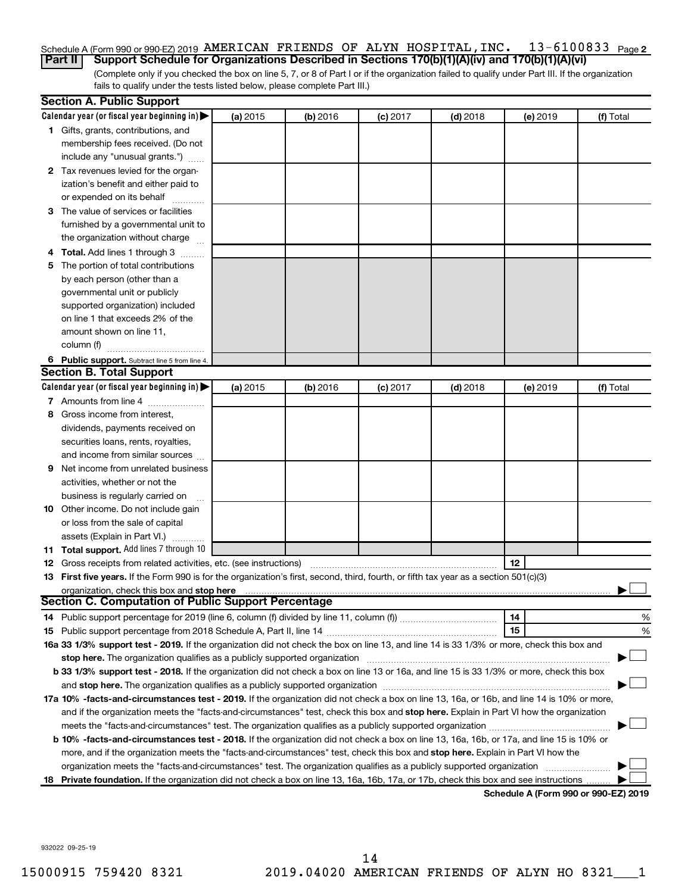#### 13-6100833 Page 2 Schedule A (Form 990 or 990-EZ) 2019 AMERICAN FRIENDS OF ALYN HOSPITAL,INC.  $13-6100833$  Page

(Complete only if you checked the box on line 5, 7, or 8 of Part I or if the organization failed to qualify under Part III. If the organization fails to qualify under the tests listed below, please complete Part III.) **Part II Support Schedule for Organizations Described in Sections 170(b)(1)(A)(iv) and 170(b)(1)(A)(vi)**

| Calendar year (or fiscal year beginning in)<br>(a) 2015<br>(b) 2016<br>$(c)$ 2017<br>$(d)$ 2018<br>(e) 2019<br>1 Gifts, grants, contributions, and<br>membership fees received. (Do not<br>include any "unusual grants.")<br>2 Tax revenues levied for the organ-<br>ization's benefit and either paid to<br>or expended on its behalf<br>3 The value of services or facilities<br>furnished by a governmental unit to<br>the organization without charge<br>4 Total. Add lines 1 through 3<br>5 The portion of total contributions<br>by each person (other than a<br>governmental unit or publicly<br>supported organization) included<br>on line 1 that exceeds 2% of the | (f) Total |
|------------------------------------------------------------------------------------------------------------------------------------------------------------------------------------------------------------------------------------------------------------------------------------------------------------------------------------------------------------------------------------------------------------------------------------------------------------------------------------------------------------------------------------------------------------------------------------------------------------------------------------------------------------------------------|-----------|
|                                                                                                                                                                                                                                                                                                                                                                                                                                                                                                                                                                                                                                                                              |           |
|                                                                                                                                                                                                                                                                                                                                                                                                                                                                                                                                                                                                                                                                              |           |
|                                                                                                                                                                                                                                                                                                                                                                                                                                                                                                                                                                                                                                                                              |           |
|                                                                                                                                                                                                                                                                                                                                                                                                                                                                                                                                                                                                                                                                              |           |
|                                                                                                                                                                                                                                                                                                                                                                                                                                                                                                                                                                                                                                                                              |           |
|                                                                                                                                                                                                                                                                                                                                                                                                                                                                                                                                                                                                                                                                              |           |
|                                                                                                                                                                                                                                                                                                                                                                                                                                                                                                                                                                                                                                                                              |           |
|                                                                                                                                                                                                                                                                                                                                                                                                                                                                                                                                                                                                                                                                              |           |
|                                                                                                                                                                                                                                                                                                                                                                                                                                                                                                                                                                                                                                                                              |           |
|                                                                                                                                                                                                                                                                                                                                                                                                                                                                                                                                                                                                                                                                              |           |
|                                                                                                                                                                                                                                                                                                                                                                                                                                                                                                                                                                                                                                                                              |           |
|                                                                                                                                                                                                                                                                                                                                                                                                                                                                                                                                                                                                                                                                              |           |
|                                                                                                                                                                                                                                                                                                                                                                                                                                                                                                                                                                                                                                                                              |           |
|                                                                                                                                                                                                                                                                                                                                                                                                                                                                                                                                                                                                                                                                              |           |
|                                                                                                                                                                                                                                                                                                                                                                                                                                                                                                                                                                                                                                                                              |           |
|                                                                                                                                                                                                                                                                                                                                                                                                                                                                                                                                                                                                                                                                              |           |
| amount shown on line 11,                                                                                                                                                                                                                                                                                                                                                                                                                                                                                                                                                                                                                                                     |           |
| column (f)                                                                                                                                                                                                                                                                                                                                                                                                                                                                                                                                                                                                                                                                   |           |
| 6 Public support. Subtract line 5 from line 4.                                                                                                                                                                                                                                                                                                                                                                                                                                                                                                                                                                                                                               |           |
| <b>Section B. Total Support</b>                                                                                                                                                                                                                                                                                                                                                                                                                                                                                                                                                                                                                                              |           |
| Calendar year (or fiscal year beginning in)<br>(a) 2015<br>(b) 2016<br>$(c)$ 2017<br>$(d)$ 2018<br>(e) 2019                                                                                                                                                                                                                                                                                                                                                                                                                                                                                                                                                                  | (f) Total |
| 7 Amounts from line 4                                                                                                                                                                                                                                                                                                                                                                                                                                                                                                                                                                                                                                                        |           |
| Gross income from interest,<br>8                                                                                                                                                                                                                                                                                                                                                                                                                                                                                                                                                                                                                                             |           |
| dividends, payments received on                                                                                                                                                                                                                                                                                                                                                                                                                                                                                                                                                                                                                                              |           |
| securities loans, rents, royalties,                                                                                                                                                                                                                                                                                                                                                                                                                                                                                                                                                                                                                                          |           |
| and income from similar sources                                                                                                                                                                                                                                                                                                                                                                                                                                                                                                                                                                                                                                              |           |
| Net income from unrelated business<br>9                                                                                                                                                                                                                                                                                                                                                                                                                                                                                                                                                                                                                                      |           |
| activities, whether or not the                                                                                                                                                                                                                                                                                                                                                                                                                                                                                                                                                                                                                                               |           |
| business is regularly carried on                                                                                                                                                                                                                                                                                                                                                                                                                                                                                                                                                                                                                                             |           |
| 10 Other income. Do not include gain                                                                                                                                                                                                                                                                                                                                                                                                                                                                                                                                                                                                                                         |           |
| or loss from the sale of capital                                                                                                                                                                                                                                                                                                                                                                                                                                                                                                                                                                                                                                             |           |
| assets (Explain in Part VI.)                                                                                                                                                                                                                                                                                                                                                                                                                                                                                                                                                                                                                                                 |           |
| 11 Total support. Add lines 7 through 10                                                                                                                                                                                                                                                                                                                                                                                                                                                                                                                                                                                                                                     |           |
| 12<br><b>12</b> Gross receipts from related activities, etc. (see instructions)                                                                                                                                                                                                                                                                                                                                                                                                                                                                                                                                                                                              |           |
| 13 First five years. If the Form 990 is for the organization's first, second, third, fourth, or fifth tax year as a section 501(c)(3)                                                                                                                                                                                                                                                                                                                                                                                                                                                                                                                                        |           |
| organization, check this box and stop here                                                                                                                                                                                                                                                                                                                                                                                                                                                                                                                                                                                                                                   |           |
| <b>Section C. Computation of Public Support Percentage</b>                                                                                                                                                                                                                                                                                                                                                                                                                                                                                                                                                                                                                   |           |
| 14                                                                                                                                                                                                                                                                                                                                                                                                                                                                                                                                                                                                                                                                           | %         |
| 15                                                                                                                                                                                                                                                                                                                                                                                                                                                                                                                                                                                                                                                                           | %         |
| 16a 33 1/3% support test - 2019. If the organization did not check the box on line 13, and line 14 is 33 1/3% or more, check this box and                                                                                                                                                                                                                                                                                                                                                                                                                                                                                                                                    |           |
| stop here. The organization qualifies as a publicly supported organization manufaction manufacture or the organization manufacture or the organization manufacture or the organization manufacture or the state of the state o                                                                                                                                                                                                                                                                                                                                                                                                                                               |           |
| b 33 1/3% support test - 2018. If the organization did not check a box on line 13 or 16a, and line 15 is 33 1/3% or more, check this box                                                                                                                                                                                                                                                                                                                                                                                                                                                                                                                                     |           |
|                                                                                                                                                                                                                                                                                                                                                                                                                                                                                                                                                                                                                                                                              |           |
| 17a 10% -facts-and-circumstances test - 2019. If the organization did not check a box on line 13, 16a, or 16b, and line 14 is 10% or more,                                                                                                                                                                                                                                                                                                                                                                                                                                                                                                                                   |           |
| and if the organization meets the "facts-and-circumstances" test, check this box and stop here. Explain in Part VI how the organization                                                                                                                                                                                                                                                                                                                                                                                                                                                                                                                                      |           |
|                                                                                                                                                                                                                                                                                                                                                                                                                                                                                                                                                                                                                                                                              |           |
| b 10% -facts-and-circumstances test - 2018. If the organization did not check a box on line 13, 16a, 16b, or 17a, and line 15 is 10% or                                                                                                                                                                                                                                                                                                                                                                                                                                                                                                                                      |           |
| more, and if the organization meets the "facts-and-circumstances" test, check this box and stop here. Explain in Part VI how the                                                                                                                                                                                                                                                                                                                                                                                                                                                                                                                                             |           |
| organization meets the "facts-and-circumstances" test. The organization qualifies as a publicly supported organization                                                                                                                                                                                                                                                                                                                                                                                                                                                                                                                                                       |           |
| 18 Private foundation. If the organization did not check a box on line 13, 16a, 16b, 17a, or 17b, check this box and see instructions<br>Schodule A (Form 990 or 990-F7) 2019                                                                                                                                                                                                                                                                                                                                                                                                                                                                                                |           |

**Schedule A (Form 990 or 990-EZ) 2019**

932022 09-25-19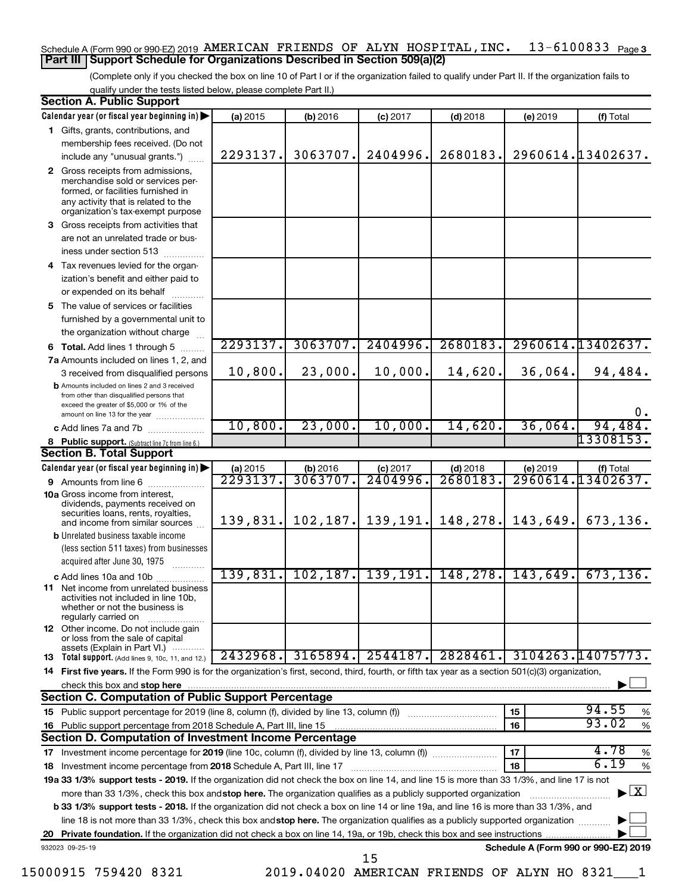### Schedule A (Form 990 or 990-EZ) 2019 AMERICAN FRIENDS OF ALYN HOSPITAL , INC .  $13\texttt{-}6100833$  Page 3 **Part III Support Schedule for Organizations Described in Section 509(a)(2)**

(Complete only if you checked the box on line 10 of Part I or if the organization failed to qualify under Part II. If the organization fails to qualify under the tests listed below, please complete Part II.)

| <b>Section A. Public Support</b>                                                                                                                                                         |          |                 |            |            |          |                                      |
|------------------------------------------------------------------------------------------------------------------------------------------------------------------------------------------|----------|-----------------|------------|------------|----------|--------------------------------------|
| Calendar year (or fiscal year beginning in)                                                                                                                                              | (a) 2015 | (b) 2016        | $(c)$ 2017 | $(d)$ 2018 | (e) 2019 | (f) Total                            |
| 1 Gifts, grants, contributions, and                                                                                                                                                      |          |                 |            |            |          |                                      |
| membership fees received. (Do not                                                                                                                                                        |          |                 |            |            |          |                                      |
| include any "unusual grants.")                                                                                                                                                           | 2293137. | 3063707.        | 2404996.   | 2680183.   |          | 2960614.13402637.                    |
| 2 Gross receipts from admissions,<br>merchandise sold or services per-<br>formed, or facilities furnished in<br>any activity that is related to the<br>organization's tax-exempt purpose |          |                 |            |            |          |                                      |
| 3 Gross receipts from activities that                                                                                                                                                    |          |                 |            |            |          |                                      |
| are not an unrelated trade or bus-<br>iness under section 513                                                                                                                            |          |                 |            |            |          |                                      |
| 4 Tax revenues levied for the organ-                                                                                                                                                     |          |                 |            |            |          |                                      |
| ization's benefit and either paid to<br>or expended on its behalf                                                                                                                        |          |                 |            |            |          |                                      |
| 5 The value of services or facilities                                                                                                                                                    |          |                 |            |            |          |                                      |
| furnished by a governmental unit to                                                                                                                                                      |          |                 |            |            |          |                                      |
| the organization without charge                                                                                                                                                          |          |                 |            |            |          |                                      |
| 6 Total. Add lines 1 through 5<br>.                                                                                                                                                      | 2293137. | 3063707.        | 2404996.   | 2680183.   |          | 2960614.13402637.                    |
| 7a Amounts included on lines 1, 2, and                                                                                                                                                   |          |                 |            |            |          |                                      |
| 3 received from disqualified persons                                                                                                                                                     | 10,800.  | 23,000.         | 10,000.    | 14,620.    | 36,064.  | 94,484.                              |
| <b>b</b> Amounts included on lines 2 and 3 received<br>from other than disqualified persons that<br>exceed the greater of \$5,000 or 1% of the<br>amount on line 13 for the year         |          |                 |            |            |          | 0.                                   |
| <b>c</b> Add lines 7a and 7b                                                                                                                                                             | 10,800.  | 23,000.         | 10,000.    | 14,620.    | 36,064.  | 94,484.                              |
| 8 Public support. (Subtract line 7c from line 6.)                                                                                                                                        |          |                 |            |            |          | 13308153.                            |
| <b>Section B. Total Support</b>                                                                                                                                                          |          |                 |            |            |          |                                      |
| Calendar year (or fiscal year beginning in)                                                                                                                                              | (a) 2015 | (b) 2016        | $(c)$ 2017 | $(d)$ 2018 | (e) 2019 | (f) Total                            |
| 9 Amounts from line 6                                                                                                                                                                    | 2293137. | <u>3063707.</u> | 2404996    | 2680183    |          | 2960614.13402637.                    |
| <b>10a</b> Gross income from interest,<br>dividends, payments received on<br>securities loans, rents, royalties,<br>and income from similar sources                                      | 139,831. | 102, 187.       | 139, 191.  | 148,278.   | 143,649. | 673, 136.                            |
| <b>b</b> Unrelated business taxable income<br>(less section 511 taxes) from businesses                                                                                                   |          |                 |            |            |          |                                      |
| acquired after June 30, 1975                                                                                                                                                             |          |                 |            |            |          |                                      |
| c Add lines 10a and 10b                                                                                                                                                                  | 139,831. | 102, 187.       | 139, 191.  | 148,278.   | 143,649. | 673, 136.                            |
| <b>11</b> Net income from unrelated business<br>activities not included in line 10b,<br>whether or not the business is<br>regularly carried on                                           |          |                 |            |            |          |                                      |
| <b>12</b> Other income. Do not include gain<br>or loss from the sale of capital                                                                                                          |          |                 |            |            |          |                                      |
| assets (Explain in Part VI.)<br><b>13</b> Total support. (Add lines 9, 10c, 11, and 12.)                                                                                                 | 2432968. | 3165894.        | 2544187.   | 2828461.   |          | 3104263.14075773.                    |
| 14 First five years. If the Form 990 is for the organization's first, second, third, fourth, or fifth tax year as a section 501(c)(3) organization,                                      |          |                 |            |            |          |                                      |
| check this box and stop here                                                                                                                                                             |          |                 |            |            |          |                                      |
| <b>Section C. Computation of Public Support Percentage</b>                                                                                                                               |          |                 |            |            |          |                                      |
|                                                                                                                                                                                          |          |                 |            |            | 15       | 94.55<br>%                           |
| 16 Public support percentage from 2018 Schedule A, Part III, line 15                                                                                                                     |          |                 |            |            | 16       | 93.02<br>$\%$                        |
| Section D. Computation of Investment Income Percentage                                                                                                                                   |          |                 |            |            |          |                                      |
| 17 Investment income percentage for 2019 (line 10c, column (f), divided by line 13, column (f))                                                                                          |          |                 |            |            | 17       | 4.78<br>%                            |
| 18 Investment income percentage from 2018 Schedule A, Part III, line 17                                                                                                                  |          |                 |            |            | 18       | 6.19<br>%                            |
| 19a 33 1/3% support tests - 2019. If the organization did not check the box on line 14, and line 15 is more than 33 1/3%, and line 17 is not                                             |          |                 |            |            |          |                                      |
| more than 33 1/3%, check this box and stop here. The organization qualifies as a publicly supported organization                                                                         |          |                 |            |            |          | $\blacktriangleright$ $\mathbf{X}$   |
| <b>b 33 1/3% support tests - 2018.</b> If the organization did not check a box on line 14 or line 19a, and line 16 is more than 33 1/3%, and                                             |          |                 |            |            |          |                                      |
| line 18 is not more than 33 1/3%, check this box and stop here. The organization qualifies as a publicly supported organization                                                          |          |                 |            |            |          |                                      |
|                                                                                                                                                                                          |          |                 |            |            |          |                                      |
| 932023 09-25-19                                                                                                                                                                          |          |                 | 15         |            |          | Schedule A (Form 990 or 990-EZ) 2019 |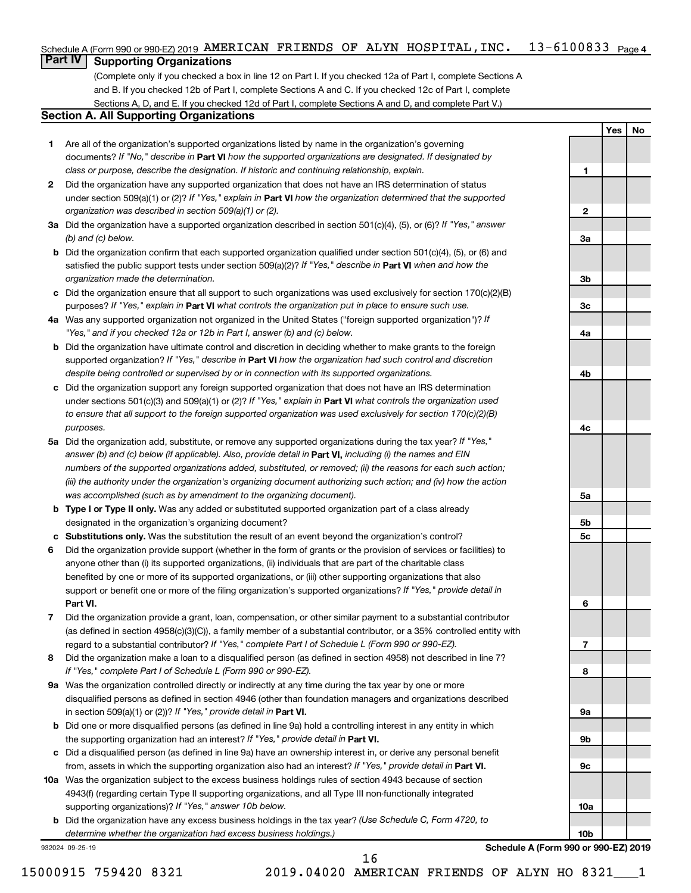#### 13-6100833 <sub>Page 4</sub> Schedule A (Form 990 or 990-EZ) 2019 AMERICAN FRIENDS OF ALYN HOSPITAL,INC.  $13-6100833$  Page

# **Part IV Supporting Organizations**

(Complete only if you checked a box in line 12 on Part I. If you checked 12a of Part I, complete Sections A and B. If you checked 12b of Part I, complete Sections A and C. If you checked 12c of Part I, complete Sections A, D, and E. If you checked 12d of Part I, complete Sections A and D, and complete Part V.)

# **Section A. All Supporting Organizations**

- **1** Are all of the organization's supported organizations listed by name in the organization's governing documents? If "No," describe in Part VI how the supported organizations are designated. If designated by *class or purpose, describe the designation. If historic and continuing relationship, explain.*
- **2** Did the organization have any supported organization that does not have an IRS determination of status under section 509(a)(1) or (2)? If "Yes," explain in Part **VI** how the organization determined that the supported *organization was described in section 509(a)(1) or (2).*
- **3a** Did the organization have a supported organization described in section 501(c)(4), (5), or (6)? If "Yes," answer *(b) and (c) below.*
- **b** Did the organization confirm that each supported organization qualified under section 501(c)(4), (5), or (6) and satisfied the public support tests under section 509(a)(2)? If "Yes," describe in Part VI when and how the *organization made the determination.*
- **c** Did the organization ensure that all support to such organizations was used exclusively for section 170(c)(2)(B) purposes? If "Yes," explain in Part VI what controls the organization put in place to ensure such use.
- **4 a** *If* Was any supported organization not organized in the United States ("foreign supported organization")? *"Yes," and if you checked 12a or 12b in Part I, answer (b) and (c) below.*
- **b** Did the organization have ultimate control and discretion in deciding whether to make grants to the foreign supported organization? If "Yes," describe in Part VI how the organization had such control and discretion *despite being controlled or supervised by or in connection with its supported organizations.*
- **c** Did the organization support any foreign supported organization that does not have an IRS determination under sections 501(c)(3) and 509(a)(1) or (2)? If "Yes," explain in Part VI what controls the organization used *to ensure that all support to the foreign supported organization was used exclusively for section 170(c)(2)(B) purposes.*
- **5a** Did the organization add, substitute, or remove any supported organizations during the tax year? If "Yes," answer (b) and (c) below (if applicable). Also, provide detail in **Part VI,** including (i) the names and EIN *numbers of the supported organizations added, substituted, or removed; (ii) the reasons for each such action; (iii) the authority under the organization's organizing document authorizing such action; and (iv) how the action was accomplished (such as by amendment to the organizing document).*
- **b Type I or Type II only.** Was any added or substituted supported organization part of a class already designated in the organization's organizing document?
- **c Substitutions only.**  Was the substitution the result of an event beyond the organization's control?
- **6** Did the organization provide support (whether in the form of grants or the provision of services or facilities) to **Part VI.** support or benefit one or more of the filing organization's supported organizations? If "Yes," provide detail in anyone other than (i) its supported organizations, (ii) individuals that are part of the charitable class benefited by one or more of its supported organizations, or (iii) other supporting organizations that also
- **7** Did the organization provide a grant, loan, compensation, or other similar payment to a substantial contributor regard to a substantial contributor? If "Yes," complete Part I of Schedule L (Form 990 or 990-EZ). (as defined in section 4958(c)(3)(C)), a family member of a substantial contributor, or a 35% controlled entity with
- **8** Did the organization make a loan to a disqualified person (as defined in section 4958) not described in line 7? *If "Yes," complete Part I of Schedule L (Form 990 or 990-EZ).*
- **9 a** Was the organization controlled directly or indirectly at any time during the tax year by one or more in section 509(a)(1) or (2))? If "Yes," provide detail in **Part VI.** disqualified persons as defined in section 4946 (other than foundation managers and organizations described
- **b** Did one or more disqualified persons (as defined in line 9a) hold a controlling interest in any entity in which the supporting organization had an interest? If "Yes," provide detail in Part VI.
- **c** Did a disqualified person (as defined in line 9a) have an ownership interest in, or derive any personal benefit from, assets in which the supporting organization also had an interest? If "Yes," provide detail in Part VI.
- **10 a** Was the organization subject to the excess business holdings rules of section 4943 because of section supporting organizations)? If "Yes," answer 10b below. 4943(f) (regarding certain Type II supporting organizations, and all Type III non-functionally integrated
	- **b** Did the organization have any excess business holdings in the tax year? (Use Schedule C, Form 4720, to *determine whether the organization had excess business holdings.)*

932024 09-25-19

16

**Yes No**

**1**

**2**

**3a**

**3b**

**3c**

**4a**

**4b**

**4c**

**5a**

**5b 5c**

**6**

**7**

**8**

**9a**

**9b**

**9c**

**10a**

**10b**

**Schedule A (Form 990 or 990-EZ) 2019**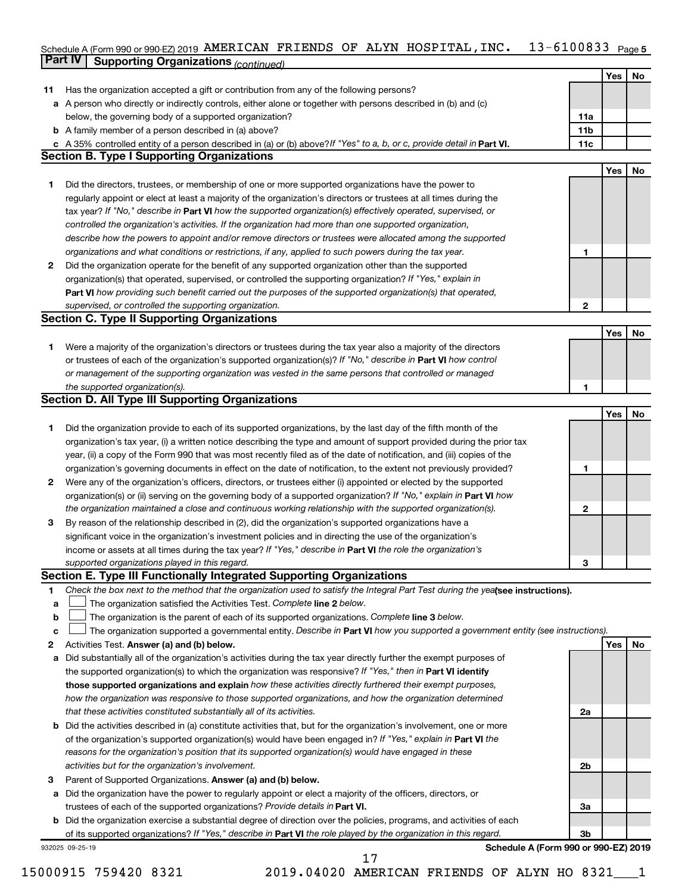#### Schedule A (Form 990 or 990-EZ) 2019 AMERICAN FRIENDS OF ALYN HOSPITAL,INC。 I3-6I0U833 Page 5 **Part IV Supporting Organizations** *(continued)* AMERICAN FRIENDS OF ALYN HOSPITAL,INC. 13-6100833

|              | − ອ                                                                                                                             |                 |     |    |
|--------------|---------------------------------------------------------------------------------------------------------------------------------|-----------------|-----|----|
|              |                                                                                                                                 |                 | Yes | No |
| 11           | Has the organization accepted a gift or contribution from any of the following persons?                                         |                 |     |    |
|              | a A person who directly or indirectly controls, either alone or together with persons described in (b) and (c)                  |                 |     |    |
|              | below, the governing body of a supported organization?                                                                          | 11a             |     |    |
|              | <b>b</b> A family member of a person described in (a) above?                                                                    | 11 <sub>b</sub> |     |    |
|              | c A 35% controlled entity of a person described in (a) or (b) above? If "Yes" to a, b, or c, provide detail in Part VI.         | 11c             |     |    |
|              | <b>Section B. Type I Supporting Organizations</b>                                                                               |                 |     |    |
|              |                                                                                                                                 |                 | Yes | No |
| 1.           | Did the directors, trustees, or membership of one or more supported organizations have the power to                             |                 |     |    |
|              | regularly appoint or elect at least a majority of the organization's directors or trustees at all times during the              |                 |     |    |
|              | tax year? If "No," describe in Part VI how the supported organization(s) effectively operated, supervised, or                   |                 |     |    |
|              | controlled the organization's activities. If the organization had more than one supported organization,                         |                 |     |    |
|              | describe how the powers to appoint and/or remove directors or trustees were allocated among the supported                       |                 |     |    |
|              | organizations and what conditions or restrictions, if any, applied to such powers during the tax year.                          | 1               |     |    |
| $\mathbf{2}$ | Did the organization operate for the benefit of any supported organization other than the supported                             |                 |     |    |
|              | organization(s) that operated, supervised, or controlled the supporting organization? If "Yes," explain in                      |                 |     |    |
|              | Part VI how providing such benefit carried out the purposes of the supported organization(s) that operated,                     |                 |     |    |
|              | supervised, or controlled the supporting organization.                                                                          | $\overline{2}$  |     |    |
|              | <b>Section C. Type II Supporting Organizations</b>                                                                              |                 |     |    |
|              |                                                                                                                                 |                 | Yes | No |
| 1.           | Were a majority of the organization's directors or trustees during the tax year also a majority of the directors                |                 |     |    |
|              | or trustees of each of the organization's supported organization(s)? If "No," describe in Part VI how control                   |                 |     |    |
|              | or management of the supporting organization was vested in the same persons that controlled or managed                          |                 |     |    |
|              | the supported organization(s).                                                                                                  | 1               |     |    |
|              | <b>Section D. All Type III Supporting Organizations</b>                                                                         |                 |     |    |
|              |                                                                                                                                 |                 | Yes | No |
| 1.           | Did the organization provide to each of its supported organizations, by the last day of the fifth month of the                  |                 |     |    |
|              | organization's tax year, (i) a written notice describing the type and amount of support provided during the prior tax           |                 |     |    |
|              | year, (ii) a copy of the Form 990 that was most recently filed as of the date of notification, and (iii) copies of the          |                 |     |    |
|              | organization's governing documents in effect on the date of notification, to the extent not previously provided?                | 1               |     |    |
| 2            | Were any of the organization's officers, directors, or trustees either (i) appointed or elected by the supported                |                 |     |    |
|              | organization(s) or (ii) serving on the governing body of a supported organization? If "No," explain in <b>Part VI</b> how       |                 |     |    |
|              | the organization maintained a close and continuous working relationship with the supported organization(s).                     | 2               |     |    |
| 3            | By reason of the relationship described in (2), did the organization's supported organizations have a                           |                 |     |    |
|              | significant voice in the organization's investment policies and in directing the use of the organization's                      |                 |     |    |
|              | income or assets at all times during the tax year? If "Yes," describe in Part VI the role the organization's                    |                 |     |    |
|              | supported organizations played in this regard.                                                                                  | З               |     |    |
|              | Section E. Type III Functionally Integrated Supporting Organizations                                                            |                 |     |    |
| 1            | Check the box next to the method that the organization used to satisfy the Integral Part Test during the yealsee instructions). |                 |     |    |
| а            | The organization satisfied the Activities Test. Complete line 2 below.                                                          |                 |     |    |
| b            | The organization is the parent of each of its supported organizations. Complete line 3 below.                                   |                 |     |    |
| с            | The organization supported a governmental entity. Describe in Part VI how you supported a government entity (see instructions). |                 |     |    |
| 2            | Activities Test. Answer (a) and (b) below.                                                                                      |                 | Yes | No |
| a            | Did substantially all of the organization's activities during the tax year directly further the exempt purposes of              |                 |     |    |
|              | the supported organization(s) to which the organization was responsive? If "Yes," then in Part VI identify                      |                 |     |    |
|              | those supported organizations and explain how these activities directly furthered their exempt purposes,                        |                 |     |    |
|              | how the organization was responsive to those supported organizations, and how the organization determined                       |                 |     |    |
|              | that these activities constituted substantially all of its activities.                                                          | 2a              |     |    |
|              | <b>b</b> Did the activities described in (a) constitute activities that, but for the organization's involvement, one or more    |                 |     |    |
|              | of the organization's supported organization(s) would have been engaged in? If "Yes," explain in Part VI the                    |                 |     |    |
|              | reasons for the organization's position that its supported organization(s) would have engaged in these                          |                 |     |    |
|              | activities but for the organization's involvement.                                                                              | 2b              |     |    |
| 3            | Parent of Supported Organizations. Answer (a) and (b) below.                                                                    |                 |     |    |
| a            | Did the organization have the power to regularly appoint or elect a majority of the officers, directors, or                     |                 |     |    |
|              | trustees of each of the supported organizations? Provide details in Part VI.                                                    | 3a              |     |    |
|              | <b>b</b> Did the organization exercise a substantial degree of direction over the policies, programs, and activities of each    |                 |     |    |
|              | of its supported organizations? If "Yes," describe in Part VI the role played by the organization in this regard.               | 3 <sub>b</sub>  |     |    |
|              | Schedule A (Form 990 or 990-EZ) 2019<br>932025 09-25-19                                                                         |                 |     |    |
|              | 17                                                                                                                              |                 |     |    |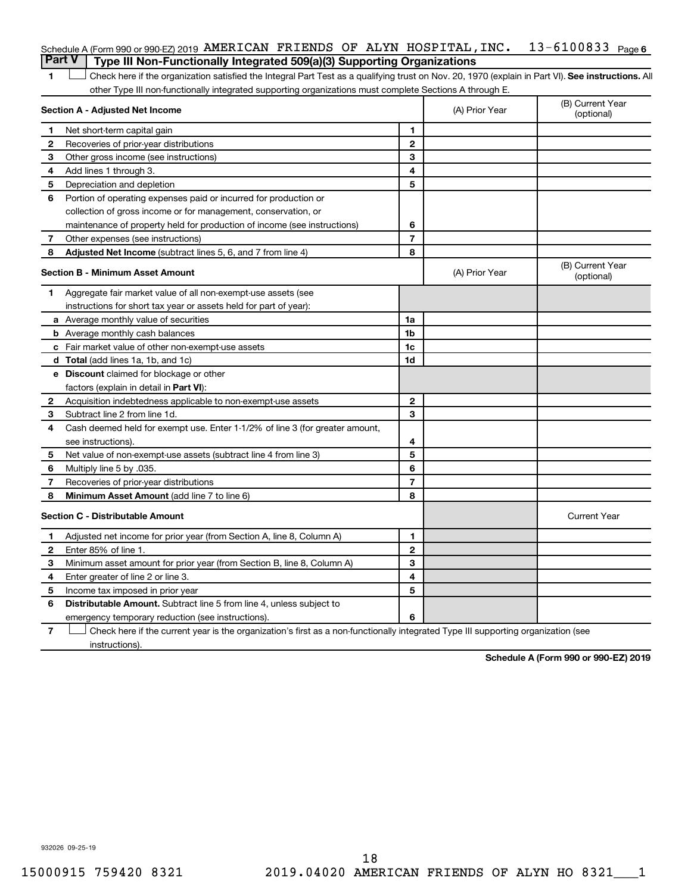| <b>Part V</b> Type III Non-Functionally Integrated 509(a)(3) Supporting Organizations            |  |  |  |  |
|--------------------------------------------------------------------------------------------------|--|--|--|--|
| Schedule A (Form 990 or 990-EZ) 2019 AMERICAN FRIENDS OF ALYN HOSPITAL, INC. $13-6100833$ Page 6 |  |  |  |  |

1 **Letter See instructions.** All Check here if the organization satisfied the Integral Part Test as a qualifying trust on Nov. 20, 1970 (explain in Part VI). See instructions. All other Type III non-functionally integrated supporting organizations must complete Sections A through E.

|              | Section A - Adjusted Net Income                                              |                | (A) Prior Year | (B) Current Year<br>(optional) |
|--------------|------------------------------------------------------------------------------|----------------|----------------|--------------------------------|
| 1            | Net short-term capital gain                                                  | 1              |                |                                |
| 2            | Recoveries of prior-year distributions                                       | $\mathbf{2}$   |                |                                |
| З            | Other gross income (see instructions)                                        | 3              |                |                                |
| 4            | Add lines 1 through 3.                                                       | 4              |                |                                |
| 5            | Depreciation and depletion                                                   | 5              |                |                                |
| 6            | Portion of operating expenses paid or incurred for production or             |                |                |                                |
|              | collection of gross income or for management, conservation, or               |                |                |                                |
|              | maintenance of property held for production of income (see instructions)     | 6              |                |                                |
| 7            | Other expenses (see instructions)                                            | $\overline{7}$ |                |                                |
| 8            | Adjusted Net Income (subtract lines 5, 6, and 7 from line 4)                 | 8              |                |                                |
|              | <b>Section B - Minimum Asset Amount</b>                                      |                | (A) Prior Year | (B) Current Year<br>(optional) |
| 1            | Aggregate fair market value of all non-exempt-use assets (see                |                |                |                                |
|              | instructions for short tax year or assets held for part of year):            |                |                |                                |
|              | <b>a</b> Average monthly value of securities                                 | 1a             |                |                                |
|              | <b>b</b> Average monthly cash balances                                       | 1 <sub>b</sub> |                |                                |
|              | c Fair market value of other non-exempt-use assets                           | 1c             |                |                                |
|              | d Total (add lines 1a, 1b, and 1c)                                           | 1d             |                |                                |
|              | e Discount claimed for blockage or other                                     |                |                |                                |
|              | factors (explain in detail in <b>Part VI</b> ):                              |                |                |                                |
| $\mathbf{2}$ | Acquisition indebtedness applicable to non-exempt-use assets                 | $\mathbf{2}$   |                |                                |
| 3            | Subtract line 2 from line 1d.                                                | 3              |                |                                |
| 4            | Cash deemed held for exempt use. Enter 1-1/2% of line 3 (for greater amount, |                |                |                                |
|              | see instructions).                                                           | 4              |                |                                |
| 5            | Net value of non-exempt-use assets (subtract line 4 from line 3)             | 5              |                |                                |
| 6            | Multiply line 5 by .035.                                                     | 6              |                |                                |
| 7            | Recoveries of prior-year distributions                                       | 7              |                |                                |
| 8            | Minimum Asset Amount (add line 7 to line 6)                                  | 8              |                |                                |
|              | <b>Section C - Distributable Amount</b>                                      |                |                | <b>Current Year</b>            |
| 1            | Adjusted net income for prior year (from Section A, line 8, Column A)        | 1              |                |                                |
| 2            | Enter 85% of line 1.                                                         | $\mathbf{2}$   |                |                                |
| 3            | Minimum asset amount for prior year (from Section B, line 8, Column A)       | 3              |                |                                |
| 4            | Enter greater of line 2 or line 3.                                           | 4              |                |                                |
| 5            | Income tax imposed in prior year                                             | 5              |                |                                |
| 6            | <b>Distributable Amount.</b> Subtract line 5 from line 4, unless subject to  |                |                |                                |
|              | emergency temporary reduction (see instructions).                            | 6              |                |                                |
|              |                                                                              |                |                |                                |

**7** Let Check here if the current year is the organization's first as a non-functionally integrated Type III supporting organization (see instructions).

**Schedule A (Form 990 or 990-EZ) 2019**

932026 09-25-19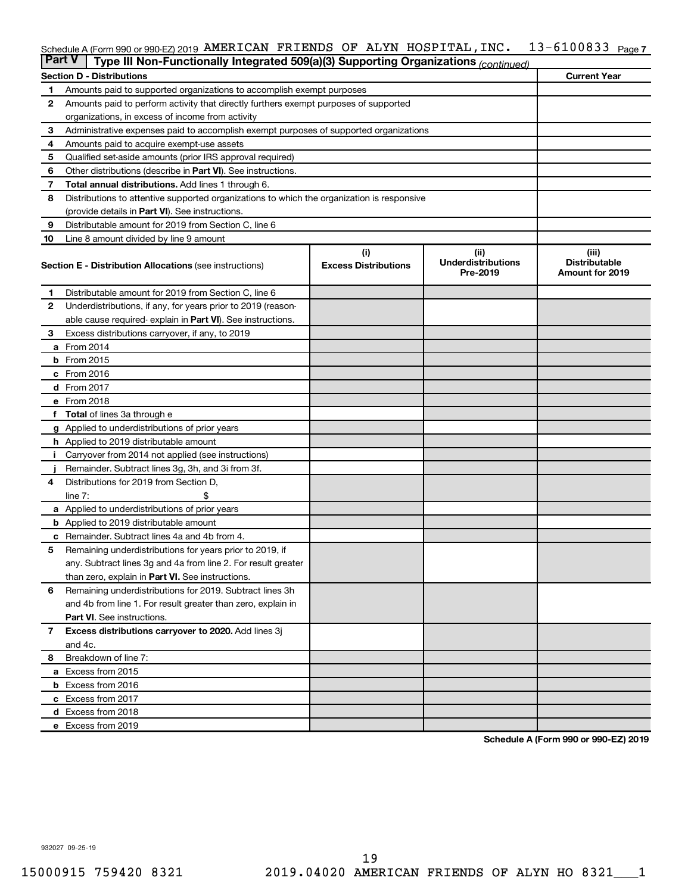#### 13-6100833 Page 7 Schedule A (Form 990 or 990-EZ) 2019 AMERICAN FRIENDS OF ALYN HOSPITAL,INC.  $13-6100833$  Page

| <b>Part V</b> | Type III Non-Functionally Integrated 509(a)(3) Supporting Organizations (continued)        |                             |                                       |                                                |
|---------------|--------------------------------------------------------------------------------------------|-----------------------------|---------------------------------------|------------------------------------------------|
|               | <b>Section D - Distributions</b>                                                           |                             |                                       | <b>Current Year</b>                            |
| 1             | Amounts paid to supported organizations to accomplish exempt purposes                      |                             |                                       |                                                |
| $\mathbf{2}$  | Amounts paid to perform activity that directly furthers exempt purposes of supported       |                             |                                       |                                                |
|               | organizations, in excess of income from activity                                           |                             |                                       |                                                |
| 3             | Administrative expenses paid to accomplish exempt purposes of supported organizations      |                             |                                       |                                                |
| 4             | Amounts paid to acquire exempt-use assets                                                  |                             |                                       |                                                |
| 5             | Qualified set-aside amounts (prior IRS approval required)                                  |                             |                                       |                                                |
| 6             | Other distributions (describe in <b>Part VI</b> ). See instructions.                       |                             |                                       |                                                |
| 7             | <b>Total annual distributions.</b> Add lines 1 through 6.                                  |                             |                                       |                                                |
| 8             | Distributions to attentive supported organizations to which the organization is responsive |                             |                                       |                                                |
|               | (provide details in Part VI). See instructions.                                            |                             |                                       |                                                |
| 9             | Distributable amount for 2019 from Section C, line 6                                       |                             |                                       |                                                |
| 10            | Line 8 amount divided by line 9 amount                                                     |                             |                                       |                                                |
|               |                                                                                            | (i)                         | (ii)                                  | (iii)                                          |
|               | <b>Section E - Distribution Allocations (see instructions)</b>                             | <b>Excess Distributions</b> | <b>Underdistributions</b><br>Pre-2019 | <b>Distributable</b><br><b>Amount for 2019</b> |
| 1             | Distributable amount for 2019 from Section C, line 6                                       |                             |                                       |                                                |
| $\mathbf{2}$  | Underdistributions, if any, for years prior to 2019 (reason-                               |                             |                                       |                                                |
|               | able cause required- explain in Part VI). See instructions.                                |                             |                                       |                                                |
| 3             | Excess distributions carryover, if any, to 2019                                            |                             |                                       |                                                |
|               | a From 2014                                                                                |                             |                                       |                                                |
|               | <b>b</b> From 2015                                                                         |                             |                                       |                                                |
|               | c From 2016                                                                                |                             |                                       |                                                |
|               | <b>d</b> From 2017                                                                         |                             |                                       |                                                |
|               | e From 2018                                                                                |                             |                                       |                                                |
|               | f Total of lines 3a through e                                                              |                             |                                       |                                                |
|               | g Applied to underdistributions of prior years                                             |                             |                                       |                                                |
|               | <b>h</b> Applied to 2019 distributable amount                                              |                             |                                       |                                                |
| Ť.            | Carryover from 2014 not applied (see instructions)                                         |                             |                                       |                                                |
|               | Remainder. Subtract lines 3g, 3h, and 3i from 3f.                                          |                             |                                       |                                                |
| 4             | Distributions for 2019 from Section D,                                                     |                             |                                       |                                                |
|               | line $7:$                                                                                  |                             |                                       |                                                |
|               | a Applied to underdistributions of prior years                                             |                             |                                       |                                                |
|               | <b>b</b> Applied to 2019 distributable amount                                              |                             |                                       |                                                |
| c             | Remainder. Subtract lines 4a and 4b from 4.                                                |                             |                                       |                                                |
| 5             | Remaining underdistributions for years prior to 2019, if                                   |                             |                                       |                                                |
|               | any. Subtract lines 3g and 4a from line 2. For result greater                              |                             |                                       |                                                |
|               | than zero, explain in Part VI. See instructions.                                           |                             |                                       |                                                |
| 6             | Remaining underdistributions for 2019. Subtract lines 3h                                   |                             |                                       |                                                |
|               | and 4b from line 1. For result greater than zero, explain in                               |                             |                                       |                                                |
|               | <b>Part VI.</b> See instructions.                                                          |                             |                                       |                                                |
| $\mathbf{7}$  | Excess distributions carryover to 2020. Add lines 3j                                       |                             |                                       |                                                |
|               | and 4c.                                                                                    |                             |                                       |                                                |
| 8             | Breakdown of line 7:                                                                       |                             |                                       |                                                |
|               | a Excess from 2015                                                                         |                             |                                       |                                                |
|               | <b>b</b> Excess from 2016                                                                  |                             |                                       |                                                |
|               | c Excess from 2017                                                                         |                             |                                       |                                                |
|               | d Excess from 2018                                                                         |                             |                                       |                                                |
|               | e Excess from 2019                                                                         |                             |                                       |                                                |

**Schedule A (Form 990 or 990-EZ) 2019**

932027 09-25-19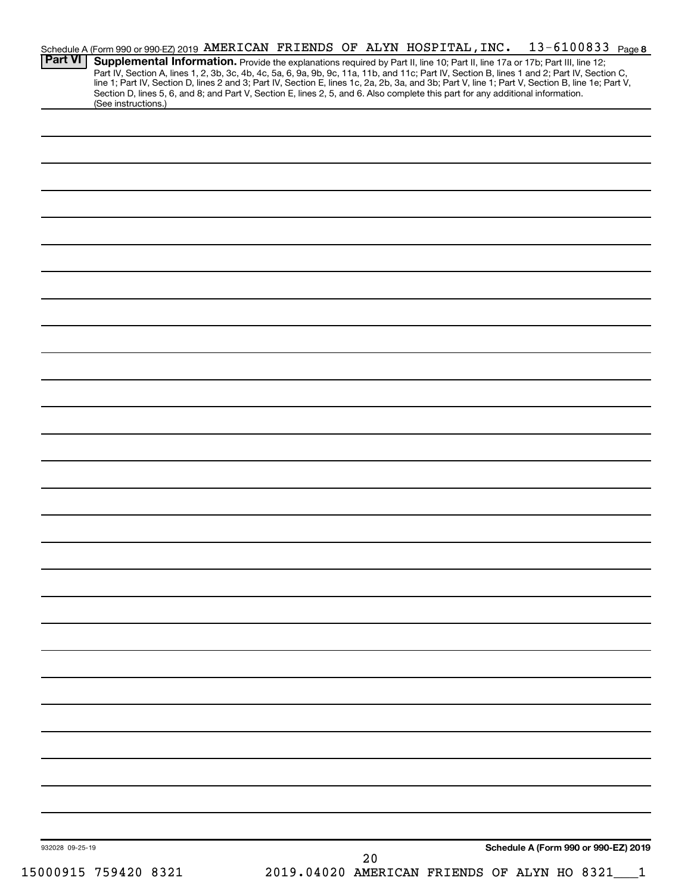| 932028 09-25-19 | Schedule A (Form 990 or 990-EZ) 2019<br>20                                                                                                                                                                                                                                                                                                                        |
|-----------------|-------------------------------------------------------------------------------------------------------------------------------------------------------------------------------------------------------------------------------------------------------------------------------------------------------------------------------------------------------------------|
|                 |                                                                                                                                                                                                                                                                                                                                                                   |
|                 |                                                                                                                                                                                                                                                                                                                                                                   |
|                 |                                                                                                                                                                                                                                                                                                                                                                   |
|                 |                                                                                                                                                                                                                                                                                                                                                                   |
|                 |                                                                                                                                                                                                                                                                                                                                                                   |
|                 |                                                                                                                                                                                                                                                                                                                                                                   |
|                 |                                                                                                                                                                                                                                                                                                                                                                   |
|                 |                                                                                                                                                                                                                                                                                                                                                                   |
|                 |                                                                                                                                                                                                                                                                                                                                                                   |
|                 |                                                                                                                                                                                                                                                                                                                                                                   |
|                 |                                                                                                                                                                                                                                                                                                                                                                   |
|                 |                                                                                                                                                                                                                                                                                                                                                                   |
|                 |                                                                                                                                                                                                                                                                                                                                                                   |
|                 |                                                                                                                                                                                                                                                                                                                                                                   |
|                 |                                                                                                                                                                                                                                                                                                                                                                   |
|                 |                                                                                                                                                                                                                                                                                                                                                                   |
|                 |                                                                                                                                                                                                                                                                                                                                                                   |
|                 |                                                                                                                                                                                                                                                                                                                                                                   |
|                 |                                                                                                                                                                                                                                                                                                                                                                   |
|                 |                                                                                                                                                                                                                                                                                                                                                                   |
|                 |                                                                                                                                                                                                                                                                                                                                                                   |
|                 |                                                                                                                                                                                                                                                                                                                                                                   |
|                 |                                                                                                                                                                                                                                                                                                                                                                   |
|                 |                                                                                                                                                                                                                                                                                                                                                                   |
|                 |                                                                                                                                                                                                                                                                                                                                                                   |
|                 |                                                                                                                                                                                                                                                                                                                                                                   |
|                 |                                                                                                                                                                                                                                                                                                                                                                   |
|                 |                                                                                                                                                                                                                                                                                                                                                                   |
|                 |                                                                                                                                                                                                                                                                                                                                                                   |
|                 | Section D, lines 5, 6, and 8; and Part V, Section E, lines 2, 5, and 6. Also complete this part for any additional information.<br>(See instructions.)                                                                                                                                                                                                            |
| <b>Part VI</b>  | Supplemental Information. Provide the explanations required by Part II, line 10; Part II, line 17a or 17b; Part III, line 12;<br>Part IV, Section A, lines 1, 2, 3b, 3c, 4b, 4c, 5a, 6, 9a, 9b, 9c, 11a, 11b, and 11c; Part IV, Section B, lines 1 and 2; Part IV, Section C,<br>line 1; Part IV, Section D, lines 2 and 3; Part IV, Section E, lines 1c, 2a, 2b, |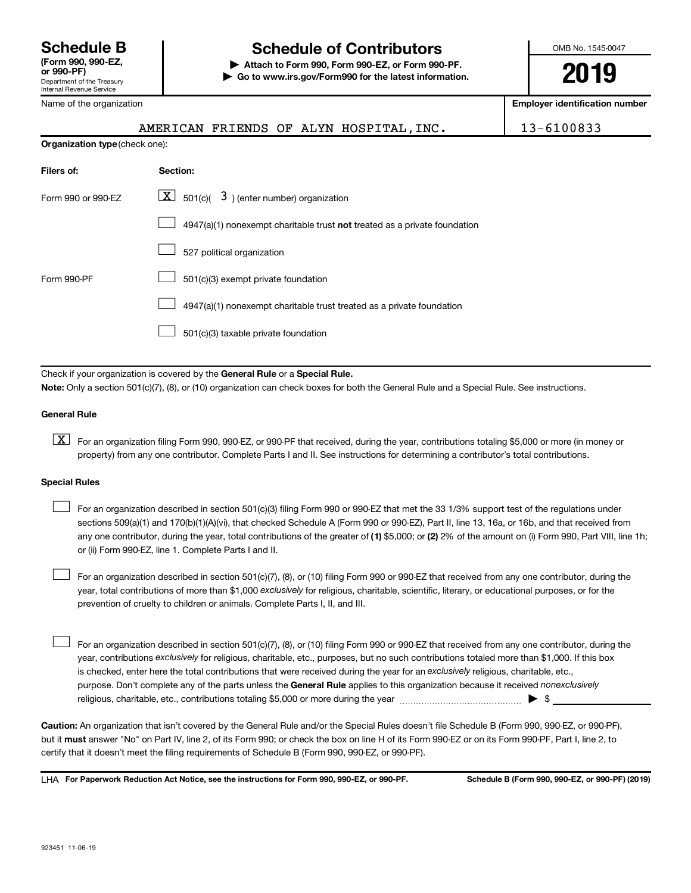# **Schedule B Schedule of Contributors**

**or 990-PF) | Attach to Form 990, Form 990-EZ, or Form 990-PF. | Go to www.irs.gov/Form990 for the latest information.** OMB No. 1545-0047

**2019**

**Employer identification number**

|  |  | Name of the organization |
|--|--|--------------------------|
|  |  |                          |

AMERICAN FRIENDS OF ALYN HOSPITAL, INC. | 13-6100833

| <b>Organization type (check one):</b> |                                                                           |
|---------------------------------------|---------------------------------------------------------------------------|
| Filers of:                            | Section:                                                                  |
| Form 990 or 990-EZ                    | $\lfloor \mathbf{X} \rfloor$ 501(c)( 3) (enter number) organization       |
|                                       | 4947(a)(1) nonexempt charitable trust not treated as a private foundation |
|                                       | 527 political organization                                                |
| Form 990-PF                           | 501(c)(3) exempt private foundation                                       |
|                                       | 4947(a)(1) nonexempt charitable trust treated as a private foundation     |
|                                       | 501(c)(3) taxable private foundation                                      |
|                                       |                                                                           |

Check if your organization is covered by the General Rule or a Special Rule.

**Note:**  Only a section 501(c)(7), (8), or (10) organization can check boxes for both the General Rule and a Special Rule. See instructions.

#### **General Rule**

**K** For an organization filing Form 990, 990-EZ, or 990-PF that received, during the year, contributions totaling \$5,000 or more (in money or property) from any one contributor. Complete Parts I and II. See instructions for determining a contributor's total contributions.

#### **Special Rules**

 $\Box$ 

any one contributor, during the year, total contributions of the greater of (1) \$5,000; or (2) 2% of the amount on (i) Form 990, Part VIII, line 1h; For an organization described in section 501(c)(3) filing Form 990 or 990-EZ that met the 33 1/3% support test of the regulations under sections 509(a)(1) and 170(b)(1)(A)(vi), that checked Schedule A (Form 990 or 990-EZ), Part II, line 13, 16a, or 16b, and that received from or (ii) Form 990-EZ, line 1. Complete Parts I and II.  $\Box$ 

year, total contributions of more than \$1,000 *exclusively* for religious, charitable, scientific, literary, or educational purposes, or for the For an organization described in section 501(c)(7), (8), or (10) filing Form 990 or 990-EZ that received from any one contributor, during the prevention of cruelty to children or animals. Complete Parts I, II, and III.  $\Box$ 

purpose. Don't complete any of the parts unless the General Rule applies to this organization because it received nonexclusively year, contributions exclusively for religious, charitable, etc., purposes, but no such contributions totaled more than \$1,000. If this box is checked, enter here the total contributions that were received during the year for an exclusively religious, charitable, etc., For an organization described in section 501(c)(7), (8), or (10) filing Form 990 or 990-EZ that received from any one contributor, during the religious, charitable, etc., contributions totaling \$5,000 or more during the year  $~\ldots\ldots\ldots\ldots\ldots\ldots\ldots\ldots\blacktriangleright~$ \$

**Caution:**  An organization that isn't covered by the General Rule and/or the Special Rules doesn't file Schedule B (Form 990, 990-EZ, or 990-PF),  **must** but it answer "No" on Part IV, line 2, of its Form 990; or check the box on line H of its Form 990-EZ or on its Form 990-PF, Part I, line 2, to certify that it doesn't meet the filing requirements of Schedule B (Form 990, 990-EZ, or 990-PF).

**For Paperwork Reduction Act Notice, see the instructions for Form 990, 990-EZ, or 990-PF. Schedule B (Form 990, 990-EZ, or 990-PF) (2019)** LHA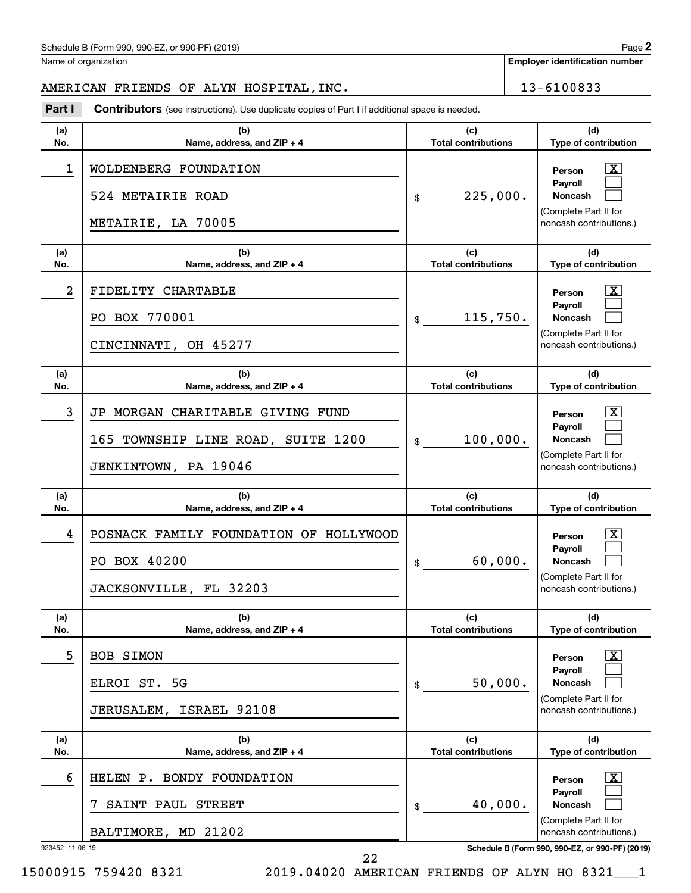| Schedule B (Form 990, 990-EZ, or 990-PF) (2019)<br>$\sqrt{2}$ and $\sqrt{2}$ and $\sqrt{2}$ and $\sqrt{2}$ and $\sqrt{2}$ and $\sqrt{2}$ and $\sqrt{2}$ and $\sqrt{2}$ and $\sqrt{2}$ and $\sqrt{2}$ and $\sqrt{2}$ and $\sqrt{2}$ and $\sqrt{2}$ and $\sqrt{2}$ and $\sqrt{2}$ and $\sqrt{2}$ and $\sqrt{2}$ and $\sqrt{2}$ and $\sqrt{2$ | Page |
|--------------------------------------------------------------------------------------------------------------------------------------------------------------------------------------------------------------------------------------------------------------------------------------------------------------------------------------------|------|
|--------------------------------------------------------------------------------------------------------------------------------------------------------------------------------------------------------------------------------------------------------------------------------------------------------------------------------------------|------|

Name of organization

**Employer identification number**

# AMERICAN FRIENDS OF ALYN HOSPITAL, INC. 13-6100833

**Part I** Contributors (see instructions). Use duplicate copies of Part I if additional space is needed.

| (a)<br>No.           | (b)<br>Name, address, and ZIP + 4                                                              | (c)<br><b>Total contributions</b> | (d)<br>Type of contribution                                                                                                                            |
|----------------------|------------------------------------------------------------------------------------------------|-----------------------------------|--------------------------------------------------------------------------------------------------------------------------------------------------------|
| 1                    | WOLDENBERG FOUNDATION<br>524 METAIRIE ROAD<br>METAIRIE, LA 70005                               | 225,000.<br>\$                    | x.<br>Person<br>Pavroll<br><b>Noncash</b><br>(Complete Part II for<br>noncash contributions.)                                                          |
| (a)<br>No.           | (b)<br>Name, address, and ZIP + 4                                                              | (c)<br><b>Total contributions</b> | (d)<br>Type of contribution                                                                                                                            |
| 2                    | FIDELITY CHARTABLE<br>PO BOX 770001<br>CINCINNATI, OH 45277                                    | 115,750.<br>\$                    | x.<br>Person<br>Payroll<br>Noncash<br>(Complete Part II for<br>noncash contributions.)                                                                 |
| (a)<br>No.           | (b)<br>Name, address, and ZIP + 4                                                              | (c)<br><b>Total contributions</b> | (d)<br>Type of contribution                                                                                                                            |
| 3                    | JP MORGAN CHARITABLE GIVING FUND<br>165 TOWNSHIP LINE ROAD, SUITE 1200<br>JENKINTOWN, PA 19046 | 100,000.<br>\$                    | x.<br>Person<br>Payroll<br><b>Noncash</b><br>(Complete Part II for<br>noncash contributions.)                                                          |
|                      |                                                                                                |                                   |                                                                                                                                                        |
| (a)<br>No.           | (b)<br>Name, address, and ZIP + 4                                                              | (c)<br><b>Total contributions</b> | (d)<br>Type of contribution                                                                                                                            |
| 4                    | POSNACK FAMILY FOUNDATION OF HOLLYWOOD<br>PO BOX 40200<br>JACKSONVILLE, FL 32203               | 60,000.<br>\$                     | x.<br>Person<br>Payroll<br><b>Noncash</b><br>(Complete Part II for<br>noncash contributions.)                                                          |
| (a)<br>No.           | (b)<br>Name, address, and ZIP + 4                                                              | (c)<br><b>Total contributions</b> | (d)<br>Type of contribution                                                                                                                            |
| 5                    | BOB SIMON<br>ELROI ST. 5G<br><b>ISRAEL 92108</b><br><b>JERUSALEM,</b>                          | 50,000.<br>\$                     | $\overline{\text{X}}$<br>Person<br>Pavroll<br><b>Noncash</b><br>(Complete Part II for<br>noncash contributions.)                                       |
| (a)<br>No.           | (b)<br>Name, address, and ZIP + 4                                                              | (c)<br><b>Total contributions</b> | (d)<br>Type of contribution                                                                                                                            |
| 6<br>923452 11-06-19 | HELEN P. BONDY FOUNDATION<br>SAINT PAUL STREET<br>7<br>BALTIMORE, MD 21202                     | 40,000.<br>\$                     | <u>x</u><br>Person<br>Payroll<br><b>Noncash</b><br>(Complete Part II for<br>noncash contributions.)<br>Schedule B (Form 990, 990-EZ, or 990-PF) (2019) |

15000915 759420 8321 2019.04020 AMERICAN FRIENDS OF ALYN HO 8321\_\_\_1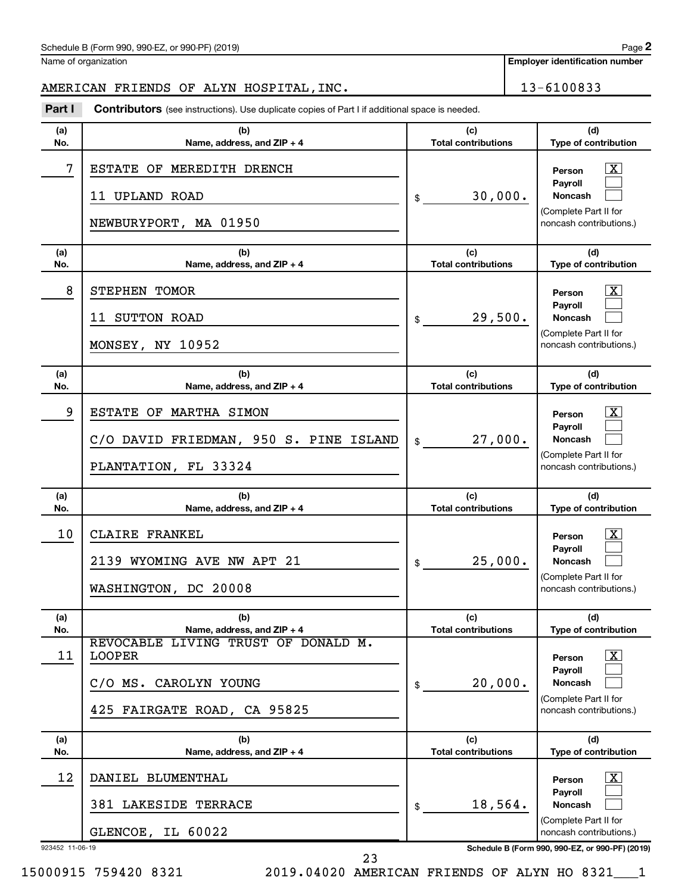**Employer identification number**

# AMERICAN FRIENDS OF ALYN HOSPITAL, INC. 13-6100833

**Part I** Contributors (see instructions). Use duplicate copies of Part I if additional space is needed.

| (a)<br>No.            | (b)<br>Name, address, and ZIP + 4                                                                                                          | (c)<br><b>Total contributions</b>           | (d)<br>Type of contribution                                                                                                     |
|-----------------------|--------------------------------------------------------------------------------------------------------------------------------------------|---------------------------------------------|---------------------------------------------------------------------------------------------------------------------------------|
| 7                     | ESTATE OF MEREDITH DRENCH<br>11 UPLAND ROAD<br>NEWBURYPORT, MA 01950                                                                       | 30,000.<br>\$                               | x<br>Person<br>Payroll<br><b>Noncash</b><br>(Complete Part II for<br>noncash contributions.)                                    |
| (a)<br>No.            | (b)<br>Name, address, and ZIP + 4                                                                                                          | (c)<br><b>Total contributions</b>           | (d)<br>Type of contribution                                                                                                     |
| 8                     | STEPHEN TOMOR<br>11 SUTTON ROAD<br>MONSEY, NY 10952                                                                                        | 29,500.<br>\$                               | x<br>Person<br>Payroll<br><b>Noncash</b><br>(Complete Part II for<br>noncash contributions.)                                    |
| (a)<br>No.            | (b)<br>Name, address, and ZIP + 4                                                                                                          | (c)<br><b>Total contributions</b>           | (d)<br>Type of contribution                                                                                                     |
| 9                     | ESTATE OF MARTHA SIMON<br>C/O DAVID FRIEDMAN, 950 S. PINE ISLAND<br>PLANTATION, FL 33324                                                   | 27,000.<br>\$                               | x<br>Person<br>Payroll<br><b>Noncash</b><br>(Complete Part II for<br>noncash contributions.)                                    |
|                       |                                                                                                                                            |                                             |                                                                                                                                 |
| (a)<br>No.            | (b)<br>Name, address, and ZIP + 4                                                                                                          | (c)<br><b>Total contributions</b>           | (d)<br>Type of contribution                                                                                                     |
| 10                    | CLAIRE FRANKEL<br>2139 WYOMING AVE NW APT 21<br>WASHINGTON, DC 20008                                                                       | 25,000.<br>\$                               | x<br>Person<br>Payroll<br><b>Noncash</b><br>(Complete Part II for<br>noncash contributions.)                                    |
| (a)                   | (b)                                                                                                                                        | (c)                                         | (d)                                                                                                                             |
| No.<br>11             | Name, address, and ZIP + 4<br>REVOCABLE LIVING TRUST OF DONALD M.<br><b>LOOPER</b><br>C/O MS. CAROLYN YOUNG<br>425 FAIRGATE ROAD, CA 95825 | <b>Total contributions</b><br>20,000.<br>\$ | <b>Type of contribution</b><br>$\mathbf{X}$<br>Person<br>Payroll<br>Noncash<br>(Complete Part II for<br>noncash contributions.) |
| (a)<br>No.            | (b)<br>Name, address, and ZIP + 4                                                                                                          | (c)<br><b>Total contributions</b>           | (d)<br>Type of contribution                                                                                                     |
| 12<br>923452 11-06-19 | DANIEL BLUMENTHAL<br>381 LAKESIDE TERRACE<br>GLENCOE, IL 60022                                                                             | 18,564.<br>\$                               | $\mathbf{X}$<br>Person<br>Payroll<br><b>Noncash</b><br>(Complete Part II for<br>noncash contributions.)                         |

23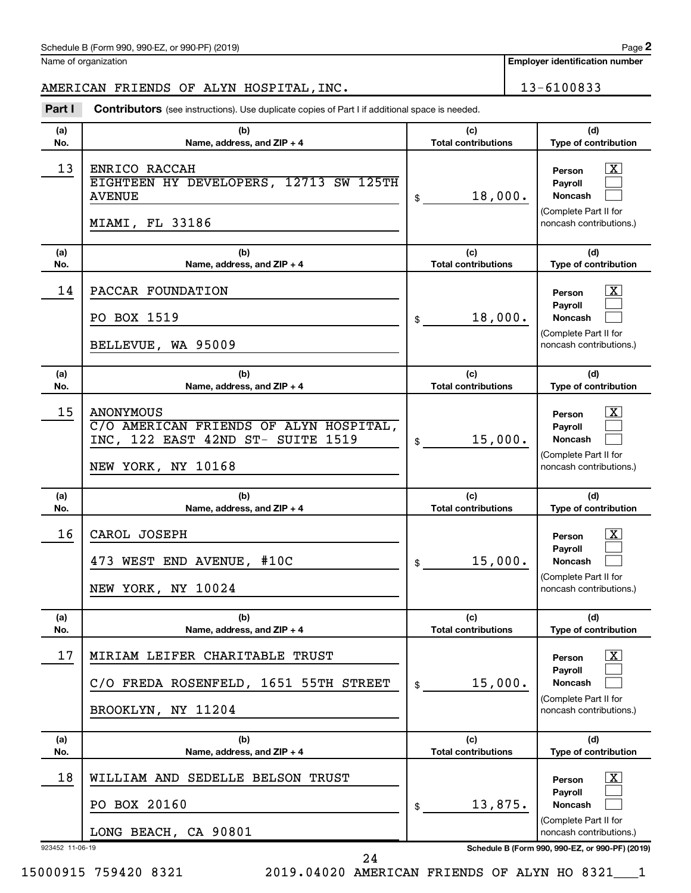Name of organization

**Employer identification number**

# AMERICAN FRIENDS OF ALYN HOSPITAL, INC. 13-6100833

**Part I** Contributors (see instructions). Use duplicate copies of Part I if additional space is needed.

| (a)<br>No. | (b)<br>Name, address, and ZIP + 4                                                                                     | (c)<br><b>Total contributions</b> | (d)<br>Type of contribution                                                                                               |
|------------|-----------------------------------------------------------------------------------------------------------------------|-----------------------------------|---------------------------------------------------------------------------------------------------------------------------|
| 13         | ENRICO RACCAH<br>EIGHTEEN HY DEVELOPERS, 12713 SW 125TH<br><b>AVENUE</b><br>MIAMI, FL 33186                           | 18,000.<br>\$                     | X<br>Person<br><b>Pavroll</b><br><b>Noncash</b><br>(Complete Part II for<br>noncash contributions.)                       |
| (a)<br>No. | (b)<br>Name, address, and ZIP + 4                                                                                     | (c)<br><b>Total contributions</b> | (d)<br>Type of contribution                                                                                               |
| 14         | PACCAR FOUNDATION<br>PO BOX 1519<br>BELLEVUE, WA 95009                                                                | 18,000.<br>\$                     | X<br>Person<br><b>Payroll</b><br><b>Noncash</b><br>(Complete Part II for<br>noncash contributions.)                       |
| (a)<br>No. | (b)<br>Name, address, and ZIP + 4                                                                                     | (c)<br><b>Total contributions</b> | (d)<br>Type of contribution                                                                                               |
| 15         | <b>ANONYMOUS</b><br>C/O AMERICAN FRIENDS OF ALYN HOSPITAL,<br>INC, 122 EAST 42ND ST- SUITE 1519<br>NEW YORK, NY 10168 | 15,000.<br>\$                     | $\overline{\mathbf{X}}$<br>Person<br><b>Pavroll</b><br><b>Noncash</b><br>(Complete Part II for<br>noncash contributions.) |
|            |                                                                                                                       |                                   |                                                                                                                           |
| (a)<br>No. | (b)<br>Name, address, and ZIP + 4                                                                                     | (c)<br><b>Total contributions</b> | (d)<br>Type of contribution                                                                                               |
| 16         | CAROL JOSEPH<br>473 WEST END AVENUE, #10C<br>NEW YORK, NY 10024                                                       | 15,000.<br>\$                     | $\mathbf{X}$<br>Person<br><b>Payroll</b><br><b>Noncash</b><br>(Complete Part II for<br>noncash contributions.)            |
| (a)<br>No. | (b)<br>Name, address, and ZIP + 4                                                                                     | (c)<br><b>Total contributions</b> | (d)<br><b>Type of contribution</b>                                                                                        |
| 17         | MIRIAM LEIFER CHARITABLE TRUST<br>C/O FREDA ROSENFELD, 1651 55TH STREET<br>BROOKLYN, NY 11204                         | 15,000.<br>\$                     | $\boxed{\textbf{X}}$<br>Person<br><b>Payroll</b><br>Noncash<br>(Complete Part II for<br>noncash contributions.)           |
| (a)<br>No. | (b)<br>Name, address, and ZIP + 4                                                                                     | (c)<br><b>Total contributions</b> | (d)<br>Type of contribution                                                                                               |
| 18         | WILLIAM AND SEDELLE BELSON TRUST                                                                                      |                                   | $\lfloor x \rfloor$<br>Person                                                                                             |
|            | PO BOX 20160<br>LONG BEACH, CA 90801                                                                                  | 13,875.<br>\$                     | <b>Payroll</b><br><b>Noncash</b><br>(Complete Part II for                                                                 |

15000915 759420 8321 2019.04020 AMERICAN FRIENDS OF ALYN HO 8321\_\_\_1

24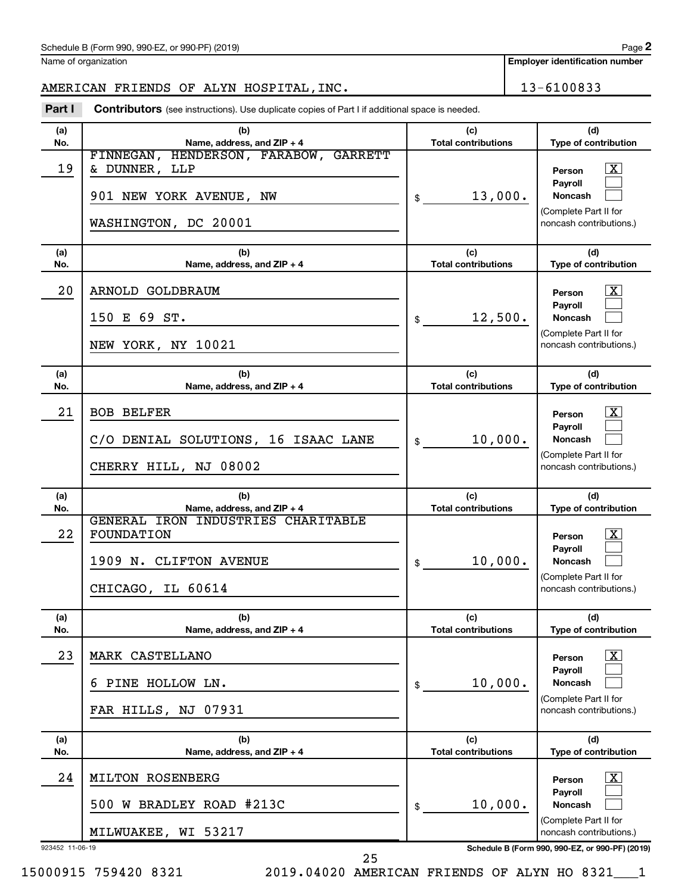Name of organization

**Employer identification number**

# AMERICAN FRIENDS OF ALYN HOSPITAL, INC. 13-6100833

**Part I** Contributors (see instructions). Use duplicate copies of Part I if additional space is needed.

| (a)        | (b)                                                                               | (c)                               | (d)                                                                                                            |
|------------|-----------------------------------------------------------------------------------|-----------------------------------|----------------------------------------------------------------------------------------------------------------|
| No.        | Name, address, and ZIP + 4<br>FINNEGAN, HENDERSON, FARABOW, GARRETT               | <b>Total contributions</b>        | Type of contribution                                                                                           |
| 19         | & DUNNER, LLP<br>901 NEW YORK AVENUE, NW<br>WASHINGTON, DC 20001                  | 13,000.<br>\$                     | $\mathbf{X}$<br>Person<br><b>Payroll</b><br><b>Noncash</b><br>(Complete Part II for<br>noncash contributions.) |
|            |                                                                                   |                                   |                                                                                                                |
| (a)<br>No. | (b)<br>Name, address, and ZIP + 4                                                 | (c)<br><b>Total contributions</b> | (d)<br>Type of contribution                                                                                    |
| 20         | ARNOLD GOLDBRAUM                                                                  |                                   | $\mathbf{X}$<br>Person                                                                                         |
|            | 150 E 69 ST.                                                                      | 12,500.<br>\$                     | Payroll<br><b>Noncash</b>                                                                                      |
|            | NEW YORK, NY 10021                                                                |                                   | (Complete Part II for<br>noncash contributions.)                                                               |
| (a)        | (b)                                                                               | (c)                               | (d)                                                                                                            |
| No.        | Name, address, and ZIP + 4                                                        | <b>Total contributions</b>        | Type of contribution                                                                                           |
| 21         | <b>BOB BELFER</b><br>C/O DENIAL SOLUTIONS, 16 ISAAC LANE<br>CHERRY HILL, NJ 08002 | 10,000.<br>\$                     | $\mathbf{X}$<br>Person<br>Payroll<br><b>Noncash</b><br>(Complete Part II for<br>noncash contributions.)        |
|            |                                                                                   |                                   |                                                                                                                |
|            |                                                                                   |                                   |                                                                                                                |
| (a)<br>No. | (b)<br>Name, address, and ZIP + 4                                                 | (c)<br><b>Total contributions</b> | (d)<br>Type of contribution                                                                                    |
|            | GENERAL IRON INDUSTRIES CHARITABLE                                                |                                   |                                                                                                                |
| 22         | FOUNDATION                                                                        |                                   | $\mathbf{X}$<br>Person                                                                                         |
|            | 1909 N. CLIFTON AVENUE                                                            | 10,000.<br>\$                     | <b>Payroll</b><br><b>Noncash</b>                                                                               |
|            | CHICAGO, IL 60614                                                                 |                                   | (Complete Part II for<br>noncash contributions.)                                                               |
| (a)        | (b)                                                                               | (c)                               | (d)                                                                                                            |
| No.        | Name, address, and ZIP + 4                                                        | <b>Total contributions</b>        | <b>Type of contribution</b>                                                                                    |
| 23         | <b>MARK CASTELLANO</b>                                                            |                                   | $\boxed{\textbf{X}}$<br>Person<br><b>Pavroll</b>                                                               |
|            | PINE HOLLOW LN.                                                                   | 10,000.<br>\$                     | Noncash                                                                                                        |
|            | FAR HILLS, NJ 07931                                                               |                                   | (Complete Part II for<br>noncash contributions.)                                                               |
| (a)        | (b)                                                                               | (c)                               | (d)                                                                                                            |
| No.        | Name, address, and ZIP + 4                                                        | <b>Total contributions</b>        | Type of contribution                                                                                           |
| 24         | MILTON ROSENBERG                                                                  |                                   | $\lfloor x \rfloor$<br>Person<br><b>Payroll</b>                                                                |
|            | 500 W BRADLEY ROAD #213C                                                          | 10,000.<br>\$                     | Noncash                                                                                                        |
|            | MILWUAKEE, WI 53217                                                               |                                   | (Complete Part II for<br>noncash contributions.)                                                               |

15000915 759420 8321 2019.04020 AMERICAN FRIENDS OF ALYN HO 8321\_\_\_1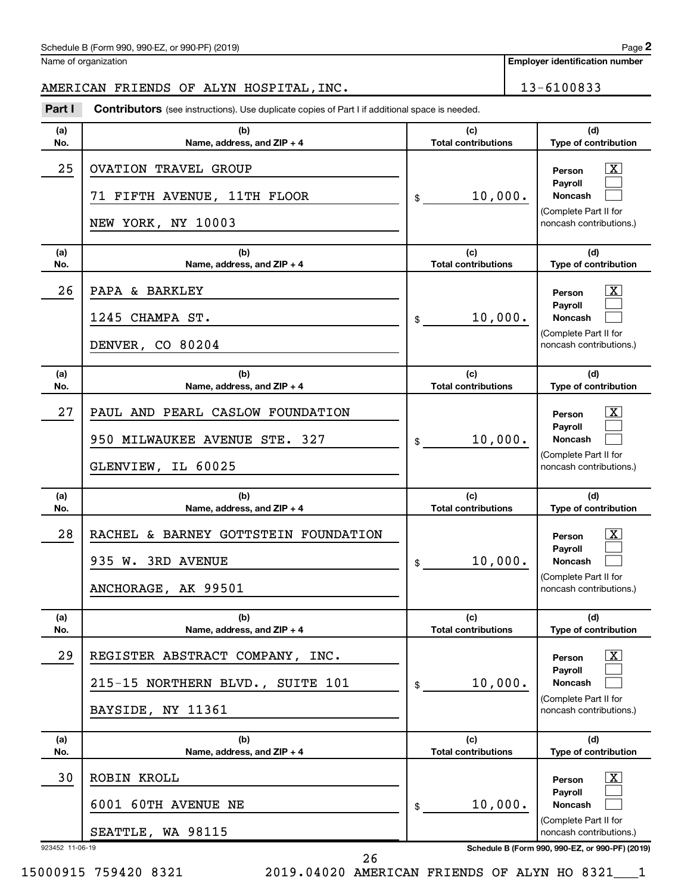Name of organization

**Employer identification number**

AMERICAN FRIENDS OF ALYN HOSPITAL, INC. 13-6100833

| Part I                | <b>Contributors</b> (see instructions). Use duplicate copies of Part I if additional space is needed. |                                   |                                                                                                                                                                          |
|-----------------------|-------------------------------------------------------------------------------------------------------|-----------------------------------|--------------------------------------------------------------------------------------------------------------------------------------------------------------------------|
| (a)<br>No.            | (b)<br>Name, address, and ZIP + 4                                                                     | (c)<br><b>Total contributions</b> | (d)<br>Type of contribution                                                                                                                                              |
| 25                    | <b>OVATION TRAVEL GROUP</b><br>71 FIFTH AVENUE, 11TH FLOOR<br>NEW YORK, NY 10003                      | 10,000.<br>\$                     | $\mathbf{X}$<br>Person<br>Payroll<br><b>Noncash</b><br>(Complete Part II for<br>noncash contributions.)                                                                  |
| (a)<br>No.            | (b)<br>Name, address, and ZIP + 4                                                                     | (c)<br><b>Total contributions</b> | (d)<br>Type of contribution                                                                                                                                              |
| 26                    | PAPA & BARKLEY<br>1245 CHAMPA ST.<br>DENVER, CO 80204                                                 | 10,000.<br>\$                     | $\mathbf{X}$<br>Person<br><b>Payroll</b><br><b>Noncash</b><br>(Complete Part II for<br>noncash contributions.)                                                           |
| (a)<br>No.            | (b)<br>Name, address, and $ZIP + 4$                                                                   | (c)<br><b>Total contributions</b> | (d)<br>Type of contribution                                                                                                                                              |
| 27                    | PAUL AND PEARL CASLOW FOUNDATION<br>950 MILWAUKEE AVENUE STE. 327<br>GLENVIEW, IL 60025               | 10,000.<br>\$                     | $\mathbf{X}$<br>Person<br><b>Payroll</b><br><b>Noncash</b><br>(Complete Part II for<br>noncash contributions.)                                                           |
| (a)<br>No.            | (b)<br>Name, address, and $ZIP + 4$                                                                   | (c)<br><b>Total contributions</b> | (d)<br>Type of contribution                                                                                                                                              |
| 28                    | RACHEL & BARNEY GOTTSTEIN FOUNDATION<br>935 W. 3RD AVENUE<br>ANCHORAGE, AK 99501                      | 10,000.<br>\$                     | $\mathbf{X}$<br>Person<br><b>Payroll</b><br><b>Noncash</b><br>(Complete Part II for<br>noncash contributions.)                                                           |
| (a)                   | (b)                                                                                                   | (c)                               | (d)                                                                                                                                                                      |
| No.                   | Name, address, and ZIP + 4                                                                            | <b>Total contributions</b>        | Type of contribution                                                                                                                                                     |
| 29                    | REGISTER ABSTRACT COMPANY, INC.<br>215-15 NORTHERN BLVD., SUITE 101<br>BAYSIDE, NY 11361              | 10,000.<br>\$                     | $\mathbf{X}$<br>Person<br><b>Pavroll</b><br><b>Noncash</b><br>(Complete Part II for<br>noncash contributions.)                                                           |
| (a)<br>No.            | (b)<br>Name, address, and ZIP + 4                                                                     | (c)<br><b>Total contributions</b> | (d)<br>Type of contribution                                                                                                                                              |
| 30<br>923452 11-06-19 | ROBIN KROLL<br>6001 60TH AVENUE NE<br>SEATTLE, WA 98115                                               | 10,000.<br>\$                     | $\lfloor x \rfloor$<br>Person<br><b>Payroll</b><br><b>Noncash</b><br>(Complete Part II for<br>noncash contributions.)<br>Schedule B (Form 990, 990-EZ, or 990-PF) (2019) |

26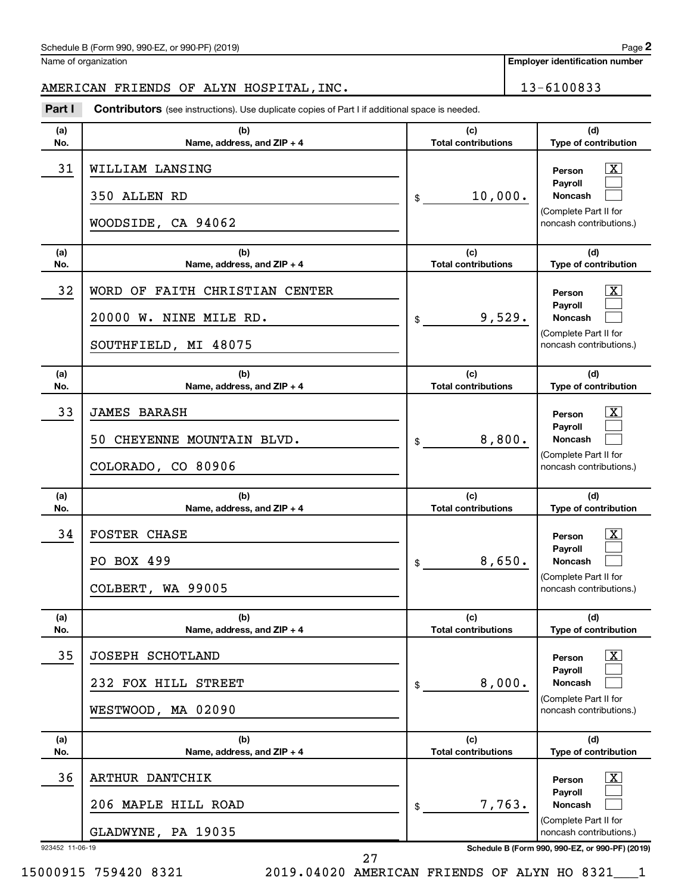Name of organization

**Employer identification number**

# AMERICAN FRIENDS OF ALYN HOSPITAL, INC. 13-6100833

**Part I** Contributors (see instructions). Use duplicate copies of Part I if additional space is needed.

| (a)<br>No.            | (b)<br>Name, address, and ZIP + 4                                                | (c)<br><b>Total contributions</b> | (d)<br>Type of contribution                                                                                                                                   |
|-----------------------|----------------------------------------------------------------------------------|-----------------------------------|---------------------------------------------------------------------------------------------------------------------------------------------------------------|
| 31                    | WILLIAM LANSING<br>350 ALLEN RD<br>WOODSIDE, CA 94062                            | 10,000.<br>$\mathfrak s$          | x<br>Person<br>Payroll<br>Noncash<br>(Complete Part II for<br>noncash contributions.)                                                                         |
| (a)<br>No.            | (b)<br>Name, address, and ZIP + 4                                                | (c)<br><b>Total contributions</b> | (d)<br>Type of contribution                                                                                                                                   |
| 32                    | WORD OF FAITH CHRISTIAN CENTER<br>20000 W. NINE MILE RD.<br>SOUTHFIELD, MI 48075 | 9,529.<br>\$                      | x<br>Person<br>Payroll<br>Noncash<br>(Complete Part II for<br>noncash contributions.)                                                                         |
| (a)<br>No.            | (b)<br>Name, address, and ZIP + 4                                                | (c)<br><b>Total contributions</b> | (d)<br>Type of contribution                                                                                                                                   |
| 33                    | <b>JAMES BARASH</b><br>CHEYENNE MOUNTAIN BLVD.<br>50.<br>COLORADO, CO 80906      | 8,800.<br>$\mathsf{\$}$           | x<br>Person<br>Payroll<br><b>Noncash</b><br>(Complete Part II for<br>noncash contributions.)                                                                  |
|                       |                                                                                  |                                   |                                                                                                                                                               |
| (a)<br>No.            | (b)<br>Name, address, and ZIP + 4                                                | (c)<br><b>Total contributions</b> | (d)<br>Type of contribution                                                                                                                                   |
| 34                    | <b>FOSTER CHASE</b><br>PO BOX 499<br>COLBERT, WA 99005                           | 8,650.<br>$\mathsf{\$}$           | x<br>Person<br>Payroll<br><b>Noncash</b><br>(Complete Part II for<br>noncash contributions.)                                                                  |
| (a)<br>No.            | (b)<br>Name, address, and $ZIP + 4$                                              | (c)<br><b>Total contributions</b> | (d)<br><b>Type of contribution</b>                                                                                                                            |
| 35                    | JOSEPH SCHOTLAND<br>232 FOX HILL STREET<br>WESTWOOD, MA 02090                    | 8,000.<br>\$                      | $\mathbf{X}$<br>Person<br>Payroll<br><b>Noncash</b><br>(Complete Part II for<br>noncash contributions.)                                                       |
| (a)<br>No.            | (b)<br>Name, address, and ZIP + 4                                                | (c)<br><b>Total contributions</b> | (d)<br>Type of contribution                                                                                                                                   |
| 36<br>923452 11-06-19 | ARTHUR DANTCHIK<br>206 MAPLE HILL ROAD<br>GLADWYNE, PA 19035                     | 7,763.<br>\$                      | $\vert X \vert$<br>Person<br>Payroll<br><b>Noncash</b><br>(Complete Part II for<br>noncash contributions.)<br>Schedule B (Form 990, 990-EZ, or 990-PF) (2019) |

15000915 759420 8321 2019.04020 AMERICAN FRIENDS OF ALYN HO 8321\_\_\_1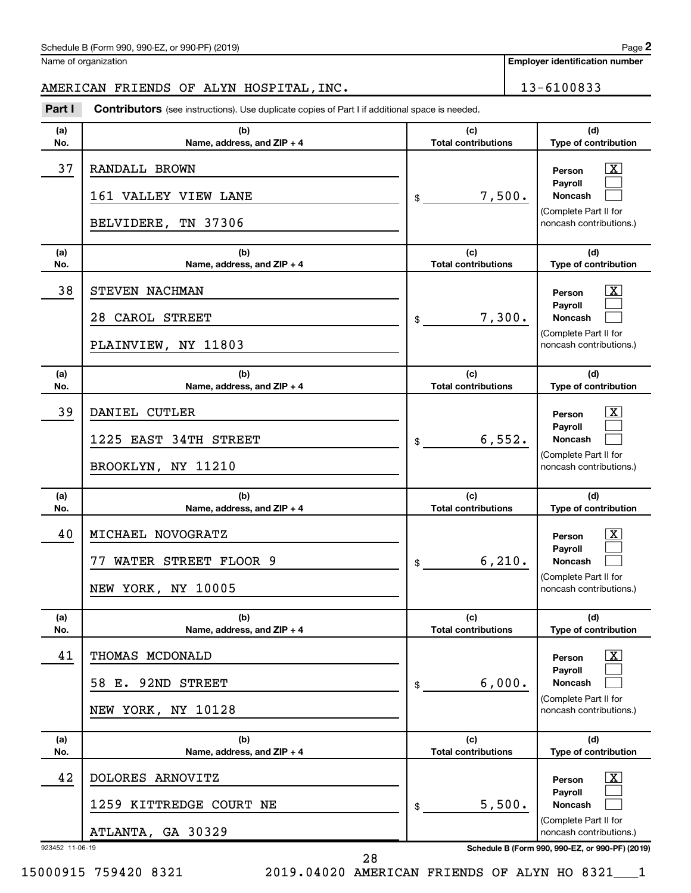Name of organization

# AMERICAN FRIENDS OF ALYN HOSPITAL, INC. 13-6100833

**Part I** Contributors (see instructions). Use duplicate copies of Part I if additional space is needed.

| (a)<br>No. | (b)<br>Name, address, and ZIP + 4                                     | (c)<br><b>Total contributions</b> | (d)<br>Type of contribution                                                                                    |
|------------|-----------------------------------------------------------------------|-----------------------------------|----------------------------------------------------------------------------------------------------------------|
| 37         | RANDALL BROWN<br>161 VALLEY VIEW LANE<br>BELVIDERE, TN 37306          | 7,500.<br>\$                      | $\mathbf{X}$<br>Person<br><b>Payroll</b><br><b>Noncash</b><br>(Complete Part II for<br>noncash contributions.) |
| (a)<br>No. | (b)<br>Name, address, and ZIP + 4                                     | (c)<br><b>Total contributions</b> | (d)<br>Type of contribution                                                                                    |
| 38         | STEVEN NACHMAN<br>28 CAROL STREET<br>PLAINVIEW, NY 11803              | 7,300.<br>\$                      | $\mathbf{X}$<br>Person<br><b>Payroll</b><br><b>Noncash</b><br>(Complete Part II for<br>noncash contributions.) |
| (a)<br>No. | (b)<br>Name, address, and ZIP + 4                                     | (c)<br><b>Total contributions</b> | (d)<br>Type of contribution                                                                                    |
| 39         | DANIEL CUTLER<br>1225 EAST 34TH STREET<br>BROOKLYN, NY 11210          | 6,552.<br>\$                      | $\mathbf{X}$<br>Person<br><b>Payroll</b><br><b>Noncash</b><br>(Complete Part II for<br>noncash contributions.) |
|            |                                                                       |                                   |                                                                                                                |
| (a)<br>No. | (b)<br>Name, address, and ZIP + 4                                     | (c)<br><b>Total contributions</b> | (d)<br>Type of contribution                                                                                    |
| 40         | MICHAEL NOVOGRATZ<br>WATER STREET FLOOR 9<br>77<br>NEW YORK, NY 10005 | 6, 210.<br>\$                     | $\mathbf{X}$<br>Person<br>Payroll<br>Noncash<br>(Complete Part II for<br>noncash contributions.)               |
| (a)<br>No. | (b)<br>Name, address, and $ZIP + 4$                                   | (c)<br><b>Total contributions</b> | (d)<br>Type of contribution                                                                                    |
| 41         | THOMAS MCDONALD<br>92ND STREET<br>58 E.<br>NEW YORK, NY 10128         | 6,000.<br>\$                      | $\boxed{\text{X}}$<br>Person<br>Payroll<br>Noncash<br>(Complete Part II for<br>noncash contributions.)         |
| (a)<br>No. | (b)<br>Name, address, and $ZIP + 4$                                   | (c)<br><b>Total contributions</b> | (d)<br>Type of contribution                                                                                    |
| 42         | DOLORES ARNOVITZ<br>1259 KITTREDGE COURT NE<br>ATLANTA, GA 30329      | 5,500.<br>\$                      | $\boxed{\text{X}}$<br>Person<br>Payroll<br><b>Noncash</b><br>(Complete Part II for<br>noncash contributions.)  |

28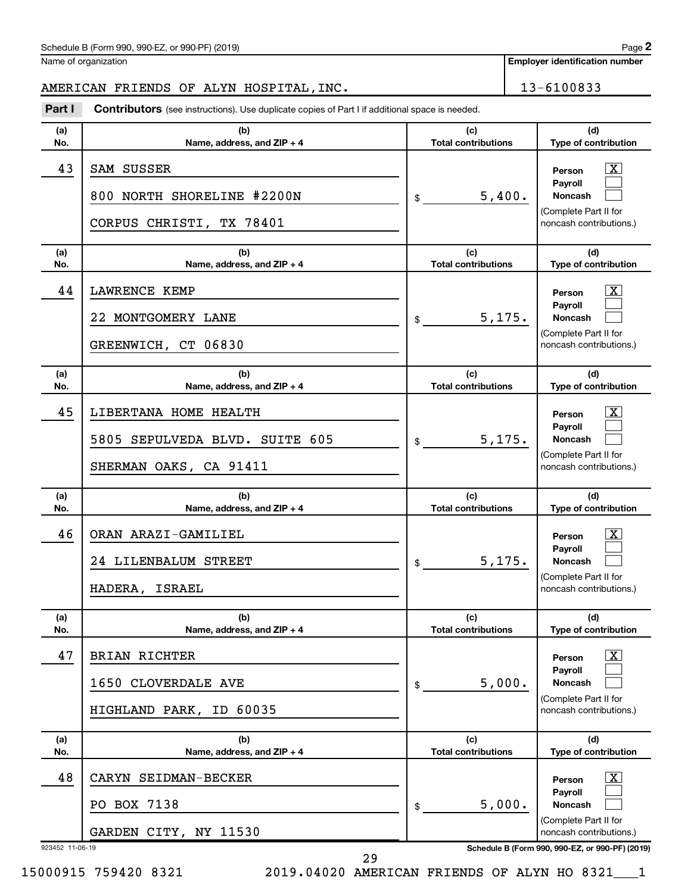Name of organization

**Employer identification number**

# AMERICAN FRIENDS OF ALYN HOSPITAL, INC. 13-6100833

**Part I** Contributors (see instructions). Use duplicate copies of Part I if additional space is needed.

| (a)<br>No. | (b)<br>Name, address, and ZIP + 4                                                 | (c)<br><b>Total contributions</b> | (d)<br>Type of contribution                                                                                      |
|------------|-----------------------------------------------------------------------------------|-----------------------------------|------------------------------------------------------------------------------------------------------------------|
| 43         | SAM SUSSER<br>800 NORTH SHORELINE #2200N<br>CORPUS CHRISTI, TX 78401              | 5,400.<br>\$                      | x<br>Person<br>Payroll<br><b>Noncash</b><br>(Complete Part II for<br>noncash contributions.)                     |
| (a)<br>No. | (b)<br>Name, address, and ZIP + 4                                                 | (c)<br><b>Total contributions</b> | (d)<br>Type of contribution                                                                                      |
| 44         | <b>LAWRENCE KEMP</b><br>22 MONTGOMERY LANE<br>GREENWICH, CT 06830                 | 5,175.<br>\$                      | x<br>Person<br>Payroll<br>Noncash<br>(Complete Part II for<br>noncash contributions.)                            |
| (a)<br>No. | (b)<br>Name, address, and ZIP + 4                                                 | (c)<br><b>Total contributions</b> | (d)<br>Type of contribution                                                                                      |
| 45         | LIBERTANA HOME HEALTH<br>5805 SEPULVEDA BLVD. SUITE 605<br>SHERMAN OAKS, CA 91411 | 5,175.<br>$\mathfrak{S}$          | x<br>Person<br>Payroll<br>Noncash<br>(Complete Part II for<br>noncash contributions.)                            |
|            |                                                                                   |                                   |                                                                                                                  |
| (a)<br>No. | (b)<br>Name, address, and ZIP + 4                                                 | (c)<br><b>Total contributions</b> | (d)<br>Type of contribution                                                                                      |
| 46         | ORAN ARAZI-GAMILIEL<br>24 LILENBALUM STREET<br>HADERA, ISRAEL                     | 5,175.<br>\$                      | <u>x</u><br>Person<br>Payroll<br>Noncash<br>(Complete Part II for<br>noncash contributions.)                     |
| (a)<br>No. | (b)<br>Name, address, and ZIP + 4                                                 | (c)<br><b>Total contributions</b> | (d)<br>Type of contribution                                                                                      |
| 47         | <b>BRIAN RICHTER</b><br>1650 CLOVERDALE AVE<br>HIGHLAND PARK, ID 60035            | 5,000.<br>\$                      | $\overline{\text{X}}$<br>Person<br>Payroll<br><b>Noncash</b><br>(Complete Part II for<br>noncash contributions.) |
| (a)<br>No. | (b)<br>Name, address, and ZIP + 4                                                 | (c)<br><b>Total contributions</b> | (d)<br>Type of contribution                                                                                      |
| 48         | CARYN SEIDMAN-BECKER<br>PO BOX 7138                                               | 5,000.<br>\$                      | $\mathbf{X}$<br>Person<br>Payroll<br><b>Noncash</b><br>(Complete Part II for                                     |

15000915 759420 8321 2019.04020 AMERICAN FRIENDS OF ALYN HO 8321\_\_\_1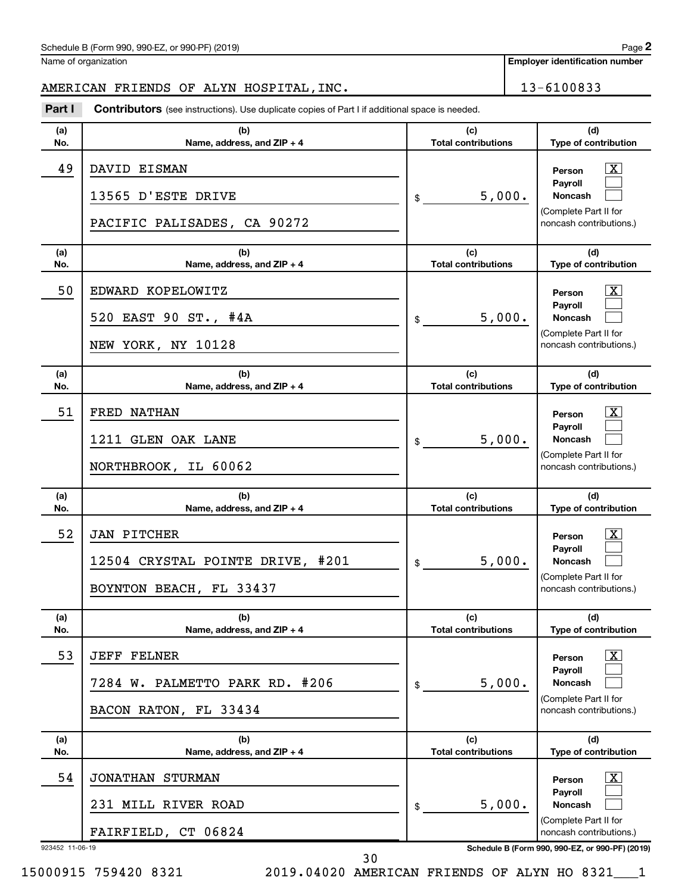Name of organization

# AMERICAN FRIENDS OF ALYN HOSPITAL, INC. 13-6100833

**Part I** Contributors (see instructions). Use duplicate copies of Part I if additional space is needed.

| (a)<br>No. | (b)<br>Name, address, and ZIP + 4                                                   | (c)<br><b>Total contributions</b> | (d)<br>Type of contribution                                                                                        |
|------------|-------------------------------------------------------------------------------------|-----------------------------------|--------------------------------------------------------------------------------------------------------------------|
| 49         | DAVID EISMAN<br>13565 D'ESTE DRIVE<br>PACIFIC PALISADES, CA 90272                   | 5,000.<br>\$                      | X<br>Person<br>Payroll<br><b>Noncash</b><br>(Complete Part II for<br>noncash contributions.)                       |
| (a)<br>No. | (b)<br>Name, address, and ZIP + 4                                                   | (c)<br><b>Total contributions</b> | (d)<br>Type of contribution                                                                                        |
| 50         | EDWARD KOPELOWITZ<br>520 EAST 90 ST., #4A<br>NEW YORK, NY 10128                     | 5,000.<br>\$                      | $\mathbf{X}$<br>Person<br>Payroll<br><b>Noncash</b><br>(Complete Part II for<br>noncash contributions.)            |
| (a)<br>No. | (b)<br>Name, address, and ZIP + 4                                                   | (c)<br><b>Total contributions</b> | (d)<br>Type of contribution                                                                                        |
| 51         | FRED NATHAN<br>1211 GLEN OAK LANE<br>NORTHBROOK, IL 60062                           | 5,000.<br>\$                      | $\overline{\mathbf{X}}$<br>Person<br>Payroll<br><b>Noncash</b><br>(Complete Part II for<br>noncash contributions.) |
|            |                                                                                     |                                   |                                                                                                                    |
| (a)<br>No. | (b)<br>Name, address, and ZIP + 4                                                   | (c)<br><b>Total contributions</b> | (d)<br>Type of contribution                                                                                        |
| 52         | <b>JAN PITCHER</b><br>12504 CRYSTAL POINTE DRIVE, #201<br>BOYNTON BEACH, FL 33437   | 5,000.<br>\$                      | $\mathbf{X}$<br>Person<br>Payroll<br><b>Noncash</b><br>(Complete Part II for<br>noncash contributions.)            |
| (a)<br>No. | (b)<br>Name, address, and $ZIP + 4$                                                 | (c)<br><b>Total contributions</b> | (d)<br><b>Type of contribution</b>                                                                                 |
| 53         | JEFF<br><b>FELNER</b><br>PALMETTO PARK RD. #206<br>7284 W.<br>BACON RATON, FL 33434 | 5,000.<br>\$                      | $\boxed{\text{X}}$<br>Person<br>Payroll<br><b>Noncash</b><br>(Complete Part II for<br>noncash contributions.)      |
| (a)<br>No. | (b)<br>Name, address, and ZIP + 4                                                   | (c)<br><b>Total contributions</b> | (d)<br>Type of contribution                                                                                        |
| 54         | <b>JONATHAN STURMAN</b><br>231 MILL RIVER ROAD<br>FAIRFIELD, CT 06824               | 5,000.<br>\$                      | $\mathbf{X}$<br>Person<br>Payroll<br>Noncash<br>(Complete Part II for<br>noncash contributions.)                   |

15000915 759420 8321 2019.04020 AMERICAN FRIENDS OF ALYN HO 8321\_\_\_1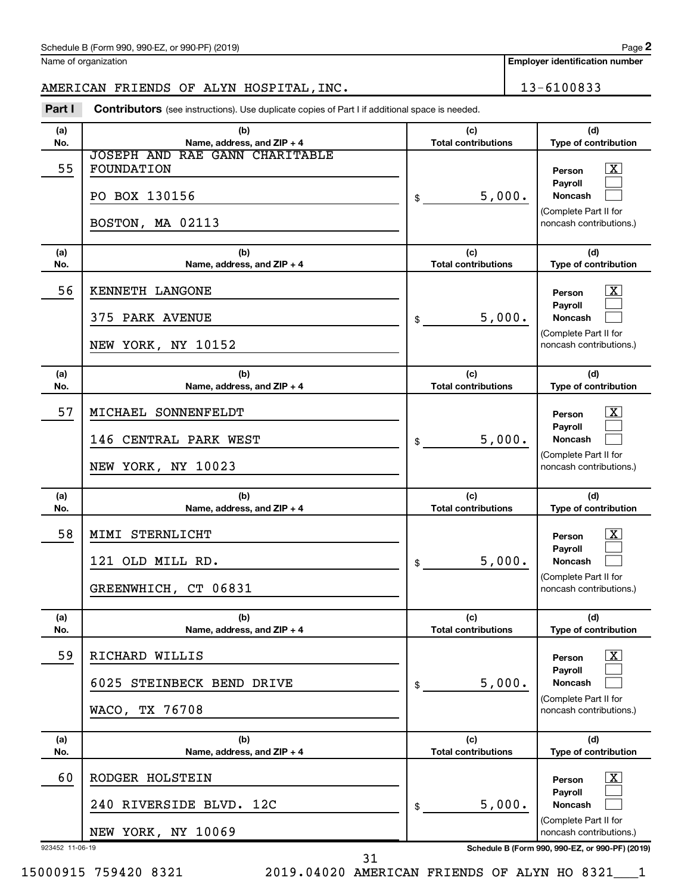Name of organization

**Employer identification number**

# AMERICAN FRIENDS OF ALYN HOSPITAL, INC. 13-6100833

**Part I** Contributors (see instructions). Use duplicate copies of Part I if additional space is needed.

| (a)<br>No. | (b)<br>Name, address, and ZIP + 4                                                        | (d)<br>(c)<br><b>Total contributions</b><br>Type of contribution                                                                |
|------------|------------------------------------------------------------------------------------------|---------------------------------------------------------------------------------------------------------------------------------|
| 55         | <b>JOSEPH AND RAE GANN CHARITABLE</b><br>FOUNDATION<br>PO BOX 130156<br>BOSTON, MA 02113 | $\mathbf{X}$<br>Person<br>Payroll<br>5,000.<br>Noncash<br>\$<br>(Complete Part II for<br>noncash contributions.)                |
| (a)<br>No. | (b)<br>Name, address, and ZIP + 4                                                        | (c)<br>(d)<br><b>Total contributions</b><br>Type of contribution                                                                |
| 56         | KENNETH LANGONE<br>375 PARK AVENUE<br>NEW YORK, NY 10152                                 | $\mathbf{X}$<br>Person<br>Payroll<br>5,000.<br>Noncash<br>\$<br>(Complete Part II for<br>noncash contributions.)                |
| (a)<br>No. | (b)<br>Name, address, and ZIP + 4                                                        | (c)<br>(d)<br>Type of contribution<br><b>Total contributions</b>                                                                |
| 57         | MICHAEL SONNENFELDT<br>146 CENTRAL PARK WEST<br>NEW YORK, NY 10023                       | $\mathbf{X}$<br>Person<br>Payroll<br>5,000.<br><b>Noncash</b><br>\$<br>(Complete Part II for<br>noncash contributions.)         |
|            |                                                                                          |                                                                                                                                 |
| (a)<br>No. | (b)<br>Name, address, and ZIP + 4                                                        | (c)<br>(d)<br><b>Total contributions</b><br>Type of contribution                                                                |
| 58         | MIMI STERNLICHT<br>121 OLD MILL RD.<br>GREENWHICH, CT 06831                              | $\mathbf{X}$<br>Person<br>Payroll<br>5,000.<br><b>Noncash</b><br>\$<br>(Complete Part II for<br>noncash contributions.)         |
| (a)<br>No. | (b)<br>Name, address, and ZIP + 4                                                        | (c)<br>(d)<br><b>Total contributions</b><br>Type of contribution                                                                |
| 59         | RICHARD WILLIS<br>6025<br>STEINBECK BEND DRIVE<br>WACO, TX 76708                         | $\boxed{\textbf{X}}$<br>Person<br>Payroll<br>5,000.<br><b>Noncash</b><br>\$<br>(Complete Part II for<br>noncash contributions.) |
| (a)<br>No. | (b)<br>Name, address, and ZIP + 4                                                        | (c)<br>(d)<br><b>Total contributions</b><br>Type of contribution                                                                |
| 60         | RODGER HOLSTEIN                                                                          | $\lfloor x \rfloor$<br>Person<br>Payroll                                                                                        |
|            | 240 RIVERSIDE BLVD. 12C<br>NEW YORK, NY 10069                                            | 5,000.<br><b>Noncash</b><br>\$<br>(Complete Part II for<br>noncash contributions.)                                              |

15000915 759420 8321 2019.04020 AMERICAN FRIENDS OF ALYN HO 8321\_\_\_1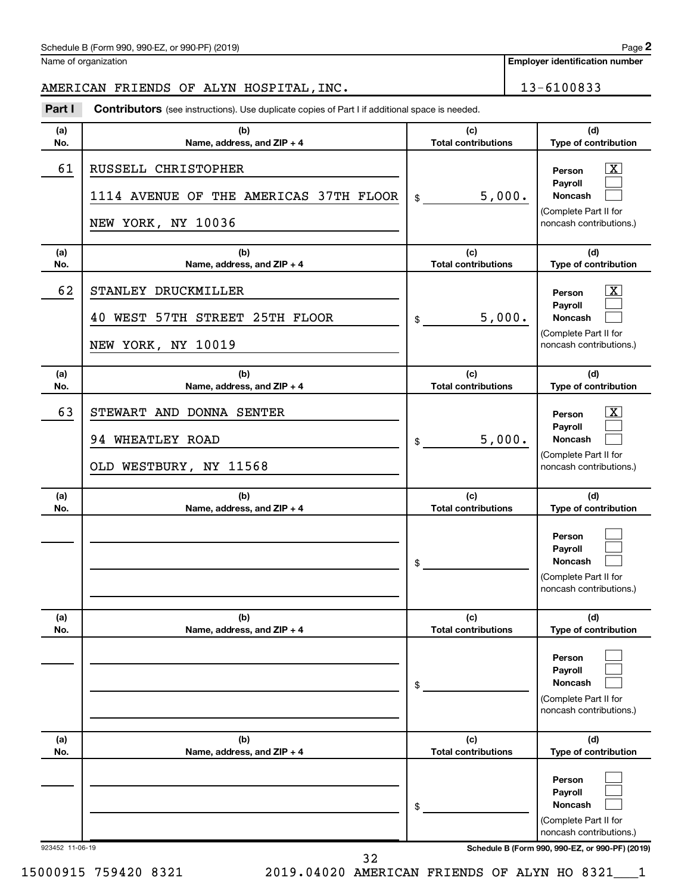Name of organization

# AMERICAN FRIENDS OF ALYN HOSPITAL, INC. 13-6100833

**Part I** Contributors (see instructions). Use duplicate copies of Part I if additional space is needed.

| (a)             | (b)                                                                                 | (c)                               | (d)                                                                                                                                 |
|-----------------|-------------------------------------------------------------------------------------|-----------------------------------|-------------------------------------------------------------------------------------------------------------------------------------|
| No.             | Name, address, and ZIP + 4                                                          | <b>Total contributions</b>        | Type of contribution                                                                                                                |
| 61              | RUSSELL CHRISTOPHER<br>1114 AVENUE OF THE AMERICAS 37TH FLOOR<br>NEW YORK, NY 10036 | 5,000.<br>\$                      | x<br>Person<br>Pavroll<br><b>Noncash</b><br>(Complete Part II for<br>noncash contributions.)                                        |
| (a)<br>No.      | (b)<br>Name, address, and ZIP + 4                                                   | (c)<br><b>Total contributions</b> | (d)<br>Type of contribution                                                                                                         |
| 62              | STANLEY DRUCKMILLER<br>WEST 57TH STREET 25TH FLOOR<br>40                            | 5,000.<br>\$                      | x<br>Person<br>Payroll<br><b>Noncash</b>                                                                                            |
|                 | NEW YORK, NY 10019                                                                  |                                   | (Complete Part II for<br>noncash contributions.)                                                                                    |
| (a)<br>No.      | (b)<br>Name, address, and ZIP + 4                                                   | (c)<br><b>Total contributions</b> | (d)<br>Type of contribution                                                                                                         |
| 63              | STEWART AND DONNA SENTER<br>94 WHEATLEY ROAD<br>OLD WESTBURY, NY 11568              | 5,000.<br>\$                      | x<br>Person<br>Payroll<br><b>Noncash</b><br>(Complete Part II for<br>noncash contributions.)                                        |
| (a)<br>No.      | (b)<br>Name, address, and ZIP + 4                                                   | (c)<br><b>Total contributions</b> | (d)<br>Type of contribution                                                                                                         |
|                 |                                                                                     | \$                                | Person<br>Payroll<br>Noncash<br>(Complete Part II for<br>noncash contributions.)                                                    |
| (a)<br>No.      | (b)<br>Name, address, and ZIP + 4                                                   | (c)<br><b>Total contributions</b> | (d)<br>Type of contribution                                                                                                         |
|                 |                                                                                     | \$                                | Person<br>Payroll<br><b>Noncash</b><br>(Complete Part II for<br>noncash contributions.)                                             |
| (a)<br>No.      | (b)<br>Name, address, and ZIP + 4                                                   | (c)<br><b>Total contributions</b> | (d)<br>Type of contribution                                                                                                         |
| 923452 11-06-19 |                                                                                     | \$                                | Person<br>Payroll<br>Noncash<br>(Complete Part II for<br>noncash contributions.)<br>Schedule B (Form 990, 990-EZ, or 990-PF) (2019) |

32

15000915 759420 8321 2019.04020 AMERICAN FRIENDS OF ALYN HO 8321\_\_\_1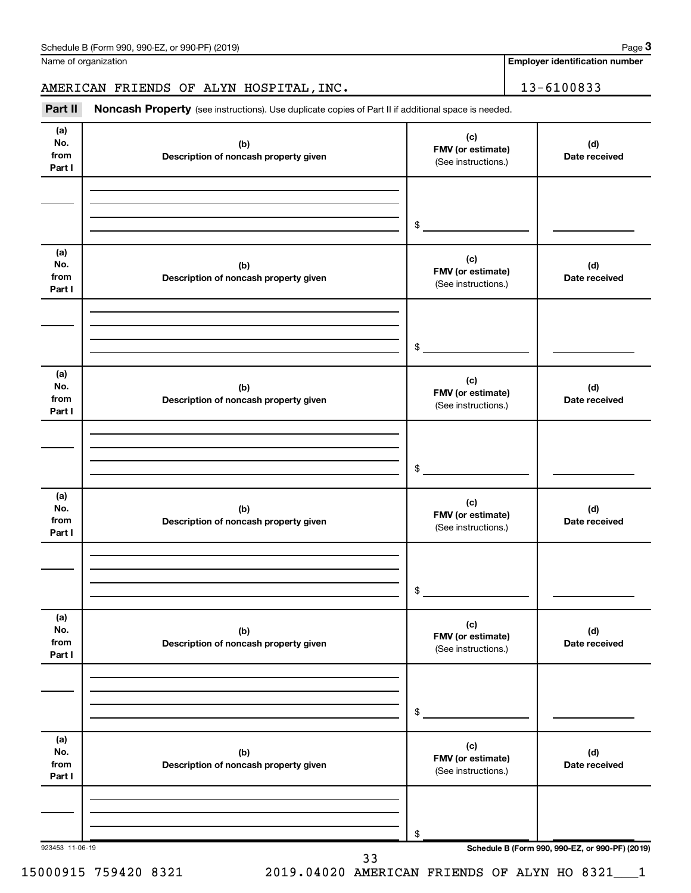| Schedule B (Form 990, 990-EZ, or 990-PF) (2019) | Page |
|-------------------------------------------------|------|
|-------------------------------------------------|------|

Name of organization

**Employer identification number**

# AMERICAN FRIENDS OF ALYN HOSPITAL, INC. 13-6100833

Part II Noncash Property (see instructions). Use duplicate copies of Part II if additional space is needed.

| No.<br>from<br>Part I        | (b)<br>Description of noncash property given | (c)<br>FMV (or estimate)<br>(See instructions.) | (d)<br>Date received                            |
|------------------------------|----------------------------------------------|-------------------------------------------------|-------------------------------------------------|
|                              |                                              | $\frac{1}{2}$                                   |                                                 |
| (a)<br>No.<br>from<br>Part I | (b)<br>Description of noncash property given | (c)<br>FMV (or estimate)<br>(See instructions.) | (d)<br>Date received                            |
|                              |                                              | $\frac{1}{2}$                                   |                                                 |
| (a)<br>No.<br>from<br>Part I | (b)<br>Description of noncash property given | (c)<br>FMV (or estimate)<br>(See instructions.) | (d)<br>Date received                            |
|                              |                                              | $\frac{1}{2}$                                   |                                                 |
| (a)<br>No.<br>from<br>Part I | (b)<br>Description of noncash property given | (c)<br>FMV (or estimate)<br>(See instructions.) | (d)<br>Date received                            |
|                              |                                              | $\frac{1}{2}$                                   |                                                 |
| (a)<br>No.<br>from<br>Part I | (b)<br>Description of noncash property given | (c)<br>FMV (or estimate)<br>(See instructions.) | (d)<br>Date received                            |
|                              |                                              | \$                                              |                                                 |
| (a)<br>No.<br>from<br>Part I | (b)<br>Description of noncash property given | (c)<br>FMV (or estimate)<br>(See instructions.) | (d)<br>Date received                            |
|                              |                                              | \$                                              | Schedule B (Form 990, 990-EZ, or 990-PF) (2019) |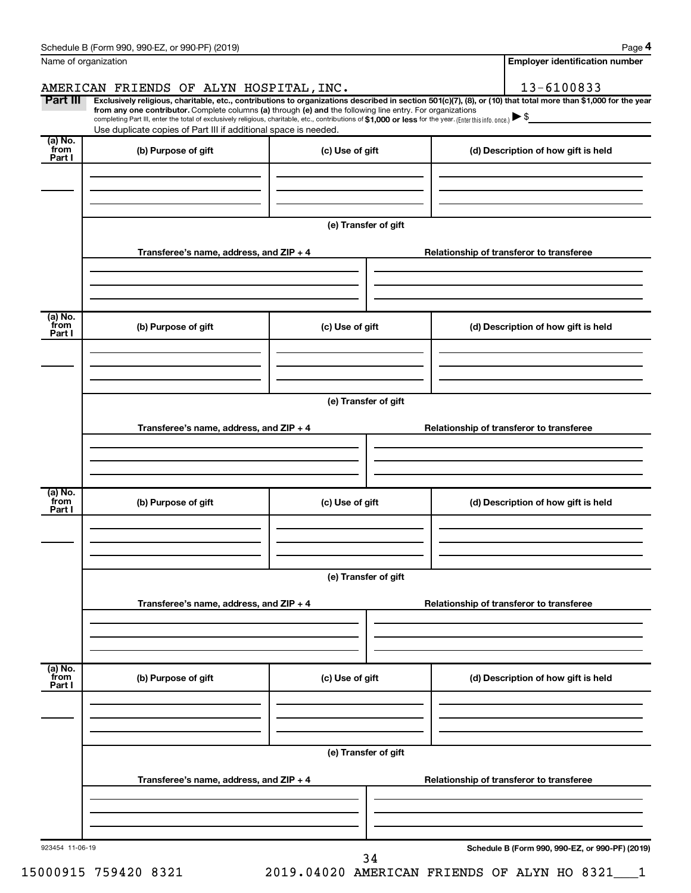| Name of organization      |                                                                                                                                                                                                                                                                                                                                                                                                                                                                                                             |                      | <b>Employer identification number</b>           |
|---------------------------|-------------------------------------------------------------------------------------------------------------------------------------------------------------------------------------------------------------------------------------------------------------------------------------------------------------------------------------------------------------------------------------------------------------------------------------------------------------------------------------------------------------|----------------------|-------------------------------------------------|
|                           | AMERICAN FRIENDS OF ALYN HOSPITAL, INC.                                                                                                                                                                                                                                                                                                                                                                                                                                                                     |                      | 13-6100833                                      |
| Part III                  | Exclusively religious, charitable, etc., contributions to organizations described in section 501(c)(7), (8), or (10) that total more than \$1,000 for the year<br>from any one contributor. Complete columns (a) through (e) and the following line entry. For organizations<br>completing Part III, enter the total of exclusively religious, charitable, etc., contributions of \$1,000 or less for the year. [Enter this info. once.]<br>Use duplicate copies of Part III if additional space is needed. |                      |                                                 |
| (a) No.<br>`from          | (b) Purpose of gift                                                                                                                                                                                                                                                                                                                                                                                                                                                                                         | (c) Use of gift      | (d) Description of how gift is held             |
| Part I                    |                                                                                                                                                                                                                                                                                                                                                                                                                                                                                                             |                      |                                                 |
|                           |                                                                                                                                                                                                                                                                                                                                                                                                                                                                                                             | (e) Transfer of gift |                                                 |
|                           | Transferee's name, address, and ZIP + 4                                                                                                                                                                                                                                                                                                                                                                                                                                                                     |                      | Relationship of transferor to transferee        |
| (a) No.                   |                                                                                                                                                                                                                                                                                                                                                                                                                                                                                                             |                      |                                                 |
| from<br>Part I            | (b) Purpose of gift                                                                                                                                                                                                                                                                                                                                                                                                                                                                                         | (c) Use of gift      | (d) Description of how gift is held             |
|                           |                                                                                                                                                                                                                                                                                                                                                                                                                                                                                                             | (e) Transfer of gift |                                                 |
|                           | Transferee's name, address, and ZIP + 4                                                                                                                                                                                                                                                                                                                                                                                                                                                                     |                      | Relationship of transferor to transferee        |
|                           |                                                                                                                                                                                                                                                                                                                                                                                                                                                                                                             |                      |                                                 |
| (a) No.<br>from<br>Part I | (b) Purpose of gift                                                                                                                                                                                                                                                                                                                                                                                                                                                                                         | (c) Use of gift      | (d) Description of how gift is held             |
|                           |                                                                                                                                                                                                                                                                                                                                                                                                                                                                                                             |                      |                                                 |
|                           |                                                                                                                                                                                                                                                                                                                                                                                                                                                                                                             | (e) Transfer of gift |                                                 |
|                           | Transferee's name, address, and ZIP + 4                                                                                                                                                                                                                                                                                                                                                                                                                                                                     |                      | Relationship of transferor to transferee        |
|                           |                                                                                                                                                                                                                                                                                                                                                                                                                                                                                                             |                      |                                                 |
| (a) No.<br>from<br>Part I | (b) Purpose of gift                                                                                                                                                                                                                                                                                                                                                                                                                                                                                         | (c) Use of gift      | (d) Description of how gift is held             |
|                           |                                                                                                                                                                                                                                                                                                                                                                                                                                                                                                             | (e) Transfer of gift |                                                 |
|                           | Transferee's name, address, and ZIP + 4                                                                                                                                                                                                                                                                                                                                                                                                                                                                     |                      | Relationship of transferor to transferee        |
|                           |                                                                                                                                                                                                                                                                                                                                                                                                                                                                                                             |                      |                                                 |
| 923454 11-06-19           |                                                                                                                                                                                                                                                                                                                                                                                                                                                                                                             | 34                   | Schedule B (Form 990, 990-EZ, or 990-PF) (2019) |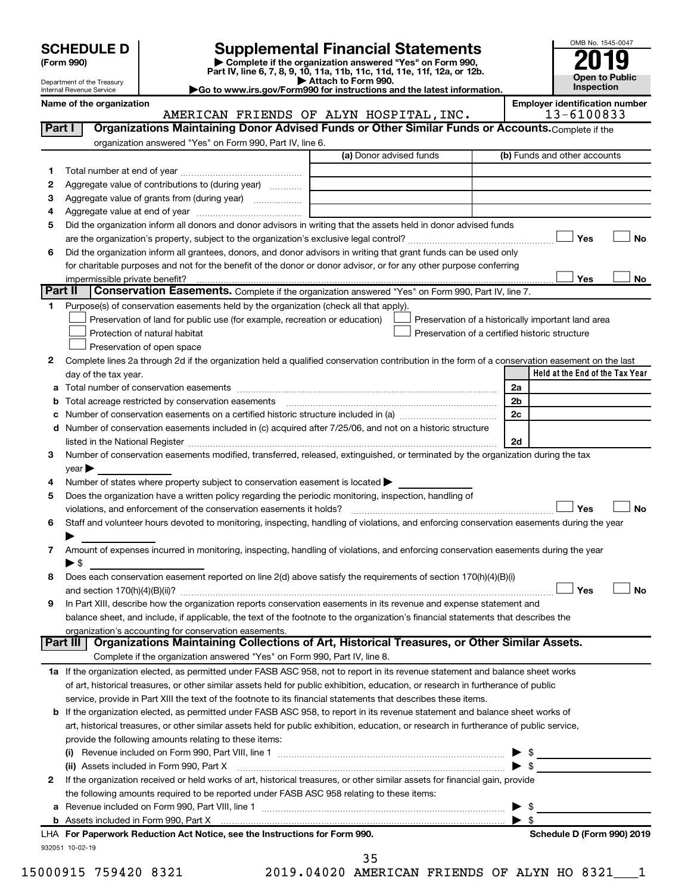| <b>SCHEDULE D</b> |  |
|-------------------|--|
|-------------------|--|

# **SCHEDULE D Supplemental Financial Statements**<br> **Form 990 2019**<br> **Part IV** line 6.7.8.9.10, 11a, 11b, 11d, 11d, 11d, 11d, 11d, 12a, 0r, 12b

**(Form 990) | Complete if the organization answered "Yes" on Form 990, Part IV, line 6, 7, 8, 9, 10, 11a, 11b, 11c, 11d, 11e, 11f, 12a, or 12b.**

**| Attach to Form 990. |Go to www.irs.gov/Form990 for instructions and the latest information.**



Department of the Treasury Internal Revenue Service

Name of the organization<br>**AMERICAN FRIENDS OF ALYN HOSPITAL, INC.** [Employer identification number]<br>13-6100833 AMERICAN FRIENDS OF ALYN HOSPITAL, INC.

| organization answered "Yes" on Form 990, Part IV, line 6.<br>(a) Donor advised funds<br>(b) Funds and other accounts<br>1.<br>Aggregate value of contributions to (during year)<br>2<br>Aggregate value of grants from (during year)<br>3<br>4<br>Did the organization inform all donors and donor advisors in writing that the assets held in donor advised funds<br>5<br>Yes<br>No<br>Did the organization inform all grantees, donors, and donor advisors in writing that grant funds can be used only<br>6<br>for charitable purposes and not for the benefit of the donor or donor advisor, or for any other purpose conferring<br>Yes<br>impermissible private benefit?<br>No<br>Part II<br><b>Conservation Easements.</b> Complete if the organization answered "Yes" on Form 990, Part IV, line 7.<br>Purpose(s) of conservation easements held by the organization (check all that apply).<br>1.<br>Preservation of land for public use (for example, recreation or education)<br>Preservation of a historically important land area<br>Protection of natural habitat<br>Preservation of a certified historic structure<br>Preservation of open space<br>Complete lines 2a through 2d if the organization held a qualified conservation contribution in the form of a conservation easement on the last<br>2<br>Held at the End of the Tax Year<br>day of the tax year.<br>2a<br><b>b</b> Total acreage restricted by conservation easements<br>2 <sub>b</sub><br>2c<br>c Number of conservation easements on a certified historic structure included in (a) manufacture included in (a)<br>d Number of conservation easements included in (c) acquired after 7/25/06, and not on a historic structure<br>2d<br>Number of conservation easements modified, transferred, released, extinguished, or terminated by the organization during the tax<br>3<br>$year \blacktriangleright$<br>Number of states where property subject to conservation easement is located ><br>4<br>Does the organization have a written policy regarding the periodic monitoring, inspection, handling of<br>5<br>Yes<br>violations, and enforcement of the conservation easements it holds?<br>No<br>Staff and volunteer hours devoted to monitoring, inspecting, handling of violations, and enforcing conservation easements during the year<br>6<br>Amount of expenses incurred in monitoring, inspecting, handling of violations, and enforcing conservation easements during the year<br>7<br>$\blacktriangleright$ \$<br>Does each conservation easement reported on line 2(d) above satisfy the requirements of section 170(h)(4)(B)(i)<br>8<br>Yes<br>No<br>In Part XIII, describe how the organization reports conservation easements in its revenue and expense statement and<br>9<br>balance sheet, and include, if applicable, the text of the footnote to the organization's financial statements that describes the<br>organization's accounting for conservation easements.<br>Organizations Maintaining Collections of Art, Historical Treasures, or Other Similar Assets.<br>Part III<br>Complete if the organization answered "Yes" on Form 990, Part IV, line 8.<br>1a If the organization elected, as permitted under FASB ASC 958, not to report in its revenue statement and balance sheet works<br>of art, historical treasures, or other similar assets held for public exhibition, education, or research in furtherance of public<br>service, provide in Part XIII the text of the footnote to its financial statements that describes these items.<br>b If the organization elected, as permitted under FASB ASC 958, to report in its revenue statement and balance sheet works of<br>art, historical treasures, or other similar assets held for public exhibition, education, or research in furtherance of public service,<br>provide the following amounts relating to these items:<br>If the organization received or held works of art, historical treasures, or other similar assets for financial gain, provide<br>2<br>the following amounts required to be reported under FASB ASC 958 relating to these items:<br>\$<br>$\blacktriangleright$ s<br>LHA For Paperwork Reduction Act Notice, see the Instructions for Form 990.<br>Schedule D (Form 990) 2019<br>932051 10-02-19 | Part I | Organizations Maintaining Donor Advised Funds or Other Similar Funds or Accounts. Complete if the |  |  |
|-----------------------------------------------------------------------------------------------------------------------------------------------------------------------------------------------------------------------------------------------------------------------------------------------------------------------------------------------------------------------------------------------------------------------------------------------------------------------------------------------------------------------------------------------------------------------------------------------------------------------------------------------------------------------------------------------------------------------------------------------------------------------------------------------------------------------------------------------------------------------------------------------------------------------------------------------------------------------------------------------------------------------------------------------------------------------------------------------------------------------------------------------------------------------------------------------------------------------------------------------------------------------------------------------------------------------------------------------------------------------------------------------------------------------------------------------------------------------------------------------------------------------------------------------------------------------------------------------------------------------------------------------------------------------------------------------------------------------------------------------------------------------------------------------------------------------------------------------------------------------------------------------------------------------------------------------------------------------------------------------------------------------------------------------------------------------------------------------------------------------------------------------------------------------------------------------------------------------------------------------------------------------------------------------------------------------------------------------------------------------------------------------------------------------------------------------------------------------------------------------------------------------------------------------------------------------------------------------------------------------------------------------------------------------------------------------------------------------------------------------------------------------------------------------------------------------------------------------------------------------------------------------------------------------------------------------------------------------------------------------------------------------------------------------------------------------------------------------------------------------------------------------------------------------------------------------------------------------------------------------------------------------------------------------------------------------------------------------------------------------------------------------------------------------------------------------------------------------------------------------------------------------------------------------------------------------------------------------------------------------------------------------------------------------------------------------------------------------------------------------------------------------------------------------------------------------------------------------------------------------------------------------------------------------------------------------------------------------------------------------------------------------------------------------------------------------------------------------------------------------------------------------------------------------------------------------------------------------------------------------------------------------------------------------------------|--------|---------------------------------------------------------------------------------------------------|--|--|
|                                                                                                                                                                                                                                                                                                                                                                                                                                                                                                                                                                                                                                                                                                                                                                                                                                                                                                                                                                                                                                                                                                                                                                                                                                                                                                                                                                                                                                                                                                                                                                                                                                                                                                                                                                                                                                                                                                                                                                                                                                                                                                                                                                                                                                                                                                                                                                                                                                                                                                                                                                                                                                                                                                                                                                                                                                                                                                                                                                                                                                                                                                                                                                                                                                                                                                                                                                                                                                                                                                                                                                                                                                                                                                                                                                                                                                                                                                                                                                                                                                                                                                                                                                                                                                                                                                           |        |                                                                                                   |  |  |
|                                                                                                                                                                                                                                                                                                                                                                                                                                                                                                                                                                                                                                                                                                                                                                                                                                                                                                                                                                                                                                                                                                                                                                                                                                                                                                                                                                                                                                                                                                                                                                                                                                                                                                                                                                                                                                                                                                                                                                                                                                                                                                                                                                                                                                                                                                                                                                                                                                                                                                                                                                                                                                                                                                                                                                                                                                                                                                                                                                                                                                                                                                                                                                                                                                                                                                                                                                                                                                                                                                                                                                                                                                                                                                                                                                                                                                                                                                                                                                                                                                                                                                                                                                                                                                                                                                           |        |                                                                                                   |  |  |
|                                                                                                                                                                                                                                                                                                                                                                                                                                                                                                                                                                                                                                                                                                                                                                                                                                                                                                                                                                                                                                                                                                                                                                                                                                                                                                                                                                                                                                                                                                                                                                                                                                                                                                                                                                                                                                                                                                                                                                                                                                                                                                                                                                                                                                                                                                                                                                                                                                                                                                                                                                                                                                                                                                                                                                                                                                                                                                                                                                                                                                                                                                                                                                                                                                                                                                                                                                                                                                                                                                                                                                                                                                                                                                                                                                                                                                                                                                                                                                                                                                                                                                                                                                                                                                                                                                           |        |                                                                                                   |  |  |
|                                                                                                                                                                                                                                                                                                                                                                                                                                                                                                                                                                                                                                                                                                                                                                                                                                                                                                                                                                                                                                                                                                                                                                                                                                                                                                                                                                                                                                                                                                                                                                                                                                                                                                                                                                                                                                                                                                                                                                                                                                                                                                                                                                                                                                                                                                                                                                                                                                                                                                                                                                                                                                                                                                                                                                                                                                                                                                                                                                                                                                                                                                                                                                                                                                                                                                                                                                                                                                                                                                                                                                                                                                                                                                                                                                                                                                                                                                                                                                                                                                                                                                                                                                                                                                                                                                           |        |                                                                                                   |  |  |
|                                                                                                                                                                                                                                                                                                                                                                                                                                                                                                                                                                                                                                                                                                                                                                                                                                                                                                                                                                                                                                                                                                                                                                                                                                                                                                                                                                                                                                                                                                                                                                                                                                                                                                                                                                                                                                                                                                                                                                                                                                                                                                                                                                                                                                                                                                                                                                                                                                                                                                                                                                                                                                                                                                                                                                                                                                                                                                                                                                                                                                                                                                                                                                                                                                                                                                                                                                                                                                                                                                                                                                                                                                                                                                                                                                                                                                                                                                                                                                                                                                                                                                                                                                                                                                                                                                           |        |                                                                                                   |  |  |
|                                                                                                                                                                                                                                                                                                                                                                                                                                                                                                                                                                                                                                                                                                                                                                                                                                                                                                                                                                                                                                                                                                                                                                                                                                                                                                                                                                                                                                                                                                                                                                                                                                                                                                                                                                                                                                                                                                                                                                                                                                                                                                                                                                                                                                                                                                                                                                                                                                                                                                                                                                                                                                                                                                                                                                                                                                                                                                                                                                                                                                                                                                                                                                                                                                                                                                                                                                                                                                                                                                                                                                                                                                                                                                                                                                                                                                                                                                                                                                                                                                                                                                                                                                                                                                                                                                           |        |                                                                                                   |  |  |
|                                                                                                                                                                                                                                                                                                                                                                                                                                                                                                                                                                                                                                                                                                                                                                                                                                                                                                                                                                                                                                                                                                                                                                                                                                                                                                                                                                                                                                                                                                                                                                                                                                                                                                                                                                                                                                                                                                                                                                                                                                                                                                                                                                                                                                                                                                                                                                                                                                                                                                                                                                                                                                                                                                                                                                                                                                                                                                                                                                                                                                                                                                                                                                                                                                                                                                                                                                                                                                                                                                                                                                                                                                                                                                                                                                                                                                                                                                                                                                                                                                                                                                                                                                                                                                                                                                           |        |                                                                                                   |  |  |
|                                                                                                                                                                                                                                                                                                                                                                                                                                                                                                                                                                                                                                                                                                                                                                                                                                                                                                                                                                                                                                                                                                                                                                                                                                                                                                                                                                                                                                                                                                                                                                                                                                                                                                                                                                                                                                                                                                                                                                                                                                                                                                                                                                                                                                                                                                                                                                                                                                                                                                                                                                                                                                                                                                                                                                                                                                                                                                                                                                                                                                                                                                                                                                                                                                                                                                                                                                                                                                                                                                                                                                                                                                                                                                                                                                                                                                                                                                                                                                                                                                                                                                                                                                                                                                                                                                           |        |                                                                                                   |  |  |
|                                                                                                                                                                                                                                                                                                                                                                                                                                                                                                                                                                                                                                                                                                                                                                                                                                                                                                                                                                                                                                                                                                                                                                                                                                                                                                                                                                                                                                                                                                                                                                                                                                                                                                                                                                                                                                                                                                                                                                                                                                                                                                                                                                                                                                                                                                                                                                                                                                                                                                                                                                                                                                                                                                                                                                                                                                                                                                                                                                                                                                                                                                                                                                                                                                                                                                                                                                                                                                                                                                                                                                                                                                                                                                                                                                                                                                                                                                                                                                                                                                                                                                                                                                                                                                                                                                           |        |                                                                                                   |  |  |
|                                                                                                                                                                                                                                                                                                                                                                                                                                                                                                                                                                                                                                                                                                                                                                                                                                                                                                                                                                                                                                                                                                                                                                                                                                                                                                                                                                                                                                                                                                                                                                                                                                                                                                                                                                                                                                                                                                                                                                                                                                                                                                                                                                                                                                                                                                                                                                                                                                                                                                                                                                                                                                                                                                                                                                                                                                                                                                                                                                                                                                                                                                                                                                                                                                                                                                                                                                                                                                                                                                                                                                                                                                                                                                                                                                                                                                                                                                                                                                                                                                                                                                                                                                                                                                                                                                           |        |                                                                                                   |  |  |
|                                                                                                                                                                                                                                                                                                                                                                                                                                                                                                                                                                                                                                                                                                                                                                                                                                                                                                                                                                                                                                                                                                                                                                                                                                                                                                                                                                                                                                                                                                                                                                                                                                                                                                                                                                                                                                                                                                                                                                                                                                                                                                                                                                                                                                                                                                                                                                                                                                                                                                                                                                                                                                                                                                                                                                                                                                                                                                                                                                                                                                                                                                                                                                                                                                                                                                                                                                                                                                                                                                                                                                                                                                                                                                                                                                                                                                                                                                                                                                                                                                                                                                                                                                                                                                                                                                           |        |                                                                                                   |  |  |
|                                                                                                                                                                                                                                                                                                                                                                                                                                                                                                                                                                                                                                                                                                                                                                                                                                                                                                                                                                                                                                                                                                                                                                                                                                                                                                                                                                                                                                                                                                                                                                                                                                                                                                                                                                                                                                                                                                                                                                                                                                                                                                                                                                                                                                                                                                                                                                                                                                                                                                                                                                                                                                                                                                                                                                                                                                                                                                                                                                                                                                                                                                                                                                                                                                                                                                                                                                                                                                                                                                                                                                                                                                                                                                                                                                                                                                                                                                                                                                                                                                                                                                                                                                                                                                                                                                           |        |                                                                                                   |  |  |
|                                                                                                                                                                                                                                                                                                                                                                                                                                                                                                                                                                                                                                                                                                                                                                                                                                                                                                                                                                                                                                                                                                                                                                                                                                                                                                                                                                                                                                                                                                                                                                                                                                                                                                                                                                                                                                                                                                                                                                                                                                                                                                                                                                                                                                                                                                                                                                                                                                                                                                                                                                                                                                                                                                                                                                                                                                                                                                                                                                                                                                                                                                                                                                                                                                                                                                                                                                                                                                                                                                                                                                                                                                                                                                                                                                                                                                                                                                                                                                                                                                                                                                                                                                                                                                                                                                           |        |                                                                                                   |  |  |
|                                                                                                                                                                                                                                                                                                                                                                                                                                                                                                                                                                                                                                                                                                                                                                                                                                                                                                                                                                                                                                                                                                                                                                                                                                                                                                                                                                                                                                                                                                                                                                                                                                                                                                                                                                                                                                                                                                                                                                                                                                                                                                                                                                                                                                                                                                                                                                                                                                                                                                                                                                                                                                                                                                                                                                                                                                                                                                                                                                                                                                                                                                                                                                                                                                                                                                                                                                                                                                                                                                                                                                                                                                                                                                                                                                                                                                                                                                                                                                                                                                                                                                                                                                                                                                                                                                           |        |                                                                                                   |  |  |
|                                                                                                                                                                                                                                                                                                                                                                                                                                                                                                                                                                                                                                                                                                                                                                                                                                                                                                                                                                                                                                                                                                                                                                                                                                                                                                                                                                                                                                                                                                                                                                                                                                                                                                                                                                                                                                                                                                                                                                                                                                                                                                                                                                                                                                                                                                                                                                                                                                                                                                                                                                                                                                                                                                                                                                                                                                                                                                                                                                                                                                                                                                                                                                                                                                                                                                                                                                                                                                                                                                                                                                                                                                                                                                                                                                                                                                                                                                                                                                                                                                                                                                                                                                                                                                                                                                           |        |                                                                                                   |  |  |
|                                                                                                                                                                                                                                                                                                                                                                                                                                                                                                                                                                                                                                                                                                                                                                                                                                                                                                                                                                                                                                                                                                                                                                                                                                                                                                                                                                                                                                                                                                                                                                                                                                                                                                                                                                                                                                                                                                                                                                                                                                                                                                                                                                                                                                                                                                                                                                                                                                                                                                                                                                                                                                                                                                                                                                                                                                                                                                                                                                                                                                                                                                                                                                                                                                                                                                                                                                                                                                                                                                                                                                                                                                                                                                                                                                                                                                                                                                                                                                                                                                                                                                                                                                                                                                                                                                           |        |                                                                                                   |  |  |
|                                                                                                                                                                                                                                                                                                                                                                                                                                                                                                                                                                                                                                                                                                                                                                                                                                                                                                                                                                                                                                                                                                                                                                                                                                                                                                                                                                                                                                                                                                                                                                                                                                                                                                                                                                                                                                                                                                                                                                                                                                                                                                                                                                                                                                                                                                                                                                                                                                                                                                                                                                                                                                                                                                                                                                                                                                                                                                                                                                                                                                                                                                                                                                                                                                                                                                                                                                                                                                                                                                                                                                                                                                                                                                                                                                                                                                                                                                                                                                                                                                                                                                                                                                                                                                                                                                           |        |                                                                                                   |  |  |
|                                                                                                                                                                                                                                                                                                                                                                                                                                                                                                                                                                                                                                                                                                                                                                                                                                                                                                                                                                                                                                                                                                                                                                                                                                                                                                                                                                                                                                                                                                                                                                                                                                                                                                                                                                                                                                                                                                                                                                                                                                                                                                                                                                                                                                                                                                                                                                                                                                                                                                                                                                                                                                                                                                                                                                                                                                                                                                                                                                                                                                                                                                                                                                                                                                                                                                                                                                                                                                                                                                                                                                                                                                                                                                                                                                                                                                                                                                                                                                                                                                                                                                                                                                                                                                                                                                           |        |                                                                                                   |  |  |
|                                                                                                                                                                                                                                                                                                                                                                                                                                                                                                                                                                                                                                                                                                                                                                                                                                                                                                                                                                                                                                                                                                                                                                                                                                                                                                                                                                                                                                                                                                                                                                                                                                                                                                                                                                                                                                                                                                                                                                                                                                                                                                                                                                                                                                                                                                                                                                                                                                                                                                                                                                                                                                                                                                                                                                                                                                                                                                                                                                                                                                                                                                                                                                                                                                                                                                                                                                                                                                                                                                                                                                                                                                                                                                                                                                                                                                                                                                                                                                                                                                                                                                                                                                                                                                                                                                           |        |                                                                                                   |  |  |
|                                                                                                                                                                                                                                                                                                                                                                                                                                                                                                                                                                                                                                                                                                                                                                                                                                                                                                                                                                                                                                                                                                                                                                                                                                                                                                                                                                                                                                                                                                                                                                                                                                                                                                                                                                                                                                                                                                                                                                                                                                                                                                                                                                                                                                                                                                                                                                                                                                                                                                                                                                                                                                                                                                                                                                                                                                                                                                                                                                                                                                                                                                                                                                                                                                                                                                                                                                                                                                                                                                                                                                                                                                                                                                                                                                                                                                                                                                                                                                                                                                                                                                                                                                                                                                                                                                           |        |                                                                                                   |  |  |
|                                                                                                                                                                                                                                                                                                                                                                                                                                                                                                                                                                                                                                                                                                                                                                                                                                                                                                                                                                                                                                                                                                                                                                                                                                                                                                                                                                                                                                                                                                                                                                                                                                                                                                                                                                                                                                                                                                                                                                                                                                                                                                                                                                                                                                                                                                                                                                                                                                                                                                                                                                                                                                                                                                                                                                                                                                                                                                                                                                                                                                                                                                                                                                                                                                                                                                                                                                                                                                                                                                                                                                                                                                                                                                                                                                                                                                                                                                                                                                                                                                                                                                                                                                                                                                                                                                           |        |                                                                                                   |  |  |
|                                                                                                                                                                                                                                                                                                                                                                                                                                                                                                                                                                                                                                                                                                                                                                                                                                                                                                                                                                                                                                                                                                                                                                                                                                                                                                                                                                                                                                                                                                                                                                                                                                                                                                                                                                                                                                                                                                                                                                                                                                                                                                                                                                                                                                                                                                                                                                                                                                                                                                                                                                                                                                                                                                                                                                                                                                                                                                                                                                                                                                                                                                                                                                                                                                                                                                                                                                                                                                                                                                                                                                                                                                                                                                                                                                                                                                                                                                                                                                                                                                                                                                                                                                                                                                                                                                           |        |                                                                                                   |  |  |
|                                                                                                                                                                                                                                                                                                                                                                                                                                                                                                                                                                                                                                                                                                                                                                                                                                                                                                                                                                                                                                                                                                                                                                                                                                                                                                                                                                                                                                                                                                                                                                                                                                                                                                                                                                                                                                                                                                                                                                                                                                                                                                                                                                                                                                                                                                                                                                                                                                                                                                                                                                                                                                                                                                                                                                                                                                                                                                                                                                                                                                                                                                                                                                                                                                                                                                                                                                                                                                                                                                                                                                                                                                                                                                                                                                                                                                                                                                                                                                                                                                                                                                                                                                                                                                                                                                           |        |                                                                                                   |  |  |
|                                                                                                                                                                                                                                                                                                                                                                                                                                                                                                                                                                                                                                                                                                                                                                                                                                                                                                                                                                                                                                                                                                                                                                                                                                                                                                                                                                                                                                                                                                                                                                                                                                                                                                                                                                                                                                                                                                                                                                                                                                                                                                                                                                                                                                                                                                                                                                                                                                                                                                                                                                                                                                                                                                                                                                                                                                                                                                                                                                                                                                                                                                                                                                                                                                                                                                                                                                                                                                                                                                                                                                                                                                                                                                                                                                                                                                                                                                                                                                                                                                                                                                                                                                                                                                                                                                           |        |                                                                                                   |  |  |
|                                                                                                                                                                                                                                                                                                                                                                                                                                                                                                                                                                                                                                                                                                                                                                                                                                                                                                                                                                                                                                                                                                                                                                                                                                                                                                                                                                                                                                                                                                                                                                                                                                                                                                                                                                                                                                                                                                                                                                                                                                                                                                                                                                                                                                                                                                                                                                                                                                                                                                                                                                                                                                                                                                                                                                                                                                                                                                                                                                                                                                                                                                                                                                                                                                                                                                                                                                                                                                                                                                                                                                                                                                                                                                                                                                                                                                                                                                                                                                                                                                                                                                                                                                                                                                                                                                           |        |                                                                                                   |  |  |
|                                                                                                                                                                                                                                                                                                                                                                                                                                                                                                                                                                                                                                                                                                                                                                                                                                                                                                                                                                                                                                                                                                                                                                                                                                                                                                                                                                                                                                                                                                                                                                                                                                                                                                                                                                                                                                                                                                                                                                                                                                                                                                                                                                                                                                                                                                                                                                                                                                                                                                                                                                                                                                                                                                                                                                                                                                                                                                                                                                                                                                                                                                                                                                                                                                                                                                                                                                                                                                                                                                                                                                                                                                                                                                                                                                                                                                                                                                                                                                                                                                                                                                                                                                                                                                                                                                           |        |                                                                                                   |  |  |
|                                                                                                                                                                                                                                                                                                                                                                                                                                                                                                                                                                                                                                                                                                                                                                                                                                                                                                                                                                                                                                                                                                                                                                                                                                                                                                                                                                                                                                                                                                                                                                                                                                                                                                                                                                                                                                                                                                                                                                                                                                                                                                                                                                                                                                                                                                                                                                                                                                                                                                                                                                                                                                                                                                                                                                                                                                                                                                                                                                                                                                                                                                                                                                                                                                                                                                                                                                                                                                                                                                                                                                                                                                                                                                                                                                                                                                                                                                                                                                                                                                                                                                                                                                                                                                                                                                           |        |                                                                                                   |  |  |
|                                                                                                                                                                                                                                                                                                                                                                                                                                                                                                                                                                                                                                                                                                                                                                                                                                                                                                                                                                                                                                                                                                                                                                                                                                                                                                                                                                                                                                                                                                                                                                                                                                                                                                                                                                                                                                                                                                                                                                                                                                                                                                                                                                                                                                                                                                                                                                                                                                                                                                                                                                                                                                                                                                                                                                                                                                                                                                                                                                                                                                                                                                                                                                                                                                                                                                                                                                                                                                                                                                                                                                                                                                                                                                                                                                                                                                                                                                                                                                                                                                                                                                                                                                                                                                                                                                           |        |                                                                                                   |  |  |
|                                                                                                                                                                                                                                                                                                                                                                                                                                                                                                                                                                                                                                                                                                                                                                                                                                                                                                                                                                                                                                                                                                                                                                                                                                                                                                                                                                                                                                                                                                                                                                                                                                                                                                                                                                                                                                                                                                                                                                                                                                                                                                                                                                                                                                                                                                                                                                                                                                                                                                                                                                                                                                                                                                                                                                                                                                                                                                                                                                                                                                                                                                                                                                                                                                                                                                                                                                                                                                                                                                                                                                                                                                                                                                                                                                                                                                                                                                                                                                                                                                                                                                                                                                                                                                                                                                           |        |                                                                                                   |  |  |
|                                                                                                                                                                                                                                                                                                                                                                                                                                                                                                                                                                                                                                                                                                                                                                                                                                                                                                                                                                                                                                                                                                                                                                                                                                                                                                                                                                                                                                                                                                                                                                                                                                                                                                                                                                                                                                                                                                                                                                                                                                                                                                                                                                                                                                                                                                                                                                                                                                                                                                                                                                                                                                                                                                                                                                                                                                                                                                                                                                                                                                                                                                                                                                                                                                                                                                                                                                                                                                                                                                                                                                                                                                                                                                                                                                                                                                                                                                                                                                                                                                                                                                                                                                                                                                                                                                           |        |                                                                                                   |  |  |
|                                                                                                                                                                                                                                                                                                                                                                                                                                                                                                                                                                                                                                                                                                                                                                                                                                                                                                                                                                                                                                                                                                                                                                                                                                                                                                                                                                                                                                                                                                                                                                                                                                                                                                                                                                                                                                                                                                                                                                                                                                                                                                                                                                                                                                                                                                                                                                                                                                                                                                                                                                                                                                                                                                                                                                                                                                                                                                                                                                                                                                                                                                                                                                                                                                                                                                                                                                                                                                                                                                                                                                                                                                                                                                                                                                                                                                                                                                                                                                                                                                                                                                                                                                                                                                                                                                           |        |                                                                                                   |  |  |
|                                                                                                                                                                                                                                                                                                                                                                                                                                                                                                                                                                                                                                                                                                                                                                                                                                                                                                                                                                                                                                                                                                                                                                                                                                                                                                                                                                                                                                                                                                                                                                                                                                                                                                                                                                                                                                                                                                                                                                                                                                                                                                                                                                                                                                                                                                                                                                                                                                                                                                                                                                                                                                                                                                                                                                                                                                                                                                                                                                                                                                                                                                                                                                                                                                                                                                                                                                                                                                                                                                                                                                                                                                                                                                                                                                                                                                                                                                                                                                                                                                                                                                                                                                                                                                                                                                           |        |                                                                                                   |  |  |
|                                                                                                                                                                                                                                                                                                                                                                                                                                                                                                                                                                                                                                                                                                                                                                                                                                                                                                                                                                                                                                                                                                                                                                                                                                                                                                                                                                                                                                                                                                                                                                                                                                                                                                                                                                                                                                                                                                                                                                                                                                                                                                                                                                                                                                                                                                                                                                                                                                                                                                                                                                                                                                                                                                                                                                                                                                                                                                                                                                                                                                                                                                                                                                                                                                                                                                                                                                                                                                                                                                                                                                                                                                                                                                                                                                                                                                                                                                                                                                                                                                                                                                                                                                                                                                                                                                           |        |                                                                                                   |  |  |
|                                                                                                                                                                                                                                                                                                                                                                                                                                                                                                                                                                                                                                                                                                                                                                                                                                                                                                                                                                                                                                                                                                                                                                                                                                                                                                                                                                                                                                                                                                                                                                                                                                                                                                                                                                                                                                                                                                                                                                                                                                                                                                                                                                                                                                                                                                                                                                                                                                                                                                                                                                                                                                                                                                                                                                                                                                                                                                                                                                                                                                                                                                                                                                                                                                                                                                                                                                                                                                                                                                                                                                                                                                                                                                                                                                                                                                                                                                                                                                                                                                                                                                                                                                                                                                                                                                           |        |                                                                                                   |  |  |
|                                                                                                                                                                                                                                                                                                                                                                                                                                                                                                                                                                                                                                                                                                                                                                                                                                                                                                                                                                                                                                                                                                                                                                                                                                                                                                                                                                                                                                                                                                                                                                                                                                                                                                                                                                                                                                                                                                                                                                                                                                                                                                                                                                                                                                                                                                                                                                                                                                                                                                                                                                                                                                                                                                                                                                                                                                                                                                                                                                                                                                                                                                                                                                                                                                                                                                                                                                                                                                                                                                                                                                                                                                                                                                                                                                                                                                                                                                                                                                                                                                                                                                                                                                                                                                                                                                           |        |                                                                                                   |  |  |
|                                                                                                                                                                                                                                                                                                                                                                                                                                                                                                                                                                                                                                                                                                                                                                                                                                                                                                                                                                                                                                                                                                                                                                                                                                                                                                                                                                                                                                                                                                                                                                                                                                                                                                                                                                                                                                                                                                                                                                                                                                                                                                                                                                                                                                                                                                                                                                                                                                                                                                                                                                                                                                                                                                                                                                                                                                                                                                                                                                                                                                                                                                                                                                                                                                                                                                                                                                                                                                                                                                                                                                                                                                                                                                                                                                                                                                                                                                                                                                                                                                                                                                                                                                                                                                                                                                           |        |                                                                                                   |  |  |
|                                                                                                                                                                                                                                                                                                                                                                                                                                                                                                                                                                                                                                                                                                                                                                                                                                                                                                                                                                                                                                                                                                                                                                                                                                                                                                                                                                                                                                                                                                                                                                                                                                                                                                                                                                                                                                                                                                                                                                                                                                                                                                                                                                                                                                                                                                                                                                                                                                                                                                                                                                                                                                                                                                                                                                                                                                                                                                                                                                                                                                                                                                                                                                                                                                                                                                                                                                                                                                                                                                                                                                                                                                                                                                                                                                                                                                                                                                                                                                                                                                                                                                                                                                                                                                                                                                           |        |                                                                                                   |  |  |
|                                                                                                                                                                                                                                                                                                                                                                                                                                                                                                                                                                                                                                                                                                                                                                                                                                                                                                                                                                                                                                                                                                                                                                                                                                                                                                                                                                                                                                                                                                                                                                                                                                                                                                                                                                                                                                                                                                                                                                                                                                                                                                                                                                                                                                                                                                                                                                                                                                                                                                                                                                                                                                                                                                                                                                                                                                                                                                                                                                                                                                                                                                                                                                                                                                                                                                                                                                                                                                                                                                                                                                                                                                                                                                                                                                                                                                                                                                                                                                                                                                                                                                                                                                                                                                                                                                           |        |                                                                                                   |  |  |
|                                                                                                                                                                                                                                                                                                                                                                                                                                                                                                                                                                                                                                                                                                                                                                                                                                                                                                                                                                                                                                                                                                                                                                                                                                                                                                                                                                                                                                                                                                                                                                                                                                                                                                                                                                                                                                                                                                                                                                                                                                                                                                                                                                                                                                                                                                                                                                                                                                                                                                                                                                                                                                                                                                                                                                                                                                                                                                                                                                                                                                                                                                                                                                                                                                                                                                                                                                                                                                                                                                                                                                                                                                                                                                                                                                                                                                                                                                                                                                                                                                                                                                                                                                                                                                                                                                           |        |                                                                                                   |  |  |
|                                                                                                                                                                                                                                                                                                                                                                                                                                                                                                                                                                                                                                                                                                                                                                                                                                                                                                                                                                                                                                                                                                                                                                                                                                                                                                                                                                                                                                                                                                                                                                                                                                                                                                                                                                                                                                                                                                                                                                                                                                                                                                                                                                                                                                                                                                                                                                                                                                                                                                                                                                                                                                                                                                                                                                                                                                                                                                                                                                                                                                                                                                                                                                                                                                                                                                                                                                                                                                                                                                                                                                                                                                                                                                                                                                                                                                                                                                                                                                                                                                                                                                                                                                                                                                                                                                           |        |                                                                                                   |  |  |
|                                                                                                                                                                                                                                                                                                                                                                                                                                                                                                                                                                                                                                                                                                                                                                                                                                                                                                                                                                                                                                                                                                                                                                                                                                                                                                                                                                                                                                                                                                                                                                                                                                                                                                                                                                                                                                                                                                                                                                                                                                                                                                                                                                                                                                                                                                                                                                                                                                                                                                                                                                                                                                                                                                                                                                                                                                                                                                                                                                                                                                                                                                                                                                                                                                                                                                                                                                                                                                                                                                                                                                                                                                                                                                                                                                                                                                                                                                                                                                                                                                                                                                                                                                                                                                                                                                           |        |                                                                                                   |  |  |
|                                                                                                                                                                                                                                                                                                                                                                                                                                                                                                                                                                                                                                                                                                                                                                                                                                                                                                                                                                                                                                                                                                                                                                                                                                                                                                                                                                                                                                                                                                                                                                                                                                                                                                                                                                                                                                                                                                                                                                                                                                                                                                                                                                                                                                                                                                                                                                                                                                                                                                                                                                                                                                                                                                                                                                                                                                                                                                                                                                                                                                                                                                                                                                                                                                                                                                                                                                                                                                                                                                                                                                                                                                                                                                                                                                                                                                                                                                                                                                                                                                                                                                                                                                                                                                                                                                           |        |                                                                                                   |  |  |
|                                                                                                                                                                                                                                                                                                                                                                                                                                                                                                                                                                                                                                                                                                                                                                                                                                                                                                                                                                                                                                                                                                                                                                                                                                                                                                                                                                                                                                                                                                                                                                                                                                                                                                                                                                                                                                                                                                                                                                                                                                                                                                                                                                                                                                                                                                                                                                                                                                                                                                                                                                                                                                                                                                                                                                                                                                                                                                                                                                                                                                                                                                                                                                                                                                                                                                                                                                                                                                                                                                                                                                                                                                                                                                                                                                                                                                                                                                                                                                                                                                                                                                                                                                                                                                                                                                           |        |                                                                                                   |  |  |
|                                                                                                                                                                                                                                                                                                                                                                                                                                                                                                                                                                                                                                                                                                                                                                                                                                                                                                                                                                                                                                                                                                                                                                                                                                                                                                                                                                                                                                                                                                                                                                                                                                                                                                                                                                                                                                                                                                                                                                                                                                                                                                                                                                                                                                                                                                                                                                                                                                                                                                                                                                                                                                                                                                                                                                                                                                                                                                                                                                                                                                                                                                                                                                                                                                                                                                                                                                                                                                                                                                                                                                                                                                                                                                                                                                                                                                                                                                                                                                                                                                                                                                                                                                                                                                                                                                           |        |                                                                                                   |  |  |
|                                                                                                                                                                                                                                                                                                                                                                                                                                                                                                                                                                                                                                                                                                                                                                                                                                                                                                                                                                                                                                                                                                                                                                                                                                                                                                                                                                                                                                                                                                                                                                                                                                                                                                                                                                                                                                                                                                                                                                                                                                                                                                                                                                                                                                                                                                                                                                                                                                                                                                                                                                                                                                                                                                                                                                                                                                                                                                                                                                                                                                                                                                                                                                                                                                                                                                                                                                                                                                                                                                                                                                                                                                                                                                                                                                                                                                                                                                                                                                                                                                                                                                                                                                                                                                                                                                           |        |                                                                                                   |  |  |
|                                                                                                                                                                                                                                                                                                                                                                                                                                                                                                                                                                                                                                                                                                                                                                                                                                                                                                                                                                                                                                                                                                                                                                                                                                                                                                                                                                                                                                                                                                                                                                                                                                                                                                                                                                                                                                                                                                                                                                                                                                                                                                                                                                                                                                                                                                                                                                                                                                                                                                                                                                                                                                                                                                                                                                                                                                                                                                                                                                                                                                                                                                                                                                                                                                                                                                                                                                                                                                                                                                                                                                                                                                                                                                                                                                                                                                                                                                                                                                                                                                                                                                                                                                                                                                                                                                           |        |                                                                                                   |  |  |
|                                                                                                                                                                                                                                                                                                                                                                                                                                                                                                                                                                                                                                                                                                                                                                                                                                                                                                                                                                                                                                                                                                                                                                                                                                                                                                                                                                                                                                                                                                                                                                                                                                                                                                                                                                                                                                                                                                                                                                                                                                                                                                                                                                                                                                                                                                                                                                                                                                                                                                                                                                                                                                                                                                                                                                                                                                                                                                                                                                                                                                                                                                                                                                                                                                                                                                                                                                                                                                                                                                                                                                                                                                                                                                                                                                                                                                                                                                                                                                                                                                                                                                                                                                                                                                                                                                           |        |                                                                                                   |  |  |
|                                                                                                                                                                                                                                                                                                                                                                                                                                                                                                                                                                                                                                                                                                                                                                                                                                                                                                                                                                                                                                                                                                                                                                                                                                                                                                                                                                                                                                                                                                                                                                                                                                                                                                                                                                                                                                                                                                                                                                                                                                                                                                                                                                                                                                                                                                                                                                                                                                                                                                                                                                                                                                                                                                                                                                                                                                                                                                                                                                                                                                                                                                                                                                                                                                                                                                                                                                                                                                                                                                                                                                                                                                                                                                                                                                                                                                                                                                                                                                                                                                                                                                                                                                                                                                                                                                           |        |                                                                                                   |  |  |
|                                                                                                                                                                                                                                                                                                                                                                                                                                                                                                                                                                                                                                                                                                                                                                                                                                                                                                                                                                                                                                                                                                                                                                                                                                                                                                                                                                                                                                                                                                                                                                                                                                                                                                                                                                                                                                                                                                                                                                                                                                                                                                                                                                                                                                                                                                                                                                                                                                                                                                                                                                                                                                                                                                                                                                                                                                                                                                                                                                                                                                                                                                                                                                                                                                                                                                                                                                                                                                                                                                                                                                                                                                                                                                                                                                                                                                                                                                                                                                                                                                                                                                                                                                                                                                                                                                           |        |                                                                                                   |  |  |
|                                                                                                                                                                                                                                                                                                                                                                                                                                                                                                                                                                                                                                                                                                                                                                                                                                                                                                                                                                                                                                                                                                                                                                                                                                                                                                                                                                                                                                                                                                                                                                                                                                                                                                                                                                                                                                                                                                                                                                                                                                                                                                                                                                                                                                                                                                                                                                                                                                                                                                                                                                                                                                                                                                                                                                                                                                                                                                                                                                                                                                                                                                                                                                                                                                                                                                                                                                                                                                                                                                                                                                                                                                                                                                                                                                                                                                                                                                                                                                                                                                                                                                                                                                                                                                                                                                           |        |                                                                                                   |  |  |
|                                                                                                                                                                                                                                                                                                                                                                                                                                                                                                                                                                                                                                                                                                                                                                                                                                                                                                                                                                                                                                                                                                                                                                                                                                                                                                                                                                                                                                                                                                                                                                                                                                                                                                                                                                                                                                                                                                                                                                                                                                                                                                                                                                                                                                                                                                                                                                                                                                                                                                                                                                                                                                                                                                                                                                                                                                                                                                                                                                                                                                                                                                                                                                                                                                                                                                                                                                                                                                                                                                                                                                                                                                                                                                                                                                                                                                                                                                                                                                                                                                                                                                                                                                                                                                                                                                           |        |                                                                                                   |  |  |
|                                                                                                                                                                                                                                                                                                                                                                                                                                                                                                                                                                                                                                                                                                                                                                                                                                                                                                                                                                                                                                                                                                                                                                                                                                                                                                                                                                                                                                                                                                                                                                                                                                                                                                                                                                                                                                                                                                                                                                                                                                                                                                                                                                                                                                                                                                                                                                                                                                                                                                                                                                                                                                                                                                                                                                                                                                                                                                                                                                                                                                                                                                                                                                                                                                                                                                                                                                                                                                                                                                                                                                                                                                                                                                                                                                                                                                                                                                                                                                                                                                                                                                                                                                                                                                                                                                           |        |                                                                                                   |  |  |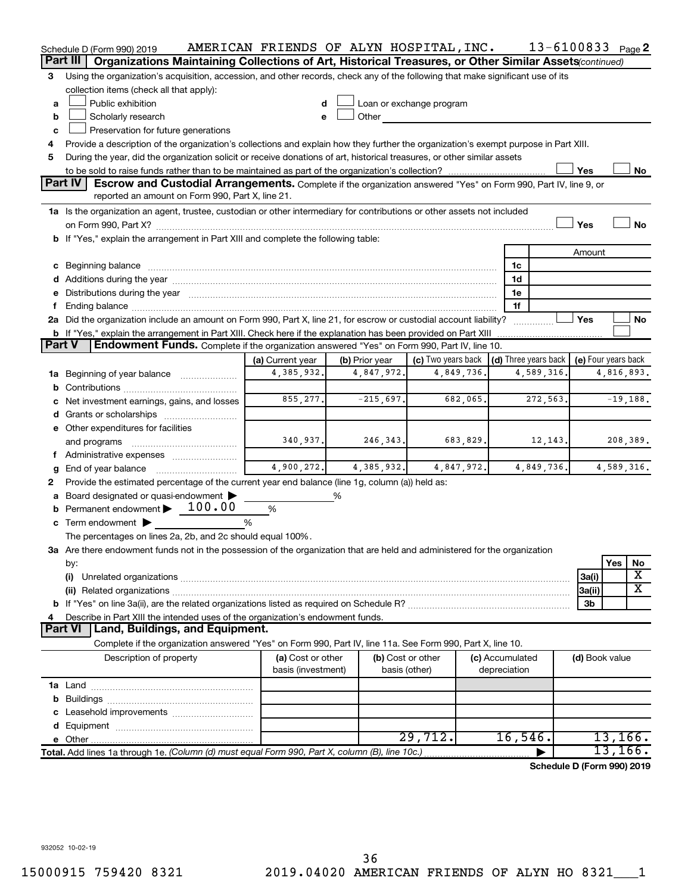|               | Schedule D (Form 990) 2019                                                                                                                                                                                                     | AMERICAN FRIENDS OF ALYN HOSPITAL, INC. |                |                          |              | 13-6100833 Page 2            |                     |            |            |
|---------------|--------------------------------------------------------------------------------------------------------------------------------------------------------------------------------------------------------------------------------|-----------------------------------------|----------------|--------------------------|--------------|------------------------------|---------------------|------------|------------|
|               | Part III<br>Organizations Maintaining Collections of Art, Historical Treasures, or Other Similar Assets(continued)                                                                                                             |                                         |                |                          |              |                              |                     |            |            |
| 3             | Using the organization's acquisition, accession, and other records, check any of the following that make significant use of its                                                                                                |                                         |                |                          |              |                              |                     |            |            |
|               | collection items (check all that apply):                                                                                                                                                                                       |                                         |                |                          |              |                              |                     |            |            |
| a             | Public exhibition                                                                                                                                                                                                              | d                                       |                | Loan or exchange program |              |                              |                     |            |            |
| b             | Scholarly research                                                                                                                                                                                                             | e                                       | Other          |                          |              |                              |                     |            |            |
| c             | Preservation for future generations                                                                                                                                                                                            |                                         |                |                          |              |                              |                     |            |            |
| 4             | Provide a description of the organization's collections and explain how they further the organization's exempt purpose in Part XIII.                                                                                           |                                         |                |                          |              |                              |                     |            |            |
| 5             | During the year, did the organization solicit or receive donations of art, historical treasures, or other similar assets                                                                                                       |                                         |                |                          |              |                              |                     |            |            |
|               |                                                                                                                                                                                                                                |                                         |                |                          |              |                              | Yes                 |            | No         |
|               | <b>Part IV</b><br>Escrow and Custodial Arrangements. Complete if the organization answered "Yes" on Form 990, Part IV, line 9, or<br>reported an amount on Form 990, Part X, line 21.                                          |                                         |                |                          |              |                              |                     |            |            |
|               | 1a Is the organization an agent, trustee, custodian or other intermediary for contributions or other assets not included                                                                                                       |                                         |                |                          |              |                              |                     |            |            |
|               |                                                                                                                                                                                                                                |                                         |                |                          |              |                              | Yes                 |            | <b>No</b>  |
|               | b If "Yes," explain the arrangement in Part XIII and complete the following table:                                                                                                                                             |                                         |                |                          |              |                              |                     |            |            |
|               |                                                                                                                                                                                                                                |                                         |                |                          |              |                              | Amount              |            |            |
|               | c Beginning balance measurements and the contract of the contract of the contract of the contract of the contract of the contract of the contract of the contract of the contract of the contract of the contract of the contr |                                         |                |                          |              | 1c                           |                     |            |            |
|               |                                                                                                                                                                                                                                |                                         |                |                          |              | 1d                           |                     |            |            |
|               | e Distributions during the year manufactured and content to the content of the content of the content of the content of the content of the content of the content of the content of the content of the content of the content  |                                         |                |                          |              | 1e                           |                     |            |            |
|               |                                                                                                                                                                                                                                |                                         |                |                          |              | 1f                           |                     |            |            |
|               | 2a Did the organization include an amount on Form 990, Part X, line 21, for escrow or custodial account liability?                                                                                                             |                                         |                |                          |              |                              | Yes                 |            | No         |
|               | <b>b</b> If "Yes," explain the arrangement in Part XIII. Check here if the explanation has been provided on Part XIII                                                                                                          |                                         |                |                          |              |                              |                     |            |            |
| <b>Part V</b> | <b>Endowment Funds.</b> Complete if the organization answered "Yes" on Form 990, Part IV, line 10.                                                                                                                             |                                         |                |                          |              |                              |                     |            |            |
|               |                                                                                                                                                                                                                                | (a) Current year                        | (b) Prior year | (c) Two years back       |              | $\vert$ (d) Three years back | (e) Four years back |            |            |
|               | <b>1a</b> Beginning of year balance <i>manument</i>                                                                                                                                                                            | 4,385,932.                              | 4,847,972.     | 4,849,736.               |              | 4,589,316.                   |                     | 4,816,893. |            |
| b             |                                                                                                                                                                                                                                |                                         |                |                          |              |                              |                     |            |            |
|               | Net investment earnings, gains, and losses                                                                                                                                                                                     | 855, 277.                               | $-215,697.$    | 682,065.                 |              | 272,563.                     |                     |            | $-19,188.$ |
|               |                                                                                                                                                                                                                                |                                         |                |                          |              |                              |                     |            |            |
|               | e Other expenditures for facilities                                                                                                                                                                                            |                                         |                |                          |              |                              |                     |            |            |
|               | and programs                                                                                                                                                                                                                   | 340,937.                                | 246, 343.      | 683,829.                 |              | 12,143.                      |                     |            | 208,389.   |
|               |                                                                                                                                                                                                                                |                                         |                |                          |              |                              |                     |            |            |
| g             | End of year balance                                                                                                                                                                                                            | 4,900,272.                              | 4,385,932.     | 4,847,972.               |              | 4,849,736.                   |                     | 4,589,316. |            |
| 2             | Provide the estimated percentage of the current year end balance (line 1g, column (a)) held as:                                                                                                                                |                                         |                |                          |              |                              |                     |            |            |
|               | Board designated or quasi-endowment                                                                                                                                                                                            |                                         | ℅              |                          |              |                              |                     |            |            |
|               | <b>b</b> Permanent endowment $\blacktriangleright$ 100.00                                                                                                                                                                      | $\%$                                    |                |                          |              |                              |                     |            |            |
|               | c Term endowment $\blacktriangleright$                                                                                                                                                                                         | %                                       |                |                          |              |                              |                     |            |            |
|               | The percentages on lines 2a, 2b, and 2c should equal 100%.                                                                                                                                                                     |                                         |                |                          |              |                              |                     |            |            |
|               | 3a Are there endowment funds not in the possession of the organization that are held and administered for the organization                                                                                                     |                                         |                |                          |              |                              |                     | Yes        |            |
|               | by:<br>(i)                                                                                                                                                                                                                     |                                         |                |                          |              |                              |                     |            | No<br>х    |
|               |                                                                                                                                                                                                                                |                                         |                |                          |              |                              | 3a(i)<br> 3a(ii)    |            | х          |
|               |                                                                                                                                                                                                                                |                                         |                |                          |              |                              | 3b                  |            |            |
|               | Describe in Part XIII the intended uses of the organization's endowment funds.                                                                                                                                                 |                                         |                |                          |              |                              |                     |            |            |
|               | Land, Buildings, and Equipment.<br><b>Part VI</b>                                                                                                                                                                              |                                         |                |                          |              |                              |                     |            |            |
|               | Complete if the organization answered "Yes" on Form 990, Part IV, line 11a. See Form 990, Part X, line 10.                                                                                                                     |                                         |                |                          |              |                              |                     |            |            |
|               | Description of property                                                                                                                                                                                                        | (a) Cost or other                       |                | (b) Cost or other        |              | (c) Accumulated              | (d) Book value      |            |            |
|               |                                                                                                                                                                                                                                | basis (investment)                      |                | basis (other)            | depreciation |                              |                     |            |            |
|               |                                                                                                                                                                                                                                |                                         |                |                          |              |                              |                     |            |            |
|               |                                                                                                                                                                                                                                |                                         |                |                          |              |                              |                     |            |            |
|               |                                                                                                                                                                                                                                |                                         |                |                          |              |                              |                     |            |            |
|               |                                                                                                                                                                                                                                |                                         |                |                          |              |                              |                     |            |            |
|               |                                                                                                                                                                                                                                |                                         |                | 29,712.                  |              | 16,546.                      |                     | 13, 166.   |            |
|               | Total. Add lines 1a through 1e. (Column (d) must equal Form 990, Part X, column (B), line 10c.)                                                                                                                                |                                         |                |                          |              |                              |                     | 13, 166.   |            |
|               |                                                                                                                                                                                                                                |                                         |                |                          |              | Schedule D (Form 990) 2019   |                     |            |            |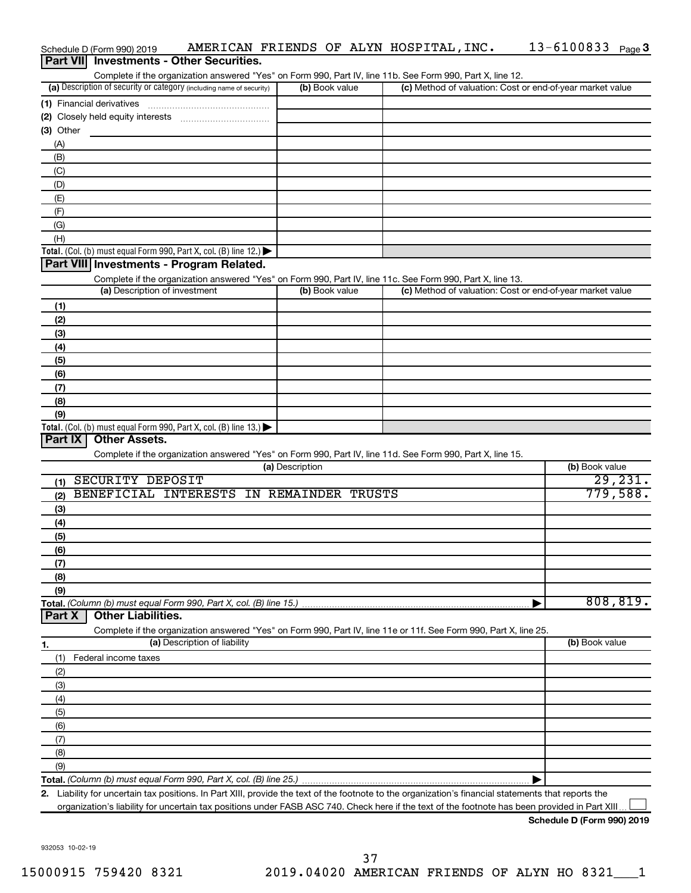|                  | Schedule D (Form 990) 2019                                                                                                                           |                 | AMERICAN FRIENDS OF ALYN HOSPITAL, INC. | 13-6100833 Page 3                                         |
|------------------|------------------------------------------------------------------------------------------------------------------------------------------------------|-----------------|-----------------------------------------|-----------------------------------------------------------|
| <b>Part VIII</b> | <b>Investments - Other Securities.</b>                                                                                                               |                 |                                         |                                                           |
|                  | Complete if the organization answered "Yes" on Form 990, Part IV, line 11b. See Form 990, Part X, line 12.                                           |                 |                                         |                                                           |
|                  | (a) Description of security or category (including name of security)                                                                                 | (b) Book value  |                                         | (c) Method of valuation: Cost or end-of-year market value |
|                  | (1) Financial derivatives                                                                                                                            |                 |                                         |                                                           |
|                  |                                                                                                                                                      |                 |                                         |                                                           |
| (3) Other        |                                                                                                                                                      |                 |                                         |                                                           |
| (A)              |                                                                                                                                                      |                 |                                         |                                                           |
| (B)              |                                                                                                                                                      |                 |                                         |                                                           |
| (C)              |                                                                                                                                                      |                 |                                         |                                                           |
| (D)              |                                                                                                                                                      |                 |                                         |                                                           |
| (E)              |                                                                                                                                                      |                 |                                         |                                                           |
| (F)<br>(G)       |                                                                                                                                                      |                 |                                         |                                                           |
| (H)              |                                                                                                                                                      |                 |                                         |                                                           |
|                  | <b>Total.</b> (Col. (b) must equal Form 990, Part X, col. (B) line 12.) $\blacktriangleright$                                                        |                 |                                         |                                                           |
|                  | Part VIII Investments - Program Related.                                                                                                             |                 |                                         |                                                           |
|                  | Complete if the organization answered "Yes" on Form 990, Part IV, line 11c. See Form 990, Part X, line 13.                                           |                 |                                         |                                                           |
|                  | (a) Description of investment                                                                                                                        | (b) Book value  |                                         | (c) Method of valuation: Cost or end-of-year market value |
| (1)              |                                                                                                                                                      |                 |                                         |                                                           |
| (2)              |                                                                                                                                                      |                 |                                         |                                                           |
| (3)              |                                                                                                                                                      |                 |                                         |                                                           |
| (4)              |                                                                                                                                                      |                 |                                         |                                                           |
| (5)              |                                                                                                                                                      |                 |                                         |                                                           |
| (6)              |                                                                                                                                                      |                 |                                         |                                                           |
| (7)              |                                                                                                                                                      |                 |                                         |                                                           |
| (8)              |                                                                                                                                                      |                 |                                         |                                                           |
| (9)              |                                                                                                                                                      |                 |                                         |                                                           |
|                  | <b>Total.</b> (Col. (b) must equal Form 990, Part X, col. (B) line 13.)                                                                              |                 |                                         |                                                           |
| Part IX          | <b>Other Assets.</b>                                                                                                                                 |                 |                                         |                                                           |
|                  | Complete if the organization answered "Yes" on Form 990, Part IV, line 11d. See Form 990, Part X, line 15.                                           |                 |                                         |                                                           |
|                  |                                                                                                                                                      | (a) Description |                                         | (b) Book value                                            |
| (1)              | SECURITY DEPOSIT                                                                                                                                     |                 |                                         | 29, 231.                                                  |
| (2)              | BENEFICIAL INTERESTS IN REMAINDER TRUSTS                                                                                                             |                 |                                         | 779,588.                                                  |
| (3)              |                                                                                                                                                      |                 |                                         |                                                           |
| (4)              |                                                                                                                                                      |                 |                                         |                                                           |
| (5)              |                                                                                                                                                      |                 |                                         |                                                           |
| (6)              |                                                                                                                                                      |                 |                                         |                                                           |
| (7)              |                                                                                                                                                      |                 |                                         |                                                           |
| (8)              |                                                                                                                                                      |                 |                                         |                                                           |
| (9)              |                                                                                                                                                      |                 |                                         |                                                           |
|                  | Total. (Column (b) must equal Form 990, Part X, col. (B) line 15.)<br><b>Other Liabilities.</b>                                                      |                 |                                         | 808, 819.                                                 |
| Part X           |                                                                                                                                                      |                 |                                         |                                                           |
|                  | Complete if the organization answered "Yes" on Form 990, Part IV, line 11e or 11f. See Form 990, Part X, line 25.<br>(a) Description of liability    |                 |                                         | (b) Book value                                            |
| 1.               |                                                                                                                                                      |                 |                                         |                                                           |
| (1)              | Federal income taxes                                                                                                                                 |                 |                                         |                                                           |
| (2)              |                                                                                                                                                      |                 |                                         |                                                           |
| (3)              |                                                                                                                                                      |                 |                                         |                                                           |
| (4)<br>(5)       |                                                                                                                                                      |                 |                                         |                                                           |
| (6)              |                                                                                                                                                      |                 |                                         |                                                           |
| (7)              |                                                                                                                                                      |                 |                                         |                                                           |
| (8)              |                                                                                                                                                      |                 |                                         |                                                           |
| (9)              |                                                                                                                                                      |                 |                                         |                                                           |
|                  |                                                                                                                                                      |                 |                                         |                                                           |
|                  | 2. Liability for uncertain tax positions. In Part XIII, provide the text of the footnote to the organization's financial statements that reports the |                 |                                         |                                                           |
|                  | organization's liability for uncertain tax positions under FASB ASC 740. Check here if the text of the footnote has been provided in Part XIII.      |                 |                                         |                                                           |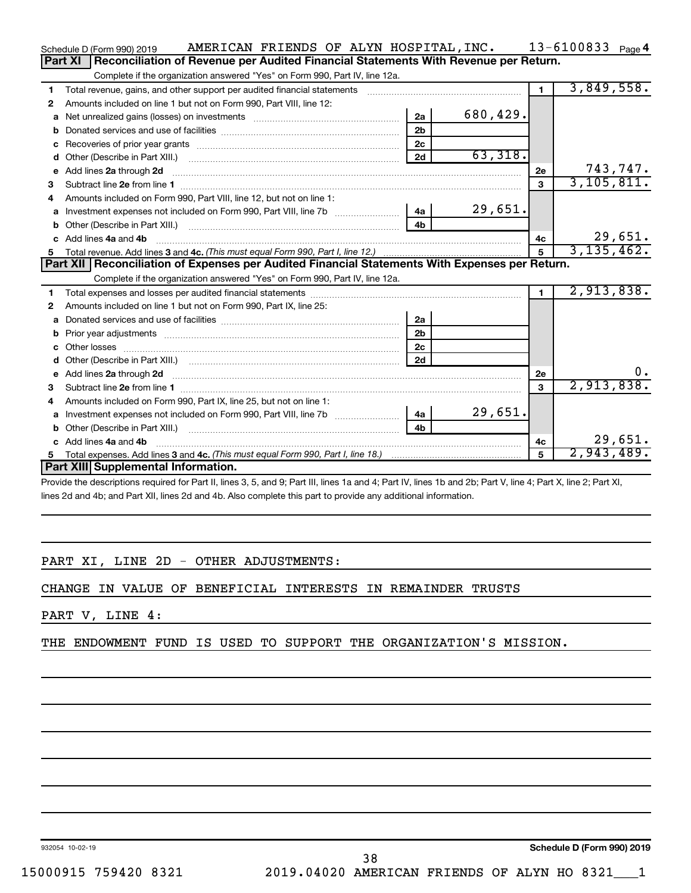|    | AMERICAN FRIENDS OF ALYN HOSPITAL, INC.<br>Schedule D (Form 990) 2019                                                                                                                                                               |                |              |                | 13-6100833 $_{Page 4}$ |
|----|-------------------------------------------------------------------------------------------------------------------------------------------------------------------------------------------------------------------------------------|----------------|--------------|----------------|------------------------|
|    | Reconciliation of Revenue per Audited Financial Statements With Revenue per Return.<br>Part XI                                                                                                                                      |                |              |                |                        |
|    | Complete if the organization answered "Yes" on Form 990, Part IV, line 12a.                                                                                                                                                         |                |              |                |                        |
| 1  | Total revenue, gains, and other support per audited financial statements                                                                                                                                                            |                |              | $\mathbf{1}$   | 3,849,558.             |
| 2  | Amounts included on line 1 but not on Form 990, Part VIII, line 12:                                                                                                                                                                 |                |              |                |                        |
| a  |                                                                                                                                                                                                                                     | 2a             | 680,429.     |                |                        |
| b  |                                                                                                                                                                                                                                     | 2 <sub>b</sub> |              |                |                        |
| c  |                                                                                                                                                                                                                                     | 2 <sub>c</sub> |              |                |                        |
| d  |                                                                                                                                                                                                                                     | 2d             | 63,318.      |                |                        |
| е  | Add lines 2a through 2d                                                                                                                                                                                                             |                |              | 2е             | 743,747.               |
| 3  |                                                                                                                                                                                                                                     |                |              | 3              | 3,105,811.             |
| 4  | Amounts included on Form 990. Part VIII. line 12, but not on line 1:                                                                                                                                                                |                |              |                |                        |
|    | Investment expenses not included on Form 990, Part VIII, line 7b [11] [11] Investment expenses not included on Form 990, Part VIII, line 7b                                                                                         | 4a             | 29,651.      |                |                        |
|    |                                                                                                                                                                                                                                     | 4 <sub>b</sub> |              |                |                        |
| c. | Add lines 4a and 4b                                                                                                                                                                                                                 |                |              | 4c             | 29,651.                |
|    |                                                                                                                                                                                                                                     | 5              | 3, 135, 462. |                |                        |
|    |                                                                                                                                                                                                                                     |                |              |                |                        |
|    | Part XII   Reconciliation of Expenses per Audited Financial Statements With Expenses per Return.                                                                                                                                    |                |              |                |                        |
|    | Complete if the organization answered "Yes" on Form 990, Part IV, line 12a.                                                                                                                                                         |                |              |                |                        |
| 1  |                                                                                                                                                                                                                                     |                |              | $\blacksquare$ | 2,913,838.             |
| 2  | Amounts included on line 1 but not on Form 990, Part IX, line 25:                                                                                                                                                                   |                |              |                |                        |
| a  |                                                                                                                                                                                                                                     | 2a             |              |                |                        |
| b  |                                                                                                                                                                                                                                     | 2 <sub>b</sub> |              |                |                        |
|    |                                                                                                                                                                                                                                     | 2 <sub>c</sub> |              |                |                        |
| d  |                                                                                                                                                                                                                                     | 2d             |              |                |                        |
|    | e Add lines 2a through 2d <b>contract and a contract and a contract a</b> contract a contract and a contract a contract a contract a contract a contract a contract a contract a contract a contract a contract a contract a contra |                |              | 2е             | $0 \cdot$              |
| З  |                                                                                                                                                                                                                                     |                |              | $\mathbf{a}$   | 2,913,838.             |
| 4  | Amounts included on Form 990, Part IX, line 25, but not on line 1:                                                                                                                                                                  |                |              |                |                        |
| a  |                                                                                                                                                                                                                                     | 4a l           | 29,651.      |                |                        |
| b  |                                                                                                                                                                                                                                     | 4 <sub>h</sub> |              |                |                        |
|    | c Add lines 4a and 4b                                                                                                                                                                                                               |                |              | 4c             | 29,651.                |
| 5  | Part XIII Supplemental Information.                                                                                                                                                                                                 |                |              |                | 2,943,489.             |

Provide the descriptions required for Part II, lines 3, 5, and 9; Part III, lines 1a and 4; Part IV, lines 1b and 2b; Part V, line 4; Part X, line 2; Part XI, lines 2d and 4b; and Part XII, lines 2d and 4b. Also complete this part to provide any additional information.

# PART XI, LINE 2D - OTHER ADJUSTMENTS:

CHANGE IN VALUE OF BENEFICIAL INTERESTS IN REMAINDER TRUSTS

# PART V, LINE 4:

THE ENDOWMENT FUND IS USED TO SUPPORT THE ORGANIZATION'S MISSION.

932054 10-02-19

**Schedule D (Form 990) 2019**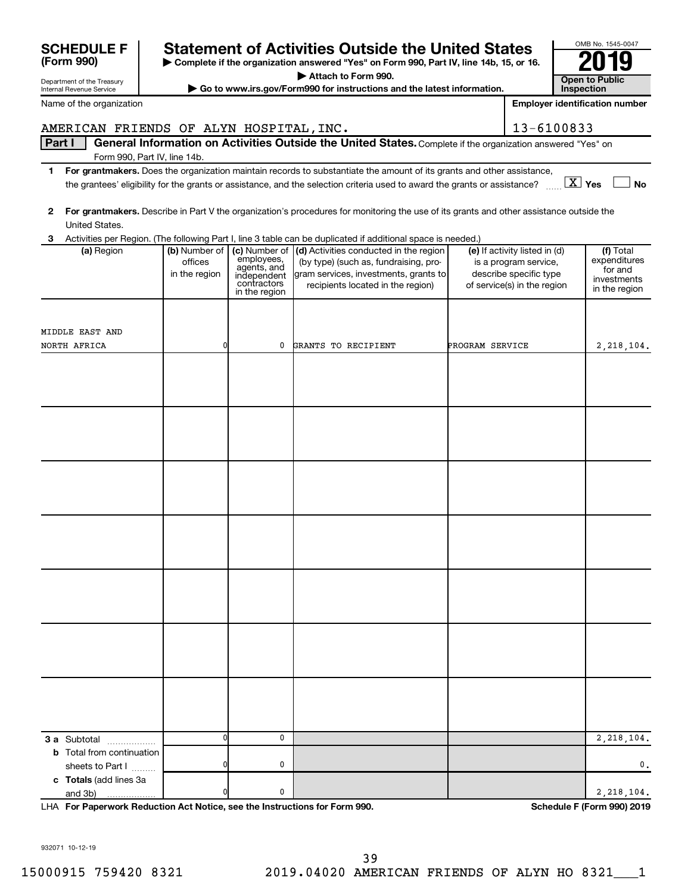| <b>Statement of Activities Outside the United States</b><br><b>SCHEDULE F</b> |                              |                            |                                                                                                                                         |                 |                                                 | OMB No. 1545-0047 |                                       |
|-------------------------------------------------------------------------------|------------------------------|----------------------------|-----------------------------------------------------------------------------------------------------------------------------------------|-----------------|-------------------------------------------------|-------------------|---------------------------------------|
| (Form 990)                                                                    |                              |                            | Complete if the organization answered "Yes" on Form 990, Part IV, line 14b, 15, or 16.                                                  |                 |                                                 |                   |                                       |
| Department of the Treasury                                                    |                              |                            | Attach to Form 990.                                                                                                                     |                 |                                                 |                   | <b>Open to Public</b>                 |
| Internal Revenue Service                                                      |                              |                            | Go to www.irs.gov/Form990 for instructions and the latest information.                                                                  |                 |                                                 | Inspection        |                                       |
| Name of the organization                                                      |                              |                            |                                                                                                                                         |                 |                                                 |                   | <b>Employer identification number</b> |
| AMERICAN FRIENDS OF ALYN HOSPITAL, INC.                                       |                              |                            |                                                                                                                                         |                 | 13-6100833                                      |                   |                                       |
| Part I                                                                        |                              |                            | General Information on Activities Outside the United States. Complete if the organization answered "Yes" on                             |                 |                                                 |                   |                                       |
|                                                                               | Form 990, Part IV, line 14b. |                            |                                                                                                                                         |                 |                                                 |                   |                                       |
| 1.                                                                            |                              |                            | For grantmakers. Does the organization maintain records to substantiate the amount of its grants and other assistance,                  |                 |                                                 |                   |                                       |
|                                                                               |                              |                            | the grantees' eligibility for the grants or assistance, and the selection criteria used to award the grants or assistance?              |                 |                                                 | $X \times$        | <b>No</b>                             |
| 2                                                                             |                              |                            | For grantmakers. Describe in Part V the organization's procedures for monitoring the use of its grants and other assistance outside the |                 |                                                 |                   |                                       |
| United States.                                                                |                              |                            |                                                                                                                                         |                 |                                                 |                   |                                       |
| 3                                                                             |                              |                            | Activities per Region. (The following Part I, line 3 table can be duplicated if additional space is needed.)                            |                 |                                                 |                   |                                       |
| (a) Region                                                                    | (b) Number of                | employees,                 | (c) Number of $\vert$ (d) Activities conducted in the region                                                                            |                 | (e) If activity listed in (d)                   |                   | $(f)$ Total<br>expenditures           |
|                                                                               | offices<br>in the region     | agents, and<br>independent | (by type) (such as, fundraising, pro-<br>gram services, investments, grants to                                                          |                 | is a program service,<br>describe specific type |                   | for and                               |
|                                                                               |                              | contractors                | recipients located in the region)                                                                                                       |                 | of service(s) in the region                     |                   | investments<br>in the region          |
|                                                                               |                              | in the region              |                                                                                                                                         |                 |                                                 |                   |                                       |
|                                                                               |                              |                            |                                                                                                                                         |                 |                                                 |                   |                                       |
| MIDDLE EAST AND                                                               |                              |                            |                                                                                                                                         |                 |                                                 |                   |                                       |
| NORTH AFRICA                                                                  | 0                            | 0                          | GRANTS TO RECIPIENT                                                                                                                     | PROGRAM SERVICE |                                                 |                   | 2,218,104.                            |
|                                                                               |                              |                            |                                                                                                                                         |                 |                                                 |                   |                                       |
|                                                                               |                              |                            |                                                                                                                                         |                 |                                                 |                   |                                       |
|                                                                               |                              |                            |                                                                                                                                         |                 |                                                 |                   |                                       |
|                                                                               |                              |                            |                                                                                                                                         |                 |                                                 |                   |                                       |
|                                                                               |                              |                            |                                                                                                                                         |                 |                                                 |                   |                                       |
|                                                                               |                              |                            |                                                                                                                                         |                 |                                                 |                   |                                       |
|                                                                               |                              |                            |                                                                                                                                         |                 |                                                 |                   |                                       |
|                                                                               |                              |                            |                                                                                                                                         |                 |                                                 |                   |                                       |
|                                                                               |                              |                            |                                                                                                                                         |                 |                                                 |                   |                                       |
|                                                                               |                              |                            |                                                                                                                                         |                 |                                                 |                   |                                       |
|                                                                               |                              |                            |                                                                                                                                         |                 |                                                 |                   |                                       |
|                                                                               |                              |                            |                                                                                                                                         |                 |                                                 |                   |                                       |
|                                                                               |                              |                            |                                                                                                                                         |                 |                                                 |                   |                                       |
|                                                                               |                              |                            |                                                                                                                                         |                 |                                                 |                   |                                       |
|                                                                               |                              |                            |                                                                                                                                         |                 |                                                 |                   |                                       |
|                                                                               |                              |                            |                                                                                                                                         |                 |                                                 |                   |                                       |
|                                                                               |                              |                            |                                                                                                                                         |                 |                                                 |                   |                                       |
|                                                                               |                              |                            |                                                                                                                                         |                 |                                                 |                   |                                       |
|                                                                               |                              |                            |                                                                                                                                         |                 |                                                 |                   |                                       |
|                                                                               |                              |                            |                                                                                                                                         |                 |                                                 |                   |                                       |
|                                                                               |                              |                            |                                                                                                                                         |                 |                                                 |                   |                                       |
|                                                                               |                              |                            |                                                                                                                                         |                 |                                                 |                   |                                       |
|                                                                               |                              |                            |                                                                                                                                         |                 |                                                 |                   |                                       |
|                                                                               |                              |                            |                                                                                                                                         |                 |                                                 |                   |                                       |
| <b>3 a</b> Subtotal                                                           | 0                            | 0                          |                                                                                                                                         |                 |                                                 |                   | 2,218,104.                            |
| <b>b</b> Total from continuation                                              |                              |                            |                                                                                                                                         |                 |                                                 |                   |                                       |
| sheets to Part I                                                              |                              | 0                          |                                                                                                                                         |                 |                                                 |                   | 0.                                    |
| c Totals (add lines 3a<br>and 3b)<br>.                                        |                              | 0                          |                                                                                                                                         |                 |                                                 |                   | 2,218,104.                            |
|                                                                               |                              |                            |                                                                                                                                         |                 |                                                 |                   |                                       |

**For Paperwork Reduction Act Notice, see the Instructions for Form 990. Schedule F (Form 990) 2019** LHA

OMB No. 1545-0047

932071 10-12-19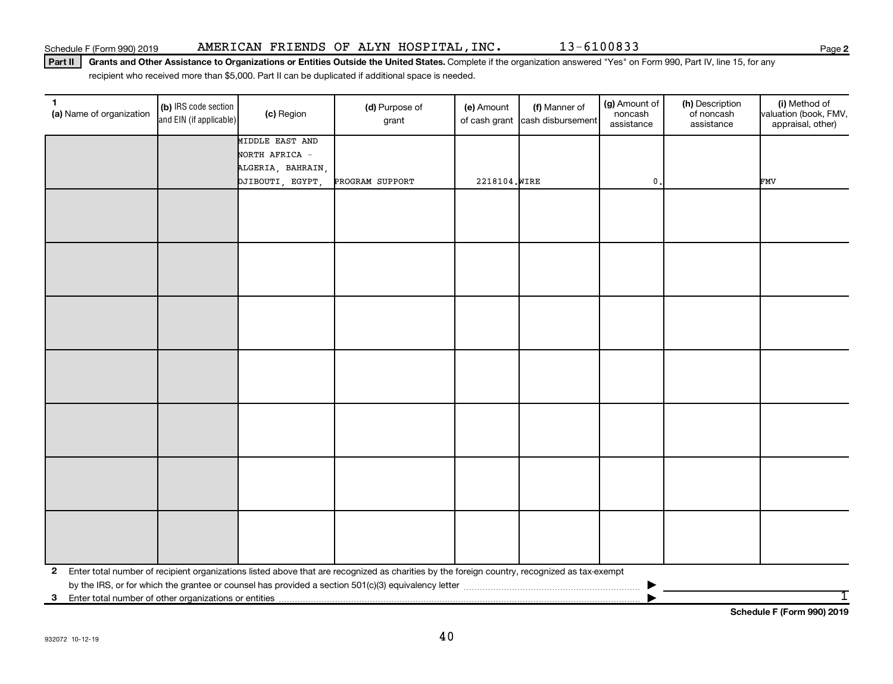Part II | Grants and Other Assistance to Organizations or Entities Outside the United States. Complete if the organization answered "Yes" on Form 990, Part IV, line 15, for any recipient who received more than \$5,000. Part II can be duplicated if additional space is needed.

| $\mathbf{1}$<br>(a) Name of organization                | (b) IRS code section<br>and EIN (if applicable) | (c) Region        | (d) Purpose of<br>grant                                                                                                                      | (e) Amount    | (f) Manner of<br>of cash grant cash disbursement | (g) Amount of<br>noncash<br>assistance | (h) Description<br>of noncash<br>assistance | (i) Method of<br>valuation (book, FMV,<br>appraisal, other) |
|---------------------------------------------------------|-------------------------------------------------|-------------------|----------------------------------------------------------------------------------------------------------------------------------------------|---------------|--------------------------------------------------|----------------------------------------|---------------------------------------------|-------------------------------------------------------------|
|                                                         |                                                 | MIDDLE EAST AND   |                                                                                                                                              |               |                                                  |                                        |                                             |                                                             |
|                                                         |                                                 | NORTH AFRICA -    |                                                                                                                                              |               |                                                  |                                        |                                             |                                                             |
|                                                         |                                                 | ALGERIA, BAHRAIN, |                                                                                                                                              |               |                                                  |                                        |                                             |                                                             |
|                                                         |                                                 | DJIBOUTI, EGYPT,  | PROGRAM SUPPORT                                                                                                                              | 2218104. WIRE |                                                  | 0.                                     |                                             | <b>FMV</b>                                                  |
|                                                         |                                                 |                   |                                                                                                                                              |               |                                                  |                                        |                                             |                                                             |
|                                                         |                                                 |                   |                                                                                                                                              |               |                                                  |                                        |                                             |                                                             |
|                                                         |                                                 |                   |                                                                                                                                              |               |                                                  |                                        |                                             |                                                             |
|                                                         |                                                 |                   |                                                                                                                                              |               |                                                  |                                        |                                             |                                                             |
|                                                         |                                                 |                   |                                                                                                                                              |               |                                                  |                                        |                                             |                                                             |
|                                                         |                                                 |                   |                                                                                                                                              |               |                                                  |                                        |                                             |                                                             |
|                                                         |                                                 |                   |                                                                                                                                              |               |                                                  |                                        |                                             |                                                             |
|                                                         |                                                 |                   |                                                                                                                                              |               |                                                  |                                        |                                             |                                                             |
|                                                         |                                                 |                   |                                                                                                                                              |               |                                                  |                                        |                                             |                                                             |
|                                                         |                                                 |                   |                                                                                                                                              |               |                                                  |                                        |                                             |                                                             |
|                                                         |                                                 |                   |                                                                                                                                              |               |                                                  |                                        |                                             |                                                             |
|                                                         |                                                 |                   |                                                                                                                                              |               |                                                  |                                        |                                             |                                                             |
|                                                         |                                                 |                   |                                                                                                                                              |               |                                                  |                                        |                                             |                                                             |
|                                                         |                                                 |                   |                                                                                                                                              |               |                                                  |                                        |                                             |                                                             |
|                                                         |                                                 |                   |                                                                                                                                              |               |                                                  |                                        |                                             |                                                             |
|                                                         |                                                 |                   |                                                                                                                                              |               |                                                  |                                        |                                             |                                                             |
|                                                         |                                                 |                   |                                                                                                                                              |               |                                                  |                                        |                                             |                                                             |
|                                                         |                                                 |                   |                                                                                                                                              |               |                                                  |                                        |                                             |                                                             |
|                                                         |                                                 |                   |                                                                                                                                              |               |                                                  |                                        |                                             |                                                             |
|                                                         |                                                 |                   |                                                                                                                                              |               |                                                  |                                        |                                             |                                                             |
|                                                         |                                                 |                   |                                                                                                                                              |               |                                                  |                                        |                                             |                                                             |
|                                                         |                                                 |                   |                                                                                                                                              |               |                                                  |                                        |                                             |                                                             |
|                                                         |                                                 |                   |                                                                                                                                              |               |                                                  |                                        |                                             |                                                             |
| $\mathbf{2}$                                            |                                                 |                   | Enter total number of recipient organizations listed above that are recognized as charities by the foreign country, recognized as tax-exempt |               |                                                  |                                        |                                             |                                                             |
|                                                         |                                                 |                   |                                                                                                                                              |               |                                                  |                                        |                                             | 1                                                           |
| 3 Enter total number of other organizations or entities |                                                 |                   |                                                                                                                                              |               |                                                  |                                        |                                             |                                                             |

**Schedule F (Form 990) 2019**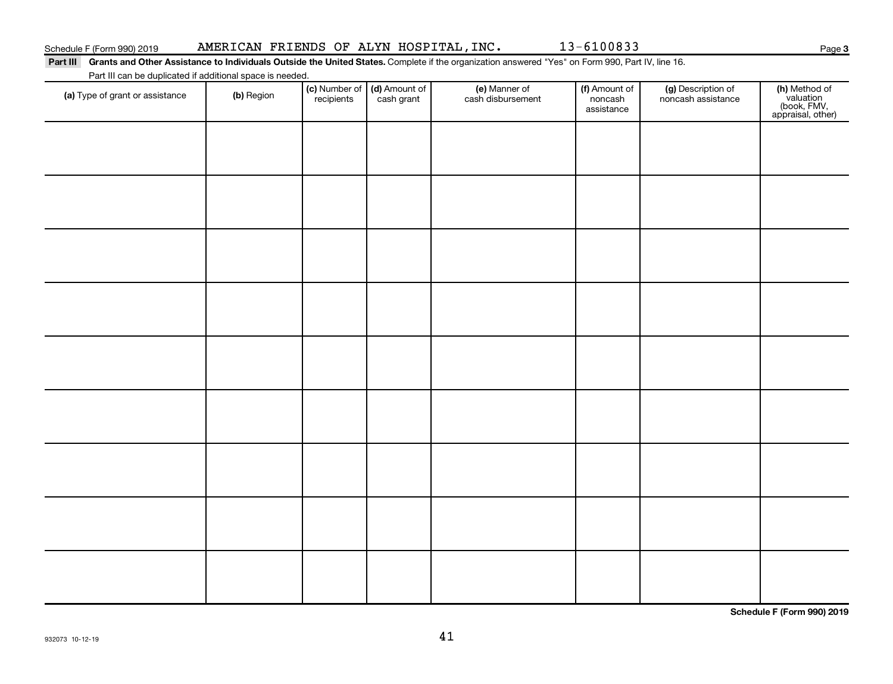### Schedule F (Form 990) 2019 Page AMERICAN FRIENDS OF ALYN HOSPITAL,INC. 13-6100833

**3**

#### Part III Grants and Other Assistance to Individuals Outside the United States. Complete if the organization answered "Yes" on Form 990, Part IV, line 16. Part III can be duplicated if additional space is needed.

| T are in carried depileated in additional space is riceded.<br>(a) Type of grant or assistance | (b) Region | (c) Number of<br>recipients | (d) Amount of<br>cash grant | (e) Manner of<br>cash disbursement | (f) Amount of<br>noncash<br>assistance | (g) Description of<br>noncash assistance | (h) Method of<br>valuation<br>(book, FMV,<br>appraisal, other) |
|------------------------------------------------------------------------------------------------|------------|-----------------------------|-----------------------------|------------------------------------|----------------------------------------|------------------------------------------|----------------------------------------------------------------|
|                                                                                                |            |                             |                             |                                    |                                        |                                          |                                                                |
|                                                                                                |            |                             |                             |                                    |                                        |                                          |                                                                |
|                                                                                                |            |                             |                             |                                    |                                        |                                          |                                                                |
|                                                                                                |            |                             |                             |                                    |                                        |                                          |                                                                |
|                                                                                                |            |                             |                             |                                    |                                        |                                          |                                                                |
|                                                                                                |            |                             |                             |                                    |                                        |                                          |                                                                |
|                                                                                                |            |                             |                             |                                    |                                        |                                          |                                                                |
|                                                                                                |            |                             |                             |                                    |                                        |                                          |                                                                |
|                                                                                                |            |                             |                             |                                    |                                        |                                          |                                                                |
|                                                                                                |            |                             |                             |                                    |                                        |                                          |                                                                |

**Schedule F (Form 990) 2019**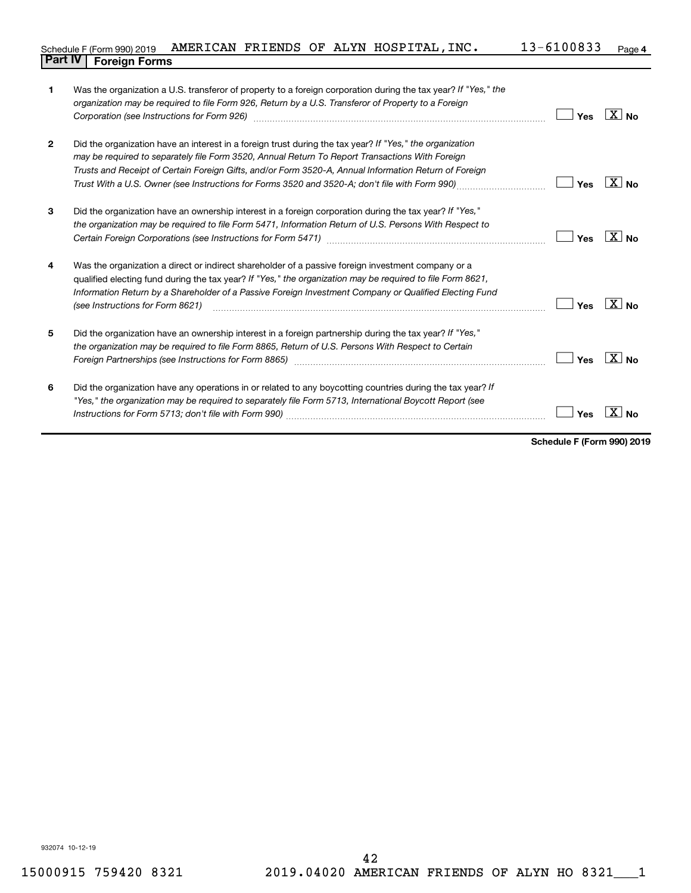#### 13-6100833 Page 4 Schedule F (Form 990) 2019 AMERICAN FRIENDS OF ALYN HOSPITAL,INC.  $13-6100833$  Page **Part IV F** (Form 990) 2019 **19**<br>**Part IV Foreign Forms**

| $\mathbf{1}$   | Was the organization a U.S. transferor of property to a foreign corporation during the tax year? If "Yes," the<br>organization may be required to file Form 926, Return by a U.S. Transferor of Property to a Foreign<br>Corporation (see Instructions for Form 926) [11] matter continuum matter of the Instruction (see Instructions for Form 926) [11] matter continuum matter of the Institute of the Institute of the Institute of the Institute o | Yes | $\overline{X}$ No |
|----------------|---------------------------------------------------------------------------------------------------------------------------------------------------------------------------------------------------------------------------------------------------------------------------------------------------------------------------------------------------------------------------------------------------------------------------------------------------------|-----|-------------------|
| $\overline{2}$ | Did the organization have an interest in a foreign trust during the tax year? If "Yes," the organization<br>may be required to separately file Form 3520, Annual Return To Report Transactions With Foreign<br>Trusts and Receipt of Certain Foreign Gifts, and/or Form 3520-A, Annual Information Return of Foreign                                                                                                                                    | Yes | $\overline{X}$ No |
| 3              | Did the organization have an ownership interest in a foreign corporation during the tax year? If "Yes,"<br>the organization may be required to file Form 5471, Information Return of U.S. Persons With Respect to                                                                                                                                                                                                                                       | Yes | $X _{N_{\Omega}}$ |
| 4              | Was the organization a direct or indirect shareholder of a passive foreign investment company or a<br>qualified electing fund during the tax year? If "Yes," the organization may be required to file Form 8621,<br>Information Return by a Shareholder of a Passive Foreign Investment Company or Qualified Electing Fund<br>(see Instructions for Form 8621)                                                                                          | Yes | $X _{\text{No}}$  |
| 5              | Did the organization have an ownership interest in a foreign partnership during the tax year? If "Yes,"<br>the organization may be required to file Form 8865, Return of U.S. Persons With Respect to Certain                                                                                                                                                                                                                                           | Yes | $X _{\text{No}}$  |
| 6              | Did the organization have any operations in or related to any boycotting countries during the tax year? If<br>"Yes," the organization may be required to separately file Form 5713, International Boycott Report (see                                                                                                                                                                                                                                   | Yes |                   |

**Schedule F (Form 990) 2019**

932074 10-12-19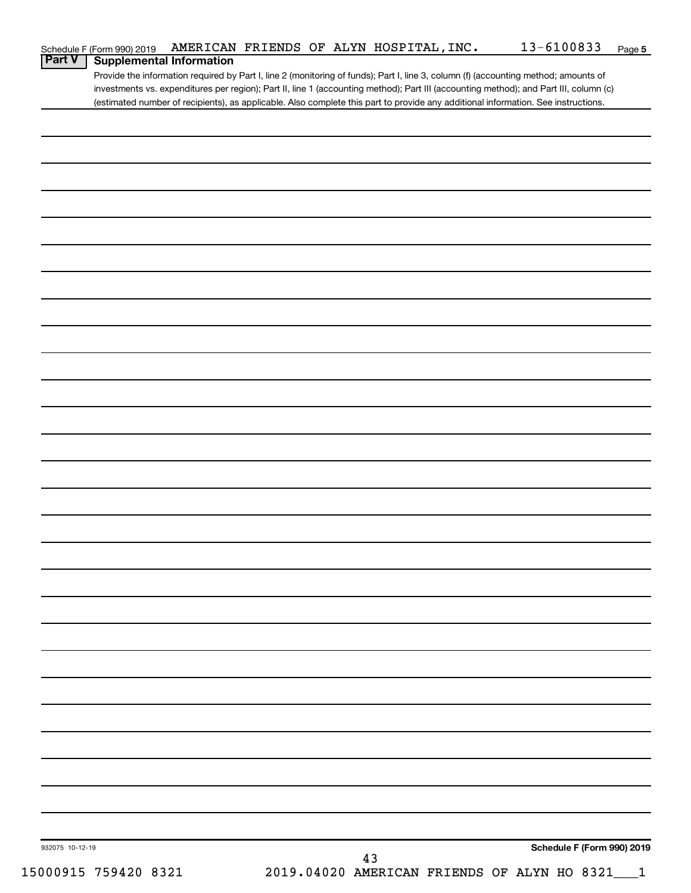| Schedule F (Form 990) 2019                                                                                                            | AMERICAN FRIENDS OF ALYN HOSPITAL, INC. |    | 13-6100833                                     | Page 5 |
|---------------------------------------------------------------------------------------------------------------------------------------|-----------------------------------------|----|------------------------------------------------|--------|
| Part V<br><b>Supplemental Information</b>                                                                                             |                                         |    |                                                |        |
| Provide the information required by Part I, line 2 (monitoring of funds); Part I, line 3, column (f) (accounting method; amounts of   |                                         |    |                                                |        |
| investments vs. expenditures per region); Part II, line 1 (accounting method); Part III (accounting method); and Part III, column (c) |                                         |    |                                                |        |
| (estimated number of recipients), as applicable. Also complete this part to provide any additional information. See instructions.     |                                         |    |                                                |        |
|                                                                                                                                       |                                         |    |                                                |        |
|                                                                                                                                       |                                         |    |                                                |        |
|                                                                                                                                       |                                         |    |                                                |        |
|                                                                                                                                       |                                         |    |                                                |        |
|                                                                                                                                       |                                         |    |                                                |        |
|                                                                                                                                       |                                         |    |                                                |        |
|                                                                                                                                       |                                         |    |                                                |        |
|                                                                                                                                       |                                         |    |                                                |        |
|                                                                                                                                       |                                         |    |                                                |        |
|                                                                                                                                       |                                         |    |                                                |        |
|                                                                                                                                       |                                         |    |                                                |        |
|                                                                                                                                       |                                         |    |                                                |        |
|                                                                                                                                       |                                         |    |                                                |        |
|                                                                                                                                       |                                         |    |                                                |        |
|                                                                                                                                       |                                         |    |                                                |        |
|                                                                                                                                       |                                         |    |                                                |        |
|                                                                                                                                       |                                         |    |                                                |        |
|                                                                                                                                       |                                         |    |                                                |        |
|                                                                                                                                       |                                         |    |                                                |        |
|                                                                                                                                       |                                         |    |                                                |        |
|                                                                                                                                       |                                         |    |                                                |        |
|                                                                                                                                       |                                         |    |                                                |        |
|                                                                                                                                       |                                         |    |                                                |        |
|                                                                                                                                       |                                         |    |                                                |        |
|                                                                                                                                       |                                         |    |                                                |        |
|                                                                                                                                       |                                         |    |                                                |        |
|                                                                                                                                       |                                         |    |                                                |        |
|                                                                                                                                       |                                         |    |                                                |        |
|                                                                                                                                       |                                         |    |                                                |        |
|                                                                                                                                       |                                         |    |                                                |        |
|                                                                                                                                       |                                         |    |                                                |        |
|                                                                                                                                       |                                         |    |                                                |        |
|                                                                                                                                       |                                         |    |                                                |        |
|                                                                                                                                       |                                         |    |                                                |        |
|                                                                                                                                       |                                         |    |                                                |        |
|                                                                                                                                       |                                         |    |                                                |        |
|                                                                                                                                       |                                         |    |                                                |        |
|                                                                                                                                       |                                         |    |                                                |        |
|                                                                                                                                       |                                         |    |                                                |        |
|                                                                                                                                       |                                         |    |                                                |        |
|                                                                                                                                       |                                         |    |                                                |        |
|                                                                                                                                       |                                         |    |                                                |        |
|                                                                                                                                       |                                         |    |                                                |        |
|                                                                                                                                       |                                         |    |                                                |        |
|                                                                                                                                       |                                         |    |                                                |        |
|                                                                                                                                       |                                         |    |                                                |        |
|                                                                                                                                       |                                         |    |                                                |        |
|                                                                                                                                       |                                         |    |                                                |        |
|                                                                                                                                       |                                         |    |                                                |        |
|                                                                                                                                       |                                         |    |                                                |        |
|                                                                                                                                       |                                         |    |                                                |        |
|                                                                                                                                       |                                         |    |                                                |        |
|                                                                                                                                       |                                         |    |                                                |        |
|                                                                                                                                       |                                         |    |                                                |        |
|                                                                                                                                       |                                         |    |                                                |        |
| 932075 10-12-19                                                                                                                       |                                         |    | Schedule F (Form 990) 2019                     |        |
|                                                                                                                                       |                                         | 43 |                                                |        |
| 15000915 759420 8321                                                                                                                  |                                         |    | 2019.04020 AMERICAN FRIENDS OF ALYN HO 8321__1 |        |
|                                                                                                                                       |                                         |    |                                                |        |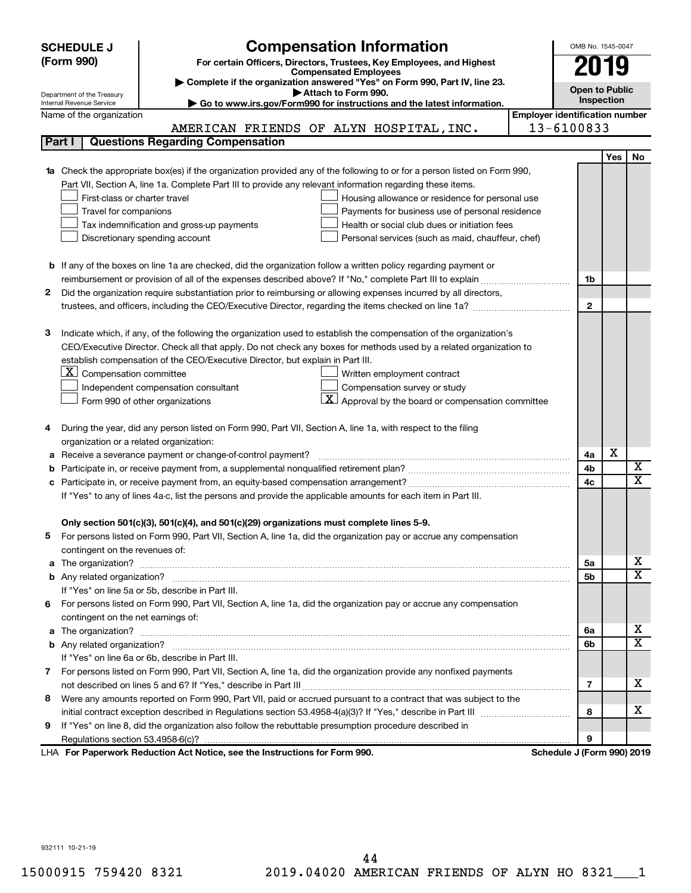|        | <b>SCHEDULE J</b>                                      | <b>Compensation Information</b>                                                                                             |                                       | OMB No. 1545-0047          |     |                         |
|--------|--------------------------------------------------------|-----------------------------------------------------------------------------------------------------------------------------|---------------------------------------|----------------------------|-----|-------------------------|
|        | (Form 990)                                             | For certain Officers, Directors, Trustees, Key Employees, and Highest                                                       |                                       |                            |     |                         |
|        |                                                        | <b>Compensated Employees</b>                                                                                                |                                       | 2019                       |     |                         |
|        |                                                        | Complete if the organization answered "Yes" on Form 990, Part IV, line 23.<br>Attach to Form 990.                           |                                       | <b>Open to Public</b>      |     |                         |
|        | Department of the Treasury<br>Internal Revenue Service | Go to www.irs.gov/Form990 for instructions and the latest information.                                                      |                                       | Inspection                 |     |                         |
|        | Name of the organization                               |                                                                                                                             | <b>Employer identification number</b> |                            |     |                         |
|        |                                                        | AMERICAN FRIENDS OF ALYN HOSPITAL, INC.                                                                                     |                                       | 13-6100833                 |     |                         |
| Part I |                                                        | <b>Questions Regarding Compensation</b>                                                                                     |                                       |                            |     |                         |
|        |                                                        |                                                                                                                             |                                       |                            | Yes | <b>No</b>               |
|        |                                                        | Check the appropriate box(es) if the organization provided any of the following to or for a person listed on Form 990,      |                                       |                            |     |                         |
|        |                                                        | Part VII, Section A, line 1a. Complete Part III to provide any relevant information regarding these items.                  |                                       |                            |     |                         |
|        | First-class or charter travel                          | Housing allowance or residence for personal use                                                                             |                                       |                            |     |                         |
|        | Travel for companions                                  | Payments for business use of personal residence                                                                             |                                       |                            |     |                         |
|        |                                                        | Health or social club dues or initiation fees<br>Tax indemnification and gross-up payments                                  |                                       |                            |     |                         |
|        |                                                        | Discretionary spending account<br>Personal services (such as maid, chauffeur, chef)                                         |                                       |                            |     |                         |
|        |                                                        |                                                                                                                             |                                       |                            |     |                         |
|        |                                                        | <b>b</b> If any of the boxes on line 1a are checked, did the organization follow a written policy regarding payment or      |                                       |                            |     |                         |
|        |                                                        |                                                                                                                             |                                       | 1b                         |     |                         |
| 2      |                                                        | Did the organization require substantiation prior to reimbursing or allowing expenses incurred by all directors,            |                                       |                            |     |                         |
|        |                                                        |                                                                                                                             |                                       | $\mathbf{2}$               |     |                         |
|        |                                                        |                                                                                                                             |                                       |                            |     |                         |
| З      |                                                        | Indicate which, if any, of the following the organization used to establish the compensation of the organization's          |                                       |                            |     |                         |
|        |                                                        | CEO/Executive Director. Check all that apply. Do not check any boxes for methods used by a related organization to          |                                       |                            |     |                         |
|        |                                                        | establish compensation of the CEO/Executive Director, but explain in Part III.                                              |                                       |                            |     |                         |
|        | $ \mathbf{X} $ Compensation committee                  | Written employment contract                                                                                                 |                                       |                            |     |                         |
|        |                                                        | Compensation survey or study<br>Independent compensation consultant                                                         |                                       |                            |     |                         |
|        |                                                        | $\underline{\mathbf{X}}$ Approval by the board or compensation committee<br>Form 990 of other organizations                 |                                       |                            |     |                         |
|        |                                                        |                                                                                                                             |                                       |                            |     |                         |
| 4      |                                                        | During the year, did any person listed on Form 990, Part VII, Section A, line 1a, with respect to the filing                |                                       |                            |     |                         |
|        | organization or a related organization:                |                                                                                                                             |                                       |                            | X   |                         |
| а      |                                                        | Receive a severance payment or change-of-control payment?                                                                   |                                       | 4a                         |     | X                       |
| b      |                                                        |                                                                                                                             |                                       | 4b                         |     | X                       |
|        |                                                        |                                                                                                                             |                                       | 4c                         |     |                         |
|        |                                                        | If "Yes" to any of lines 4a-c, list the persons and provide the applicable amounts for each item in Part III.               |                                       |                            |     |                         |
|        |                                                        | Only section 501(c)(3), 501(c)(4), and 501(c)(29) organizations must complete lines 5-9.                                    |                                       |                            |     |                         |
|        |                                                        | For persons listed on Form 990, Part VII, Section A, line 1a, did the organization pay or accrue any compensation           |                                       |                            |     |                         |
|        | contingent on the revenues of:                         |                                                                                                                             |                                       |                            |     |                         |
| a      |                                                        |                                                                                                                             |                                       | 5а                         |     | x                       |
|        |                                                        | The organization? <b>With the organization</b> ? <b>With the organization with the organization? With the organization?</b> |                                       | 5b                         |     | $\overline{\texttt{x}}$ |
|        |                                                        | If "Yes" on line 5a or 5b, describe in Part III.                                                                            |                                       |                            |     |                         |
|        |                                                        | 6 For persons listed on Form 990, Part VII, Section A, line 1a, did the organization pay or accrue any compensation         |                                       |                            |     |                         |
|        | contingent on the net earnings of:                     |                                                                                                                             |                                       |                            |     |                         |
| a      |                                                        |                                                                                                                             |                                       | 6a                         |     | x                       |
|        |                                                        |                                                                                                                             |                                       | 6b                         |     | $\overline{\texttt{x}}$ |
|        |                                                        | If "Yes" on line 6a or 6b, describe in Part III.                                                                            |                                       |                            |     |                         |
|        |                                                        | 7 For persons listed on Form 990, Part VII, Section A, line 1a, did the organization provide any nonfixed payments          |                                       |                            |     |                         |
|        |                                                        |                                                                                                                             |                                       | 7                          |     | x                       |
| 8      |                                                        | Were any amounts reported on Form 990, Part VII, paid or accrued pursuant to a contract that was subject to the             |                                       |                            |     |                         |
|        |                                                        |                                                                                                                             |                                       | 8                          |     | x                       |
| 9      |                                                        | If "Yes" on line 8, did the organization also follow the rebuttable presumption procedure described in                      |                                       |                            |     |                         |
|        |                                                        |                                                                                                                             |                                       | 9                          |     |                         |
|        |                                                        | LHA For Paperwork Reduction Act Notice, see the Instructions for Form 990.                                                  |                                       | Schedule J (Form 990) 2019 |     |                         |

932111 10-21-19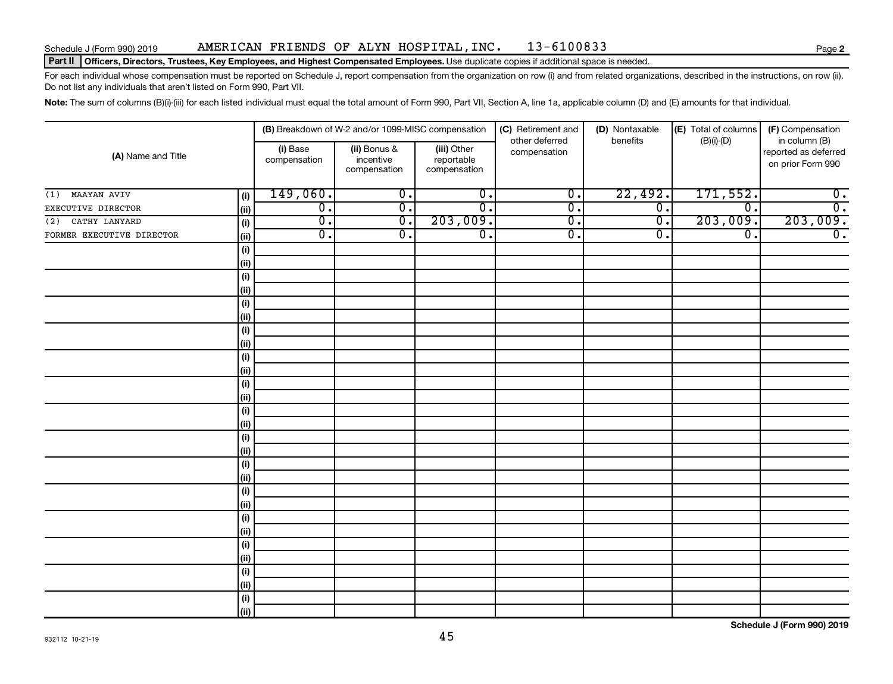### Schedule J (Form 990) 2019 Page AMERICAN FRIENDS OF ALYN HOSPITAL,INC. 13-6100833

#### Part II | Officers, Directors, Trustees, Key Employees, and Highest Compensated Employees. Use duplicate copies if additional space is needed.

For each individual whose compensation must be reported on Schedule J, report compensation from the organization on row (i) and from related organizations, described in the instructions, on row (ii). Do not list any individuals that aren't listed on Form 990, Part VII.

Note: The sum of columns (B)(i)-(iii) for each listed individual must equal the total amount of Form 990, Part VII, Section A, line 1a, applicable column (D) and (E) amounts for that individual.

|                           |            |                             | (B) Breakdown of W-2 and/or 1099-MISC compensation |                                           | (C) Retirement and<br>other deferred | (D) Nontaxable<br>benefits | (E) Total of columns | (F) Compensation                                           |
|---------------------------|------------|-----------------------------|----------------------------------------------------|-------------------------------------------|--------------------------------------|----------------------------|----------------------|------------------------------------------------------------|
| (A) Name and Title        |            | (i) Base<br>compensation    | (ii) Bonus &<br>incentive<br>compensation          | (iii) Other<br>reportable<br>compensation | compensation                         |                            | $(B)(i)-(D)$         | in column (B)<br>reported as deferred<br>on prior Form 990 |
| MAAYAN AVIV<br>(1)        | (i)        | 149,060.                    | $\overline{0}$ .                                   | $\overline{0}$ .                          | $\overline{\mathfrak{o}}$ .          | 22,492.                    | 171,552.             | $\overline{\mathbf{0}}$ .                                  |
| EXECUTIVE DIRECTOR        | (ii)       | $\overline{0}$ .            | $\overline{0}$ .                                   | $\overline{\mathfrak{o}}$ .               | $\overline{\mathfrak{o}}$ .          | $\overline{0}$ .           | $\overline{0}$ .     | $\overline{0}$ .                                           |
| (2) CATHY LANYARD         | (i)        | $\overline{\mathfrak{o}}$ . | $\overline{0}$ .                                   | 203,009.                                  | $\overline{0}$ .                     | $\overline{0}$ .           | 203,009.             | 203,009.                                                   |
| FORMER EXECUTIVE DIRECTOR | (ii)       | $\overline{0}$ .            | $\overline{0}$ .                                   | $\overline{\mathfrak{o}}$ .               | $\overline{0}$ .                     | $\overline{0}$ .           | $\overline{0}$ .     | $\overline{0}$ .                                           |
|                           | (i)        |                             |                                                    |                                           |                                      |                            |                      |                                                            |
|                           | (ii)       |                             |                                                    |                                           |                                      |                            |                      |                                                            |
|                           | (i)        |                             |                                                    |                                           |                                      |                            |                      |                                                            |
|                           | (ii)       |                             |                                                    |                                           |                                      |                            |                      |                                                            |
|                           | (i)        |                             |                                                    |                                           |                                      |                            |                      |                                                            |
|                           | (ii)       |                             |                                                    |                                           |                                      |                            |                      |                                                            |
|                           | $(\sf{i})$ |                             |                                                    |                                           |                                      |                            |                      |                                                            |
|                           | (ii)       |                             |                                                    |                                           |                                      |                            |                      |                                                            |
|                           | $(\sf{i})$ |                             |                                                    |                                           |                                      |                            |                      |                                                            |
|                           | (i)        |                             |                                                    |                                           |                                      |                            |                      |                                                            |
|                           | (i)        |                             |                                                    |                                           |                                      |                            |                      |                                                            |
|                           | (i)        |                             |                                                    |                                           |                                      |                            |                      |                                                            |
|                           | $(\sf{i})$ |                             |                                                    |                                           |                                      |                            |                      |                                                            |
|                           | (i)        |                             |                                                    |                                           |                                      |                            |                      |                                                            |
|                           | $(\sf{i})$ |                             |                                                    |                                           |                                      |                            |                      |                                                            |
|                           | (ii)       |                             |                                                    |                                           |                                      |                            |                      |                                                            |
|                           | $(\sf{i})$ |                             |                                                    |                                           |                                      |                            |                      |                                                            |
|                           | (ii)       |                             |                                                    |                                           |                                      |                            |                      |                                                            |
|                           | $(\sf{i})$ |                             |                                                    |                                           |                                      |                            |                      |                                                            |
|                           | (ii)       |                             |                                                    |                                           |                                      |                            |                      |                                                            |
|                           | $(\sf{i})$ |                             |                                                    |                                           |                                      |                            |                      |                                                            |
|                           | (ii)       |                             |                                                    |                                           |                                      |                            |                      |                                                            |
|                           | $(\sf{i})$ |                             |                                                    |                                           |                                      |                            |                      |                                                            |
|                           | (ii)       |                             |                                                    |                                           |                                      |                            |                      |                                                            |
|                           | $(\sf{i})$ |                             |                                                    |                                           |                                      |                            |                      |                                                            |
|                           | (ii)       |                             |                                                    |                                           |                                      |                            |                      |                                                            |
|                           | $(\sf{i})$ |                             |                                                    |                                           |                                      |                            |                      |                                                            |
|                           | (ii)       |                             |                                                    |                                           |                                      |                            |                      |                                                            |

**Schedule J (Form 990) 2019**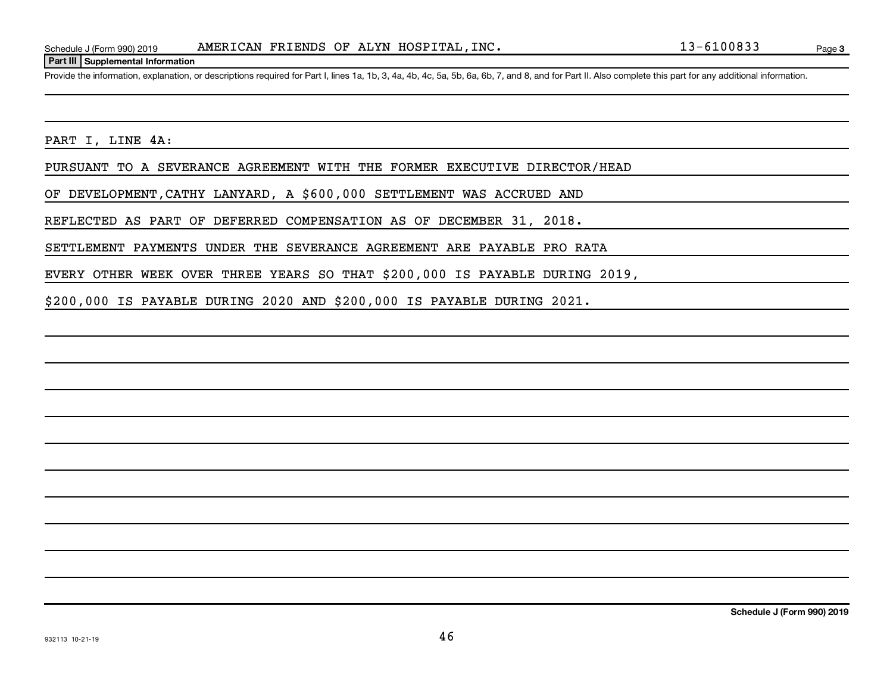#### **Part III Supplemental Information**

Provide the information, explanation, or descriptions required for Part I, lines 1a, 1b, 3, 4a, 4b, 4c, 5a, 5b, 6a, 6b, 7, and 8, and for Part II. Also complete this part for any additional information.

PART I, LINE 4A:

PURSUANT TO A SEVERANCE AGREEMENT WITH THE FORMER EXECUTIVE DIRECTOR/HEAD

OF DEVELOPMENT,CATHY LANYARD, A \$600,000 SETTLEMENT WAS ACCRUED AND

REFLECTED AS PART OF DEFERRED COMPENSATION AS OF DECEMBER 31, 2018.

SETTLEMENT PAYMENTS UNDER THE SEVERANCE AGREEMENT ARE PAYABLE PRO RATA

EVERY OTHER WEEK OVER THREE YEARS SO THAT \$200,000 IS PAYABLE DURING 2019,

\$200,000 IS PAYABLE DURING 2020 AND \$200,000 IS PAYABLE DURING 2021.

**Schedule J (Form 990) 2019**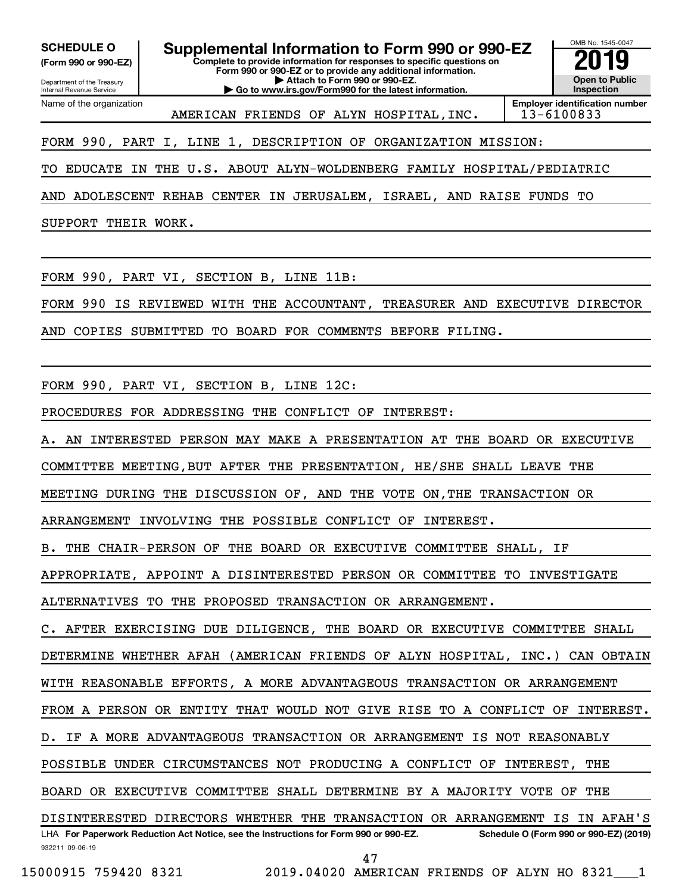**(Form 990 or 990-EZ)**

Name of the organization

**Complete to provide information for responses to specific questions on SCHEDULE O Supplemental Information to Form 990 or 990-EZ 2019** 

Department of the Treasury Internal Revenue Service

**Form 990 or 990-EZ or to provide any additional information. | Attach to Form 990 or 990-EZ. | Go to www.irs.gov/Form990 for the latest information.**



AMERICAN FRIENDS OF ALYN HOSPITAL, INC. | 13-6100833

FORM 990, PART I, LINE 1, DESCRIPTION OF ORGANIZATION MISSION:

TO EDUCATE IN THE U.S. ABOUT ALYN-WOLDENBERG FAMILY HOSPITAL/PEDIATRIC

AND ADOLESCENT REHAB CENTER IN JERUSALEM, ISRAEL, AND RAISE FUNDS TO

SUPPORT THEIR WORK.

FORM 990, PART VI, SECTION B, LINE 11B:

FORM 990 IS REVIEWED WITH THE ACCOUNTANT, TREASURER AND EXECUTIVE DIRECTOR

AND COPIES SUBMITTED TO BOARD FOR COMMENTS BEFORE FILING.

FORM 990, PART VI, SECTION B, LINE 12C:

PROCEDURES FOR ADDRESSING THE CONFLICT OF INTEREST:

A. AN INTERESTED PERSON MAY MAKE A PRESENTATION AT THE BOARD OR EXECUTIVE

COMMITTEE MEETING,BUT AFTER THE PRESENTATION, HE/SHE SHALL LEAVE THE

MEETING DURING THE DISCUSSION OF, AND THE VOTE ON,THE TRANSACTION OR

ARRANGEMENT INVOLVING THE POSSIBLE CONFLICT OF INTEREST.

B. THE CHAIR-PERSON OF THE BOARD OR EXECUTIVE COMMITTEE SHALL, IF

APPROPRIATE, APPOINT A DISINTERESTED PERSON OR COMMITTEE TO INVESTIGATE

ALTERNATIVES TO THE PROPOSED TRANSACTION OR ARRANGEMENT.

C. AFTER EXERCISING DUE DILIGENCE, THE BOARD OR EXECUTIVE COMMITTEE SHALL

DETERMINE WHETHER AFAH (AMERICAN FRIENDS OF ALYN HOSPITAL, INC.) CAN OBTAIN

WITH REASONABLE EFFORTS, A MORE ADVANTAGEOUS TRANSACTION OR ARRANGEMENT

FROM A PERSON OR ENTITY THAT WOULD NOT GIVE RISE TO A CONFLICT OF INTEREST.

D. IF A MORE ADVANTAGEOUS TRANSACTION OR ARRANGEMENT IS NOT REASONABLY

POSSIBLE UNDER CIRCUMSTANCES NOT PRODUCING A CONFLICT OF INTEREST, THE

BOARD OR EXECUTIVE COMMITTEE SHALL DETERMINE BY A MAJORITY VOTE OF THE

932211 09-06-19 LHA For Paperwork Reduction Act Notice, see the Instructions for Form 990 or 990-EZ. Schedule O (Form 990 or 990-EZ) (2019) DISINTERESTED DIRECTORS WHETHER THE TRANSACTION OR ARRANGEMENT IS IN AFAH'S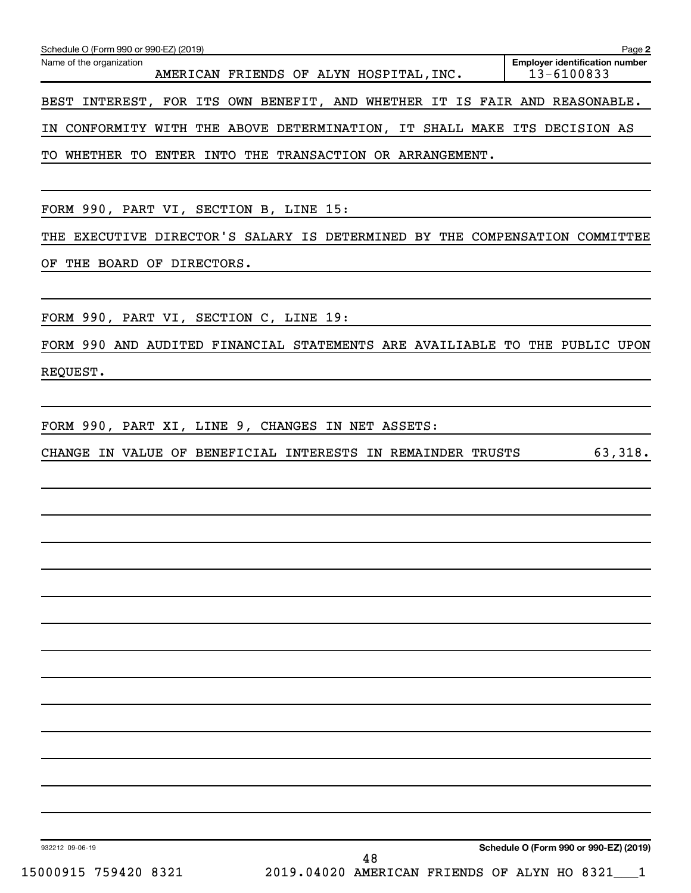| Schedule O (Form 990 or 990-EZ) (2019)<br>Page 2                                                                            |
|-----------------------------------------------------------------------------------------------------------------------------|
| <b>Employer identification number</b><br>Name of the organization<br>13-6100833<br>AMERICAN FRIENDS OF ALYN HOSPITAL, INC.  |
| BEST INTEREST, FOR ITS OWN BENEFIT, AND WHETHER IT IS FAIR AND REASONABLE.                                                  |
| IN CONFORMITY WITH THE ABOVE DETERMINATION, IT SHALL MAKE ITS DECISION AS                                                   |
| TO WHETHER TO ENTER INTO THE TRANSACTION OR ARRANGEMENT.                                                                    |
|                                                                                                                             |
| FORM 990, PART VI, SECTION B, LINE 15:                                                                                      |
| THE EXECUTIVE DIRECTOR'S SALARY IS DETERMINED BY THE COMPENSATION COMMITTEE                                                 |
| THE BOARD OF DIRECTORS.<br>ОF                                                                                               |
|                                                                                                                             |
| FORM 990, PART VI, SECTION C, LINE 19:                                                                                      |
| FORM 990 AND AUDITED FINANCIAL STATEMENTS ARE AVAILIABLE TO THE PUBLIC UPON                                                 |
| REQUEST.                                                                                                                    |
| FORM 990, PART XI, LINE 9, CHANGES IN NET ASSETS:<br>63,318.<br>CHANGE IN VALUE OF BENEFICIAL INTERESTS IN REMAINDER TRUSTS |
| Schedule O (Form 990 or 990-EZ) (2019)<br>932212 09-06-19<br>48                                                             |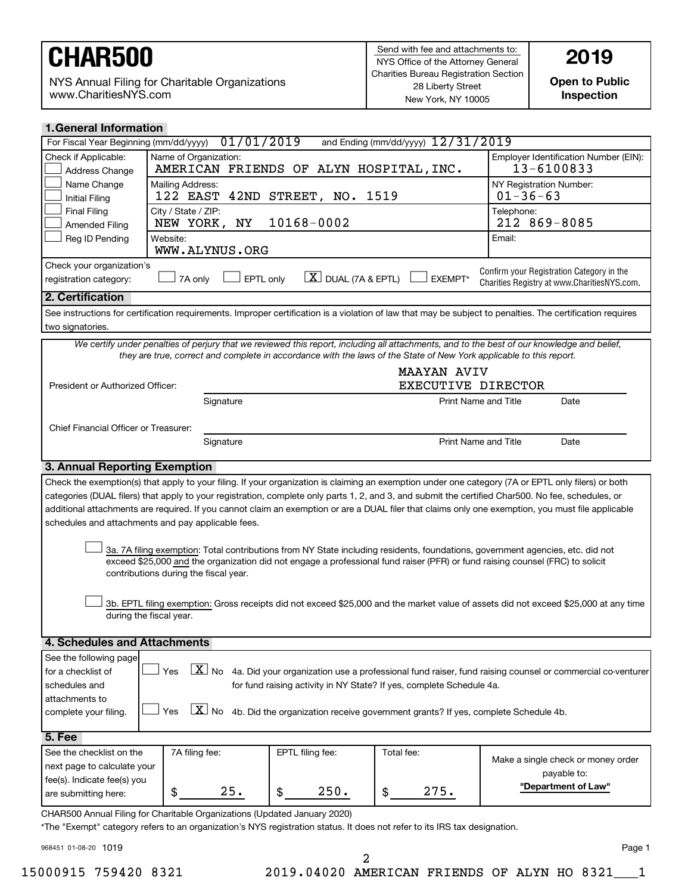NYS Annual Filing for Charitable Organizations www.CharitiesNYS.com

**Open to Public Inspection**

| <b>1. General Information</b>                                                                                                                                                                                                                                                                            |                                                                  |                                                     |                             |                                                                                                                                                            |  |  |
|----------------------------------------------------------------------------------------------------------------------------------------------------------------------------------------------------------------------------------------------------------------------------------------------------------|------------------------------------------------------------------|-----------------------------------------------------|-----------------------------|------------------------------------------------------------------------------------------------------------------------------------------------------------|--|--|
| 01/01/2019<br>and Ending (mm/dd/yyyy) 12/31/2019<br>For Fiscal Year Beginning (mm/dd/yyyy)                                                                                                                                                                                                               |                                                                  |                                                     |                             |                                                                                                                                                            |  |  |
| Check if Applicable:<br>Address Change                                                                                                                                                                                                                                                                   | Name of Organization:<br>AMERICAN FRIENDS OF ALYN HOSPITAL, INC. | Employer Identification Number (EIN):<br>13-6100833 |                             |                                                                                                                                                            |  |  |
| Name Change<br><b>Initial Filing</b>                                                                                                                                                                                                                                                                     | Mailing Address:<br>STREET, NO. 1519<br>122 EAST<br>42ND         |                                                     |                             | NY Registration Number:<br>$01 - 36 - 63$                                                                                                                  |  |  |
| <b>Final Filing</b><br><b>Amended Filing</b>                                                                                                                                                                                                                                                             | City / State / ZIP:<br>10168-0002<br>ΝY<br>NEW YORK,             |                                                     |                             | Telephone:<br>212 869-8085                                                                                                                                 |  |  |
| Reg ID Pending                                                                                                                                                                                                                                                                                           | Website:<br>WWW.ALYNUS.ORG                                       |                                                     |                             | Email:                                                                                                                                                     |  |  |
| Check your organization's<br>Confirm your Registration Category in the<br>$\lfloor \underline{X} \rfloor$ DUAL (7A & EPTL)<br>EXEMPT*<br>7A only<br>EPTL only<br>registration category:<br>Charities Registry at www.CharitiesNYS.com.                                                                   |                                                                  |                                                     |                             |                                                                                                                                                            |  |  |
| 2. Certification                                                                                                                                                                                                                                                                                         |                                                                  |                                                     |                             |                                                                                                                                                            |  |  |
|                                                                                                                                                                                                                                                                                                          |                                                                  |                                                     |                             | See instructions for certification requirements. Improper certification is a violation of law that may be subject to penalties. The certification requires |  |  |
| two signatories.                                                                                                                                                                                                                                                                                         |                                                                  |                                                     |                             |                                                                                                                                                            |  |  |
| We certify under penalties of perjury that we reviewed this report, including all attachments, and to the best of our knowledge and belief,<br>they are true, correct and complete in accordance with the laws of the State of New York applicable to this report.                                       |                                                                  |                                                     |                             |                                                                                                                                                            |  |  |
|                                                                                                                                                                                                                                                                                                          |                                                                  |                                                     | <b>MAAYAN AVIV</b>          |                                                                                                                                                            |  |  |
| President or Authorized Officer:                                                                                                                                                                                                                                                                         |                                                                  |                                                     | EXECUTIVE DIRECTOR          |                                                                                                                                                            |  |  |
|                                                                                                                                                                                                                                                                                                          | Signature                                                        |                                                     | <b>Print Name and Title</b> | Date                                                                                                                                                       |  |  |
| Chief Financial Officer or Treasurer:                                                                                                                                                                                                                                                                    |                                                                  |                                                     |                             |                                                                                                                                                            |  |  |
|                                                                                                                                                                                                                                                                                                          | Signature                                                        |                                                     | <b>Print Name and Title</b> | Date                                                                                                                                                       |  |  |
| 3. Annual Reporting Exemption                                                                                                                                                                                                                                                                            |                                                                  |                                                     |                             |                                                                                                                                                            |  |  |
|                                                                                                                                                                                                                                                                                                          |                                                                  |                                                     |                             | Check the exemption(s) that apply to your filing. If your organization is claiming an exemption under one category (7A or EPTL only filers) or both        |  |  |
|                                                                                                                                                                                                                                                                                                          |                                                                  |                                                     |                             | categories (DUAL filers) that apply to your registration, complete only parts 1, 2, and 3, and submit the certified Char500. No fee, schedules, or         |  |  |
|                                                                                                                                                                                                                                                                                                          |                                                                  |                                                     |                             | additional attachments are required. If you cannot claim an exemption or are a DUAL filer that claims only one exemption, you must file applicable         |  |  |
| schedules and attachments and pay applicable fees.                                                                                                                                                                                                                                                       |                                                                  |                                                     |                             |                                                                                                                                                            |  |  |
| 3a. 7A filing exemption: Total contributions from NY State including residents, foundations, government agencies, etc. did not<br>exceed \$25,000 and the organization did not engage a professional fund raiser (PFR) or fund raising counsel (FRC) to solicit<br>contributions during the fiscal year. |                                                                  |                                                     |                             |                                                                                                                                                            |  |  |
| 3b. EPTL filing exemption: Gross receipts did not exceed \$25,000 and the market value of assets did not exceed \$25,000 at any time<br>during the fiscal year.                                                                                                                                          |                                                                  |                                                     |                             |                                                                                                                                                            |  |  |
| 4. Schedules and Attachments                                                                                                                                                                                                                                                                             |                                                                  |                                                     |                             |                                                                                                                                                            |  |  |
| See the following page                                                                                                                                                                                                                                                                                   |                                                                  |                                                     |                             |                                                                                                                                                            |  |  |
| $ \underline{X} $ No 4a. Did your organization use a professional fund raiser, fund raising counsel or commercial co-venturer<br>Yes<br>for a checklist of                                                                                                                                               |                                                                  |                                                     |                             |                                                                                                                                                            |  |  |
| for fund raising activity in NY State? If yes, complete Schedule 4a.<br>schedules and                                                                                                                                                                                                                    |                                                                  |                                                     |                             |                                                                                                                                                            |  |  |
| attachments to                                                                                                                                                                                                                                                                                           |                                                                  |                                                     |                             |                                                                                                                                                            |  |  |
| $\boxed{\mathbf{X}}$ No 4b. Did the organization receive government grants? If yes, complete Schedule 4b.<br>Yes<br>complete your filing.                                                                                                                                                                |                                                                  |                                                     |                             |                                                                                                                                                            |  |  |
| <b>5. Fee</b>                                                                                                                                                                                                                                                                                            |                                                                  |                                                     |                             |                                                                                                                                                            |  |  |
| See the checklist on the                                                                                                                                                                                                                                                                                 | 7A filing fee:                                                   | EPTL filing fee:                                    | Total fee:                  |                                                                                                                                                            |  |  |
| next page to calculate your                                                                                                                                                                                                                                                                              |                                                                  |                                                     |                             | Make a single check or money order                                                                                                                         |  |  |
| fee(s). Indicate fee(s) you                                                                                                                                                                                                                                                                              |                                                                  |                                                     |                             | payable to:                                                                                                                                                |  |  |
| are submitting here:                                                                                                                                                                                                                                                                                     | 25.<br>\$                                                        | 250.<br>\$                                          | 275.<br>\$                  | "Department of Law"                                                                                                                                        |  |  |
| CHAR500 Annual Filing for Charitable Organizations (Updated January 2020)<br>*The "Exempt" category refers to an organization's NYS registration status. It does not refer to its IRS tax designation.                                                                                                   |                                                                  |                                                     |                             |                                                                                                                                                            |  |  |

968451 01-08-20

15000915 759420 8321 2019.04020 AMERICAN FRIENDS OF ALYN HO 8321\_\_\_1

2

1019 Page 1